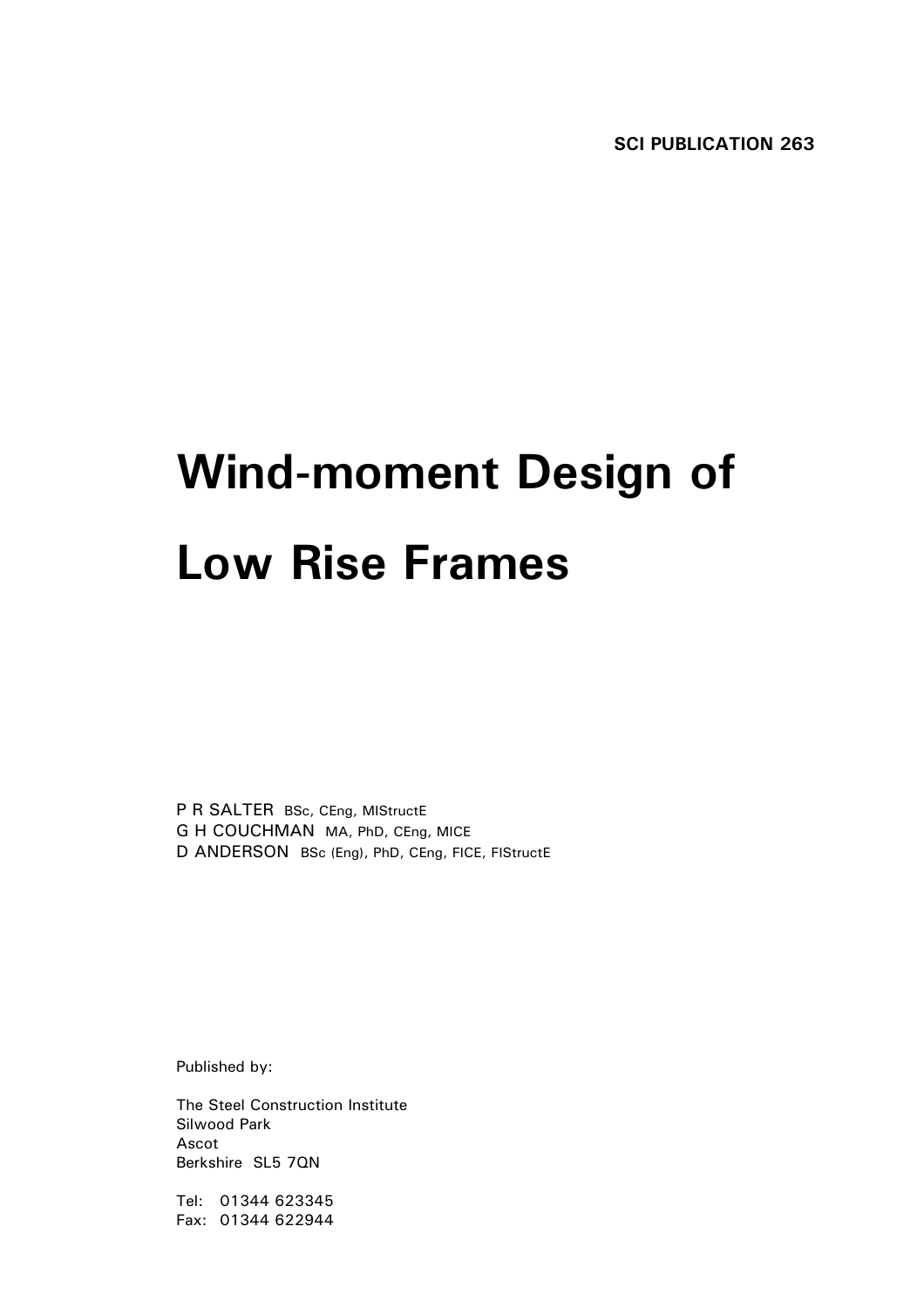**SCI PUBLICATION 263**

# **Wind-moment Design of Low Rise Frames**

P R SALTER BSc, CEng, MIStructE G H COUCHMAN MA, PhD, CEng, MICE D ANDERSON BSc (Eng), PhD, CEng, FICE, FIStructE

Published by:

The Steel Construction Institute Silwood Park Ascot Berkshire SL5 7QN

Tel: 01344 623345 Fax: 01344 622944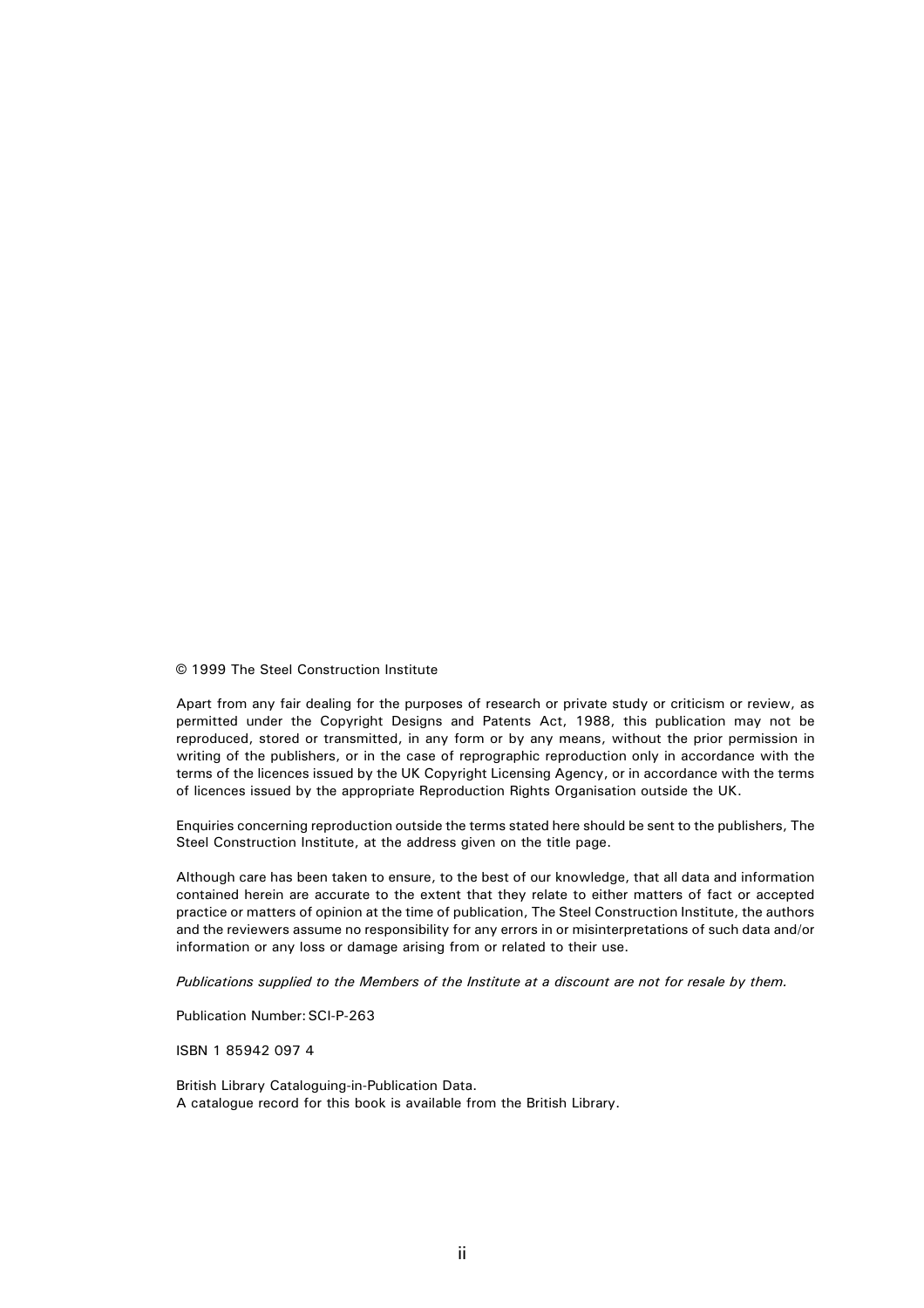© 1999 The Steel Construction Institute

Apart from any fair dealing for the purposes of research or private study or criticism or review, as permitted under the Copyright Designs and Patents Act, 1988, this publication may not be reproduced, stored or transmitted, in any form or by any means, without the prior permission in writing of the publishers, or in the case of reprographic reproduction only in accordance with the terms of the licences issued by the UK Copyright Licensing Agency, or in accordance with the terms of licences issued by the appropriate Reproduction Rights Organisation outside the UK.

Enquiries concerning reproduction outside the terms stated here should be sent to the publishers, The Steel Construction Institute, at the address given on the title page.

Although care has been taken to ensure, to the best of our knowledge, that all data and information contained herein are accurate to the extent that they relate to either matters of fact or accepted practice or matters of opinion at the time of publication, The Steel Construction Institute, the authors and the reviewers assume no responsibility for any errors in or misinterpretations of such data and/or information or any loss or damage arising from or related to their use.

*Publications supplied to the Members of the Institute at a discount are not for resale by them.*

Publication Number:SCI-P-263

ISBN 1 85942 097 4

British Library Cataloguing-in-Publication Data. A catalogue record for this book is available from the British Library.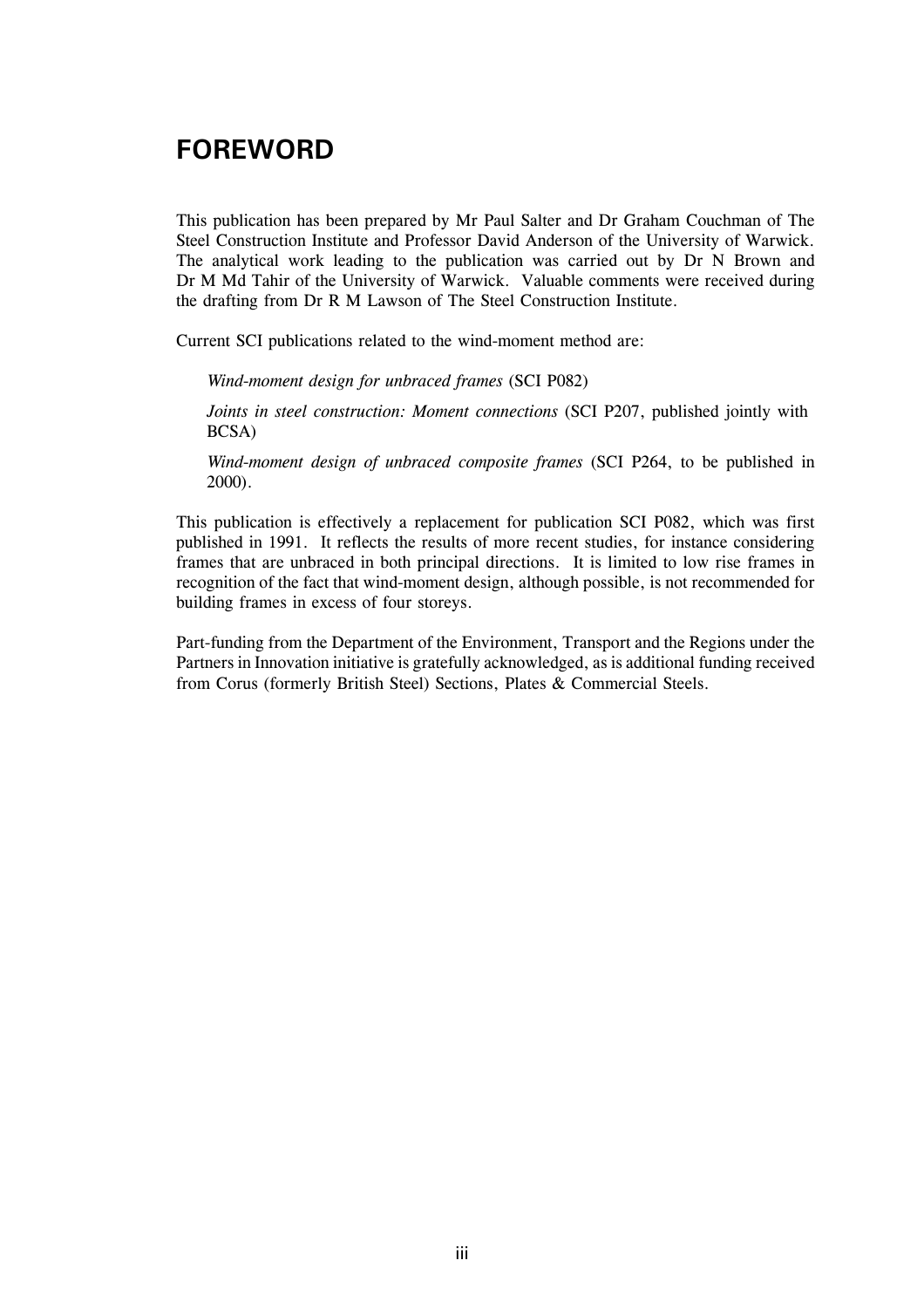# **FOREWORD**

This publication has been prepared by Mr Paul Salter and Dr Graham Couchman of The Steel Construction Institute and Professor David Anderson of the University of Warwick. The analytical work leading to the publication was carried out by Dr N Brown and Dr M Md Tahir of the University of Warwick. Valuable comments were received during the drafting from Dr R M Lawson of The Steel Construction Institute.

Current SCI publications related to the wind-moment method are:

*Wind-moment design for unbraced frames* (SCI P082)

*Joints in steel construction: Moment connections* (SCI P207, published jointly with BCSA)

*Wind-moment design of unbraced composite frames* (SCI P264, to be published in 2000).

This publication is effectively a replacement for publication SCI P082, which was first published in 1991. It reflects the results of more recent studies, for instance considering frames that are unbraced in both principal directions. It is limited to low rise frames in recognition of the fact that wind-moment design, although possible, is not recommended for building frames in excess of four storeys.

Part-funding from the Department of the Environment, Transport and the Regions under the Partners in Innovation initiative is gratefully acknowledged, as is additional funding received from Corus (formerly British Steel) Sections, Plates & Commercial Steels.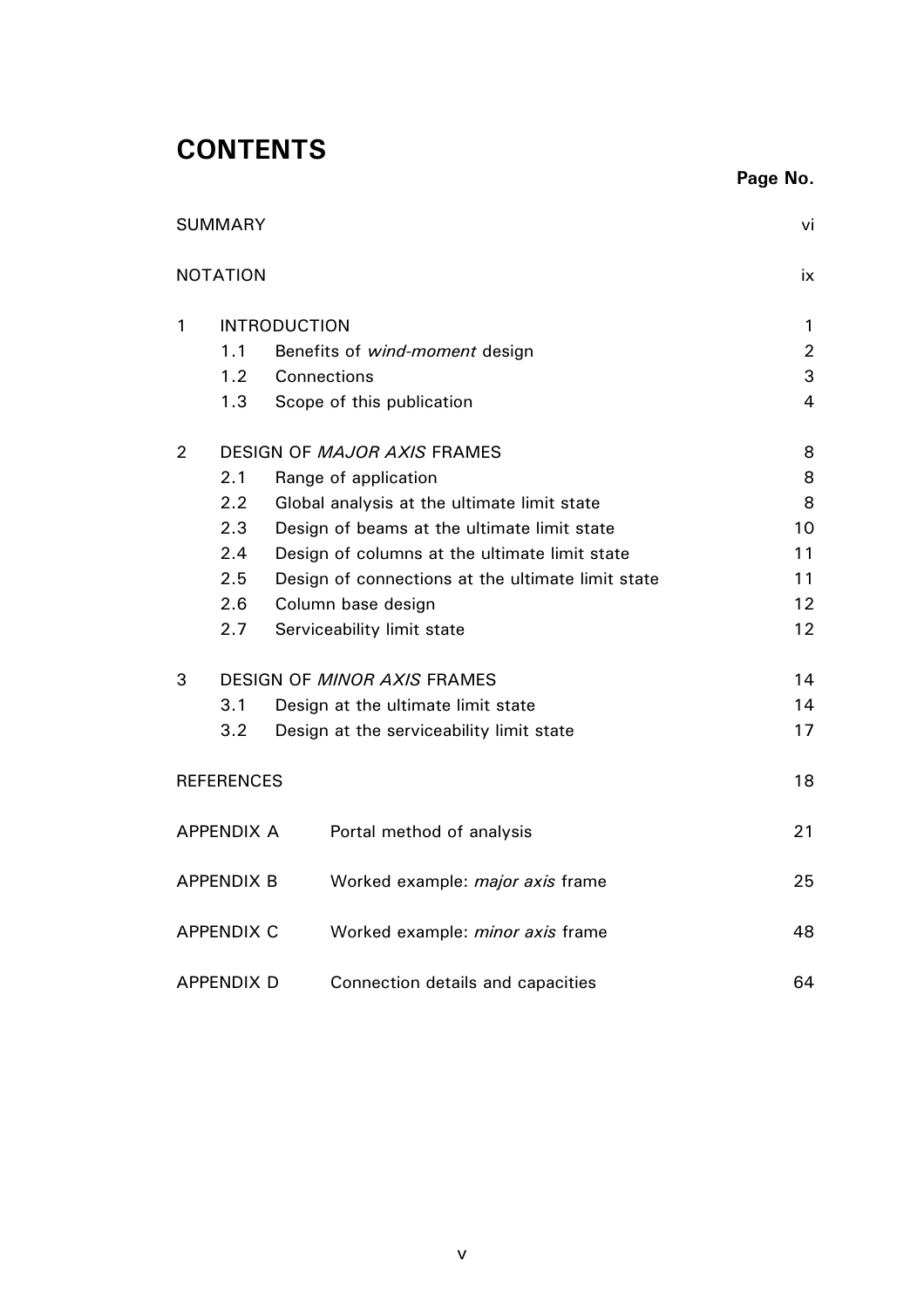# **CONTENTS**

|                | <b>SUMMARY</b>                     |                                                   | vi             |
|----------------|------------------------------------|---------------------------------------------------|----------------|
|                | <b>NOTATION</b>                    |                                                   | ix             |
| 1              |                                    | <b>INTRODUCTION</b>                               | 1              |
|                | 1.1                                | Benefits of <i>wind-moment</i> design             | $\overline{2}$ |
|                | 1.2                                | Connections                                       | 3              |
|                | 1.3                                | Scope of this publication                         | $\overline{4}$ |
| $\overline{2}$ | DESIGN OF MAJOR AXIS FRAMES        | 8                                                 |                |
|                | 2.1                                | Range of application                              | 8              |
|                | 2.2                                | Global analysis at the ultimate limit state       | 8              |
|                | 2.3                                | Design of beams at the ultimate limit state       | 10             |
|                | 2.4                                | Design of columns at the ultimate limit state     | 11             |
|                | 2.5                                | Design of connections at the ultimate limit state | 11             |
|                | 2.6                                | Column base design                                | 12             |
|                | 2.7                                | Serviceability limit state                        | 12             |
| 3              | DESIGN OF <i>MINOR AXIS</i> FRAMES | 14                                                |                |
|                | 3.1                                | Design at the ultimate limit state                | 14             |
|                | 3.2                                | Design at the serviceability limit state          | 17             |
|                | <b>REFERENCES</b>                  |                                                   | 18             |
|                | <b>APPENDIX A</b>                  | Portal method of analysis                         | 21             |
|                | <b>APPENDIX B</b>                  | Worked example: major axis frame                  | 25             |
|                | <b>APPENDIX C</b>                  | Worked example: minor axis frame                  | 48             |
|                | <b>APPENDIX D</b>                  | Connection details and capacities                 | 64             |

**Page No.**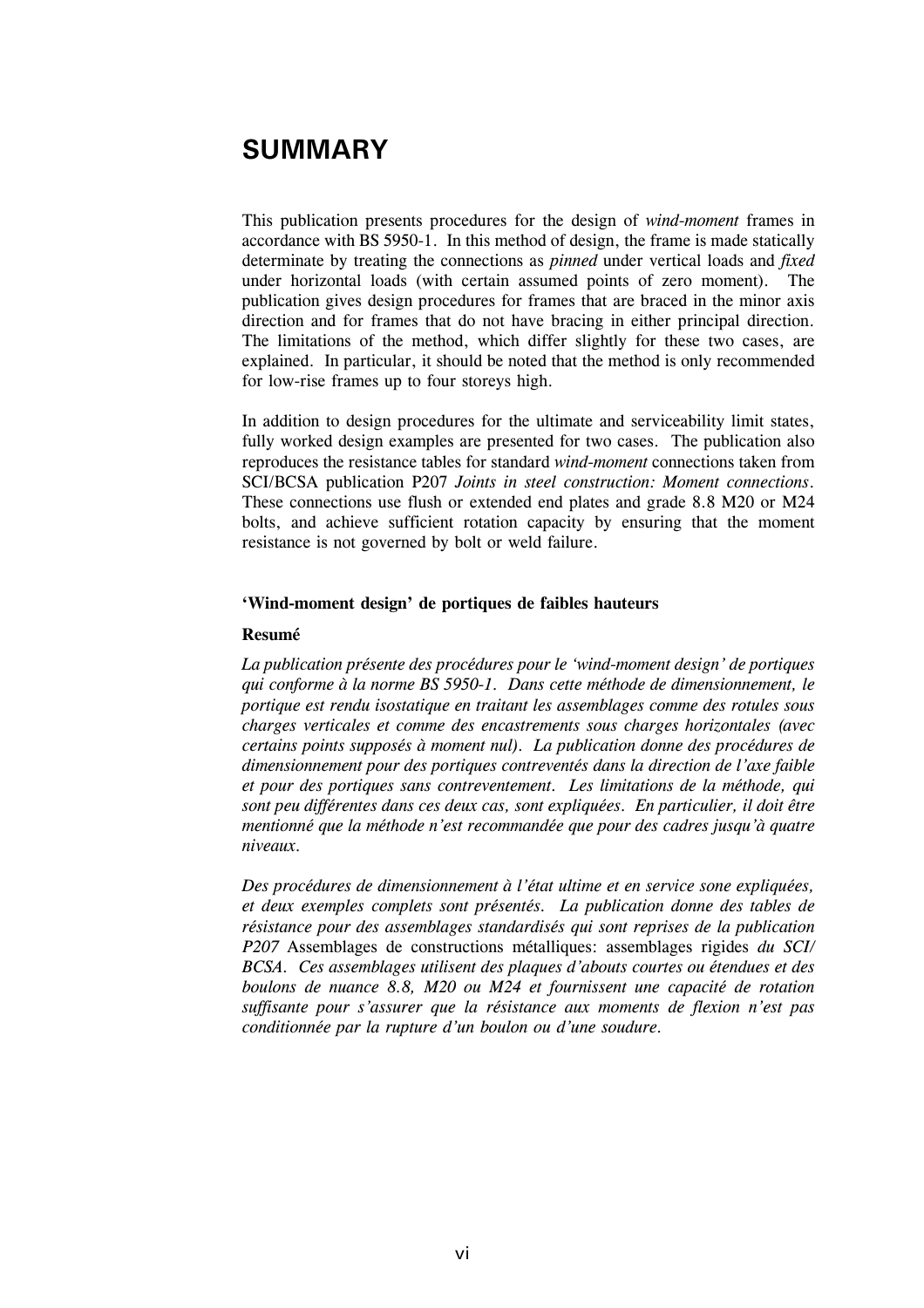# **SUMMARY**

This publication presents procedures for the design of *wind-moment* frames in accordance with BS 5950-1. In this method of design, the frame is made statically determinate by treating the connections as *pinned* under vertical loads and *fixed* under horizontal loads (with certain assumed points of zero moment). The publication gives design procedures for frames that are braced in the minor axis direction and for frames that do not have bracing in either principal direction. The limitations of the method, which differ slightly for these two cases, are explained. In particular, it should be noted that the method is only recommended for low-rise frames up to four storeys high.

In addition to design procedures for the ultimate and serviceability limit states, fully worked design examples are presented for two cases. The publication also reproduces the resistance tables for standard *wind-moment* connections taken from SCI/BCSA publication P207 *Joints in steel construction: Moment connections*. These connections use flush or extended end plates and grade 8.8 M20 or M24 bolts, and achieve sufficient rotation capacity by ensuring that the moment resistance is not governed by bolt or weld failure.

#### **'Wind-moment design' de portiques de faibles hauteurs**

#### **Resumé**

*La publication présente des procédures pour le 'wind-moment design' de portiques qui conforme à la norme BS 5950-1. Dans cette méthode de dimensionnement, le portique est rendu isostatique en traitant les assemblages comme des rotules sous charges verticales et comme des encastrements sous charges horizontales (avec certains points supposés à moment nul). La publication donne des procédures de dimensionnement pour des portiques contreventés dans la direction de l'axe faible et pour des portiques sans contreventement. Les limitations de la méthode, qui sont peu différentes dans ces deux cas, sont expliquées. En particulier, il doit être mentionné que la méthode n'est recommandée que pour des cadres jusqu'à quatre niveaux.*

*Des procédures de dimensionnement à l'état ultime et en service sone expliquées, et deux exemples complets sont présentés. La publication donne des tables de résistance pour des assemblages standardisés qui sont reprises de la publication P207* Assemblages de constructions métalliques: assemblages rigides *du SCI/ BCSA. Ces assemblages utilisent des plaques d'abouts courtes ou étendues et des boulons de nuance 8.8, M20 ou M24 et fournissent une capacité de rotation suffisante pour s'assurer que la résistance aux moments de flexion n'est pas conditionnée par la rupture d'un boulon ou d'une soudure.*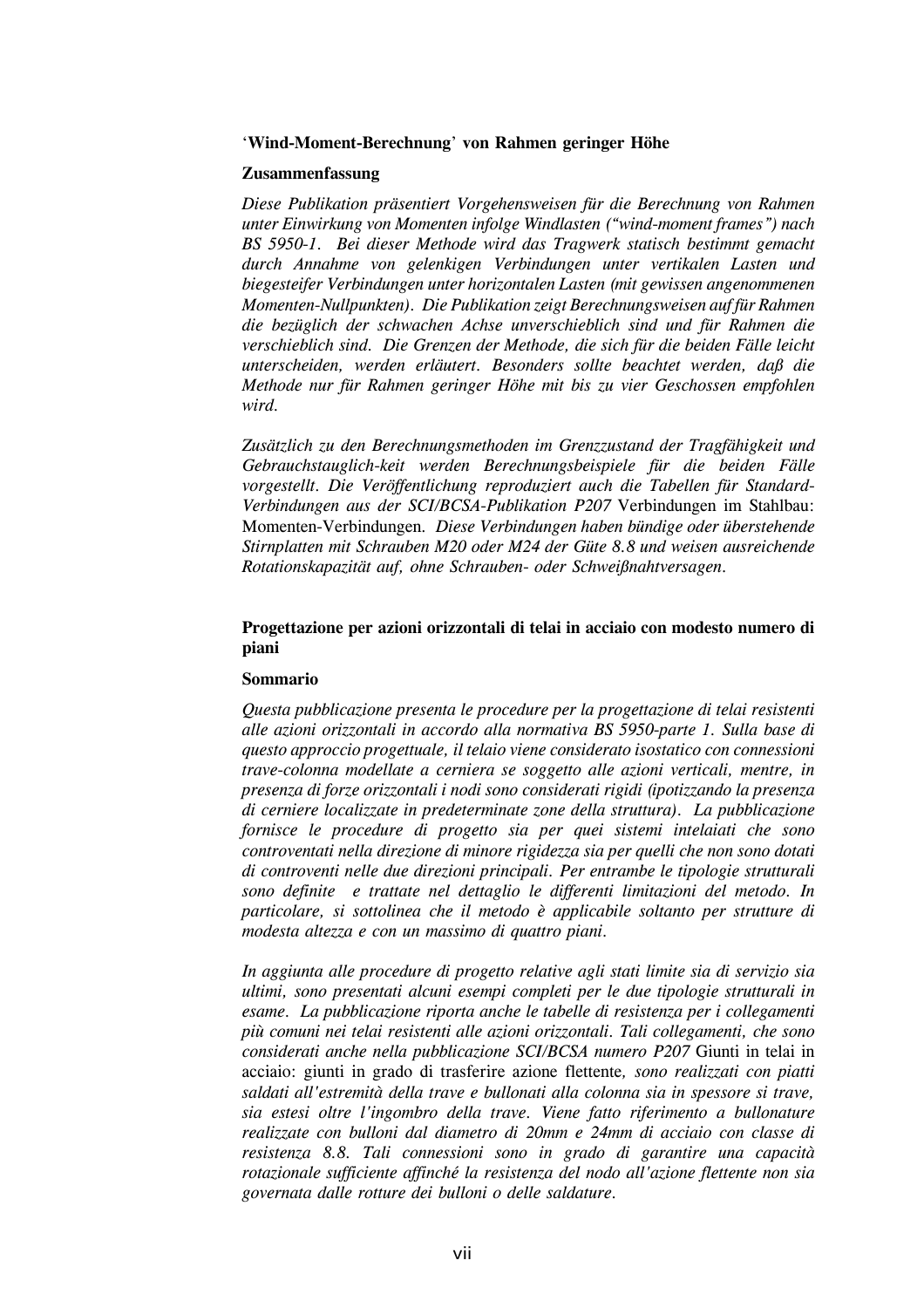#### '**Wind-Moment-Berechnung**' **von Rahmen geringer Höhe**

#### **Zusammenfassung**

*Diese Publikation präsentiert Vorgehensweisen für die Berechnung von Rahmen unter Einwirkung von Momenten infolge Windlasten ("wind-moment frames") nach BS 5950-1. Bei dieser Methode wird das Tragwerk statisch bestimmt gemacht durch Annahme von gelenkigen Verbindungen unter vertikalen Lasten und biegesteifer Verbindungen unter horizontalen Lasten (mit gewissen angenommenen Momenten-Nullpunkten). Die Publikation zeigt Berechnungsweisen auf für Rahmen die bezüglich der schwachen Achse unverschieblich sind und für Rahmen die verschieblich sind. Die Grenzen der Methode, die sich für die beiden Fälle leicht unterscheiden, werden erläutert. Besonders sollte beachtet werden, daß die Methode nur für Rahmen geringer Höhe mit bis zu vier Geschossen empfohlen wird.*

*Zusätzlich zu den Berechnungsmethoden im Grenzzustand der Tragfähigkeit und Gebrauchstauglich-keit werden Berechnungsbeispiele für die beiden Fälle vorgestellt. Die Veröffentlichung reproduziert auch die Tabellen für Standard-Verbindungen aus der SCI/BCSA-Publikation P207* Verbindungen im Stahlbau: Momenten-Verbindungen*. Diese Verbindungen haben bündige oder überstehende Stirnplatten mit Schrauben M20 oder M24 der Güte 8.8 und weisen ausreichende Rotationskapazität auf, ohne Schrauben- oder Schweißnahtversagen.*

#### **Progettazione per azioni orizzontali di telai in acciaio con modesto numero di piani**

#### **Sommario**

*Questa pubblicazione presenta le procedure per la progettazione di telai resistenti alle azioni orizzontali in accordo alla normativa BS 5950-parte 1. Sulla base di questo approccio progettuale, il telaio viene considerato isostatico con connessioni trave-colonna modellate a cerniera se soggetto alle azioni verticali, mentre, in presenza di forze orizzontali i nodi sono considerati rigidi (ipotizzando la presenza di cerniere localizzate in predeterminate zone della struttura). La pubblicazione fornisce le procedure di progetto sia per quei sistemi intelaiati che sono controventati nella direzione di minore rigidezza sia per quelli che non sono dotati di controventi nelle due direzioni principali. Per entrambe le tipologie strutturali sono definite e trattate nel dettaglio le differenti limitazioni del metodo. In particolare, si sottolinea che il metodo è applicabile soltanto per strutture di modesta altezza e con un massimo di quattro piani.*

*In aggiunta alle procedure di progetto relative agli stati limite sia di servizio sia ultimi, sono presentati alcuni esempi completi per le due tipologie strutturali in esame. La pubblicazione riporta anche le tabelle di resistenza per i collegamenti più comuni nei telai resistenti alle azioni orizzontali. Tali collegamenti, che sono considerati anche nella pubblicazione SCI/BCSA numero P207* Giunti in telai in acciaio: giunti in grado di trasferire azione flettente*, sono realizzati con piatti saldati all'estremità della trave e bullonati alla colonna sia in spessore si trave, sia estesi oltre l'ingombro della trave. Viene fatto riferimento a bullonature realizzate con bulloni dal diametro di 20mm e 24mm di acciaio con classe di resistenza 8.8. Tali connessioni sono in grado di garantire una capacità rotazionale sufficiente affinché la resistenza del nodo all'azione flettente non sia governata dalle rotture dei bulloni o delle saldature.*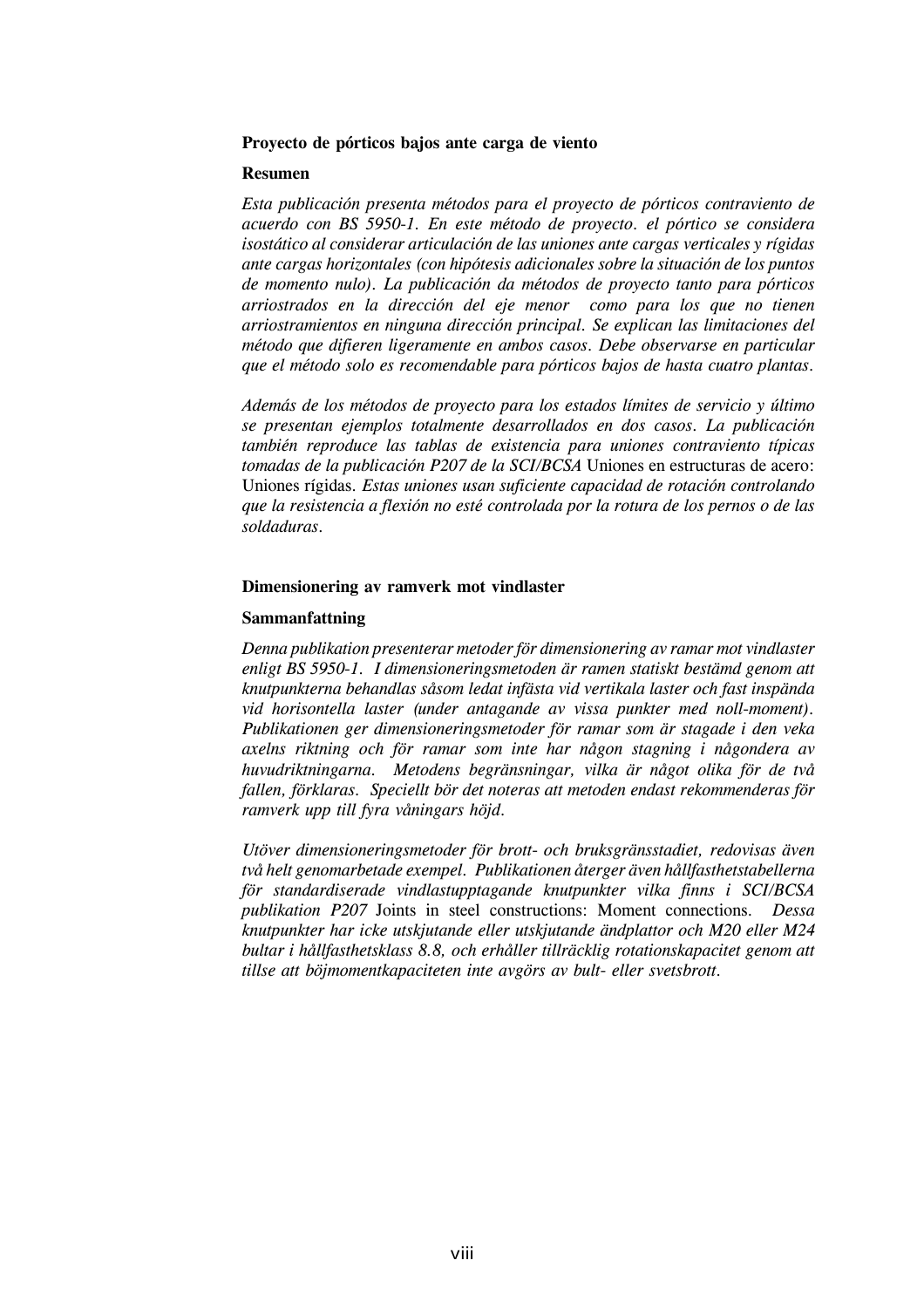#### **Proyecto de pórticos bajos ante carga de viento**

#### **Resumen**

*Esta publicación presenta métodos para el proyecto de pórticos contraviento de acuerdo con BS 5950-1. En este método de proyecto. el pórtico se considera isostático al considerar articulación de las uniones ante cargas verticales y rígidas ante cargas horizontales (con hipótesis adicionales sobre la situación de los puntos de momento nulo). La publicación da métodos de proyecto tanto para pórticos arriostrados en la dirección del eje menor como para los que no tienen arriostramientos en ninguna dirección principal. Se explican las limitaciones del método que difieren ligeramente en ambos casos. Debe observarse en particular que el método solo es recomendable para pórticos bajos de hasta cuatro plantas.*

*Además de los métodos de proyecto para los estados límites de servicio y último se presentan ejemplos totalmente desarrollados en dos casos. La publicación también reproduce las tablas de existencia para uniones contraviento típicas tomadas de la publicación P207 de la SCI/BCSA* Uniones en estructuras de acero: Uniones rígidas*. Estas uniones usan suficiente capacidad de rotación controlando que la resistencia a flexión no esté controlada por la rotura de los pernos o de las soldaduras.*

#### **Dimensionering av ramverk mot vindlaster**

#### **Sammanfattning**

*Denna publikation presenterar metoder för dimensionering av ramar mot vindlaster enligt BS 5950-1. I dimensioneringsmetoden är ramen statiskt bestämd genom att knutpunkterna behandlas såsom ledat infästa vid vertikala laster och fast inspända vid horisontella laster (under antagande av vissa punkter med noll-moment). Publikationen ger dimensioneringsmetoder för ramar som är stagade i den veka axelns riktning och för ramar som inte har någon stagning i någondera av huvudriktningarna. Metodens begränsningar, vilka är något olika för de två fallen, förklaras. Speciellt bör det noteras att metoden endast rekommenderas för ramverk upp till fyra våningars höjd.*

*Utöver dimensioneringsmetoder för brott- och bruksgränsstadiet, redovisas även två helt genomarbetade exempel. Publikationen återger även hållfasthetstabellerna för standardiserade vindlastupptagande knutpunkter vilka finns i SCI/BCSA publikation P207* Joints in steel constructions: Moment connections*. Dessa knutpunkter har icke utskjutande eller utskjutande ändplattor och M20 eller M24 bultar i hållfasthetsklass 8.8, och erhåller tillräcklig rotationskapacitet genom att tillse att böjmomentkapaciteten inte avgörs av bult- eller svetsbrott.*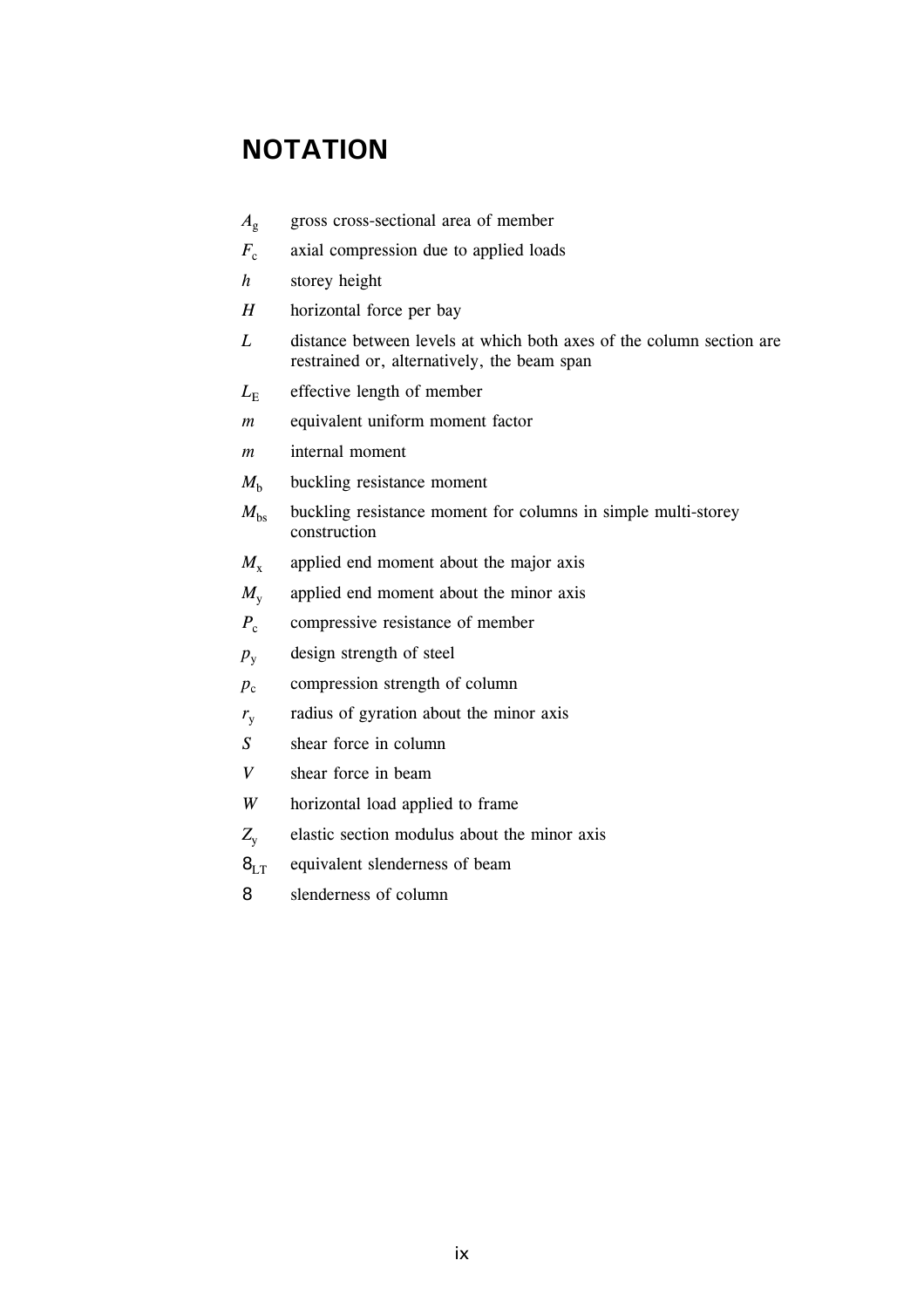# **NOTATION**

- $A_{\rm g}$ gross cross-sectional area of member
- $F_c$ axial compression due to applied loads
- *h* storey height
- *H* horizontal force per bay
- *L* distance between levels at which both axes of the column section are restrained or, alternatively, the beam span
- $L_{\rm E}$ effective length of member
- *m* equivalent uniform moment factor
- *m* internal moment
- $M<sub>b</sub>$ buckling resistance moment
- $M<sub>bs</sub>$  buckling resistance moment for columns in simple multi-storey construction
- $M_{\rm x}$ applied end moment about the major axis
- $M_{\rm v}$ applied end moment about the minor axis
- $P_c$ compressive resistance of member
- $p_{y}$ design strength of steel
- *p*c compression strength of column
- *r*y radius of gyration about the minor axis
- *S* shear force in column
- *V* shear force in beam
- *W* horizontal load applied to frame
- *Z*y elastic section modulus about the minor axis
- $B_{LT}$  equivalent slenderness of beam
- *8* slenderness of column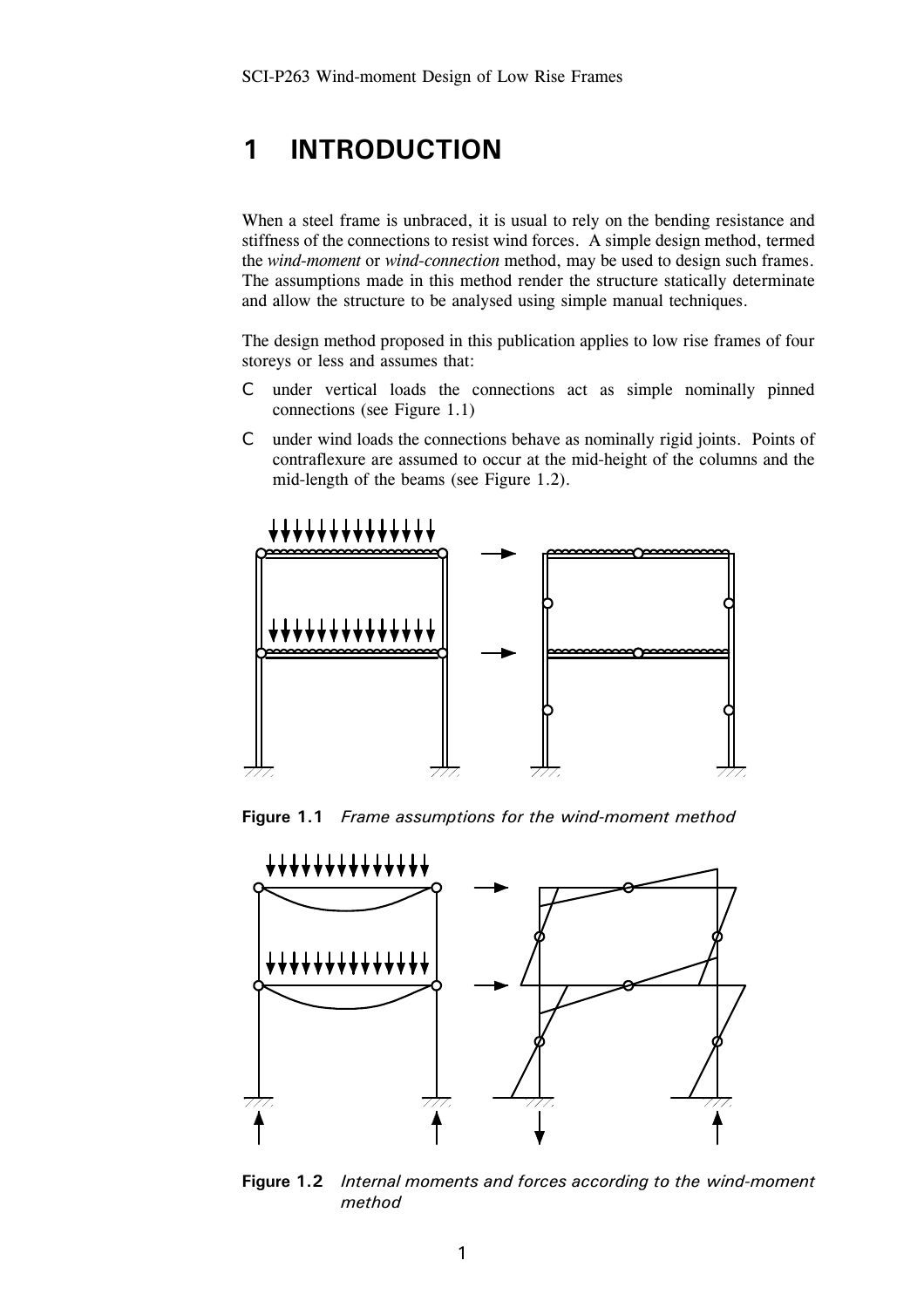# **1 INTRODUCTION**

When a steel frame is unbraced, it is usual to rely on the bending resistance and stiffness of the connections to resist wind forces. A simple design method, termed the *wind-moment* or *wind-connection* method, may be used to design such frames. The assumptions made in this method render the structure statically determinate and allow the structure to be analysed using simple manual techniques.

The design method proposed in this publication applies to low rise frames of four storeys or less and assumes that:

- C under vertical loads the connections act as simple nominally pinned connections (see Figure 1.1)
- C under wind loads the connections behave as nominally rigid joints. Points of contraflexure are assumed to occur at the mid-height of the columns and the mid-length of the beams (see Figure 1.2).



**Figure 1.1** *Frame assumptions for the wind-moment method*



**Figure 1.2** *Internal moments and forces according to the wind-moment method*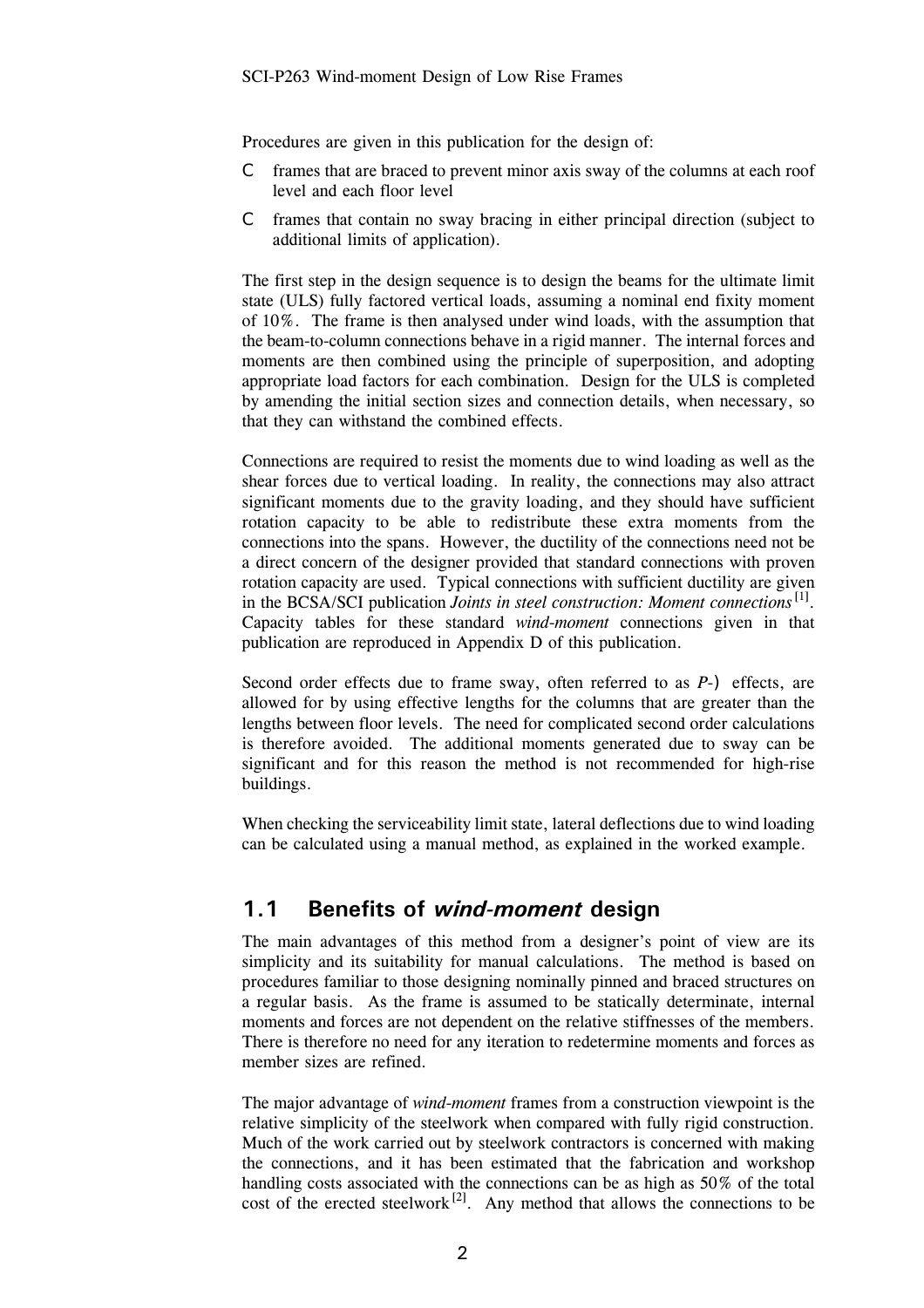Procedures are given in this publication for the design of:

- C frames that are braced to prevent minor axis sway of the columns at each roof level and each floor level
- C frames that contain no sway bracing in either principal direction (subject to additional limits of application).

The first step in the design sequence is to design the beams for the ultimate limit state (ULS) fully factored vertical loads, assuming a nominal end fixity moment of 10%. The frame is then analysed under wind loads, with the assumption that the beam-to-column connections behave in a rigid manner. The internal forces and moments are then combined using the principle of superposition, and adopting appropriate load factors for each combination. Design for the ULS is completed by amending the initial section sizes and connection details, when necessary, so that they can withstand the combined effects.

Connections are required to resist the moments due to wind loading as well as the shear forces due to vertical loading. In reality, the connections may also attract significant moments due to the gravity loading, and they should have sufficient rotation capacity to be able to redistribute these extra moments from the connections into the spans. However, the ductility of the connections need not be a direct concern of the designer provided that standard connections with proven rotation capacity are used. Typical connections with sufficient ductility are given in the BCSA/SCI publication *Joints in steel construction: Moment connections*<sup>[1]</sup>. Capacity tables for these standard *wind-moment* connections given in that publication are reproduced in Appendix D of this publication.

Second order effects due to frame sway, often referred to as *P-)* effects, are allowed for by using effective lengths for the columns that are greater than the lengths between floor levels. The need for complicated second order calculations is therefore avoided. The additional moments generated due to sway can be significant and for this reason the method is not recommended for high-rise buildings.

When checking the serviceability limit state, lateral deflections due to wind loading can be calculated using a manual method, as explained in the worked example.

# **1.1 Benefits of** *wind-moment* **design**

The main advantages of this method from a designer's point of view are its simplicity and its suitability for manual calculations. The method is based on procedures familiar to those designing nominally pinned and braced structures on a regular basis. As the frame is assumed to be statically determinate, internal moments and forces are not dependent on the relative stiffnesses of the members. There is therefore no need for any iteration to redetermine moments and forces as member sizes are refined.

The major advantage of *wind-moment* frames from a construction viewpoint is the relative simplicity of the steelwork when compared with fully rigid construction. Much of the work carried out by steelwork contractors is concerned with making the connections, and it has been estimated that the fabrication and workshop handling costs associated with the connections can be as high as 50% of the total cost of the erected steelwork<sup>[2]</sup>. Any method that allows the connections to be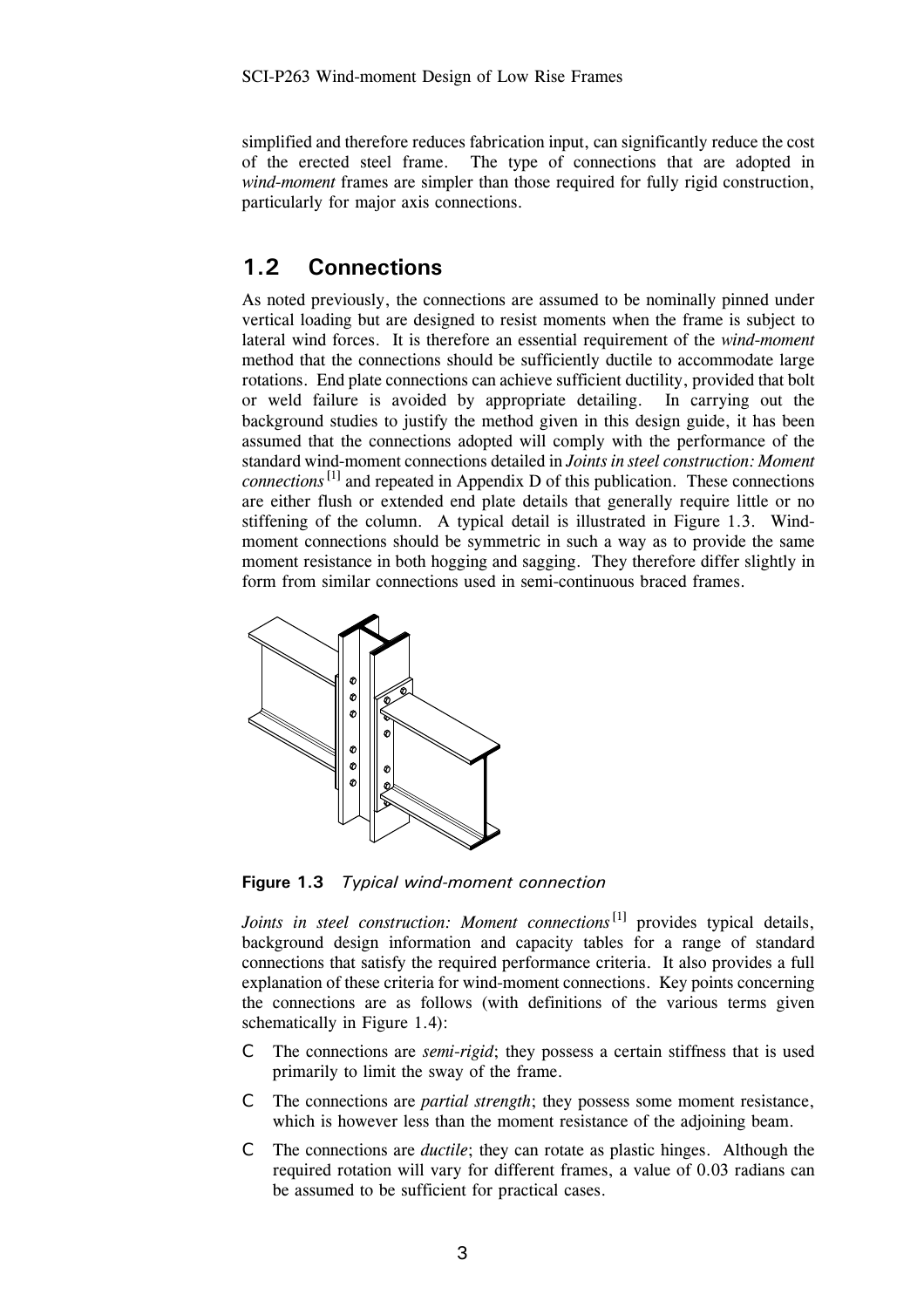simplified and therefore reduces fabrication input, can significantly reduce the cost of the erected steel frame. The type of connections that are adopted in *wind-moment* frames are simpler than those required for fully rigid construction, particularly for major axis connections.

# **1.2 Connections**

As noted previously, the connections are assumed to be nominally pinned under vertical loading but are designed to resist moments when the frame is subject to lateral wind forces. It is therefore an essential requirement of the *wind-moment* method that the connections should be sufficiently ductile to accommodate large rotations. End plate connections can achieve sufficient ductility, provided that bolt or weld failure is avoided by appropriate detailing. In carrying out the background studies to justify the method given in this design guide, it has been assumed that the connections adopted will comply with the performance of the standard wind-moment connections detailed in *Joints in steel construction: Moment connections*<sup>[1]</sup> and repeated in Appendix D of this publication. These connections are either flush or extended end plate details that generally require little or no stiffening of the column. A typical detail is illustrated in Figure 1.3. Windmoment connections should be symmetric in such a way as to provide the same moment resistance in both hogging and sagging. They therefore differ slightly in form from similar connections used in semi-continuous braced frames.



**Figure 1.3** *Typical wind-moment connection*

*Joints in steel construction: Moment connections*<sup>[1]</sup> provides typical details, background design information and capacity tables for a range of standard connections that satisfy the required performance criteria. It also provides a full explanation of these criteria for wind-moment connections. Key points concerning the connections are as follows (with definitions of the various terms given schematically in Figure 1.4):

- C The connections are *semi-rigid*; they possess a certain stiffness that is used primarily to limit the sway of the frame.
- C The connections are *partial strength*; they possess some moment resistance, which is however less than the moment resistance of the adjoining beam.
- C The connections are *ductile*; they can rotate as plastic hinges. Although the required rotation will vary for different frames, a value of 0.03 radians can be assumed to be sufficient for practical cases.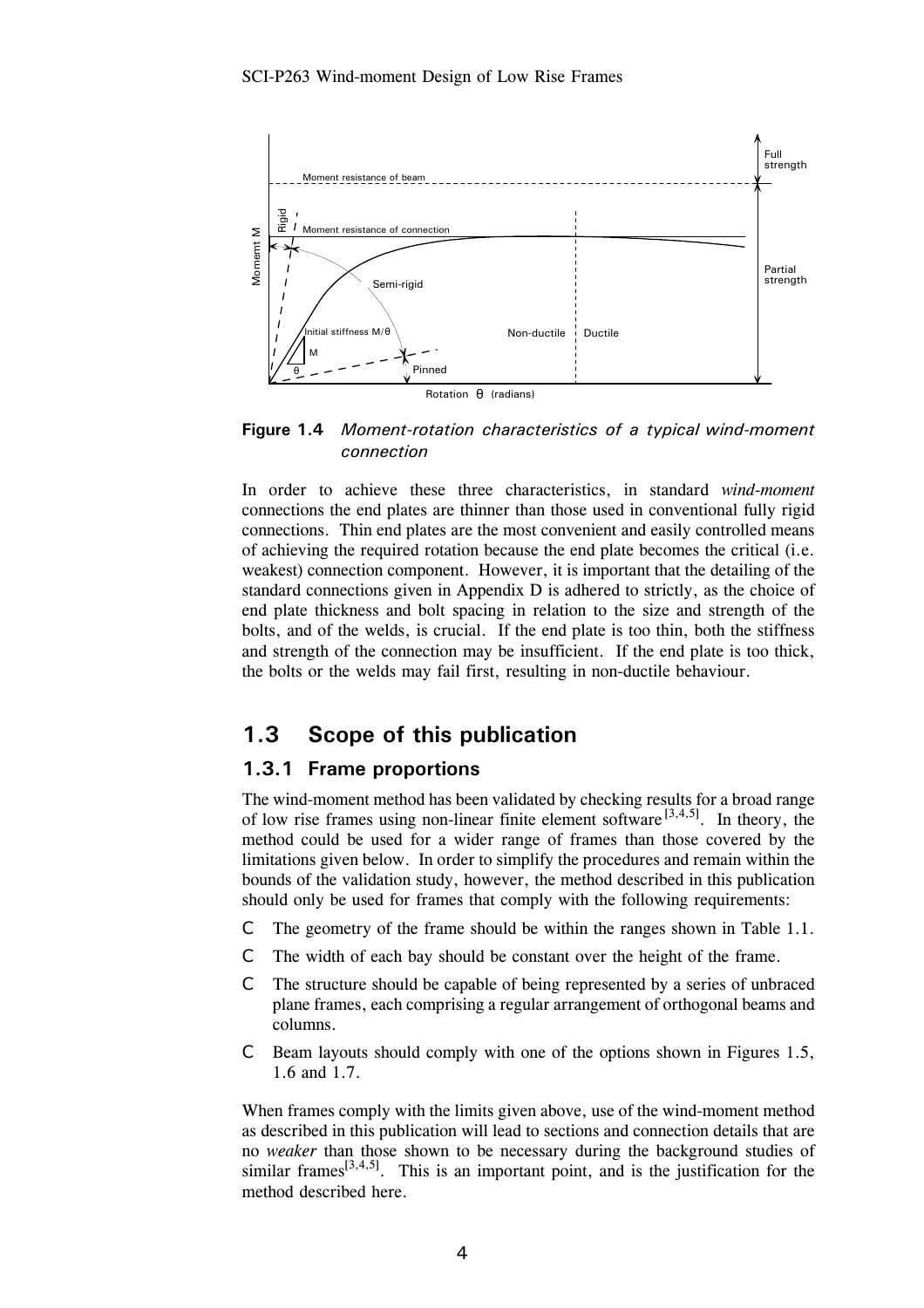

**Figure 1.4** *Moment-rotation characteristics of a typical wind-moment connection*

In order to achieve these three characteristics, in standard *wind-moment* connections the end plates are thinner than those used in conventional fully rigid connections. Thin end plates are the most convenient and easily controlled means of achieving the required rotation because the end plate becomes the critical (i.e. weakest) connection component. However, it is important that the detailing of the standard connections given in Appendix D is adhered to strictly, as the choice of end plate thickness and bolt spacing in relation to the size and strength of the bolts, and of the welds, is crucial. If the end plate is too thin, both the stiffness and strength of the connection may be insufficient. If the end plate is too thick, the bolts or the welds may fail first, resulting in non-ductile behaviour.

# **1.3 Scope of this publication**

### **1.3.1 Frame proportions**

The wind-moment method has been validated by checking results for a broad range of low rise frames using non-linear finite element software  $[3,4,5]$ . In theory, the method could be used for a wider range of frames than those covered by the limitations given below. In order to simplify the procedures and remain within the bounds of the validation study, however, the method described in this publication should only be used for frames that comply with the following requirements:

- C The geometry of the frame should be within the ranges shown in Table 1.1.
- C The width of each bay should be constant over the height of the frame.
- C The structure should be capable of being represented by a series of unbraced plane frames, each comprising a regular arrangement of orthogonal beams and columns.
- C Beam layouts should comply with one of the options shown in Figures 1.5, 1.6 and 1.7.

When frames comply with the limits given above, use of the wind-moment method as described in this publication will lead to sections and connection details that are no *weaker* than those shown to be necessary during the background studies of similar frames $[3,4,5]$ . This is an important point, and is the justification for the method described here.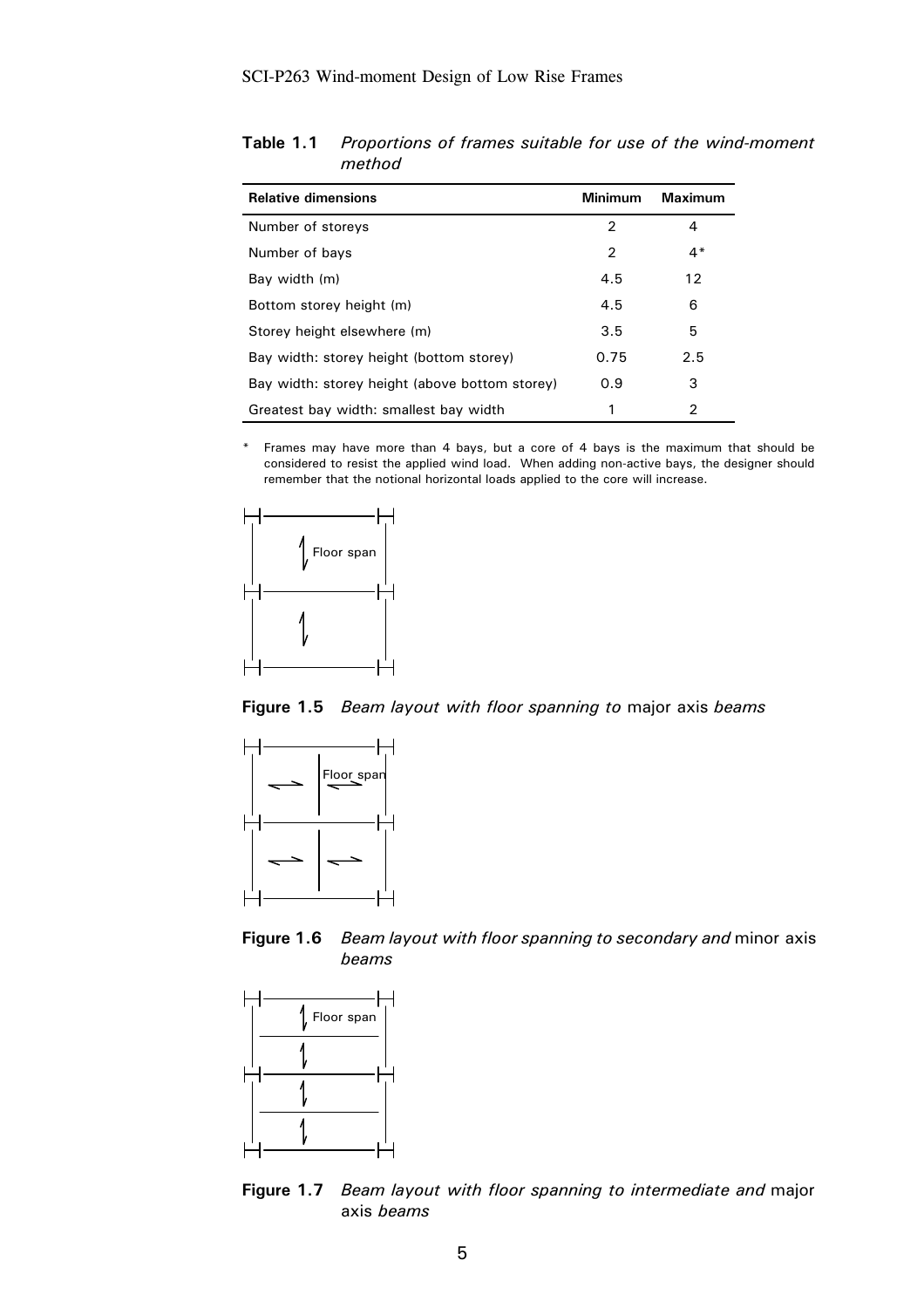| <b>Relative dimensions</b>                     | <b>Minimum</b> | Maximum |
|------------------------------------------------|----------------|---------|
| Number of storeys                              | 2              | 4       |
| Number of bays                                 | 2              | $4*$    |
| Bay width (m)                                  | 4.5            | 12      |
| Bottom storey height (m)                       | 4.5            | 6       |
| Storey height elsewhere (m)                    | 3.5            | 5       |
| Bay width: storey height (bottom storey)       | 0.75           | 2.5     |
| Bay width: storey height (above bottom storey) | 0.9            | 3       |
| Greatest bay width: smallest bay width         | 1              | 2       |

**Table 1.1** *Proportions of frames suitable for use of the wind-moment method*

\* Frames may have more than 4 bays, but a core of 4 bays is the maximum that should be considered to resist the applied wind load. When adding non-active bays, the designer should remember that the notional horizontal loads applied to the core will increase.



**Figure 1.5** *Beam layout with floor spanning to* major axis *beams*



**Figure 1.6** *Beam layout with floor spanning to secondary and* minor axis *beams*



**Figure 1.7** *Beam layout with floor spanning to intermediate and* major axis *beams*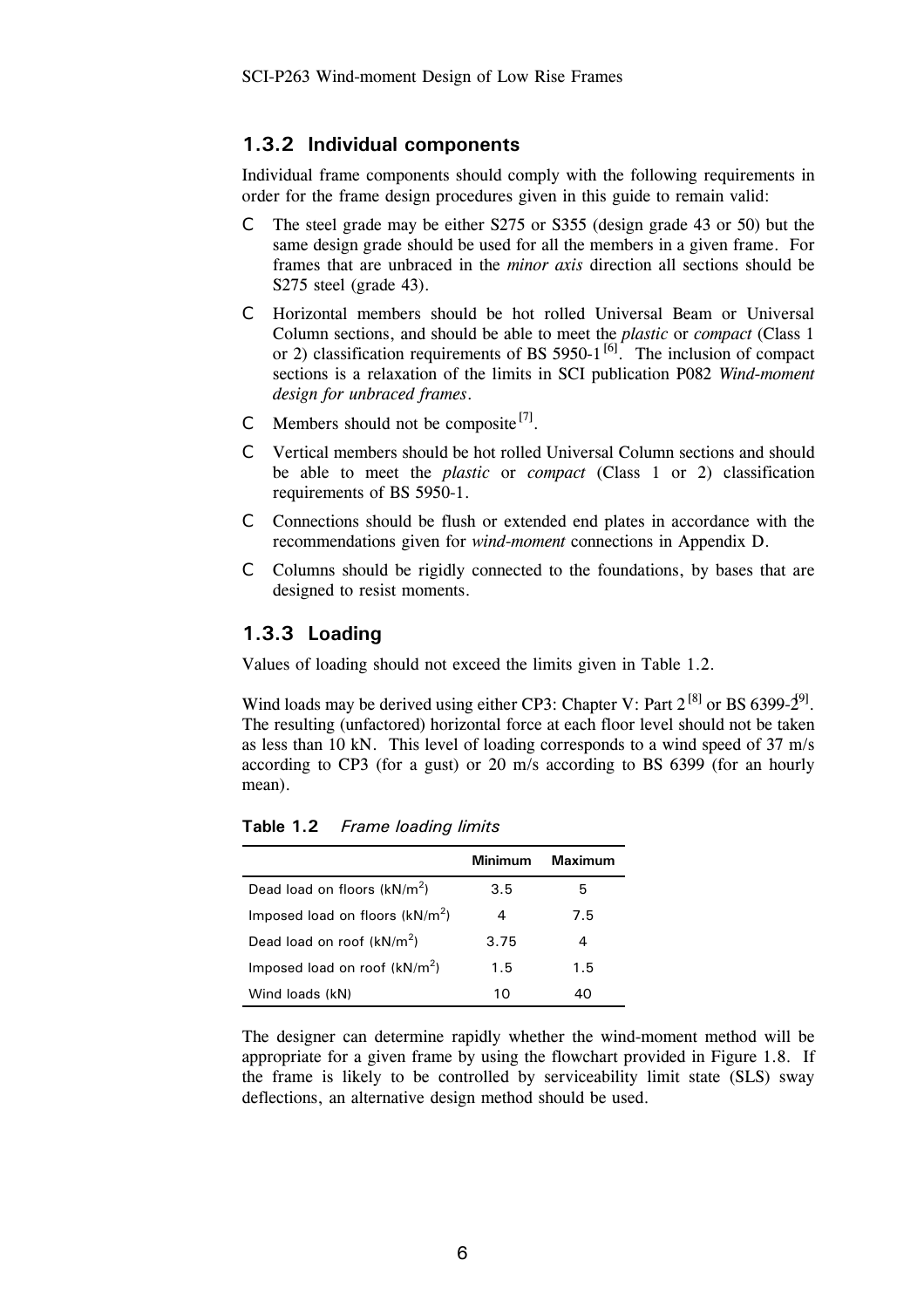### **1.3.2 Individual components**

Individual frame components should comply with the following requirements in order for the frame design procedures given in this guide to remain valid:

- C The steel grade may be either S275 or S355 (design grade 43 or 50) but the same design grade should be used for all the members in a given frame. For frames that are unbraced in the *minor axis* direction all sections should be S275 steel (grade 43).
- C Horizontal members should be hot rolled Universal Beam or Universal Column sections, and should be able to meet the *plastic* or *compact* (Class 1 or 2) classification requirements of BS 5950-1<sup>[6]</sup>. The inclusion of compact sections is a relaxation of the limits in SCI publication P082 *Wind-moment design for unbraced frames*.
- C Members should not be composite  $^{[7]}$ .
- C Vertical members should be hot rolled Universal Column sections and should be able to meet the *plastic* or *compact* (Class 1 or 2) classification requirements of BS 5950-1.
- C Connections should be flush or extended end plates in accordance with the recommendations given for *wind-moment* connections in Appendix D.
- C Columns should be rigidly connected to the foundations, by bases that are designed to resist moments.

### **1.3.3 Loading**

Values of loading should not exceed the limits given in Table 1.2.

Wind loads may be derived using either CP3: Chapter V: Part  $2^{[8]}$  or BS 6399- $2^{[9]}$ . The resulting (unfactored) horizontal force at each floor level should not be taken as less than 10 kN. This level of loading corresponds to a wind speed of 37 m/s according to CP3 (for a gust) or 20 m/s according to BS 6399 (for an hourly mean).

|                                   | Minimum | Maximum |
|-----------------------------------|---------|---------|
| Dead load on floors $(kN/m2)$     | 3.5     | 5       |
| Imposed load on floors $(kN/m^2)$ | 4       | 7.5     |
| Dead load on roof $(kN/m^2)$      | 3.75    | 4       |
| Imposed load on roof $(kN/m^2)$   | 1.5     | 1.5     |
| Wind loads (kN)                   | 10      | 40      |

**Table 1.2** *Frame loading limits*

The designer can determine rapidly whether the wind-moment method will be appropriate for a given frame by using the flowchart provided in Figure 1.8. If the frame is likely to be controlled by serviceability limit state (SLS) sway deflections, an alternative design method should be used.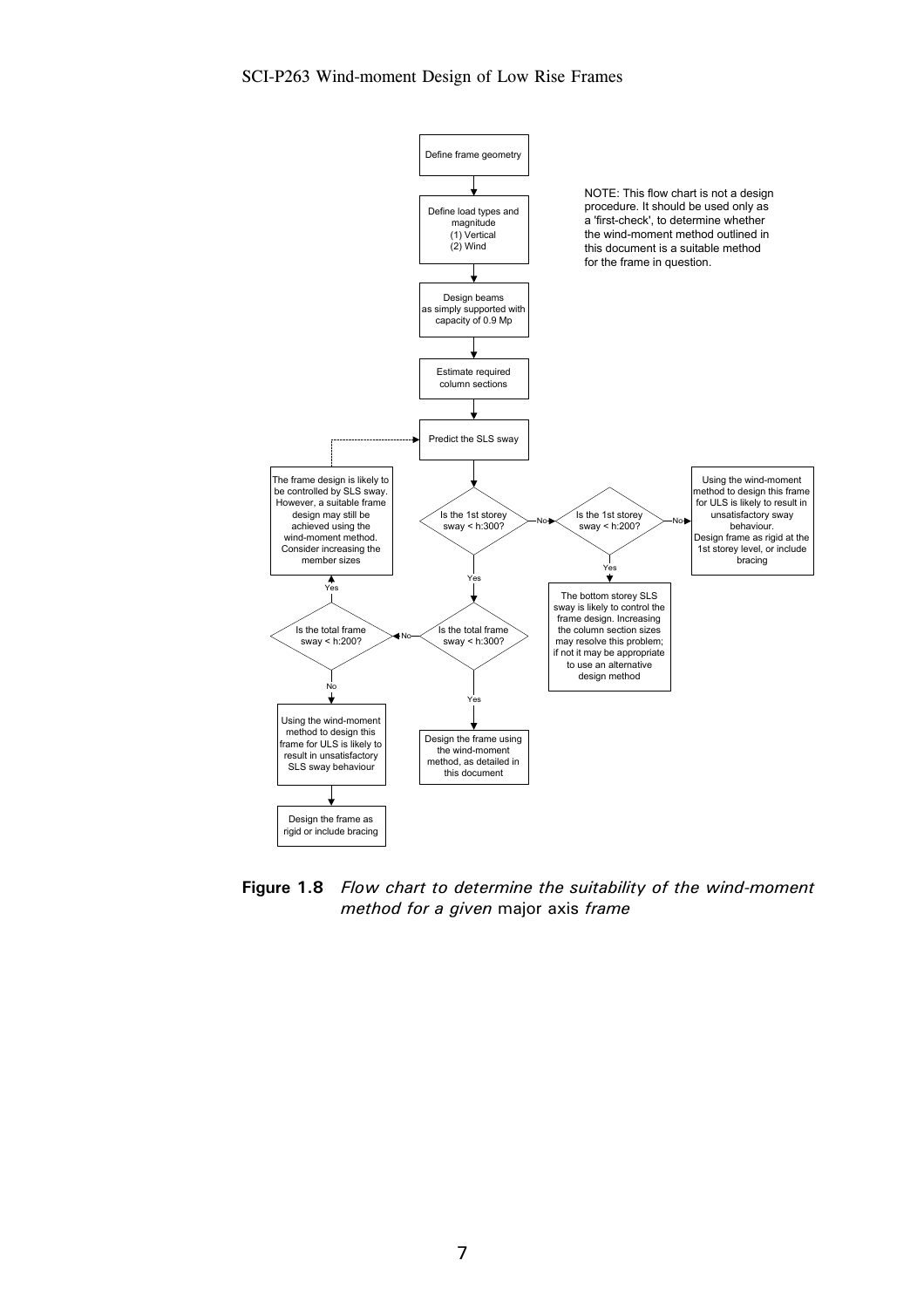

**Figure 1.8** *Flow chart to determine the suitability of the wind-moment method for a given* major axis *frame*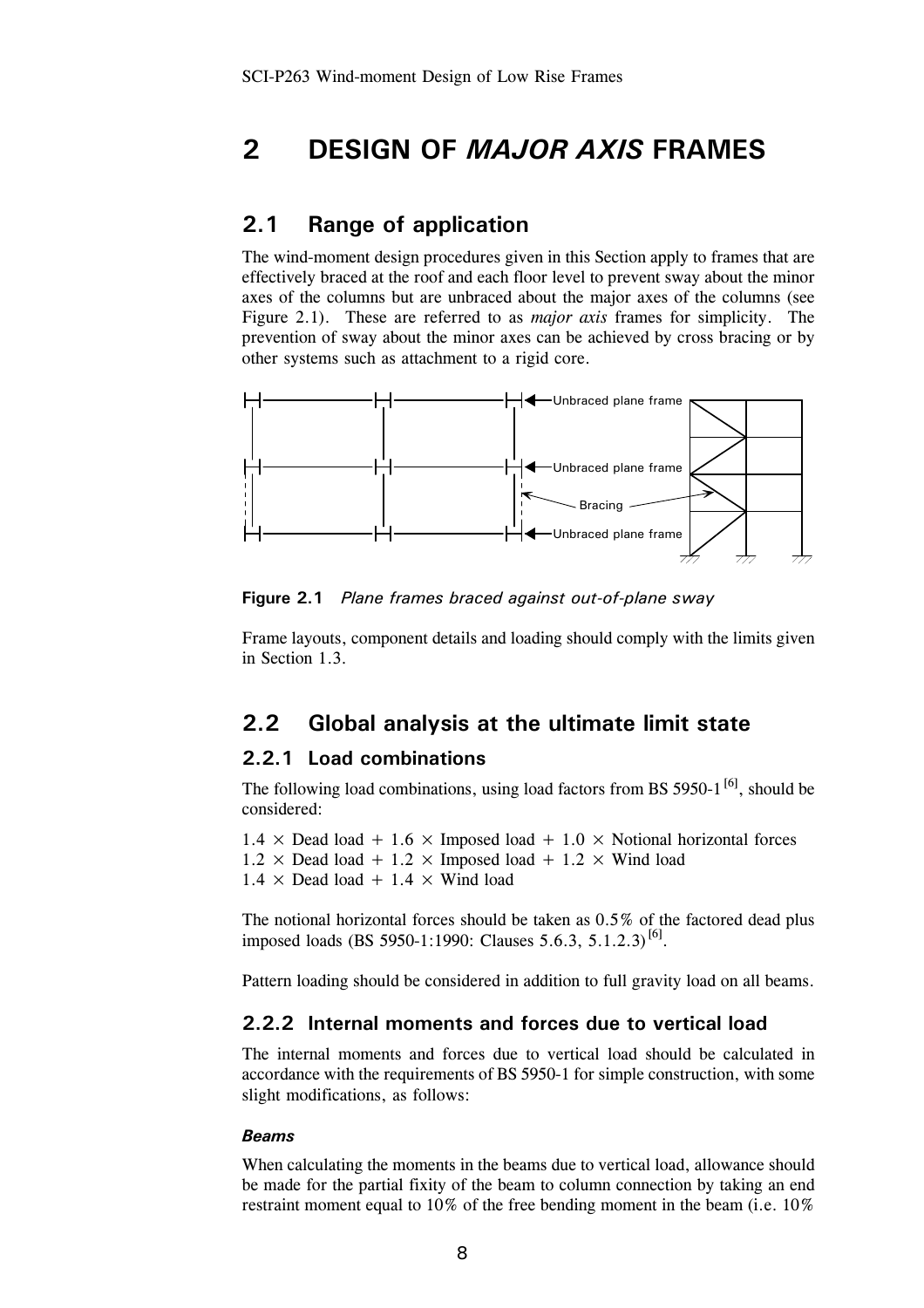# **2 DESIGN OF** *MAJOR AXIS* **FRAMES**

# **2.1 Range of application**

The wind-moment design procedures given in this Section apply to frames that are effectively braced at the roof and each floor level to prevent sway about the minor axes of the columns but are unbraced about the major axes of the columns (see Figure 2.1). These are referred to as *major axis* frames for simplicity. The prevention of sway about the minor axes can be achieved by cross bracing or by other systems such as attachment to a rigid core.



**Figure 2.1** *Plane frames braced against out-of-plane sway*

Frame layouts, component details and loading should comply with the limits given in Section 1.3.

# **2.2 Global analysis at the ultimate limit state**

### **2.2.1 Load combinations**

The following load combinations, using load factors from BS 5950-1 $^{[6]}$ , should be considered:

 $1.4 \times$  Dead load + 1.6  $\times$  Imposed load + 1.0  $\times$  Notional horizontal forces  $1.2 \times$  Dead load + 1.2  $\times$  Imposed load + 1.2  $\times$  Wind load  $1.4 \times$  Dead load +  $1.4 \times$  Wind load

The notional horizontal forces should be taken as 0.5% of the factored dead plus imposed loads (BS 5950-1:1990: Clauses 5.6.3, 5.1.2.3)<sup>[6]</sup>.

Pattern loading should be considered in addition to full gravity load on all beams.

#### **2.2.2 Internal moments and forces due to vertical load**

The internal moments and forces due to vertical load should be calculated in accordance with the requirements of BS 5950-1 for simple construction, with some slight modifications, as follows:

#### *Beams*

When calculating the moments in the beams due to vertical load, allowance should be made for the partial fixity of the beam to column connection by taking an end restraint moment equal to 10% of the free bending moment in the beam (i.e. 10%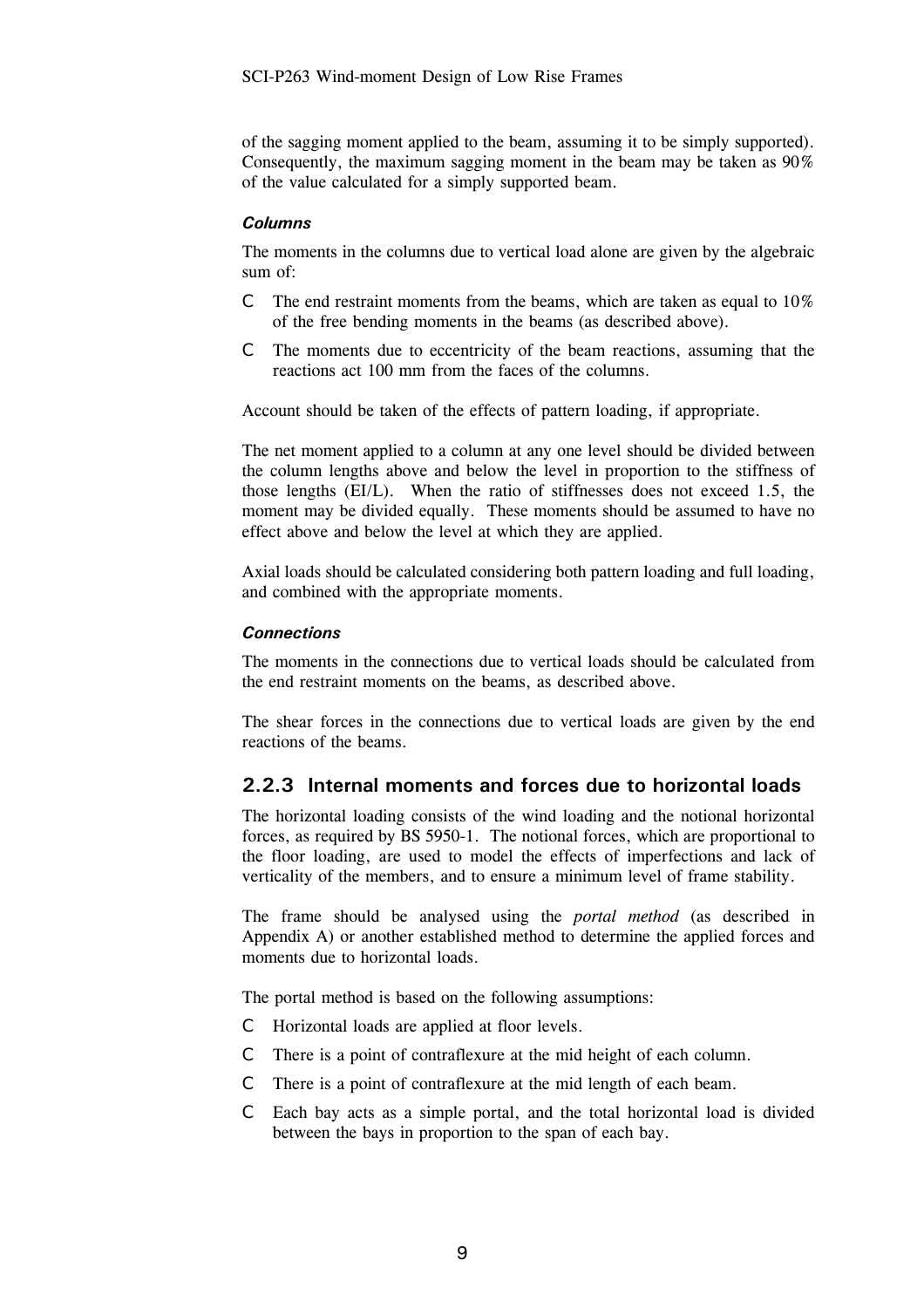of the sagging moment applied to the beam, assuming it to be simply supported). Consequently, the maximum sagging moment in the beam may be taken as 90% of the value calculated for a simply supported beam.

#### *Columns*

The moments in the columns due to vertical load alone are given by the algebraic sum of:

- C The end restraint moments from the beams, which are taken as equal to  $10\%$ of the free bending moments in the beams (as described above).
- C The moments due to eccentricity of the beam reactions, assuming that the reactions act 100 mm from the faces of the columns.

Account should be taken of the effects of pattern loading, if appropriate.

The net moment applied to a column at any one level should be divided between the column lengths above and below the level in proportion to the stiffness of those lengths (EI/L). When the ratio of stiffnesses does not exceed 1.5, the moment may be divided equally. These moments should be assumed to have no effect above and below the level at which they are applied.

Axial loads should be calculated considering both pattern loading and full loading, and combined with the appropriate moments.

#### *Connections*

The moments in the connections due to vertical loads should be calculated from the end restraint moments on the beams, as described above.

The shear forces in the connections due to vertical loads are given by the end reactions of the beams.

### **2.2.3 Internal moments and forces due to horizontal loads**

The horizontal loading consists of the wind loading and the notional horizontal forces, as required by BS 5950-1. The notional forces, which are proportional to the floor loading, are used to model the effects of imperfections and lack of verticality of the members, and to ensure a minimum level of frame stability.

The frame should be analysed using the *portal method* (as described in Appendix A) or another established method to determine the applied forces and moments due to horizontal loads.

The portal method is based on the following assumptions:

- C Horizontal loads are applied at floor levels.
- C There is a point of contraflexure at the mid height of each column.
- C There is a point of contraflexure at the mid length of each beam.
- C Each bay acts as a simple portal, and the total horizontal load is divided between the bays in proportion to the span of each bay.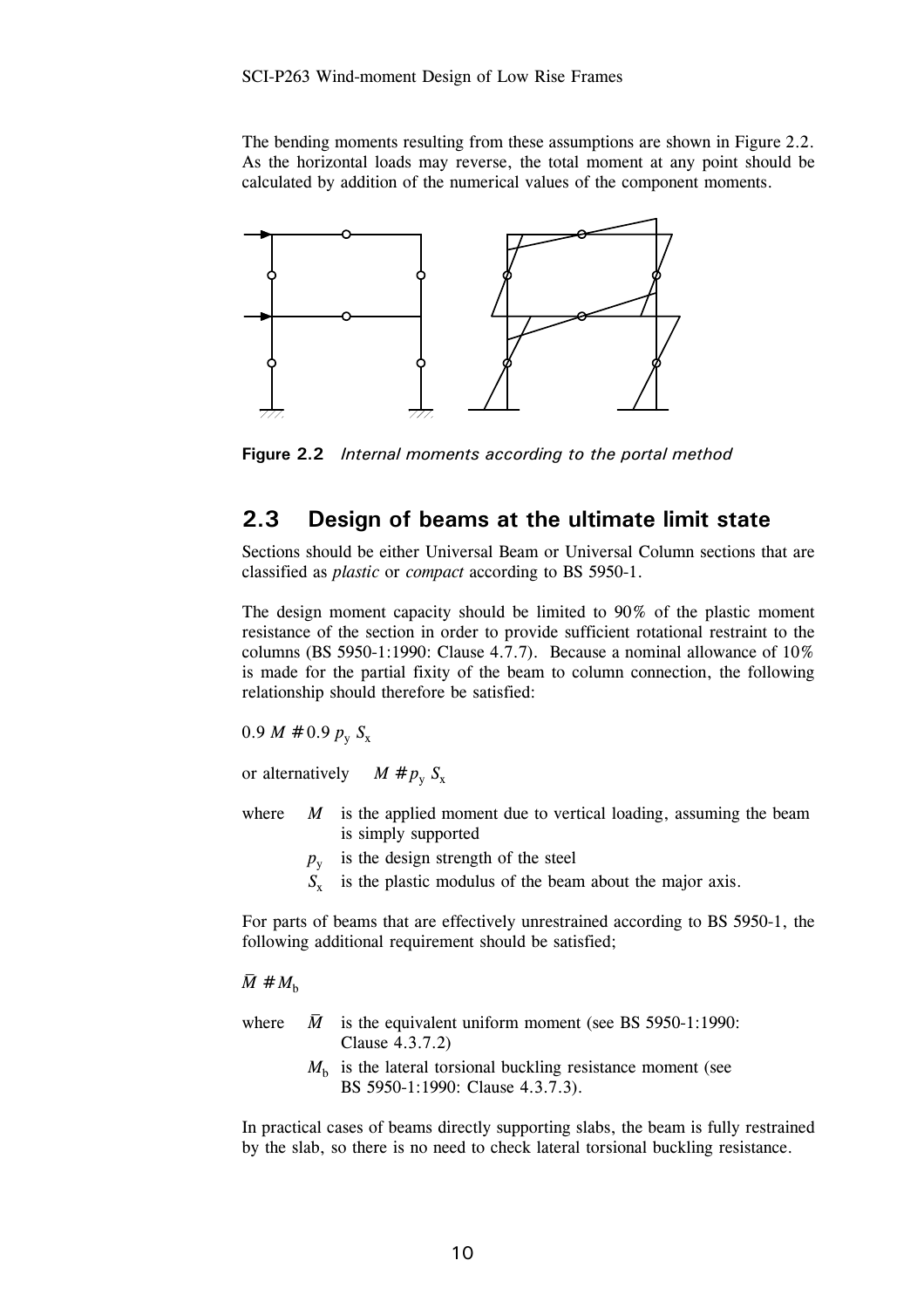The bending moments resulting from these assumptions are shown in Figure 2.2. As the horizontal loads may reverse, the total moment at any point should be calculated by addition of the numerical values of the component moments.



**Figure 2.2** *Internal moments according to the portal method*

# **2.3 Design of beams at the ultimate limit state**

Sections should be either Universal Beam or Universal Column sections that are classified as *plastic* or *compact* according to BS 5950-1.

The design moment capacity should be limited to 90% of the plastic moment resistance of the section in order to provide sufficient rotational restraint to the columns (BS 5950-1:1990: Clause 4.7.7). Because a nominal allowance of  $10\%$ is made for the partial fixity of the beam to column connection, the following relationship should therefore be satisfied:

 $0.9 M # 0.9 p_y S_x$ 

or alternatively  $M \# p_y S_x$ 

- where  $M$  is the applied moment due to vertical loading, assuming the beam is simply supported
	- $p_y$  is the design strength of the steel
	- $S_x$  is the plastic modulus of the beam about the major axis.

For parts of beams that are effectively unrestrained according to BS 5950-1, the following additional requirement should be satisfied;

 $\bar{M}$  #  $M<sub>b</sub>$ 

- where  $\bar{M}$  is the equivalent uniform moment (see BS 5950-1:1990: Clause 4.3.7.2)
	- $M<sub>b</sub>$  is the lateral torsional buckling resistance moment (see BS 5950-1:1990: Clause 4.3.7.3).

In practical cases of beams directly supporting slabs, the beam is fully restrained by the slab, so there is no need to check lateral torsional buckling resistance.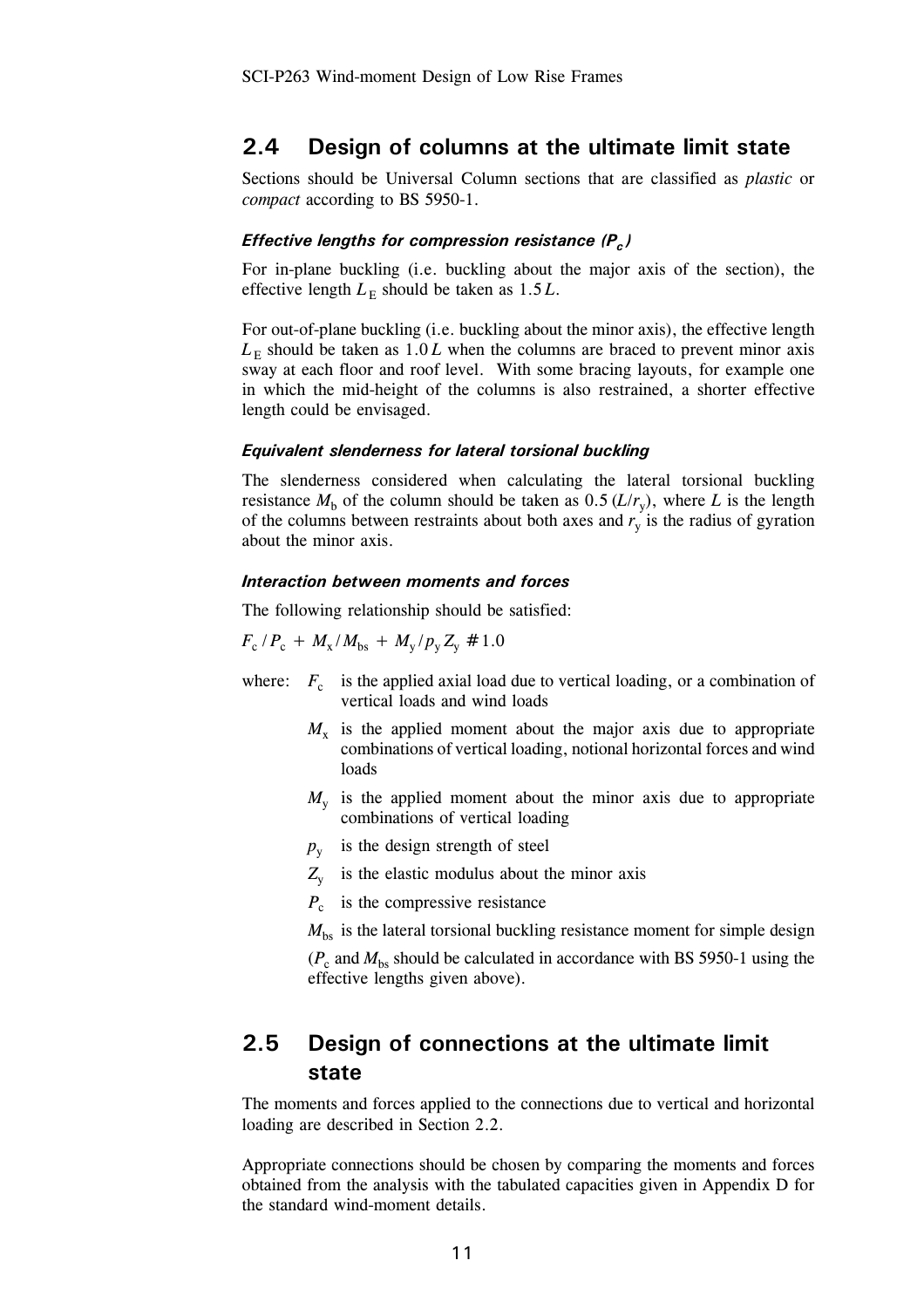# **2.4 Design of columns at the ultimate limit state**

Sections should be Universal Column sections that are classified as *plastic* or *compact* according to BS 5950-1.

### *Effective lengths for compression resistance (P<sup>c</sup> )*

For in-plane buckling (i.e. buckling about the major axis of the section), the effective length  $L<sub>E</sub>$  should be taken as  $1.5 L$ .

For out-of-plane buckling (i.e. buckling about the minor axis), the effective length  $L<sub>E</sub>$  should be taken as  $1.0 L$  when the columns are braced to prevent minor axis sway at each floor and roof level. With some bracing layouts, for example one in which the mid-height of the columns is also restrained, a shorter effective length could be envisaged.

#### *Equivalent slenderness for lateral torsional buckling*

The slenderness considered when calculating the lateral torsional buckling resistance  $M_b$  of the column should be taken as  $0.5 (L/r_y)$ , where *L* is the length of the columns between restraints about both axes and  $r<sub>y</sub>$  is the radius of gyration about the minor axis.

#### *Interaction between moments and forces*

The following relationship should be satisfied:

 $F_c$  / $P_c$  +  $M_x$  / $M_{bs}$  +  $M_y$  / $p_y$   $Z_y$  # 1.0

- where:  $F_c$  is the applied axial load due to vertical loading, or a combination of vertical loads and wind loads
	- $M_{\rm x}$  is the applied moment about the major axis due to appropriate combinations of vertical loading, notional horizontal forces and wind loads
	- *M*<sup>y</sup> is the applied moment about the minor axis due to appropriate combinations of vertical loading
	- $p_{\rm v}$ is the design strength of steel
	- *Z*y is the elastic modulus about the minor axis
	- $P_c$  is the compressive resistance

 $M_{\text{bs}}$  is the lateral torsional buckling resistance moment for simple design

 $(P_c \text{ and } M_{bs} \text{ should be calculated in accordance with BS 5950-1 using the$ effective lengths given above).

# **2.5 Design of connections at the ultimate limit state**

The moments and forces applied to the connections due to vertical and horizontal loading are described in Section 2.2.

Appropriate connections should be chosen by comparing the moments and forces obtained from the analysis with the tabulated capacities given in Appendix D for the standard wind-moment details.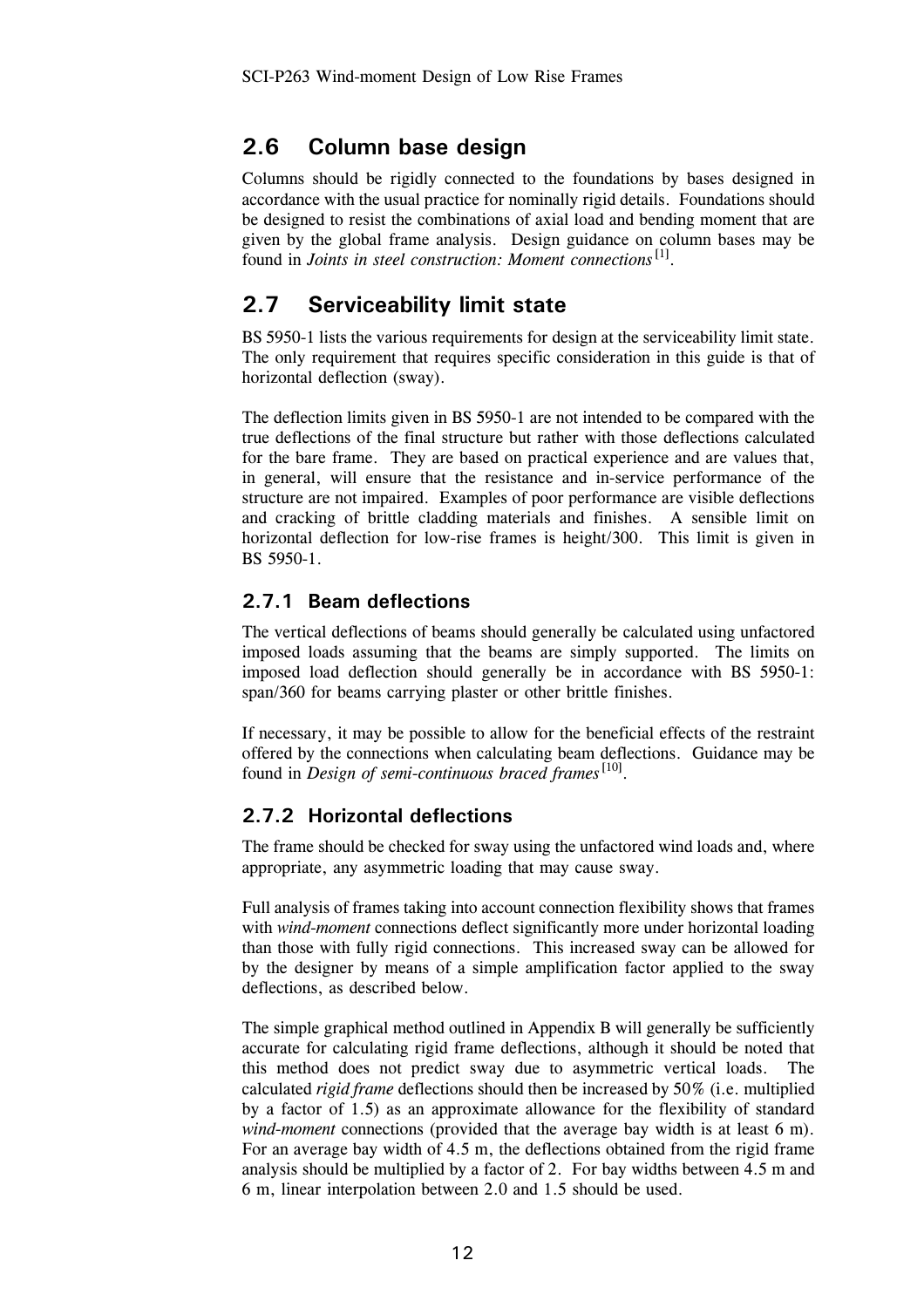# **2.6 Column base design**

Columns should be rigidly connected to the foundations by bases designed in accordance with the usual practice for nominally rigid details. Foundations should be designed to resist the combinations of axial load and bending moment that are given by the global frame analysis. Design guidance on column bases may be found in *Joints in steel construction: Moment connections*<sup>[1]</sup>.

# **2.7 Serviceability limit state**

BS 5950-1 lists the various requirements for design at the serviceability limit state. The only requirement that requires specific consideration in this guide is that of horizontal deflection (sway).

The deflection limits given in BS 5950-1 are not intended to be compared with the true deflections of the final structure but rather with those deflections calculated for the bare frame. They are based on practical experience and are values that, in general, will ensure that the resistance and in-service performance of the structure are not impaired. Examples of poor performance are visible deflections and cracking of brittle cladding materials and finishes. A sensible limit on horizontal deflection for low-rise frames is height/300. This limit is given in BS 5950-1.

# **2.7.1 Beam deflections**

The vertical deflections of beams should generally be calculated using unfactored imposed loads assuming that the beams are simply supported. The limits on imposed load deflection should generally be in accordance with BS 5950-1: span/360 for beams carrying plaster or other brittle finishes.

If necessary, it may be possible to allow for the beneficial effects of the restraint offered by the connections when calculating beam deflections. Guidance may be found in *Design of semi-continuous braced frames*<sup>[10]</sup>.

# **2.7.2 Horizontal deflections**

The frame should be checked for sway using the unfactored wind loads and, where appropriate, any asymmetric loading that may cause sway.

Full analysis of frames taking into account connection flexibility shows that frames with *wind-moment* connections deflect significantly more under horizontal loading than those with fully rigid connections. This increased sway can be allowed for by the designer by means of a simple amplification factor applied to the sway deflections, as described below.

The simple graphical method outlined in Appendix B will generally be sufficiently accurate for calculating rigid frame deflections, although it should be noted that this method does not predict sway due to asymmetric vertical loads. The calculated *rigid frame* deflections should then be increased by 50% (i.e. multiplied by a factor of 1.5) as an approximate allowance for the flexibility of standard *wind-moment* connections (provided that the average bay width is at least 6 m). For an average bay width of 4.5 m, the deflections obtained from the rigid frame analysis should be multiplied by a factor of 2. For bay widths between 4.5 m and 6 m, linear interpolation between 2.0 and 1.5 should be used.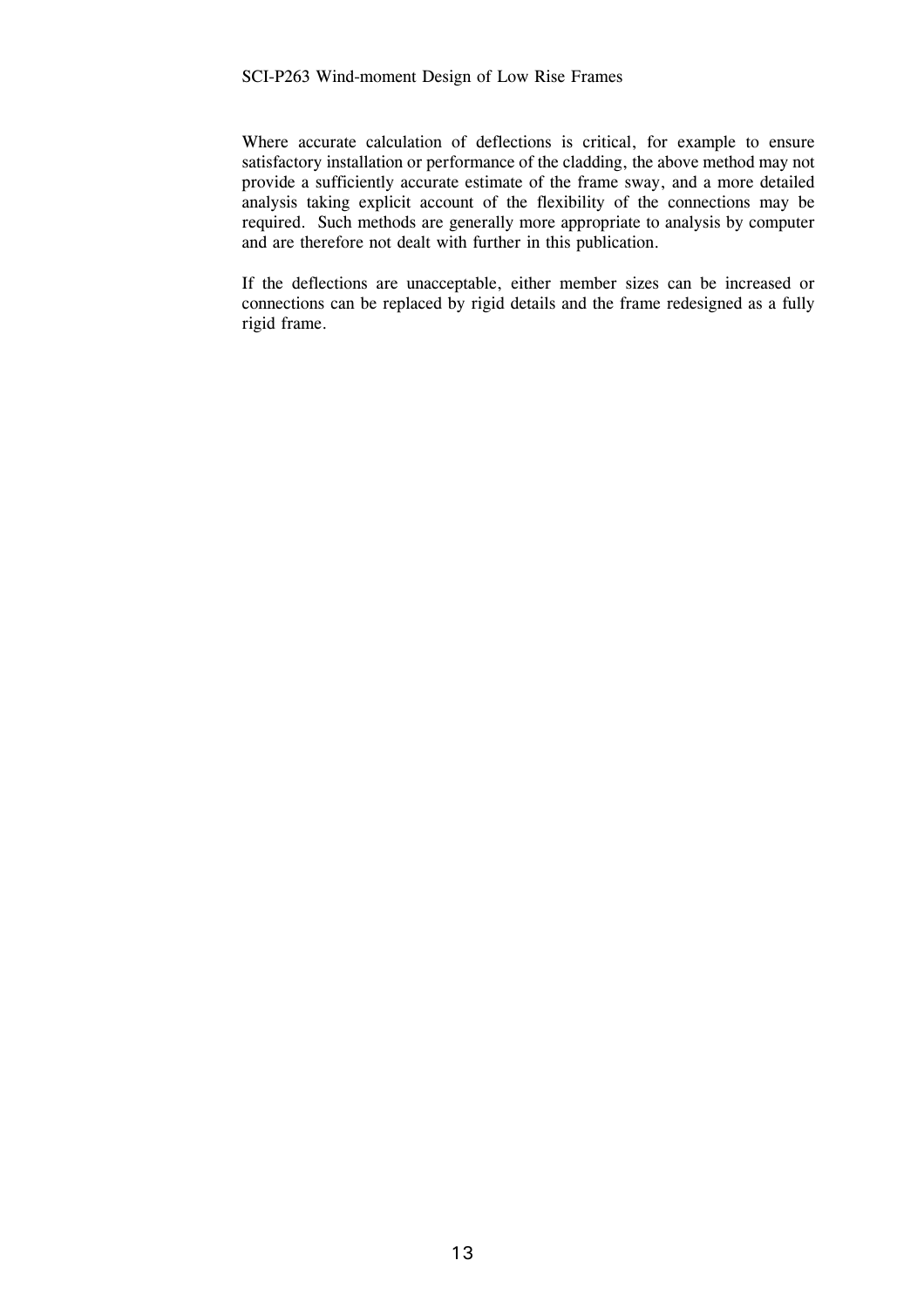Where accurate calculation of deflections is critical, for example to ensure satisfactory installation or performance of the cladding, the above method may not provide a sufficiently accurate estimate of the frame sway, and a more detailed analysis taking explicit account of the flexibility of the connections may be required. Such methods are generally more appropriate to analysis by computer and are therefore not dealt with further in this publication.

If the deflections are unacceptable, either member sizes can be increased or connections can be replaced by rigid details and the frame redesigned as a fully rigid frame.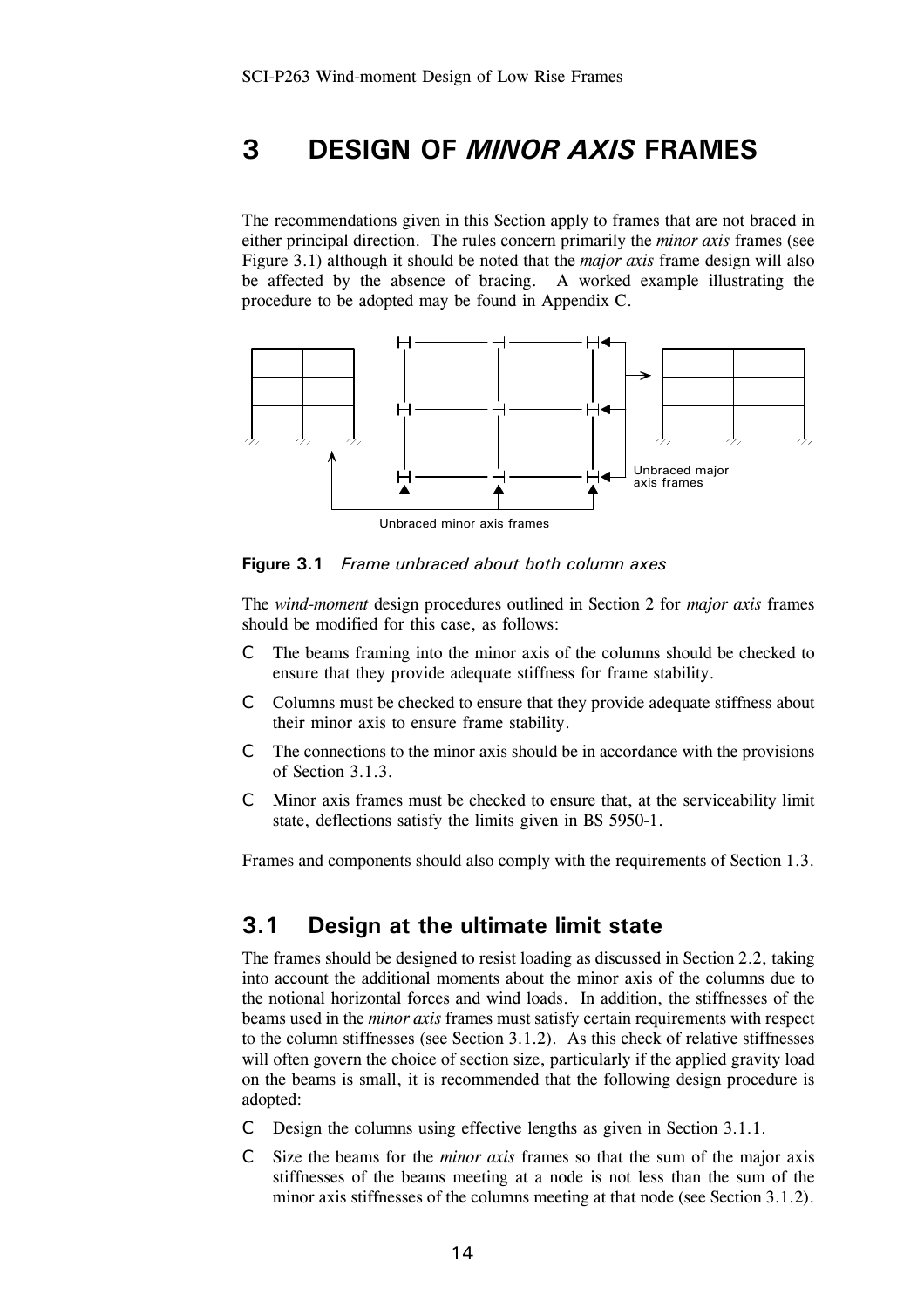# **3 DESIGN OF** *MINOR AXIS* **FRAMES**

The recommendations given in this Section apply to frames that are not braced in either principal direction. The rules concern primarily the *minor axis* frames (see Figure 3.1) although it should be noted that the *major axis* frame design will also be affected by the absence of bracing. A worked example illustrating the procedure to be adopted may be found in Appendix C.



Unbraced minor axis frames

#### **Figure 3.1** *Frame unbraced about both column axes*

The *wind-moment* design procedures outlined in Section 2 for *major axis* frames should be modified for this case, as follows:

- C The beams framing into the minor axis of the columns should be checked to ensure that they provide adequate stiffness for frame stability.
- C Columns must be checked to ensure that they provide adequate stiffness about their minor axis to ensure frame stability.
- C The connections to the minor axis should be in accordance with the provisions of Section 3.1.3.
- C Minor axis frames must be checked to ensure that, at the serviceability limit state, deflections satisfy the limits given in BS 5950-1.

Frames and components should also comply with the requirements of Section 1.3.

# **3.1 Design at the ultimate limit state**

The frames should be designed to resist loading as discussed in Section 2.2, taking into account the additional moments about the minor axis of the columns due to the notional horizontal forces and wind loads. In addition, the stiffnesses of the beams used in the *minor axis* frames must satisfy certain requirements with respect to the column stiffnesses (see Section 3.1.2). As this check of relative stiffnesses will often govern the choice of section size, particularly if the applied gravity load on the beams is small, it is recommended that the following design procedure is adopted:

- C Design the columns using effective lengths as given in Section 3.1.1.
- C Size the beams for the *minor axis* frames so that the sum of the major axis stiffnesses of the beams meeting at a node is not less than the sum of the minor axis stiffnesses of the columns meeting at that node (see Section 3.1.2).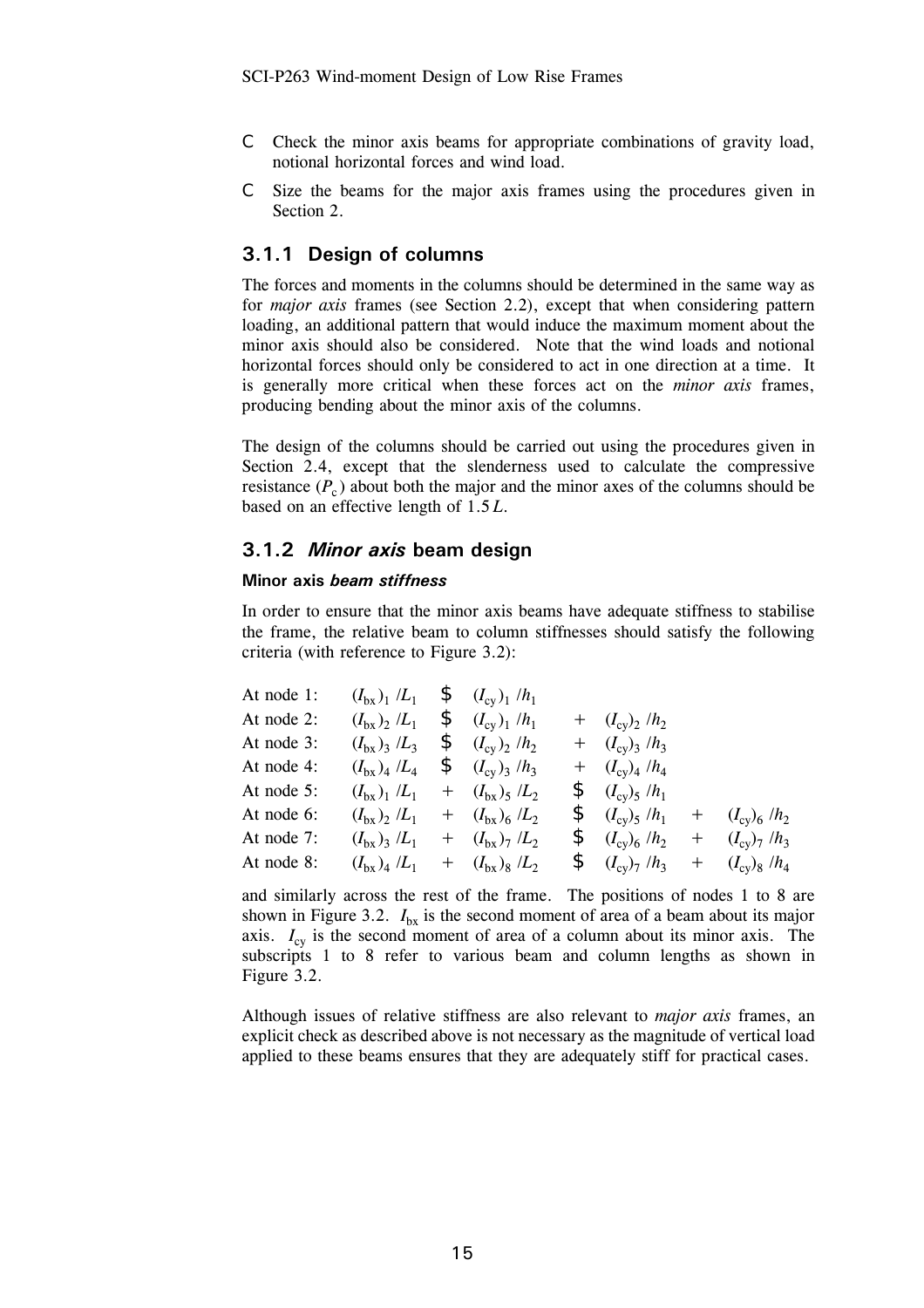- C Check the minor axis beams for appropriate combinations of gravity load, notional horizontal forces and wind load.
- C Size the beams for the major axis frames using the procedures given in Section 2.

### **3.1.1 Design of columns**

The forces and moments in the columns should be determined in the same way as for *major axis* frames (see Section 2.2), except that when considering pattern loading, an additional pattern that would induce the maximum moment about the minor axis should also be considered. Note that the wind loads and notional horizontal forces should only be considered to act in one direction at a time. It is generally more critical when these forces act on the *minor axis* frames, producing bending about the minor axis of the columns.

The design of the columns should be carried out using the procedures given in Section 2.4, except that the slenderness used to calculate the compressive resistance  $(P_c)$  about both the major and the minor axes of the columns should be based on an effective length of 1.5 *L*.

#### **3.1.2** *Minor axis* **beam design**

#### **Minor axis** *beam stiffness*

In order to ensure that the minor axis beams have adequate stiffness to stabilise the frame, the relative beam to column stiffnesses should satisfy the following criteria (with reference to Figure 3.2):

| $(I_{\rm bx})_1/L_1$               | $(I_{\rm cv})_1/h_1$ |                                                                                                                                                                                                                                                                              |                                                                                                                                                                                             |                        |
|------------------------------------|----------------------|------------------------------------------------------------------------------------------------------------------------------------------------------------------------------------------------------------------------------------------------------------------------------|---------------------------------------------------------------------------------------------------------------------------------------------------------------------------------------------|------------------------|
|                                    |                      |                                                                                                                                                                                                                                                                              |                                                                                                                                                                                             |                        |
| $(I_{\rm bx})$ <sub>3</sub> $/L_3$ |                      |                                                                                                                                                                                                                                                                              |                                                                                                                                                                                             |                        |
| $(I_{\rm bx})_4$ /L <sub>4</sub>   |                      |                                                                                                                                                                                                                                                                              |                                                                                                                                                                                             |                        |
|                                    |                      |                                                                                                                                                                                                                                                                              |                                                                                                                                                                                             |                        |
| $(I_{\rm bx})^2$ /L <sub>1</sub>   |                      |                                                                                                                                                                                                                                                                              | $^{+}$                                                                                                                                                                                      | $(I_{\rm{cv}})_6/h_2$  |
| $(I_{\rm bx})_3$ /L <sub>1</sub>   |                      |                                                                                                                                                                                                                                                                              |                                                                                                                                                                                             | + $(I_{\rm cv})_7/h_3$ |
| $(I_{\rm bx})_4$ /L <sub>1</sub>   |                      |                                                                                                                                                                                                                                                                              |                                                                                                                                                                                             | $+$ $(I_{cy})_8/h_4$   |
|                                    | $(I_{\rm bx})_1/L_1$ | $\frac{1}{2}$<br>$(I_{\rm bx})_2 / L_1$ \$ $(I_{\rm cy})_1 / h_1$<br>\$ $(I_{\rm cv})_2/h_2$<br>\$ $(I_{\rm{cv}})_3/h_3$<br>+ $(I_{\text{bx}})_{5}/L_{2}$<br>+ $(I_{\text{bx}})_6$ /L <sub>2</sub><br>+ $(I_{\text{bx}})_7$ / $L_2$<br>+ $(I_{\text{bx}})_8$ /L <sub>2</sub> | + $(I_{\rm{cv}})_2/h_2$<br>+ $(I_{\rm{cv}})_3/h_3$<br>+ $(I_{\rm{cv}})_4/h_4$<br>\$ $(I_{\rm cv})_5/h_1$<br>\$ $(I_{\rm{cv}})_5/h_1$<br>\$ $(I_{\rm cv})_6/h_2$<br>\$ $(I_{\rm{cv}})_7/h_3$ |                        |

and similarly across the rest of the frame. The positions of nodes 1 to 8 are shown in Figure 3.2.  $I_{bx}$  is the second moment of area of a beam about its major axis.  $I_{cy}$  is the second moment of area of a column about its minor axis. The subscripts 1 to 8 refer to various beam and column lengths as shown in Figure 3.2.

Although issues of relative stiffness are also relevant to *major axis* frames, an explicit check as described above is not necessary as the magnitude of vertical load applied to these beams ensures that they are adequately stiff for practical cases.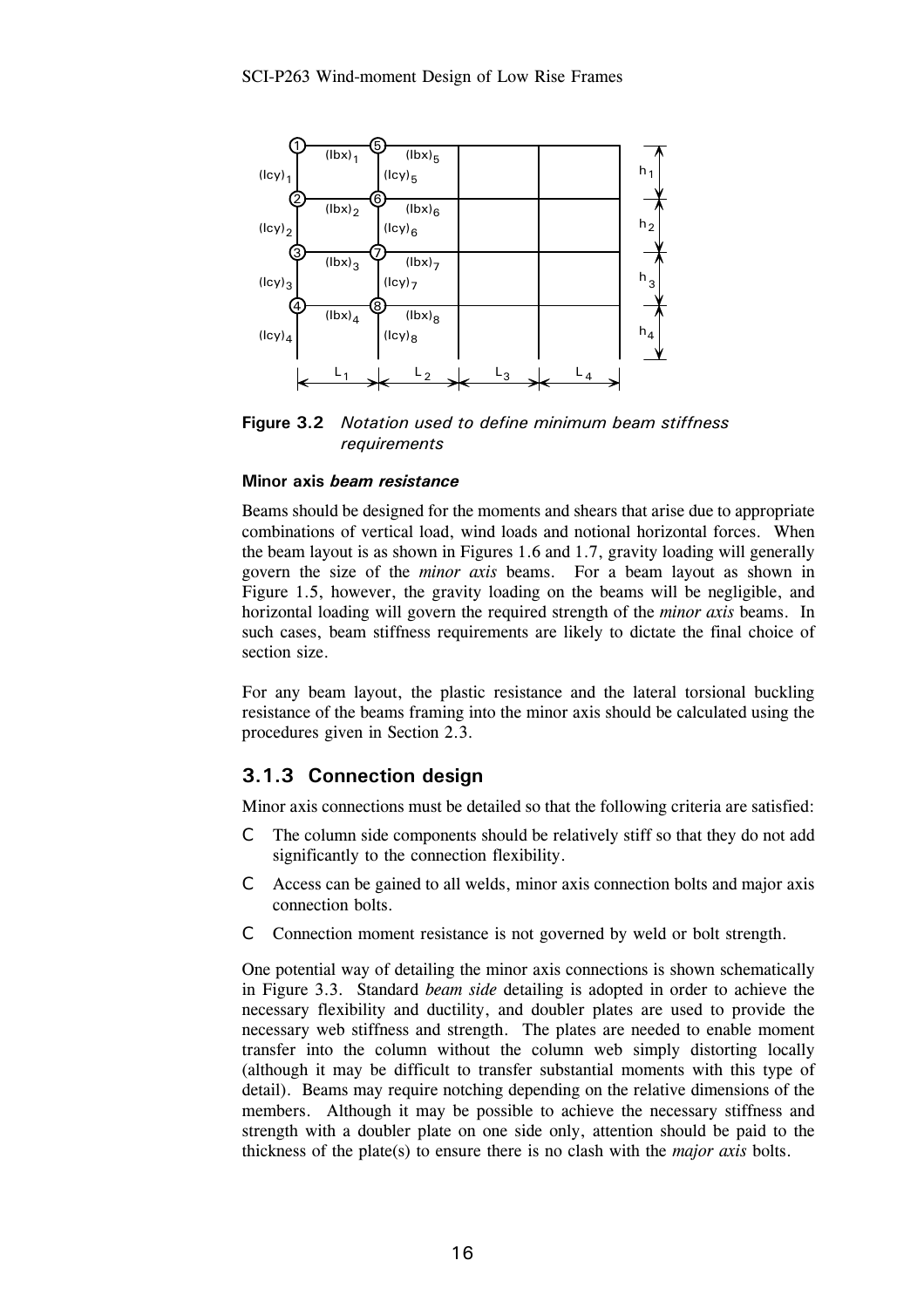

**Figure 3.2** *Notation used to define minimum beam stiffness requirements*

#### **Minor axis** *beam resistance*

Beams should be designed for the moments and shears that arise due to appropriate combinations of vertical load, wind loads and notional horizontal forces. When the beam layout is as shown in Figures 1.6 and 1.7, gravity loading will generally govern the size of the *minor axis* beams. For a beam layout as shown in Figure 1.5, however, the gravity loading on the beams will be negligible, and horizontal loading will govern the required strength of the *minor axis* beams. In such cases, beam stiffness requirements are likely to dictate the final choice of section size.

For any beam layout, the plastic resistance and the lateral torsional buckling resistance of the beams framing into the minor axis should be calculated using the procedures given in Section 2.3.

# **3.1.3 Connection design**

Minor axis connections must be detailed so that the following criteria are satisfied:

- C The column side components should be relatively stiff so that they do not add significantly to the connection flexibility.
- C Access can be gained to all welds, minor axis connection bolts and major axis connection bolts.
- C Connection moment resistance is not governed by weld or bolt strength.

One potential way of detailing the minor axis connections is shown schematically in Figure 3.3. Standard *beam side* detailing is adopted in order to achieve the necessary flexibility and ductility, and doubler plates are used to provide the necessary web stiffness and strength. The plates are needed to enable moment transfer into the column without the column web simply distorting locally (although it may be difficult to transfer substantial moments with this type of detail). Beams may require notching depending on the relative dimensions of the members. Although it may be possible to achieve the necessary stiffness and strength with a doubler plate on one side only, attention should be paid to the thickness of the plate(s) to ensure there is no clash with the *major axis* bolts.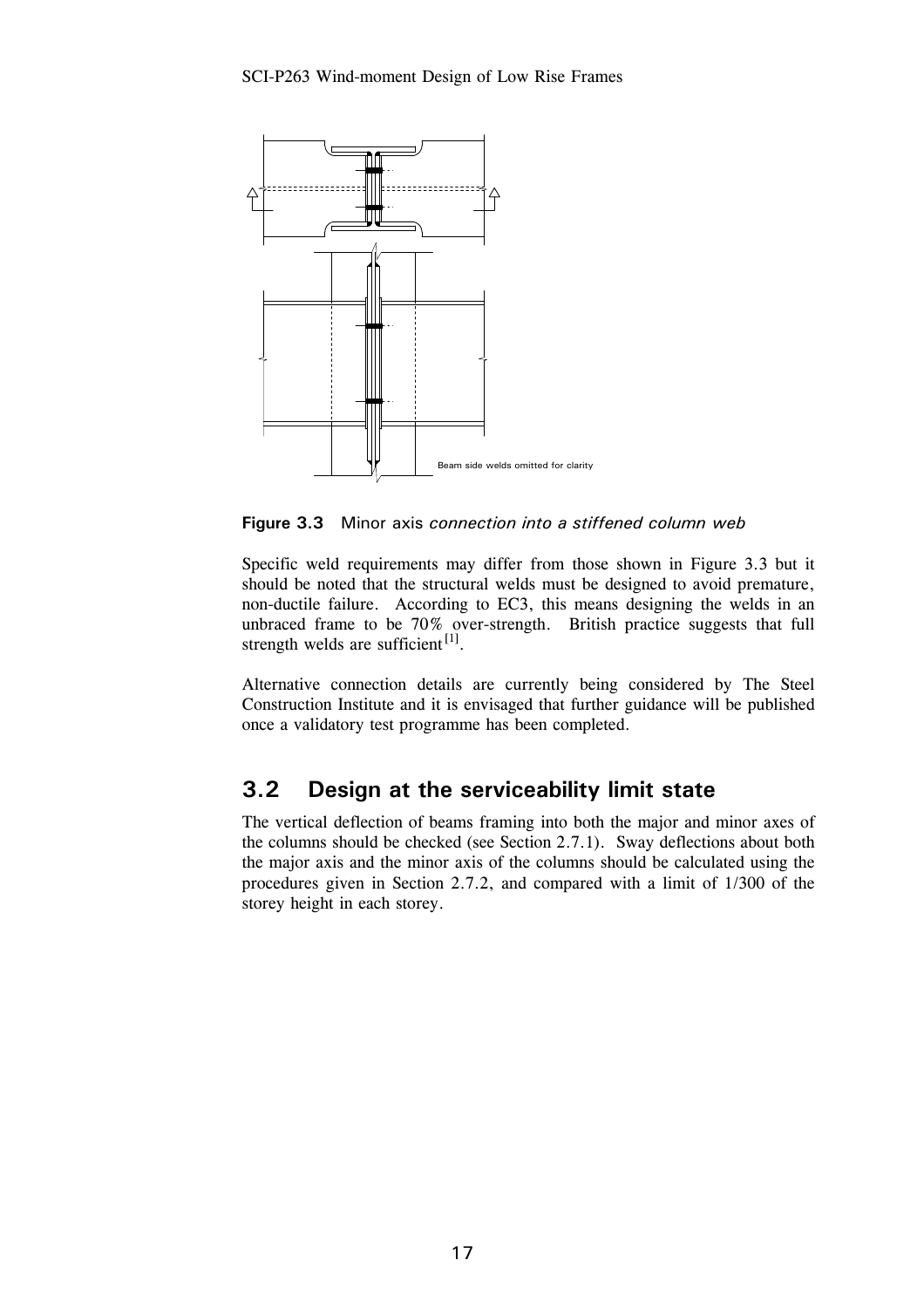

**Figure 3.3** Minor axis *connection into a stiffened column web*

Specific weld requirements may differ from those shown in Figure 3.3 but it should be noted that the structural welds must be designed to avoid premature, non-ductile failure. According to EC3, this means designing the welds in an unbraced frame to be 70% over-strength. British practice suggests that full strength welds are sufficient $^{[1]}$ .

Alternative connection details are currently being considered by The Steel Construction Institute and it is envisaged that further guidance will be published once a validatory test programme has been completed.

# **3.2 Design at the serviceability limit state**

The vertical deflection of beams framing into both the major and minor axes of the columns should be checked (see Section 2.7.1). Sway deflections about both the major axis and the minor axis of the columns should be calculated using the procedures given in Section 2.7.2, and compared with a limit of 1/300 of the storey height in each storey.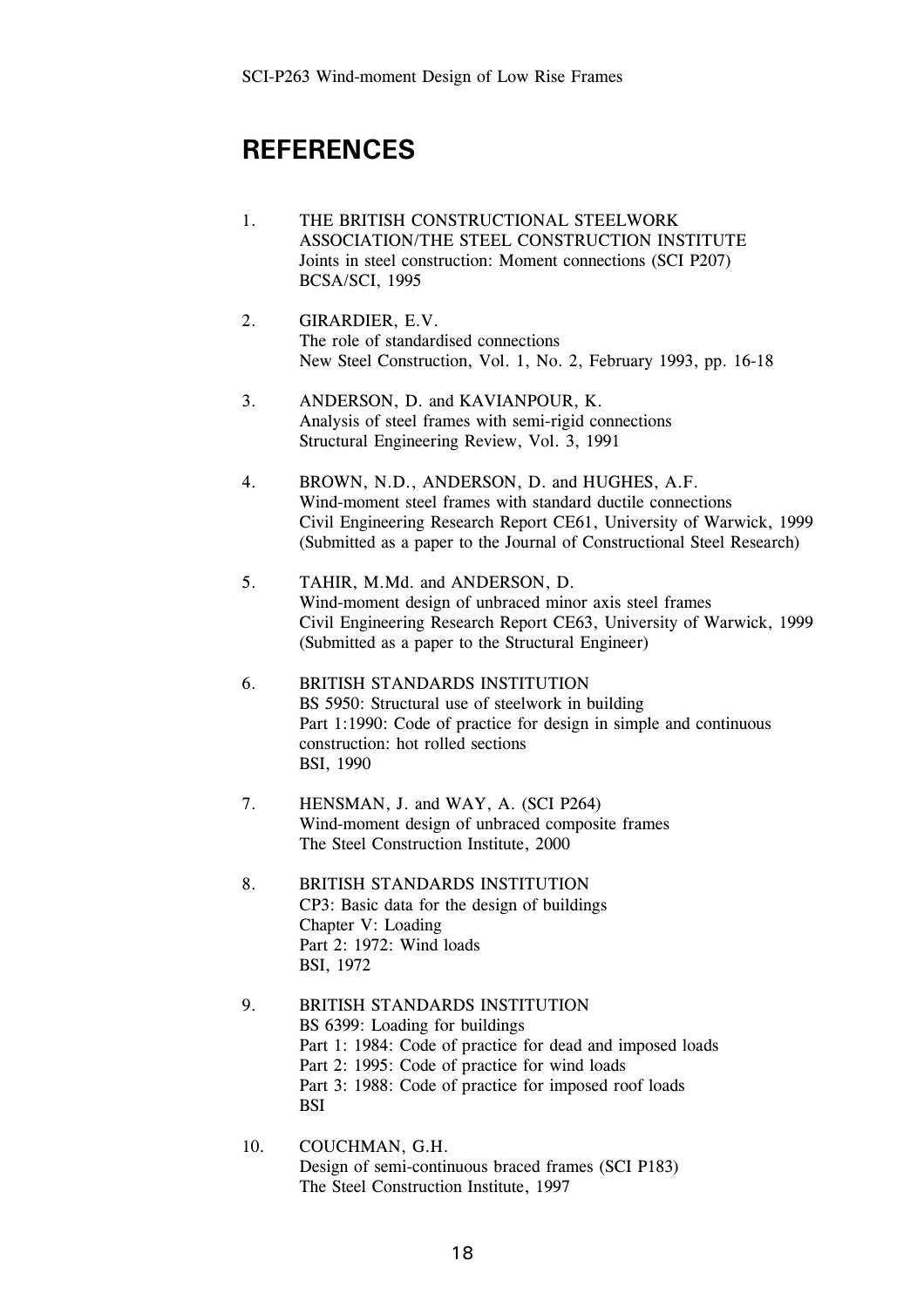# **REFERENCES**

- 1. THE BRITISH CONSTRUCTIONAL STEELWORK ASSOCIATION/THE STEEL CONSTRUCTION INSTITUTE Joints in steel construction: Moment connections (SCI P207) BCSA/SCI, 1995
- 2. GIRARDIER, E.V. The role of standardised connections New Steel Construction, Vol. 1, No. 2, February 1993, pp. 16-18
- 3. ANDERSON, D. and KAVIANPOUR, K. Analysis of steel frames with semi-rigid connections Structural Engineering Review, Vol. 3, 1991
- 4. BROWN, N.D., ANDERSON, D. and HUGHES, A.F. Wind-moment steel frames with standard ductile connections Civil Engineering Research Report CE61, University of Warwick, 1999 (Submitted as a paper to the Journal of Constructional Steel Research)
- 5. TAHIR, M.Md. and ANDERSON, D. Wind-moment design of unbraced minor axis steel frames Civil Engineering Research Report CE63, University of Warwick, 1999 (Submitted as a paper to the Structural Engineer)
- 6. BRITISH STANDARDS INSTITUTION BS 5950: Structural use of steelwork in building Part 1:1990: Code of practice for design in simple and continuous construction: hot rolled sections BSI, 1990
- 7. HENSMAN, J. and WAY, A. (SCI P264) Wind-moment design of unbraced composite frames The Steel Construction Institute, 2000
- 8. BRITISH STANDARDS INSTITUTION CP3: Basic data for the design of buildings Chapter V: Loading Part 2: 1972: Wind loads BSI, 1972
- 9. BRITISH STANDARDS INSTITUTION BS 6399: Loading for buildings Part 1: 1984: Code of practice for dead and imposed loads Part 2: 1995: Code of practice for wind loads Part 3: 1988: Code of practice for imposed roof loads **BSI**
- 10. COUCHMAN, G.H. Design of semi-continuous braced frames (SCI P183) The Steel Construction Institute, 1997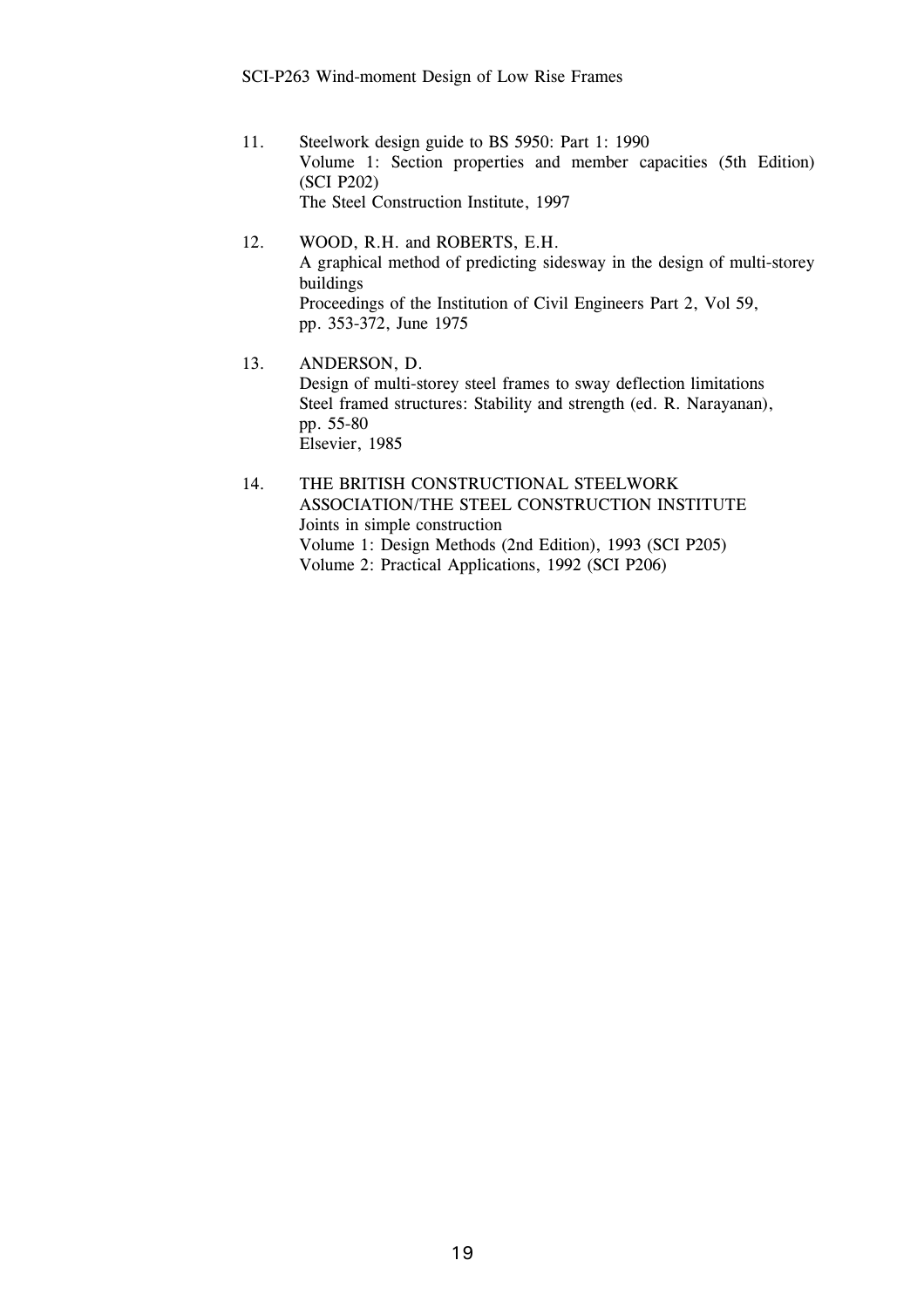- 11. Steelwork design guide to BS 5950: Part 1: 1990 Volume 1: Section properties and member capacities (5th Edition) (SCI P202) The Steel Construction Institute, 1997
- 12. WOOD, R.H. and ROBERTS, E.H. A graphical method of predicting sidesway in the design of multi-storey buildings Proceedings of the Institution of Civil Engineers Part 2, Vol 59, pp. 353-372, June 1975
- 13. ANDERSON, D. Design of multi-storey steel frames to sway deflection limitations Steel framed structures: Stability and strength (ed. R. Narayanan), pp. 55-80 Elsevier, 1985
- 14. THE BRITISH CONSTRUCTIONAL STEELWORK ASSOCIATION/THE STEEL CONSTRUCTION INSTITUTE Joints in simple construction Volume 1: Design Methods (2nd Edition), 1993 (SCI P205) Volume 2: Practical Applications, 1992 (SCI P206)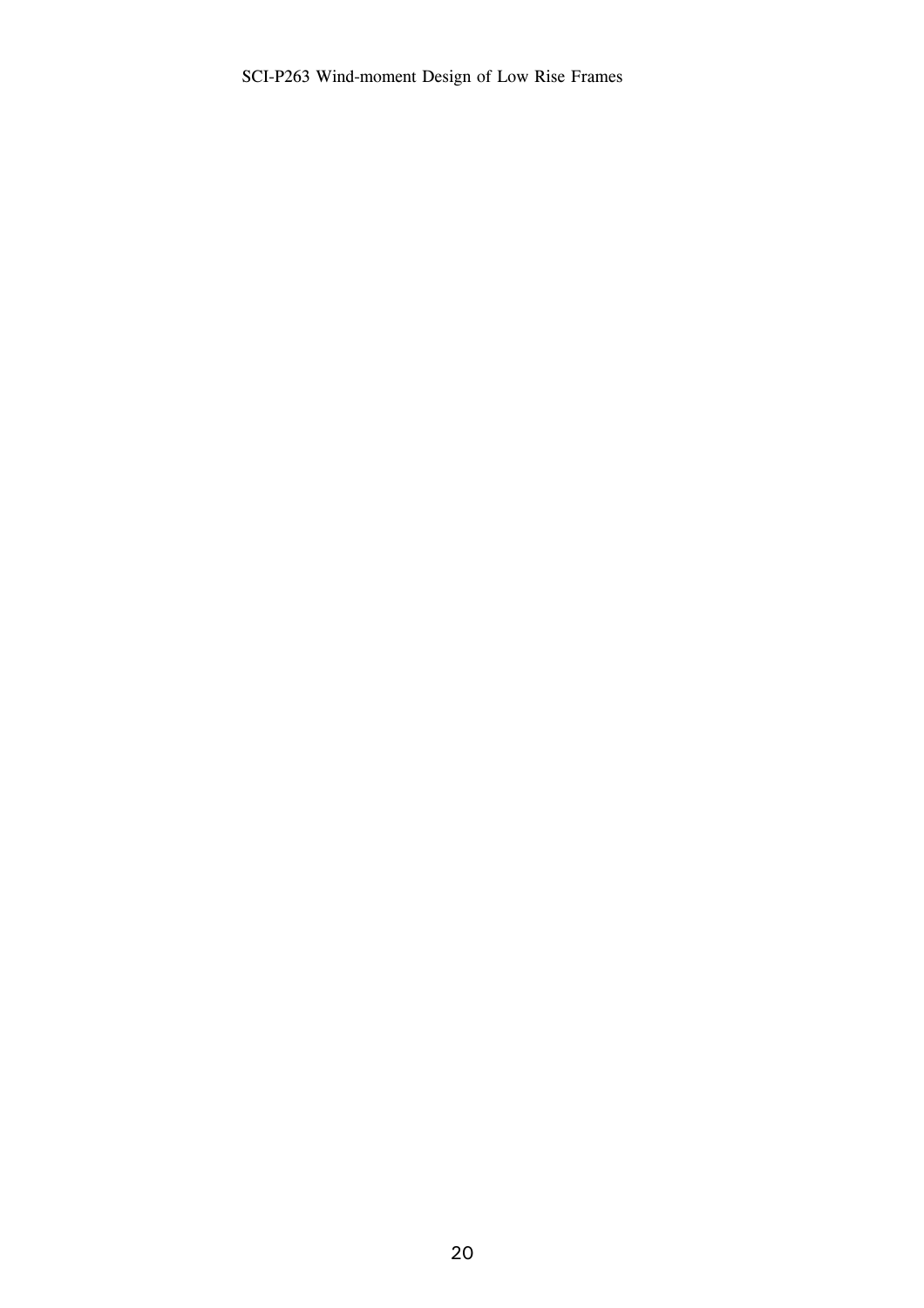SCI-P263 Wind-moment Design of Low Rise Frames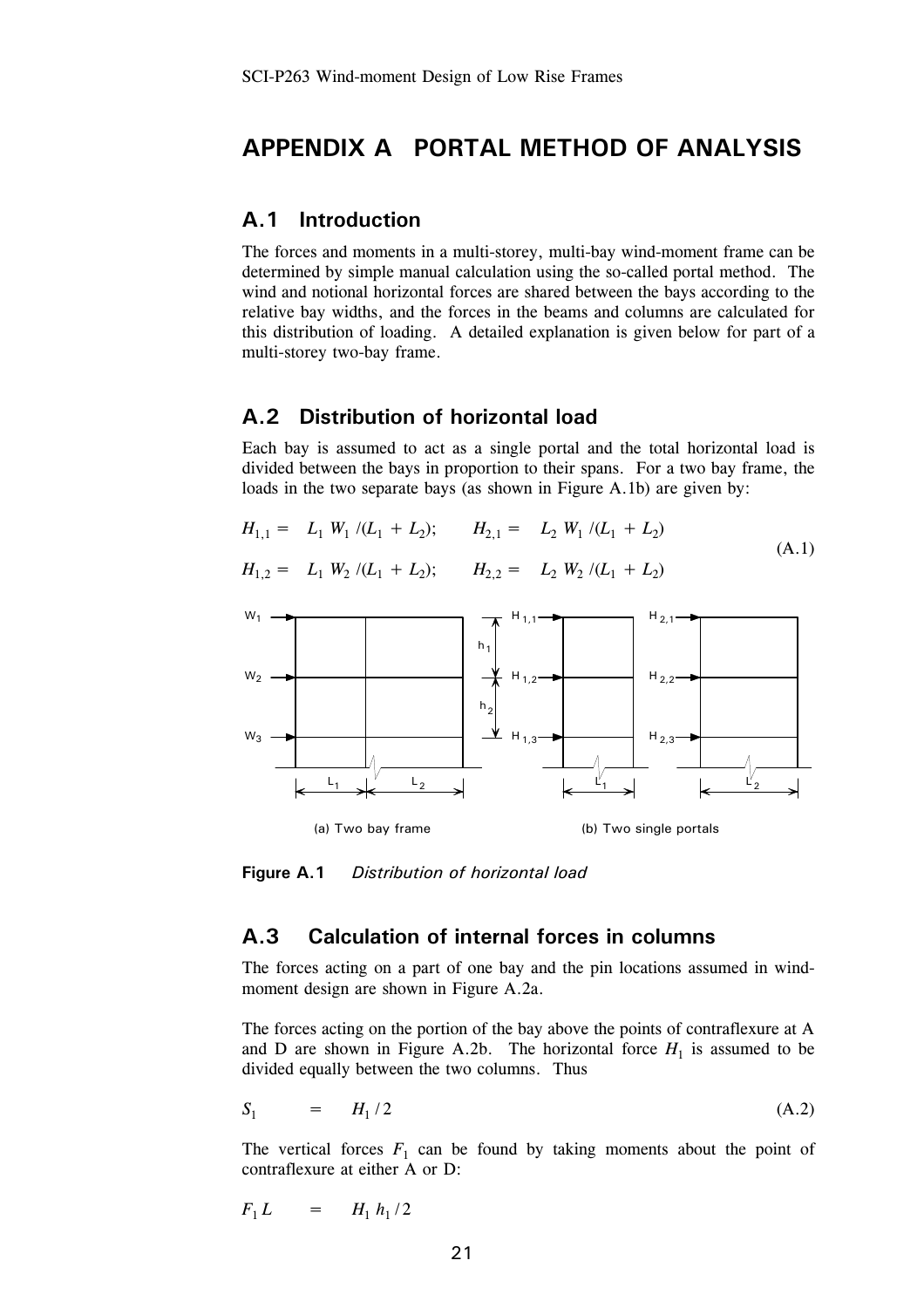# **APPENDIX A PORTAL METHOD OF ANALYSIS**

# **A.1 Introduction**

The forces and moments in a multi-storey, multi-bay wind-moment frame can be determined by simple manual calculation using the so-called portal method. The wind and notional horizontal forces are shared between the bays according to the relative bay widths, and the forces in the beams and columns are calculated for this distribution of loading. A detailed explanation is given below for part of a multi-storey two-bay frame.

## **A.2 Distribution of horizontal load**

Each bay is assumed to act as a single portal and the total horizontal load is divided between the bays in proportion to their spans. For a two bay frame, the loads in the two separate bays (as shown in Figure A.1b) are given by:

$$
H_{1,1} = L_1 W_1 / (L_1 + L_2); \qquad H_{2,1} = L_2 W_1 / (L_1 + L_2)
$$
  
\n
$$
H_{1,2} = L_1 W_2 / (L_1 + L_2); \qquad H_{2,2} = L_2 W_2 / (L_1 + L_2)
$$
\n(A.1)



**Figure A.1** *Distribution of horizontal load*

# **A.3 Calculation of internal forces in columns**

The forces acting on a part of one bay and the pin locations assumed in windmoment design are shown in Figure A.2a.

The forces acting on the portion of the bay above the points of contraflexure at A and D are shown in Figure A.2b. The horizontal force  $H_1$  is assumed to be divided equally between the two columns. Thus

$$
S_1 = H_1 / 2 \tag{A.2}
$$

The vertical forces  $F_1$  can be found by taking moments about the point of contraflexure at either A or D:

$$
F_1 L = H_1 h_1 / 2
$$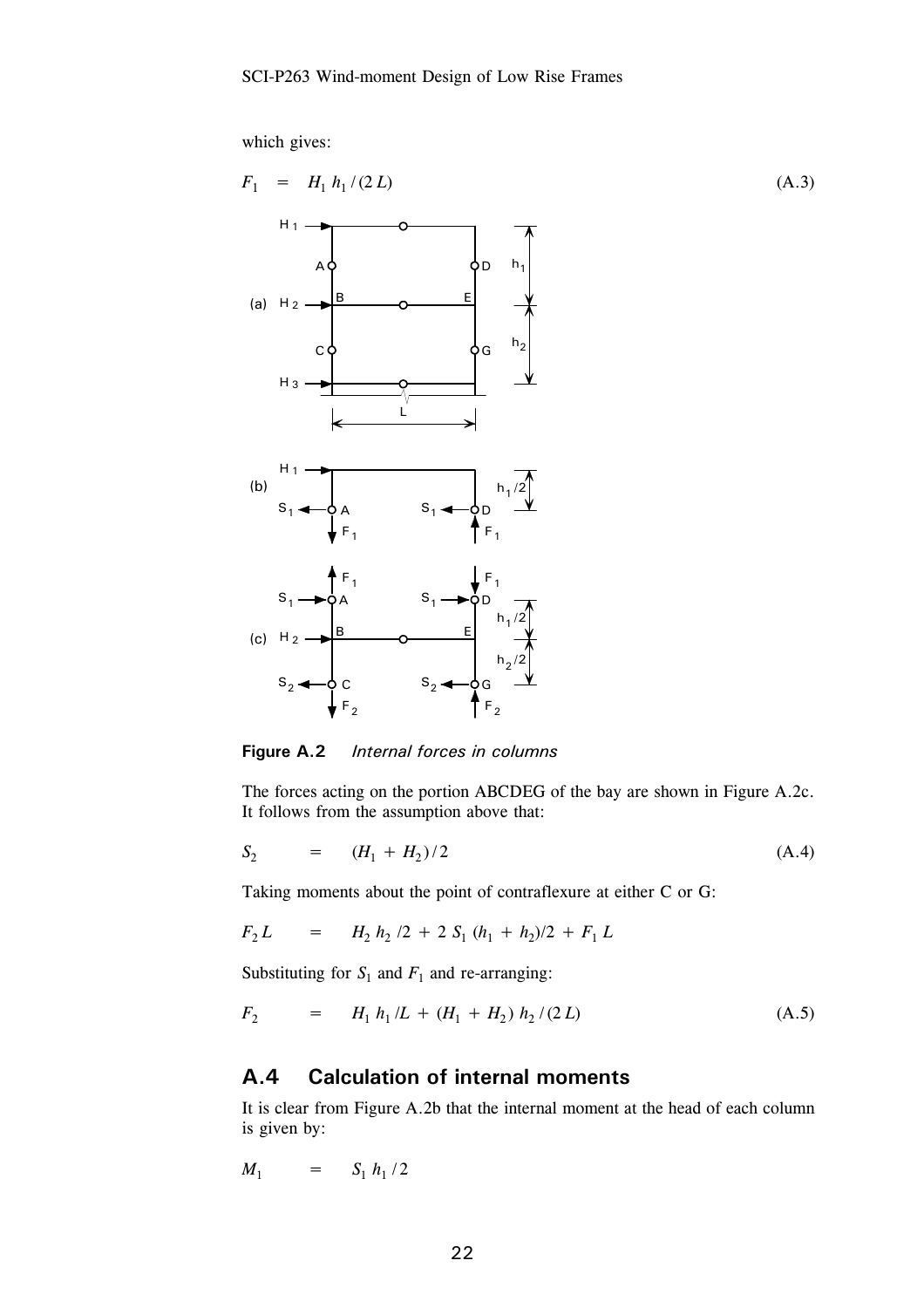which gives:

$$
F_1 = H_1 h_1 / (2L)
$$
\n
$$
H_1 \longrightarrow 0
$$
\n(a)  $H_2 \longrightarrow 0$ \n(b)  $\begin{array}{c}\nH_1 \\
H_2 \\
H_3\n\end{array}$ \n
$$
H_2 \longrightarrow 0
$$
\n
$$
S_1 \longrightarrow 0
$$
\n
$$
S_1 \longrightarrow 0
$$
\n
$$
S_1 \longrightarrow 0
$$
\n
$$
S_1 \longrightarrow 0
$$
\n
$$
S_1 \longrightarrow 0
$$
\n
$$
S_1 \longrightarrow 0
$$
\n
$$
S_1 \longrightarrow 0
$$
\n
$$
S_1 \longrightarrow 0
$$
\n
$$
S_1 \longrightarrow 0
$$
\n
$$
S_1 \longrightarrow 0
$$
\n
$$
S_1 \longrightarrow 0
$$
\n
$$
S_1 \longrightarrow 0
$$
\n
$$
S_1 \longrightarrow 0
$$
\n
$$
S_1 \longrightarrow 0
$$
\n
$$
S_1 \longrightarrow 0
$$
\n
$$
S_1 \longrightarrow 0
$$
\n
$$
S_2 \longrightarrow 0
$$
\n
$$
S_2 \longrightarrow 0
$$
\n
$$
S_2 \longrightarrow 0
$$
\n
$$
S_2 \longrightarrow 0
$$
\n
$$
S_2 \longrightarrow 0
$$
\n
$$
S_2 \longrightarrow 0
$$
\n
$$
S_2 \longrightarrow 0
$$
\n
$$
S_2 \longrightarrow 0
$$
\n
$$
S_2 \longrightarrow 0
$$
\n
$$
S_2 \longrightarrow 0
$$
\n
$$
S_2 \longrightarrow 0
$$
\n
$$
S_2 \longrightarrow 0
$$
\n
$$
S_2 \longrightarrow 0
$$
\n
$$
S_2 \longrightarrow 0
$$
\n
$$
S_2 \longrightarrow 0
$$
\n
$$
S_2 \longrightarrow 0
$$
\n
$$
S_2 \longrightarrow 0
$$
\n
$$
S_2 \longrightarrow 0
$$
\n
$$
S_2 \longrightarrow 0
$$
\n
$$
S_2 \longrightarrow 0
$$
\n
$$
S_2 \longrightarrow 0
$$
\n
$$
S_2 \longrightarrow 0
$$
\n
$$
S_2 \longrightarrow 0
$$

**Figure A.2** *Internal forces in columns*

The forces acting on the portion ABCDEG of the bay are shown in Figure A.2c. It follows from the assumption above that:

$$
S_2 = (H_1 + H_2)/2 \tag{A.4}
$$

Taking moments about the point of contraflexure at either C or G:

$$
F_2 L = H_2 h_2 / 2 + 2 S_1 (h_1 + h_2) / 2 + F_1 L
$$

Substituting for  $S_1$  and  $F_1$  and re-arranging:

$$
F_2 = H_1 h_1 / L + (H_1 + H_2) h_2 / (2 L) \tag{A.5}
$$

### **A.4 Calculation of internal moments**

It is clear from Figure A.2b that the internal moment at the head of each column is given by:

$$
M_1 = S_1 h_1 / 2
$$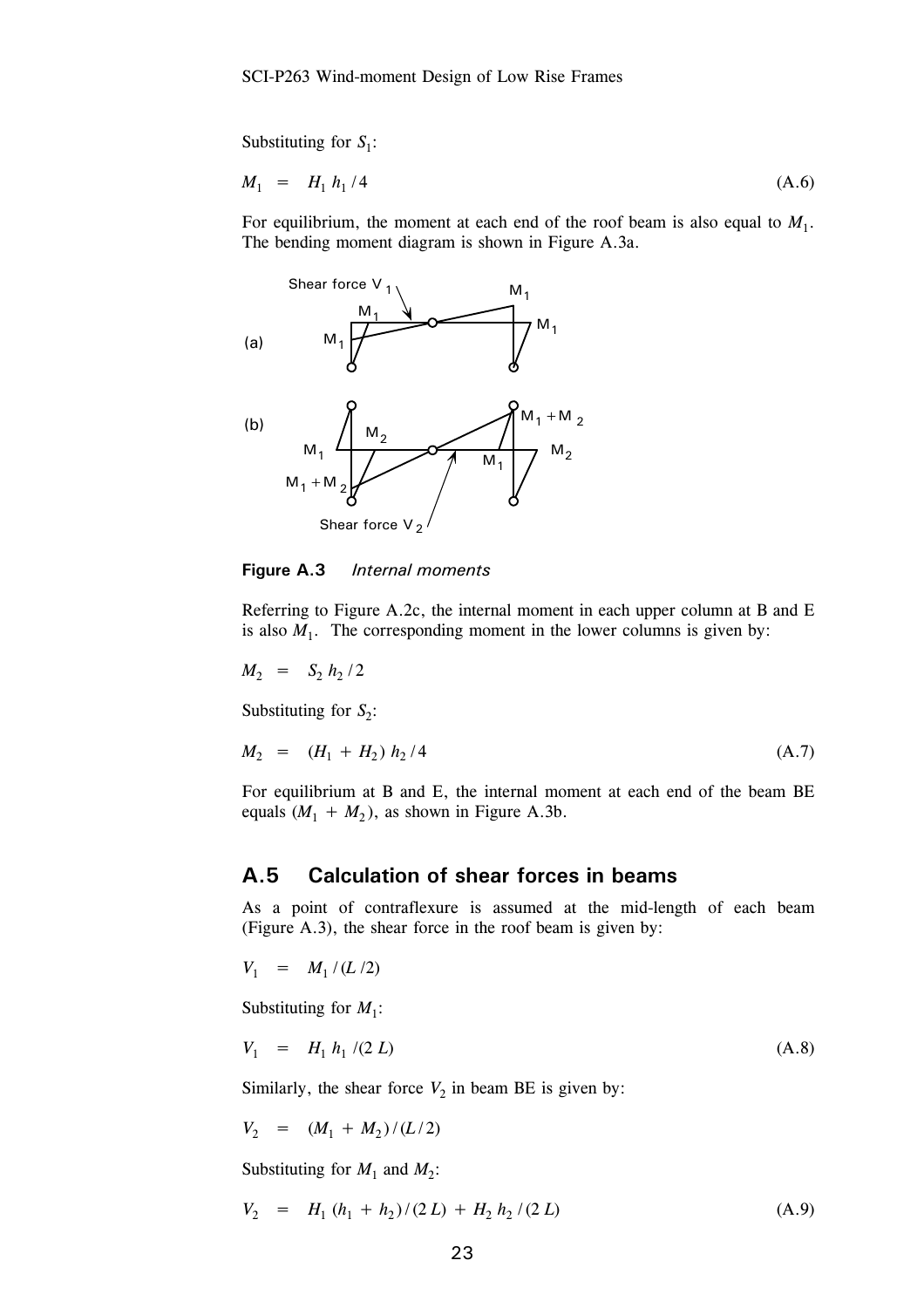Substituting for  $S_1$ :

$$
M_1 = H_1 h_1 / 4 \tag{A.6}
$$

For equilibrium, the moment at each end of the roof beam is also equal to  $M_1$ . The bending moment diagram is shown in Figure A.3a.



#### **Figure A.3** *Internal moments*

Referring to Figure A.2c, the internal moment in each upper column at B and E is also  $M_1$ . The corresponding moment in the lower columns is given by:

$$
M_2 = S_2 h_2 / 2
$$

Substituting for  $S_2$ :

$$
M_2 = (H_1 + H_2) h_2 / 4 \tag{A.7}
$$

For equilibrium at B and E, the internal moment at each end of the beam BE equals  $(M_1 + M_2)$ , as shown in Figure A.3b.

### **A.5 Calculation of shear forces in beams**

As a point of contraflexure is assumed at the mid-length of each beam (Figure A.3), the shear force in the roof beam is given by:

$$
V_1 = M_1 / (L/2)
$$

Substituting for  $M_1$ :

$$
V_1 = H_1 h_1 / (2 L) \tag{A.8}
$$

Similarly, the shear force  $V_2$  in beam BE is given by:

$$
V_2 = (M_1 + M_2)/(L/2)
$$

Substituting for  $M_1$  and  $M_2$ :

$$
V_2 = H_1 (h_1 + h_2)/(2 L) + H_2 h_2/(2 L)
$$
 (A.9)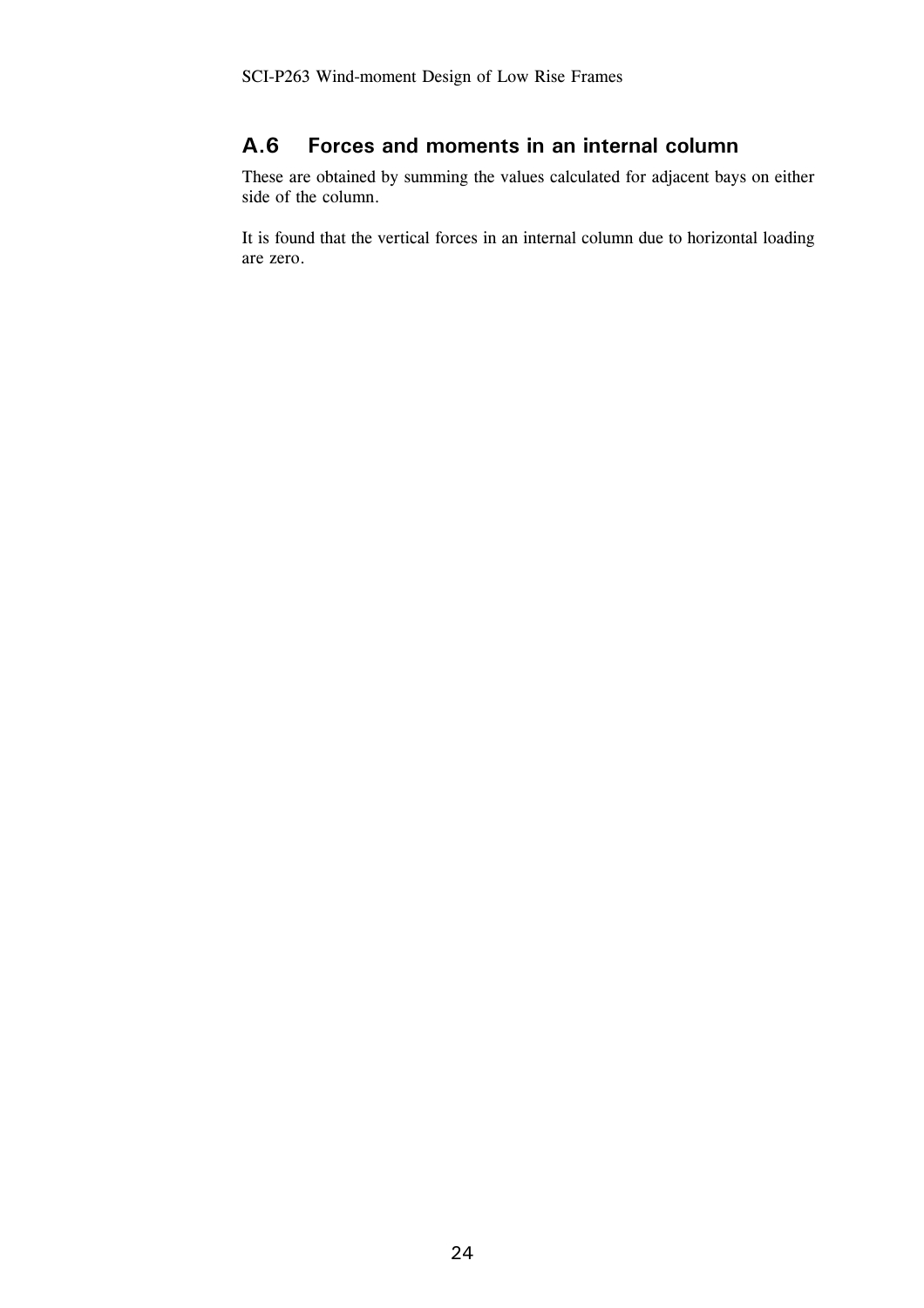# **A.6 Forces and moments in an internal column**

These are obtained by summing the values calculated for adjacent bays on either side of the column.

It is found that the vertical forces in an internal column due to horizontal loading are zero.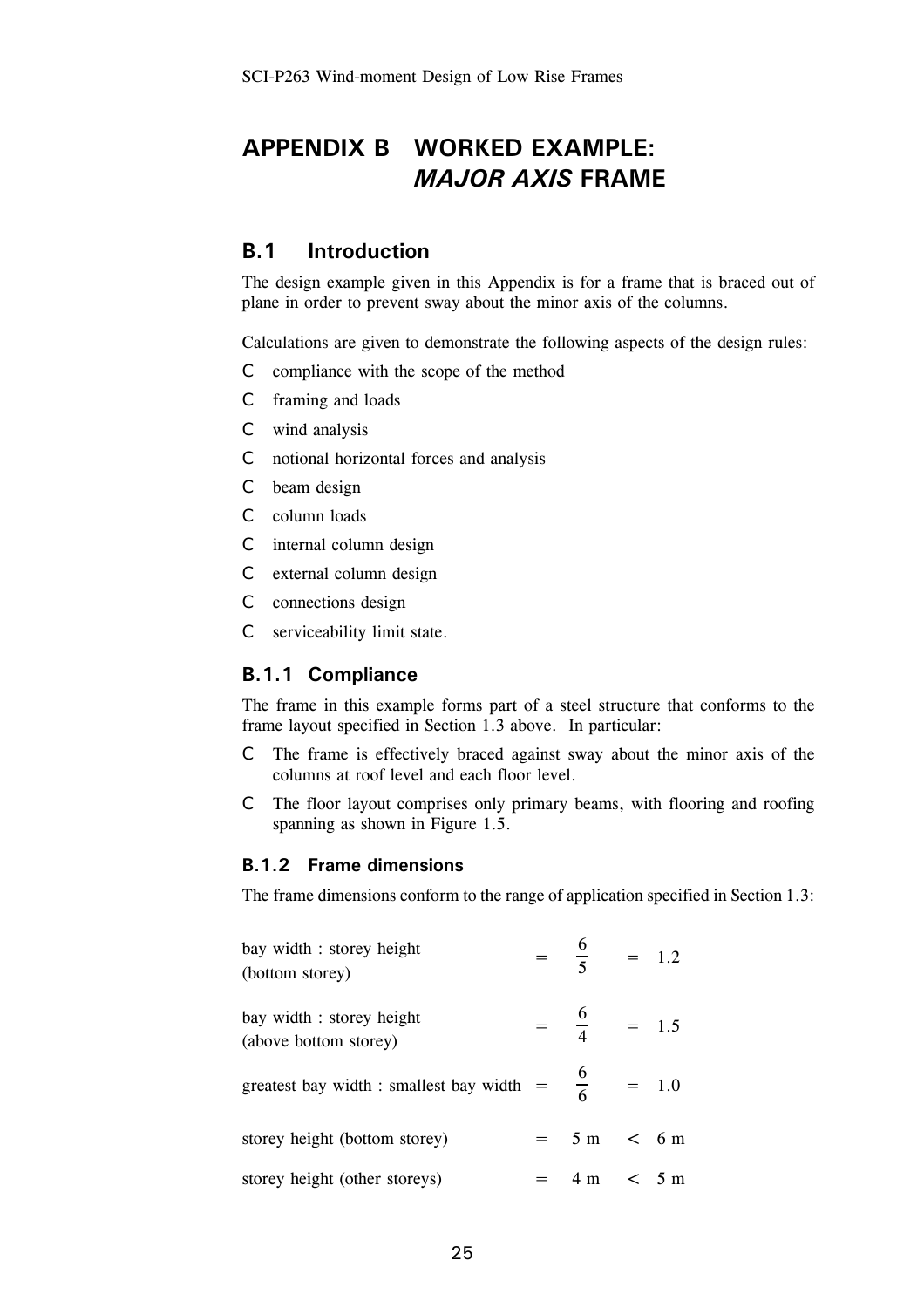# **APPENDIX B WORKED EXAMPLE:** *MAJOR AXIS* **FRAME**

# **B.1 Introduction**

The design example given in this Appendix is for a frame that is braced out of plane in order to prevent sway about the minor axis of the columns.

Calculations are given to demonstrate the following aspects of the design rules:

- C compliance with the scope of the method
- C framing and loads
- C wind analysis
- C notional horizontal forces and analysis
- C beam design
- C column loads
- C internal column design
- C external column design
- C connections design
- C serviceability limit state.

#### **B.1.1 Compliance**

The frame in this example forms part of a steel structure that conforms to the frame layout specified in Section 1.3 above. In particular:

- C The frame is effectively braced against sway about the minor axis of the columns at roof level and each floor level.
- C The floor layout comprises only primary beams, with flooring and roofing spanning as shown in Figure 1.5.

#### **B.1.2 Frame dimensions**

The frame dimensions conform to the range of application specified in Section 1.3:

| bay width : storey height<br>(bottom storey)                  | $=$ $\qquad$ | $\frac{6}{5}$ = 1.2           |  |
|---------------------------------------------------------------|--------------|-------------------------------|--|
| bay width : storey height<br>(above bottom storey)            |              | $\frac{6}{4}$ = 1.5           |  |
| greatest bay width : smallest bay width = $\frac{6}{6}$ = 1.0 |              |                               |  |
| storey height (bottom storey)                                 |              | $= 5 m < 6 m$                 |  |
| storey height (other storeys)                                 |              | $4 \text{ m}$ < $5 \text{ m}$ |  |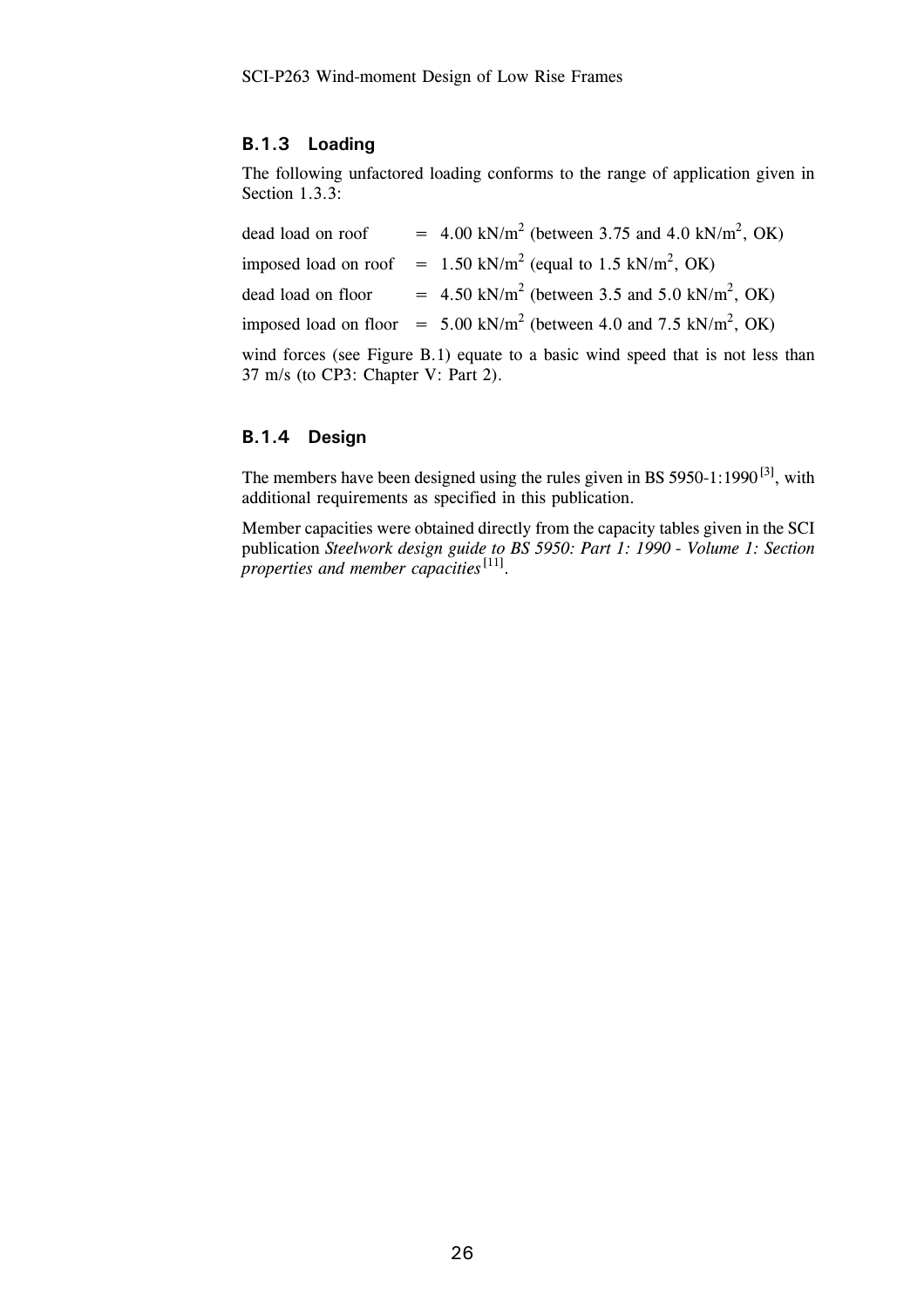### **B.1.3 Loading**

The following unfactored loading conforms to the range of application given in Section 1.3.3:

| dead load on roof                                                                                                                |  | $= 4.00$ kN/m <sup>2</sup> (between 3.75 and 4.0 kN/m <sup>2</sup> , OK)                    |  |  |  |  |  |  |
|----------------------------------------------------------------------------------------------------------------------------------|--|---------------------------------------------------------------------------------------------|--|--|--|--|--|--|
|                                                                                                                                  |  | imposed load on roof = 1.50 kN/m <sup>2</sup> (equal to 1.5 kN/m <sup>2</sup> , OK)         |  |  |  |  |  |  |
| dead load on floor                                                                                                               |  | $= 4.50$ kN/m <sup>2</sup> (between 3.5 and 5.0 kN/m <sup>2</sup> , OK)                     |  |  |  |  |  |  |
|                                                                                                                                  |  | imposed load on floor = 5.00 kN/m <sup>2</sup> (between 4.0 and 7.5 kN/m <sup>2</sup> , OK) |  |  |  |  |  |  |
| wind forces (see Figure B.1) equate to a basic wind speed that is not less than<br>$37 \text{ m/s}$ (to CP3: Chapter V: Part 2). |  |                                                                                             |  |  |  |  |  |  |

# **B.1.4 Design**

The members have been designed using the rules given in BS 5950-1:1990<sup>[3]</sup>, with additional requirements as specified in this publication.

Member capacities were obtained directly from the capacity tables given in the SCI publication *Steelwork design guide to BS 5950: Part 1: 1990 - Volume 1: Section properties and member capacities*<sup>[11]</sup>.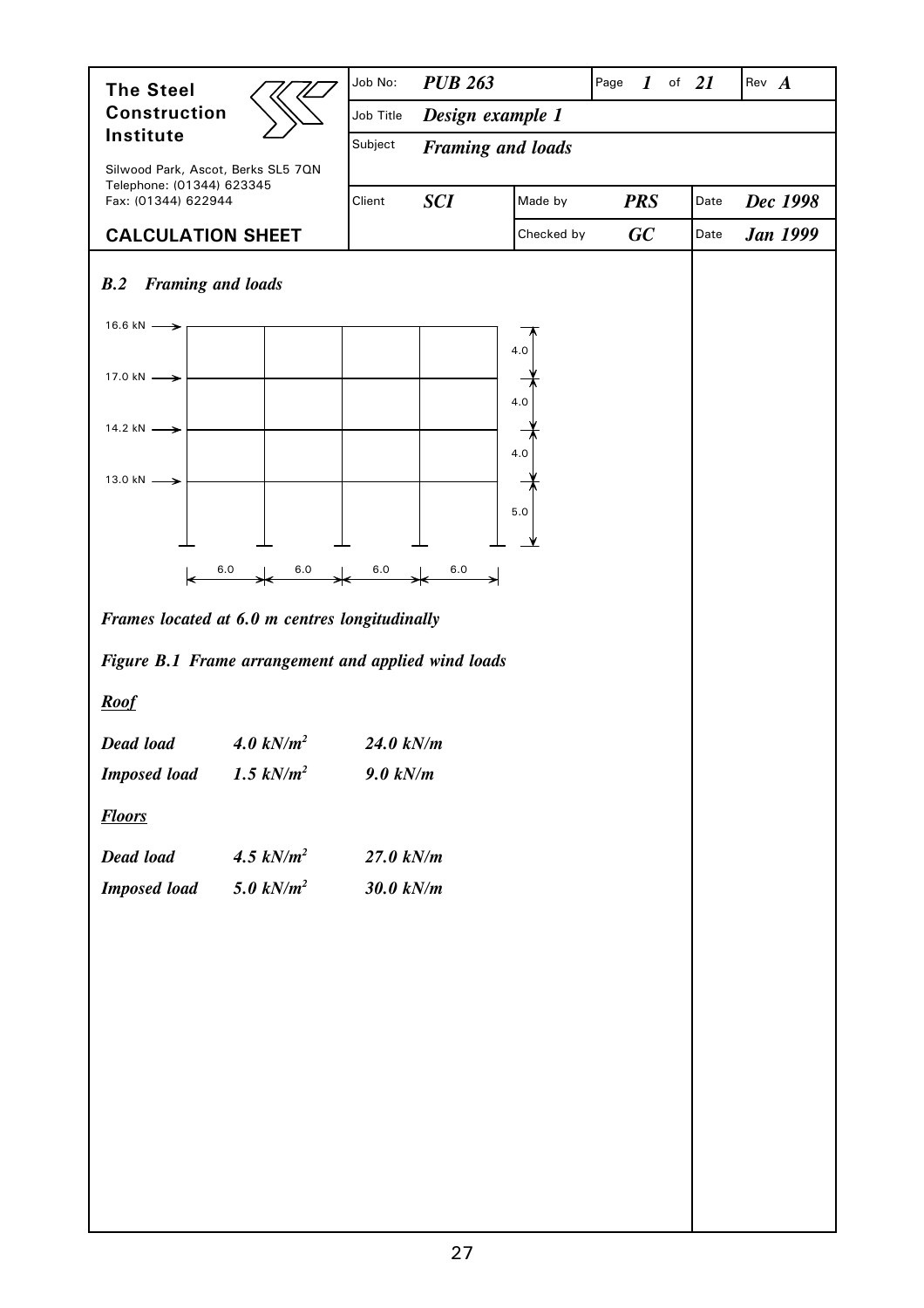| <b>The Steel</b>                                                                       |                                                     | Job No:                             | <b>PUB 263</b>   |            | Page       | $\bm{l}$ | of $21$ | Rev $\boldsymbol{A}$ |  |  |
|----------------------------------------------------------------------------------------|-----------------------------------------------------|-------------------------------------|------------------|------------|------------|----------|---------|----------------------|--|--|
| <b>Construction</b>                                                                    |                                                     | Job Title                           | Design example 1 |            |            |          |         |                      |  |  |
| Institute                                                                              |                                                     | Subject<br><b>Framing and loads</b> |                  |            |            |          |         |                      |  |  |
| Silwood Park, Ascot, Berks SL5 7QN<br>Telephone: (01344) 623345<br>Fax: (01344) 622944 |                                                     |                                     |                  |            |            |          |         |                      |  |  |
|                                                                                        |                                                     | Client                              | <b>SCI</b>       | Made by    | <b>PRS</b> |          | Date    | Dec 1998             |  |  |
| <b>CALCULATION SHEET</b>                                                               |                                                     |                                     |                  | Checked by |            | GC       | Date    | <b>Jan 1999</b>      |  |  |
| <b>Framing and loads</b><br>B.2                                                        |                                                     |                                     |                  |            |            |          |         |                      |  |  |
| 16.6 kN ->                                                                             |                                                     |                                     |                  | 4.0        |            |          |         |                      |  |  |
| 17.0 kN $\rightarrow$                                                                  |                                                     |                                     |                  |            |            |          |         |                      |  |  |
| $14.2$ kN $-$                                                                          |                                                     |                                     |                  | 4.0        |            |          |         |                      |  |  |
| 13.0 kN $\longrightarrow$                                                              |                                                     |                                     |                  | 4.0        |            |          |         |                      |  |  |
|                                                                                        |                                                     |                                     |                  | $5.0\,$    |            |          |         |                      |  |  |
|                                                                                        | $6.0\,$<br>$6.0$                                    | $6.0\,$                             | 6.0              |            |            |          |         |                      |  |  |
|                                                                                        | Frames located at 6.0 m centres longitudinally      |                                     |                  |            |            |          |         |                      |  |  |
|                                                                                        | Figure B.1 Frame arrangement and applied wind loads |                                     |                  |            |            |          |         |                      |  |  |
| <b>Roof</b>                                                                            |                                                     |                                     |                  |            |            |          |         |                      |  |  |
| <b>Dead</b> load                                                                       | 4.0 $kN/m^2$ 24.0 $kN/m$                            |                                     |                  |            |            |          |         |                      |  |  |
| <b>Imposed load</b>                                                                    | 1.5 $kN/m^2$                                        | $9.0$ kN/m                          |                  |            |            |          |         |                      |  |  |
| <b>Floors</b>                                                                          |                                                     |                                     |                  |            |            |          |         |                      |  |  |
| Dead load                                                                              | 4.5 $kN/m^2$                                        | $27.0$ kN/m                         |                  |            |            |          |         |                      |  |  |
| <b>Imposed load</b>                                                                    | 5.0 $kN/m^2$                                        | $30.0$ kN/m                         |                  |            |            |          |         |                      |  |  |
|                                                                                        |                                                     |                                     |                  |            |            |          |         |                      |  |  |
|                                                                                        |                                                     |                                     |                  |            |            |          |         |                      |  |  |
|                                                                                        |                                                     |                                     |                  |            |            |          |         |                      |  |  |
|                                                                                        |                                                     |                                     |                  |            |            |          |         |                      |  |  |
|                                                                                        |                                                     |                                     |                  |            |            |          |         |                      |  |  |
|                                                                                        |                                                     |                                     |                  |            |            |          |         |                      |  |  |
|                                                                                        |                                                     |                                     |                  |            |            |          |         |                      |  |  |
|                                                                                        |                                                     |                                     |                  |            |            |          |         |                      |  |  |
|                                                                                        |                                                     |                                     |                  |            |            |          |         |                      |  |  |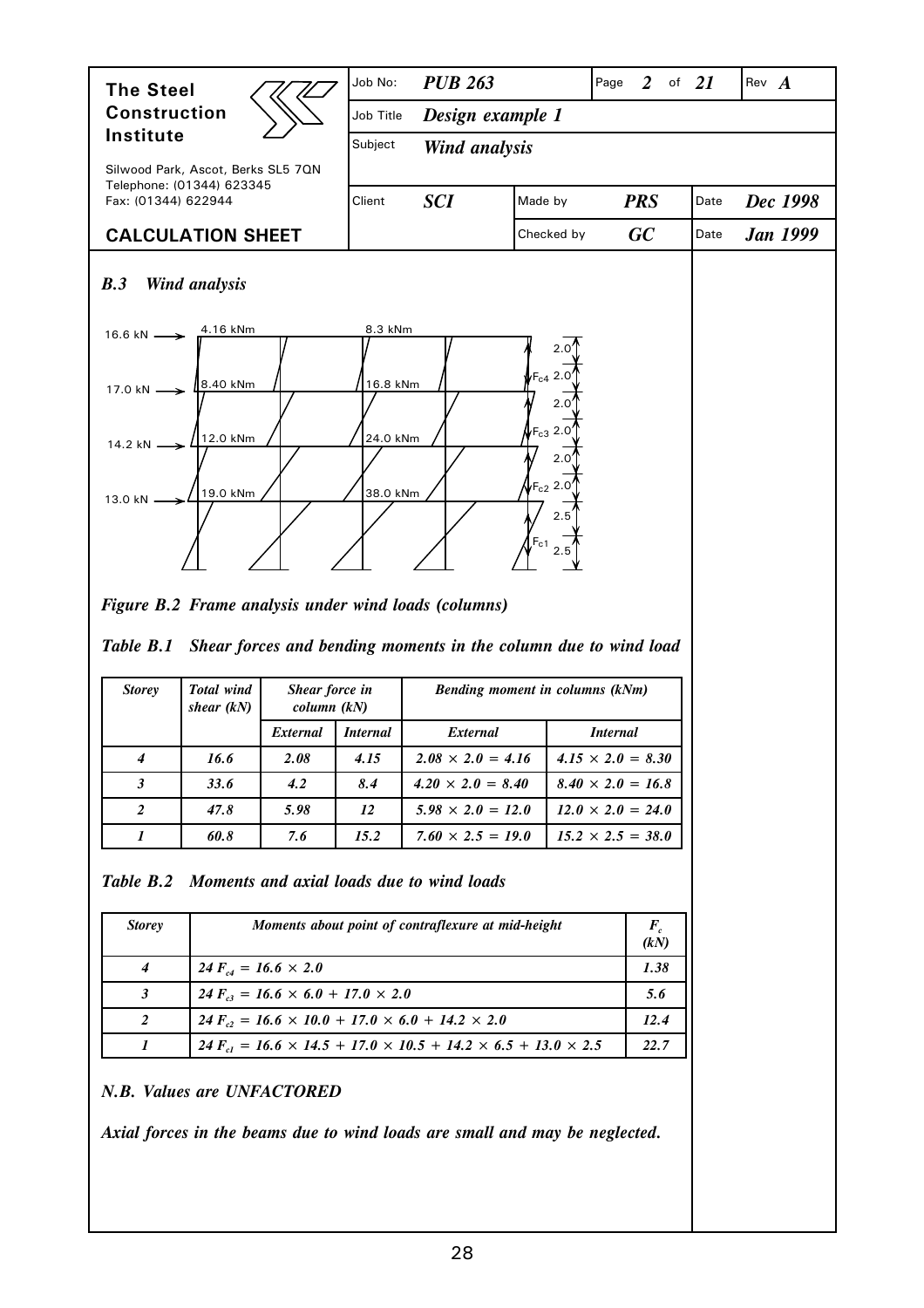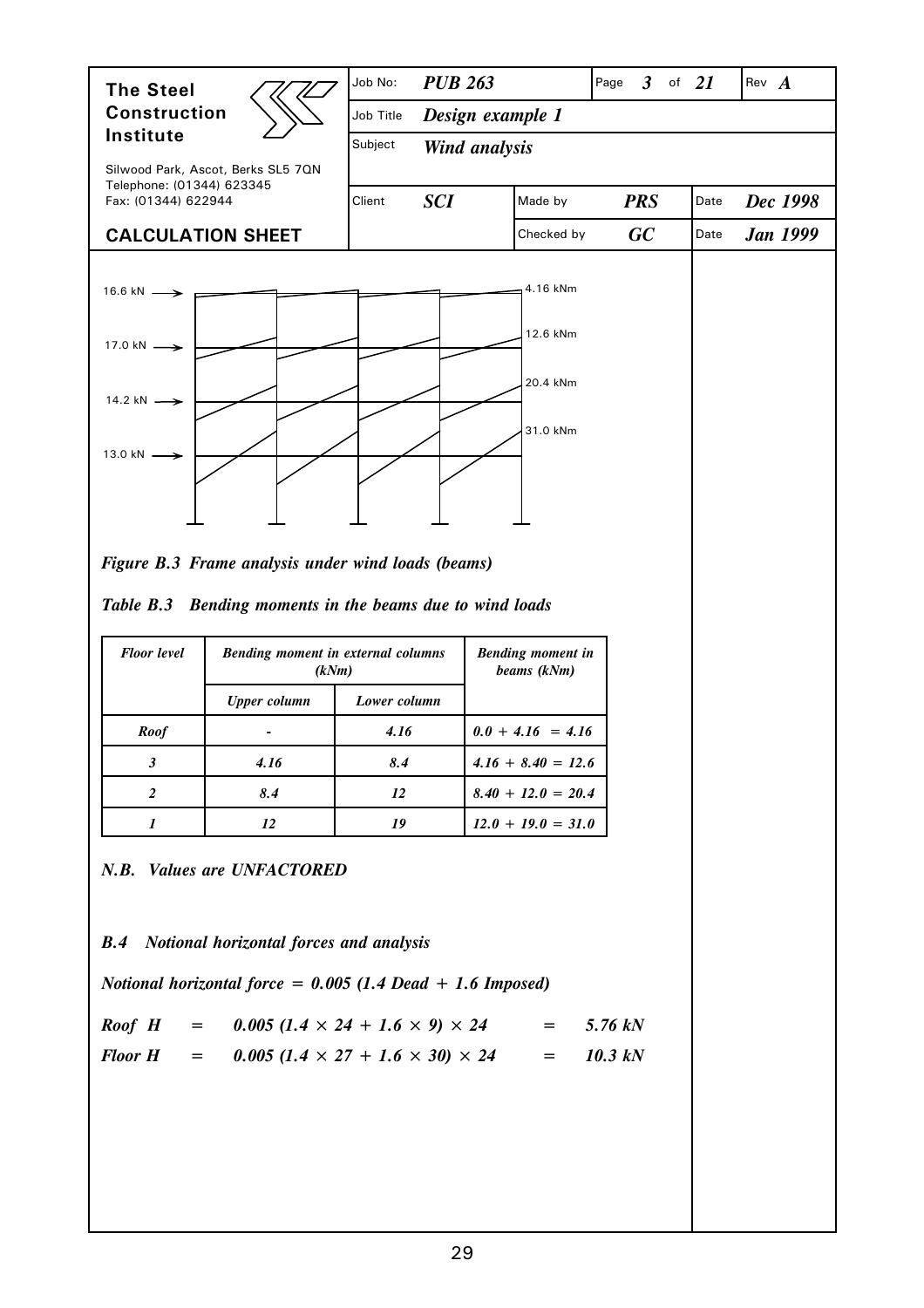| <b>The Steel</b>          |                                                              | <b>PUB 263</b><br>Job No:                              |                                         | Page<br>$\boldsymbol{\beta}$ | of $21$ | Rev $\boldsymbol{A}$ |
|---------------------------|--------------------------------------------------------------|--------------------------------------------------------|-----------------------------------------|------------------------------|---------|----------------------|
| <b>Construction</b>       |                                                              | Job Title                                              | Design example 1                        |                              |         |                      |
| Institute                 |                                                              | Subject                                                | <b>Wind analysis</b>                    |                              |         |                      |
| Telephone: (01344) 623345 | Silwood Park, Ascot, Berks SL5 7QN                           |                                                        |                                         |                              |         |                      |
| Fax: (01344) 622944       |                                                              | <b>SCI</b><br>Client                                   | Made by                                 | <b>PRS</b>                   | Date    | Dec 1998             |
| <b>CALCULATION SHEET</b>  |                                                              |                                                        | Checked by                              | <b>GC</b>                    | Date    | <b>Jan 1999</b>      |
|                           |                                                              |                                                        |                                         |                              |         |                      |
| 16.6 kN $\longrightarrow$ |                                                              |                                                        | 4.16 kNm                                |                              |         |                      |
|                           |                                                              |                                                        | 12.6 kNm                                |                              |         |                      |
| 17.0 kN $\rightarrow$     |                                                              |                                                        |                                         |                              |         |                      |
| 14.2 kN $\rightarrow$     |                                                              |                                                        | 20.4 kNm                                |                              |         |                      |
|                           |                                                              |                                                        | 31.0 kNm                                |                              |         |                      |
| 13.0 kN -                 |                                                              |                                                        |                                         |                              |         |                      |
|                           |                                                              |                                                        |                                         |                              |         |                      |
|                           |                                                              |                                                        |                                         |                              |         |                      |
|                           |                                                              |                                                        |                                         |                              |         |                      |
|                           | Figure B.3 Frame analysis under wind loads (beams)           |                                                        |                                         |                              |         |                      |
|                           | Table B.3 Bending moments in the beams due to wind loads     |                                                        |                                         |                              |         |                      |
|                           |                                                              |                                                        |                                         |                              |         |                      |
| <b>Floor</b> level        | Bending moment in external columns<br>(kNm)                  |                                                        | <b>Bending moment in</b><br>beams (kNm) |                              |         |                      |
|                           | <b>Upper</b> column                                          | Lower column                                           |                                         |                              |         |                      |
| <b>Roof</b>               |                                                              | 4.16                                                   | $0.0 + 4.16 = 4.16$                     |                              |         |                      |
| 3                         | 4.16                                                         | 8.4                                                    | $4.16 + 8.40 = 12.6$                    |                              |         |                      |
| $\overline{2}$            | 8.4                                                          | 12                                                     | $8.40 + 12.0 = 20.4$                    |                              |         |                      |
| $\boldsymbol{l}$          | 12                                                           | 19                                                     | $12.0 + 19.0 = 31.0$                    |                              |         |                      |
|                           |                                                              |                                                        |                                         |                              |         |                      |
|                           | N.B. Values are UNFACTORED                                   |                                                        |                                         |                              |         |                      |
|                           |                                                              |                                                        |                                         |                              |         |                      |
| B.4                       | Notional horizontal forces and analysis                      |                                                        |                                         |                              |         |                      |
|                           |                                                              |                                                        |                                         |                              |         |                      |
|                           | Notional horizontal force = $0.005$ (1.4 Dead + 1.6 Imposed) |                                                        |                                         |                              |         |                      |
| Roof H<br>$=$             |                                                              | $0.005$ (1.4 $\times$ 24 + 1.6 $\times$ 9) $\times$ 24 | $=$                                     | 5.76 kN                      |         |                      |
| <b>Floor H</b>            | $=$ 0.005 (1.4 $\times$ 27 + 1.6 $\times$ 30) $\times$ 24    |                                                        | $=$                                     | 10.3 kN                      |         |                      |
|                           |                                                              |                                                        |                                         |                              |         |                      |
|                           |                                                              |                                                        |                                         |                              |         |                      |
|                           |                                                              |                                                        |                                         |                              |         |                      |
|                           |                                                              |                                                        |                                         |                              |         |                      |
|                           |                                                              |                                                        |                                         |                              |         |                      |
|                           |                                                              |                                                        |                                         |                              |         |                      |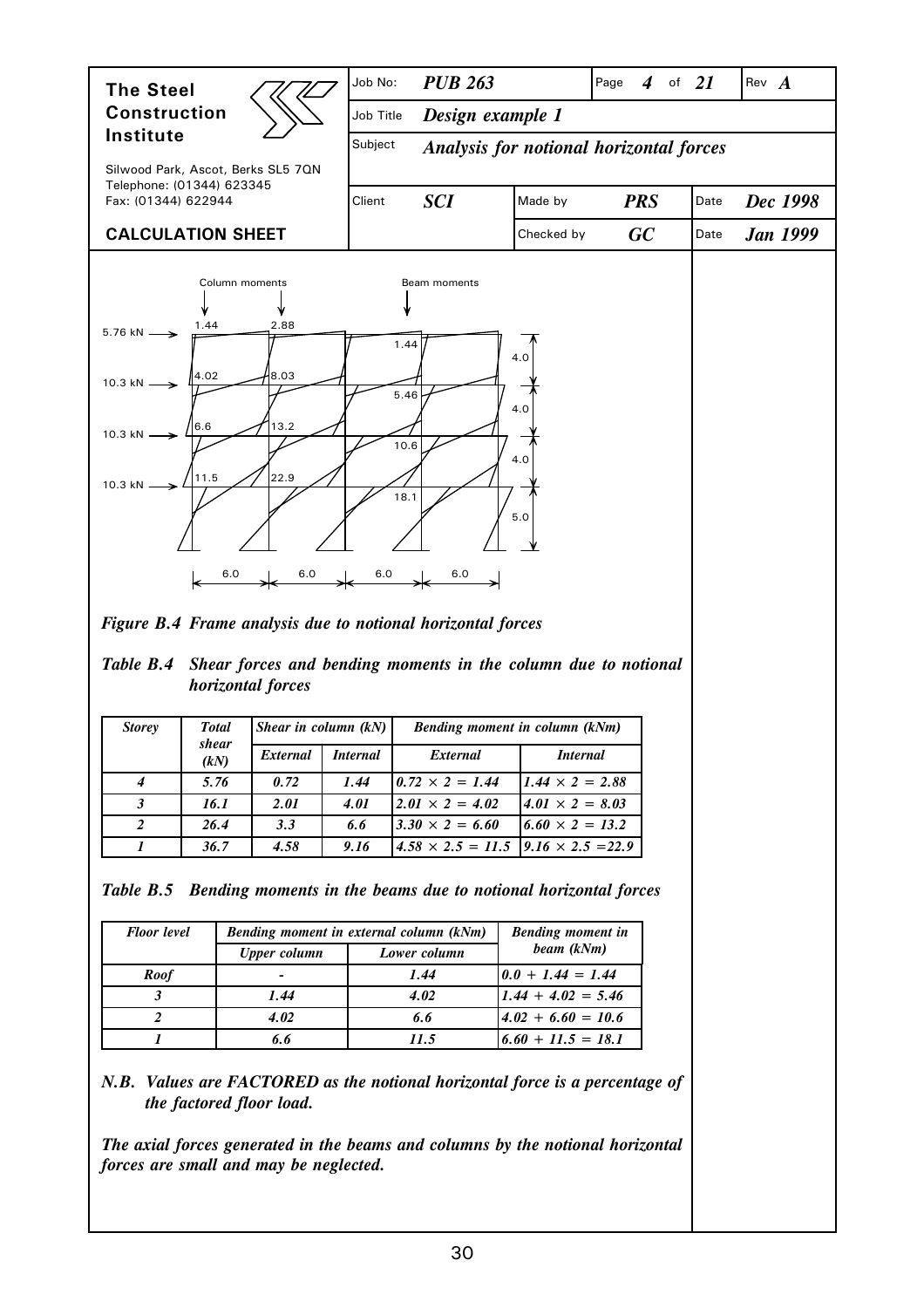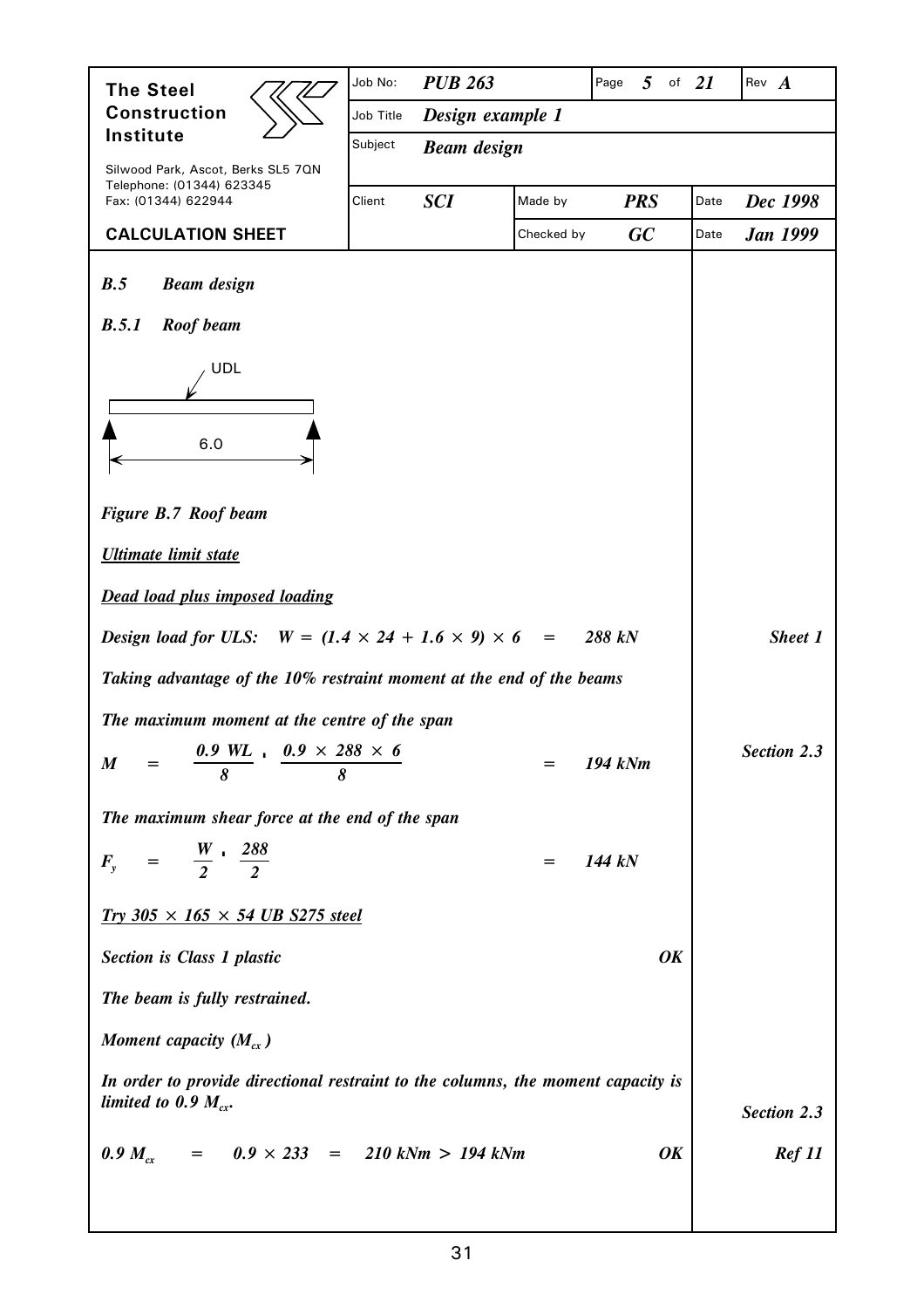| <b>The Steel</b>                                                                                              | Job No:   | <b>PUB 263</b>     |            | Page       | 5 <sup>1</sup> | of $21$ | Rev $\boldsymbol{A}$ |
|---------------------------------------------------------------------------------------------------------------|-----------|--------------------|------------|------------|----------------|---------|----------------------|
| <b>Construction</b>                                                                                           | Job Title | Design example 1   |            |            |                |         |                      |
| Institute                                                                                                     | Subject   | <b>Beam</b> design |            |            |                |         |                      |
| Silwood Park, Ascot, Berks SL5 7QN<br>Telephone: (01344) 623345                                               |           |                    |            |            |                |         |                      |
| Fax: (01344) 622944                                                                                           | Client    | <b>SCI</b>         | Made by    | <b>PRS</b> |                | Date    | Dec 1998             |
| <b>CALCULATION SHEET</b>                                                                                      |           |                    | Checked by | <b>GC</b>  |                | Date    | <b>Jan 1999</b>      |
| B.5<br><b>Beam</b> design                                                                                     |           |                    |            |            |                |         |                      |
| B.5.1<br>Roof beam                                                                                            |           |                    |            |            |                |         |                      |
| <b>UDL</b><br>6.0                                                                                             |           |                    |            |            |                |         |                      |
| Figure B.7 Roof beam                                                                                          |           |                    |            |            |                |         |                      |
| <b>Ultimate limit state</b>                                                                                   |           |                    |            |            |                |         |                      |
| <b>Dead load plus imposed loading</b>                                                                         |           |                    |            |            |                |         |                      |
| Design load for ULS: $W = (1.4 \times 24 + 1.6 \times 9) \times 6 =$                                          |           |                    |            | 288 kN     |                |         | Sheet 1              |
| Taking advantage of the 10% restraint moment at the end of the beams                                          |           |                    |            |            |                |         |                      |
| The maximum moment at the centre of the span                                                                  |           |                    |            |            |                |         |                      |
| 0.9 WL, $0.9 \times 288 \times 6$<br>$\bm{M}$<br>8<br>8                                                       |           |                    |            | 194 kNm    |                |         | Section 2.3          |
| The maximum shear force at the end of the span                                                                |           |                    |            |            |                |         |                      |
| $\frac{W}{2}$ $\frac{288}{2}$<br>$F_{y}$<br>$=$                                                               |           |                    | $=$        | 144 kN     |                |         |                      |
| $Try\ 305\times 165\times 54\ UB\ S275\ steel$                                                                |           |                    |            |            |                |         |                      |
| Section is Class 1 plastic                                                                                    |           |                    |            |            | OK             |         |                      |
| The beam is fully restrained.                                                                                 |           |                    |            |            |                |         |                      |
| Moment capacity $(M_{cx})$                                                                                    |           |                    |            |            |                |         |                      |
| In order to provide directional restraint to the columns, the moment capacity is<br>limited to 0.9 $M_{cr}$ . |           |                    |            |            |                |         | Section 2.3          |
|                                                                                                               |           |                    |            |            |                |         |                      |
| $=$ 0.9 $\times$ 233 $=$ 210 kNm $>$ 194 kNm<br>0.9 $M_{cr}$                                                  |           |                    |            |            | OK             |         | <b>Ref</b> 11        |
|                                                                                                               |           |                    |            |            |                |         |                      |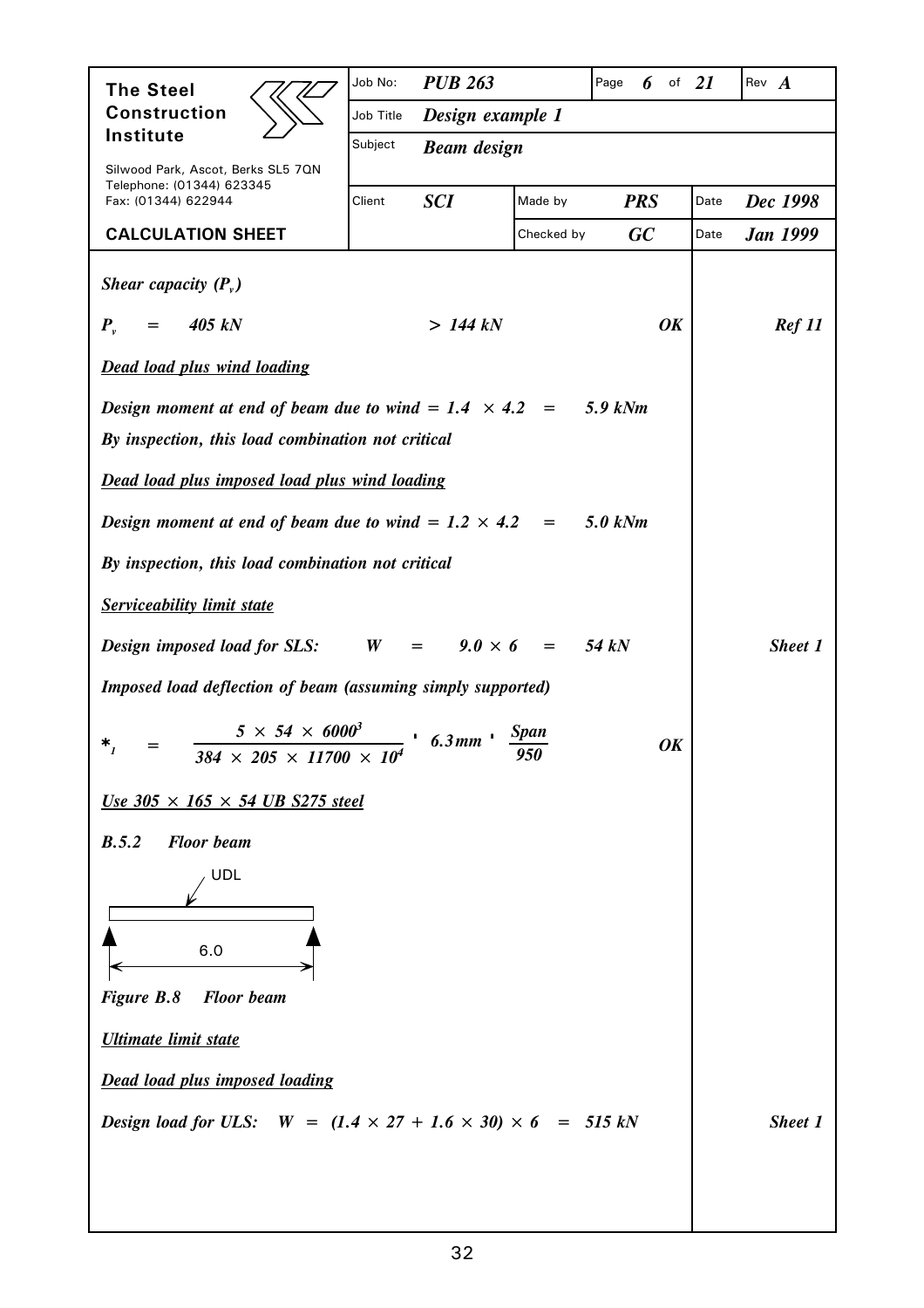| <b>The Steel</b>                                                                    | Job No:   | <b>PUB 263</b>             |            | Page       | $6$ of $21$ |      | Rev $\boldsymbol{A}$ |
|-------------------------------------------------------------------------------------|-----------|----------------------------|------------|------------|-------------|------|----------------------|
| <b>Construction</b>                                                                 | Job Title | Design example 1           |            |            |             |      |                      |
| Institute                                                                           | Subject   | <b>Beam</b> design         |            |            |             |      |                      |
| Silwood Park, Ascot, Berks SL5 7QN<br>Telephone: (01344) 623345                     |           |                            |            |            |             |      |                      |
| Fax: (01344) 622944                                                                 | Client    | <b>SCI</b>                 | Made by    | <b>PRS</b> |             | Date | Dec 1998             |
| <b>CALCULATION SHEET</b>                                                            |           |                            | Checked by | GC         |             | Date | <b>Jan 1999</b>      |
| Shear capacity $(P_v)$                                                              |           |                            |            |            |             |      |                      |
| 405 kN<br>$P_{v}$<br>=                                                              |           | $>144$ kN                  |            |            | OK          |      | <b>Ref</b> 11        |
| <b>Dead load plus wind loading</b>                                                  |           |                            |            |            |             |      |                      |
| Design moment at end of beam due to wind = $1.4 \times 4.2 = 5.9$ kNm               |           |                            |            |            |             |      |                      |
| By inspection, this load combination not critical                                   |           |                            |            |            |             |      |                      |
| Dead load plus imposed load plus wind loading                                       |           |                            |            |            |             |      |                      |
| Design moment at end of beam due to wind = $1.2 \times 4.2$ =                       |           |                            |            |            |             |      |                      |
| By inspection, this load combination not critical                                   |           |                            |            |            |             |      |                      |
| <b>Serviceability limit state</b>                                                   |           |                            |            |            |             |      |                      |
| Design imposed load for SLS:                                                        | W         | $=$ 9.0 $\times$ 6 = 54 kN |            |            |             |      | <b>Sheet 1</b>       |
| Imposed load deflection of beam (assuming simply supported)                         |           |                            |            |            |             |      |                      |
| $5 \times 54 \times 6000^3$<br>$384 \times 205 \times 11700 \times 10^4$            |           | 6.3mm                      |            |            | OK          |      |                      |
| Use $305 \times 165 \times 54$ UB S275 steel                                        |           |                            |            |            |             |      |                      |
| <b>Floor</b> beam<br>B.5.2                                                          |           |                            |            |            |             |      |                      |
| <b>UDL</b>                                                                          |           |                            |            |            |             |      |                      |
|                                                                                     |           |                            |            |            |             |      |                      |
| 6.0                                                                                 |           |                            |            |            |             |      |                      |
| <b>Figure B.8</b><br><b>Floor</b> beam                                              |           |                            |            |            |             |      |                      |
| <b>Ultimate limit state</b>                                                         |           |                            |            |            |             |      |                      |
| <b>Dead load plus imposed loading</b>                                               |           |                            |            |            |             |      |                      |
| <i>Design load for ULS:</i> $W = (1.4 \times 27 + 1.6 \times 30) \times 6 = 515 kN$ |           |                            |            |            |             |      | <b>Sheet 1</b>       |
|                                                                                     |           |                            |            |            |             |      |                      |
|                                                                                     |           |                            |            |            |             |      |                      |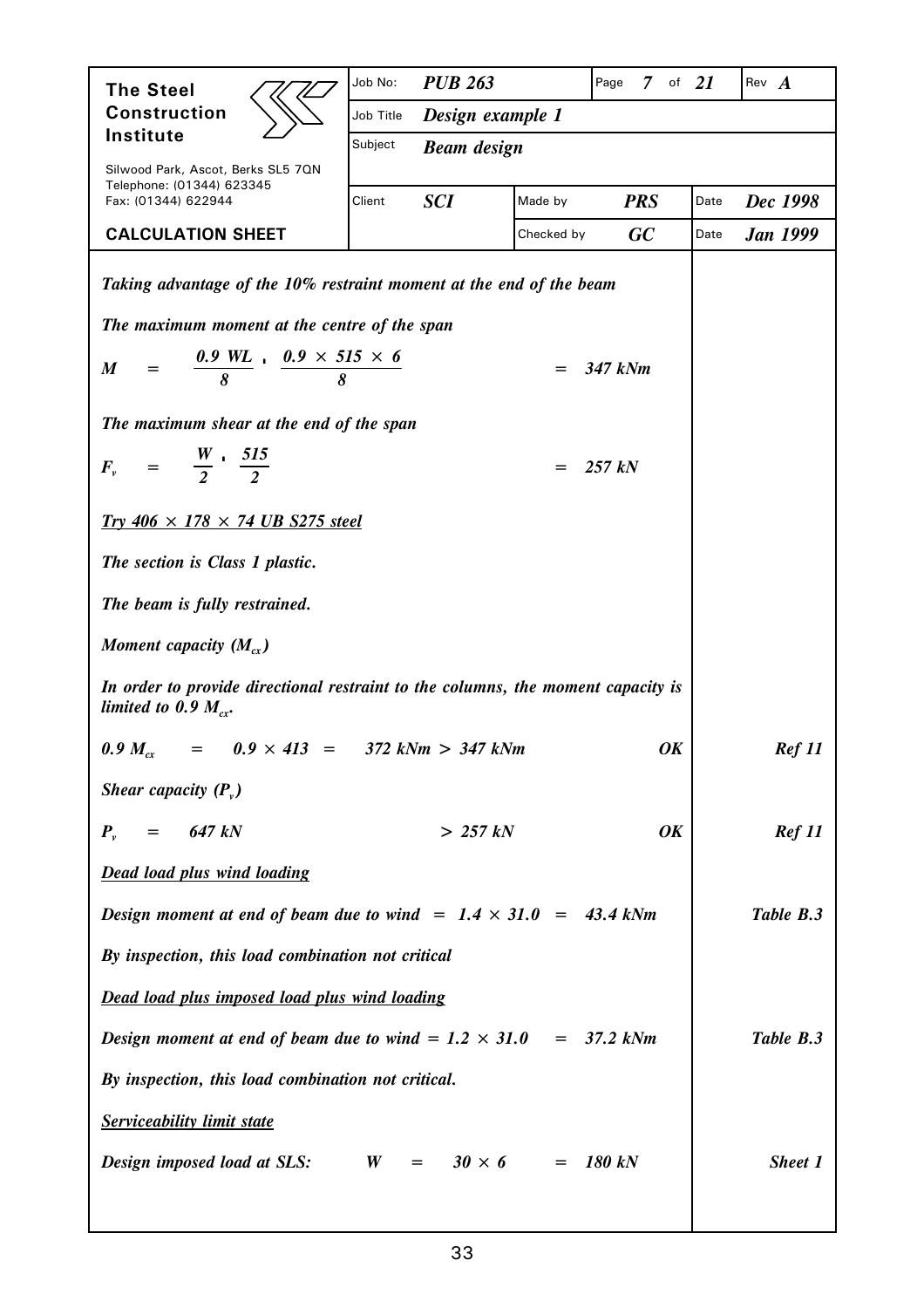| <b>The Steel</b>                                                                                              | Job No:   | <b>PUB 263</b>           |            | Page       | 7 of $21$ |      | Rev $\boldsymbol{A}$ |  |
|---------------------------------------------------------------------------------------------------------------|-----------|--------------------------|------------|------------|-----------|------|----------------------|--|
| <b>Construction</b>                                                                                           | Job Title | Design example 1         |            |            |           |      |                      |  |
| Institute                                                                                                     | Subject   | <b>Beam</b> design       |            |            |           |      |                      |  |
| Silwood Park, Ascot, Berks SL5 7QN<br>Telephone: (01344) 623345                                               |           |                          |            |            |           |      |                      |  |
| Fax: (01344) 622944                                                                                           | Client    | <b>SCI</b>               | Made by    | <b>PRS</b> |           | Date | Dec 1998             |  |
| <b>CALCULATION SHEET</b>                                                                                      |           |                          | Checked by | GC         |           | Date | <b>Jan 1999</b>      |  |
| Taking advantage of the 10% restraint moment at the end of the beam                                           |           |                          |            |            |           |      |                      |  |
| The maximum moment at the centre of the span                                                                  |           |                          |            |            |           |      |                      |  |
| $\frac{0.9 \text{ WL}}{8}$ , $\frac{0.9 \times 515 \times 6}{8}$<br>$\boldsymbol{M}$                          |           |                          | $=$        | 347 kNm    |           |      |                      |  |
| The maximum shear at the end of the span                                                                      |           |                          |            |            |           |      |                      |  |
| $F_v = \frac{W}{2} \cdot \frac{515}{2}$                                                                       |           |                          |            | 257 kN     |           |      |                      |  |
| $Try 406 \times 178 \times 74 UB$ S275 steel                                                                  |           |                          |            |            |           |      |                      |  |
| The section is Class 1 plastic.                                                                               |           |                          |            |            |           |      |                      |  |
| The beam is fully restrained.                                                                                 |           |                          |            |            |           |      |                      |  |
| Moment capacity $(M_{cx})$                                                                                    |           |                          |            |            |           |      |                      |  |
| In order to provide directional restraint to the columns, the moment capacity is<br>limited to 0.9 $M_{cr}$ . |           |                          |            |            |           |      |                      |  |
| $=$ 0.9 $\times$ 413 $=$ 372 kNm $>$ 347 kNm<br>$0.9 M_{cr}$                                                  |           |                          |            |            | OK        |      | <b>Ref 11</b>        |  |
| Shear capacity $(P_v)$                                                                                        |           |                          |            |            |           |      |                      |  |
| $P_{v}$<br>647 kN                                                                                             |           | > 257 kN                 |            |            | OK        |      | Ref 11               |  |
| <b>Dead load plus wind loading</b>                                                                            |           |                          |            |            |           |      |                      |  |
| Design moment at end of beam due to wind = $1.4 \times 31.0$ = 43.4 kNm                                       |           |                          |            |            |           |      | Table B.3            |  |
| By inspection, this load combination not critical                                                             |           |                          |            |            |           |      |                      |  |
| <b>Dead load plus imposed load plus wind loading</b>                                                          |           |                          |            |            |           |      |                      |  |
| Design moment at end of beam due to wind = $1.2 \times 31.0 = 37.2$ kNm                                       |           |                          |            |            |           |      | Table B.3            |  |
| By inspection, this load combination not critical.                                                            |           |                          |            |            |           |      |                      |  |
| <b>Serviceability limit state</b>                                                                             |           |                          |            |            |           |      |                      |  |
| Design imposed load at SLS:                                                                                   | W         | $= 30 \times 6 = 180 kN$ |            |            |           |      | <b>Sheet 1</b>       |  |
|                                                                                                               |           |                          |            |            |           |      |                      |  |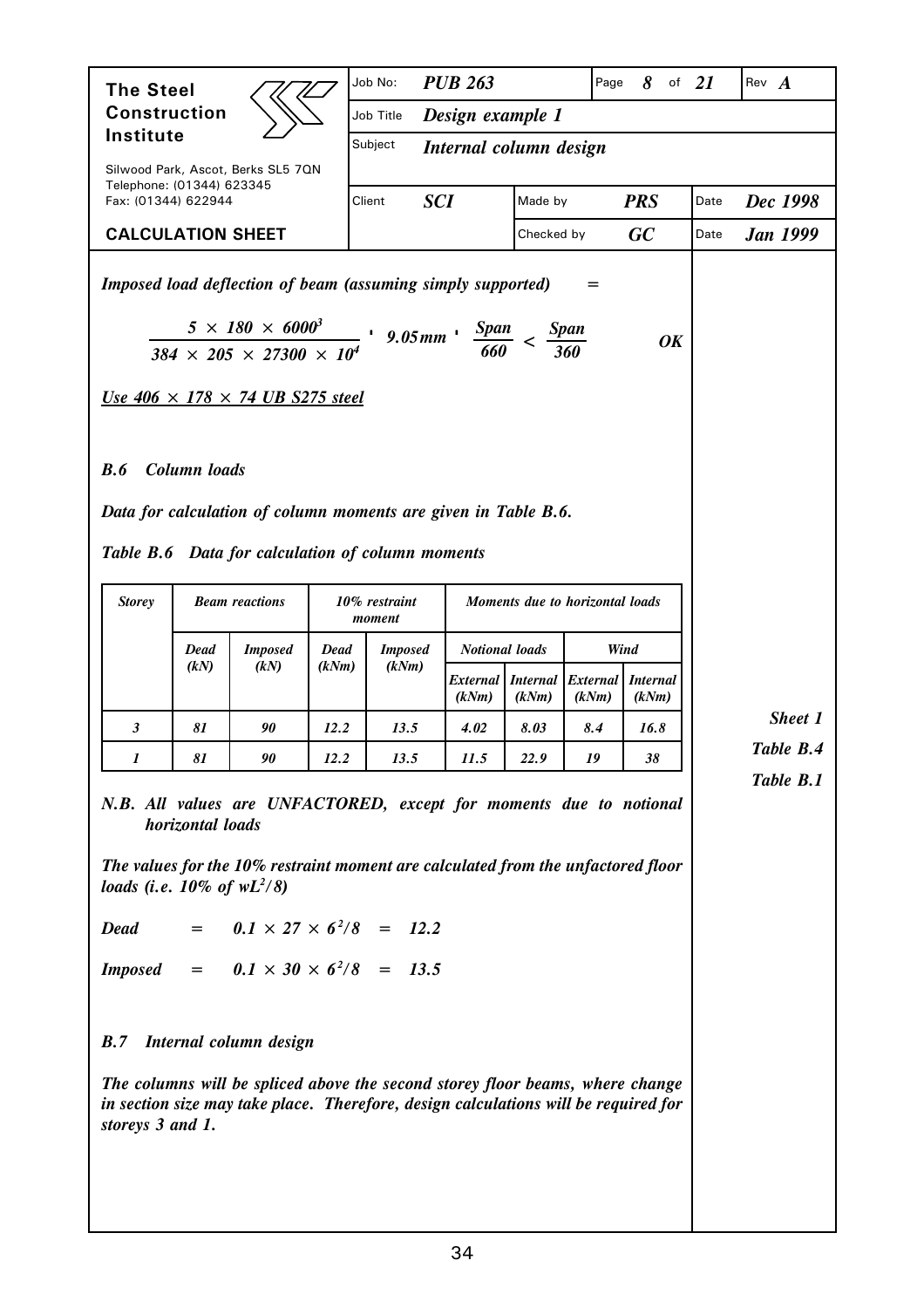| <b>Construction</b><br>Design example 1<br>Job Title<br>Institute                                                                                                                                                                                                                                                                                                                                                                                                                                                                                                                          |      |                 |  |  |  |  |  |  |  |
|--------------------------------------------------------------------------------------------------------------------------------------------------------------------------------------------------------------------------------------------------------------------------------------------------------------------------------------------------------------------------------------------------------------------------------------------------------------------------------------------------------------------------------------------------------------------------------------------|------|-----------------|--|--|--|--|--|--|--|
|                                                                                                                                                                                                                                                                                                                                                                                                                                                                                                                                                                                            |      |                 |  |  |  |  |  |  |  |
| Subject<br>Internal column design                                                                                                                                                                                                                                                                                                                                                                                                                                                                                                                                                          |      |                 |  |  |  |  |  |  |  |
| Silwood Park, Ascot, Berks SL5 7QN<br>Telephone: (01344) 623345                                                                                                                                                                                                                                                                                                                                                                                                                                                                                                                            |      |                 |  |  |  |  |  |  |  |
| <b>SCI</b><br><b>PRS</b><br>Fax: (01344) 622944<br>Client<br>Made by                                                                                                                                                                                                                                                                                                                                                                                                                                                                                                                       | Date | Dec 1998        |  |  |  |  |  |  |  |
| <b>CALCULATION SHEET</b><br><b>GC</b><br>Checked by                                                                                                                                                                                                                                                                                                                                                                                                                                                                                                                                        | Date | <b>Jan 1999</b> |  |  |  |  |  |  |  |
| Imposed load deflection of beam (assuming simply supported)<br>$=$<br>$\frac{5 \times 180 \times 6000^3}{384 \times 205 \times 27300 \times 10^4}$ ' 9.05 mm ' $\frac{Span}{660}$ < $\frac{Span}{360}$<br>OK<br><u>Use 406 <math>\times</math> 178 <math>\times</math> 74 UB S275 steel</u><br><b>Column</b> loads<br>$\bm{B.6}$<br>Data for calculation of column moments are given in Table B.6.<br>Table B.6 Data for calculation of column moments                                                                                                                                     |      |                 |  |  |  |  |  |  |  |
| <b>Storey</b><br><b>Beam</b> reactions<br>10% restraint<br>Moments due to horizontal loads<br>moment                                                                                                                                                                                                                                                                                                                                                                                                                                                                                       |      |                 |  |  |  |  |  |  |  |
| <b>Notional loads</b><br>Wind<br><b>Dead</b><br><b>Imposed</b><br><b>Imposed</b><br>Dead                                                                                                                                                                                                                                                                                                                                                                                                                                                                                                   |      |                 |  |  |  |  |  |  |  |
| (kN)<br>(kN)<br>(kNm)<br>(kNm)<br><b>External</b><br><b>Internal</b><br>External<br><b>Internal</b><br>(kNm)<br>(kNm)<br>(kNm)<br>(kNm)                                                                                                                                                                                                                                                                                                                                                                                                                                                    |      |                 |  |  |  |  |  |  |  |
| 81<br>12.2<br>8.4<br>3<br>90<br>13.5<br>4.02<br>8.03<br>16.8                                                                                                                                                                                                                                                                                                                                                                                                                                                                                                                               |      | <b>Sheet 1</b>  |  |  |  |  |  |  |  |
| $\boldsymbol{l}$<br>81<br>12.2<br>13.5<br>22.9<br>19<br>38<br>90<br>11.5                                                                                                                                                                                                                                                                                                                                                                                                                                                                                                                   |      | Table B.4       |  |  |  |  |  |  |  |
| N.B. All values are UNFACTORED, except for moments due to notional<br>horizontal loads<br>The values for the 10% restraint moment are calculated from the unfactored floor<br>loads (i.e. $10\%$ of $wL^2/8$ )<br>$0.1 \times 27 \times 6^2/8 = 12.2$<br><b>Dead</b><br>$=$<br>$=$ 0.1 $\times$ 30 $\times$ 6 <sup>2</sup> /8 = 13.5<br><b>Imposed</b><br>Internal column design<br>$\bm{B.7}$<br>The columns will be spliced above the second storey floor beams, where change<br>in section size may take place. Therefore, design calculations will be required for<br>storeys 3 and 1. |      | Table B.1       |  |  |  |  |  |  |  |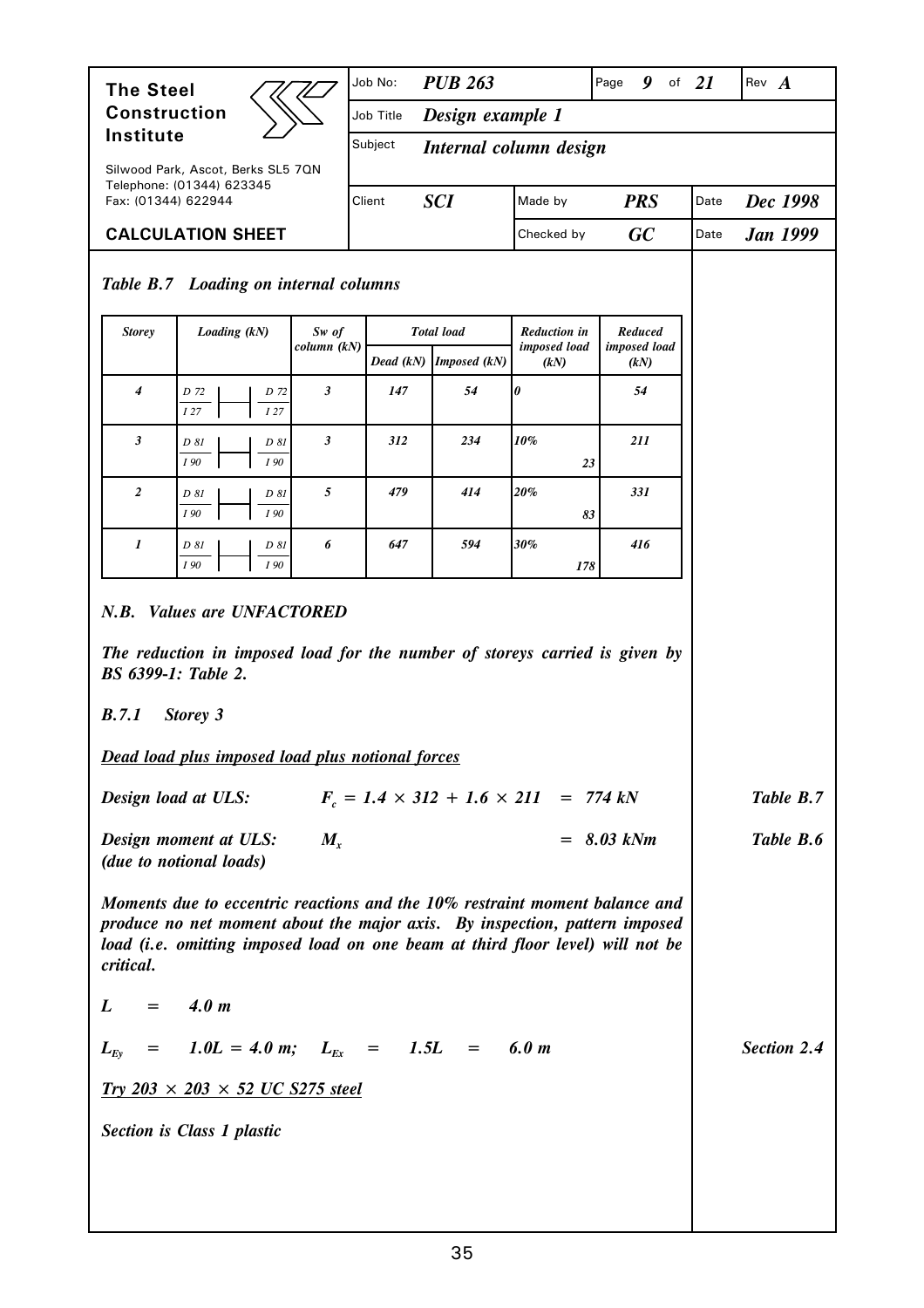| <b>The Steel</b>            |                                                                                                                                                                                                                                             |             | Job No:                                          | <b>PUB 263</b>         |                        | 9<br>Page            | of $21$ | Rev $\boldsymbol{A}$ |
|-----------------------------|---------------------------------------------------------------------------------------------------------------------------------------------------------------------------------------------------------------------------------------------|-------------|--------------------------------------------------|------------------------|------------------------|----------------------|---------|----------------------|
| <b>Construction</b>         |                                                                                                                                                                                                                                             |             | Job Title                                        | Design example 1       |                        |                      |         |                      |
| Institute                   |                                                                                                                                                                                                                                             |             | Subject                                          |                        | Internal column design |                      |         |                      |
| Fax: (01344) 622944         | Silwood Park, Ascot, Berks SL5 7QN<br>Telephone: (01344) 623345                                                                                                                                                                             |             | Client                                           | <b>SCI</b>             | Made by                | <b>PRS</b>           | Date    | Dec 1998             |
|                             | <b>CALCULATION SHEET</b>                                                                                                                                                                                                                    |             |                                                  |                        | Checked by             | <b>GC</b>            | Date    | <b>Jan 1999</b>      |
|                             |                                                                                                                                                                                                                                             |             |                                                  |                        |                        |                      |         |                      |
|                             | Table B.7 Loading on internal columns                                                                                                                                                                                                       |             |                                                  |                        |                        |                      |         |                      |
| <b>Storey</b>               | Loading (kN)                                                                                                                                                                                                                                | Sw of       |                                                  | <b>Total</b> load      | <b>Reduction</b> in    | Reduced              |         |                      |
|                             |                                                                                                                                                                                                                                             | column (kN) |                                                  | Dead (kN) Imposed (kN) | imposed load<br>(kN)   | imposed load<br>(kN) |         |                      |
| $\boldsymbol{4}$            | D 72<br>D 72<br>I 27<br>I 27                                                                                                                                                                                                                | 3           | 147                                              | 54                     | 0                      | 54                   |         |                      |
| 3                           | D 81<br>D 81<br>I 90<br>I 90                                                                                                                                                                                                                | 3           | 312                                              | 234                    | 10%<br>23              | 211                  |         |                      |
| $\overline{2}$              | D 81<br>D 81<br>I 90<br>I 90                                                                                                                                                                                                                | 5           | 479                                              | 414                    | 20%<br>83              | 331                  |         |                      |
| $\boldsymbol{l}$            | D 81<br>D 81<br>I 90<br>I 90                                                                                                                                                                                                                | 6           | 647                                              | 594                    | 30%<br>178             | 416                  |         |                      |
| B.7.1                       | The reduction in imposed load for the number of storeys carried is given by<br>BS 6399-1: Table 2.<br><b>Storey 3</b><br><b>Dead load plus imposed load plus notional forces</b>                                                            |             |                                                  |                        |                        |                      |         |                      |
|                             | Design load at ULS:                                                                                                                                                                                                                         |             | $F_c = 1.4 \times 312 + 1.6 \times 211 = 774 kN$ |                        |                        |                      |         | Table B.7            |
|                             | Design moment at ULS:<br>(due to notional loads)                                                                                                                                                                                            | $M_{\rm r}$ |                                                  |                        |                        | $= 8.03$ kNm         |         | Table B.6            |
| critical.                   | Moments due to eccentric reactions and the 10% restraint moment balance and<br>produce no net moment about the major axis. By inspection, pattern imposed<br>load (i.e. omitting imposed load on one beam at third floor level) will not be |             |                                                  |                        |                        |                      |         |                      |
| L<br>$=$<br>$L_{Ev}$<br>$=$ | 4.0 <sub>m</sub><br>$1.0L = 4.0 m;$ $L_{Ex} = 1.5L = 6.0 m$                                                                                                                                                                                 |             |                                                  |                        |                        |                      |         | <b>Section 2.4</b>   |
|                             | $Try 203 \times 203 \times 52 UC$ S275 steel                                                                                                                                                                                                |             |                                                  |                        |                        |                      |         |                      |
|                             | Section is Class 1 plastic                                                                                                                                                                                                                  |             |                                                  |                        |                        |                      |         |                      |
|                             |                                                                                                                                                                                                                                             |             |                                                  |                        |                        |                      |         |                      |
|                             |                                                                                                                                                                                                                                             |             |                                                  |                        |                        |                      |         |                      |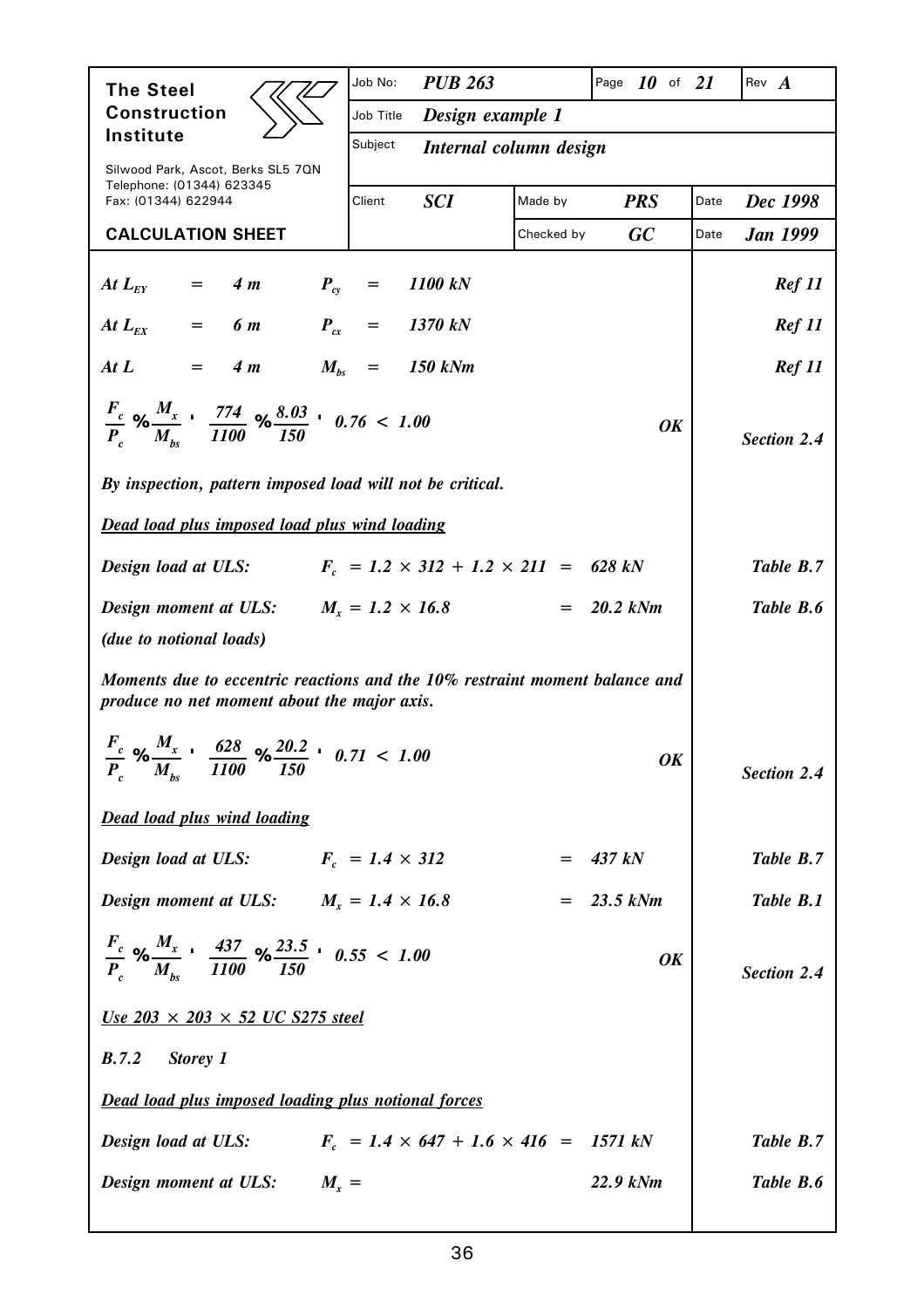| <b>The Steel</b>                                                                                                           |        | Job No:                           | <b>PUB 263</b>                                    |            | Page $10$ of $21$ |    |      | Rev $\boldsymbol{A}$ |  |
|----------------------------------------------------------------------------------------------------------------------------|--------|-----------------------------------|---------------------------------------------------|------------|-------------------|----|------|----------------------|--|
| <b>Construction</b>                                                                                                        |        | Job Title                         | Design example 1                                  |            |                   |    |      |                      |  |
| Institute                                                                                                                  |        | Subject<br>Internal column design |                                                   |            |                   |    |      |                      |  |
| Silwood Park, Ascot, Berks SL5 7QN<br>Telephone: (01344) 623345                                                            |        |                                   |                                                   |            |                   |    |      |                      |  |
| Fax: (01344) 622944                                                                                                        | Client |                                   | <b>SCI</b>                                        | Made by    | <b>PRS</b>        |    | Date | Dec 1998             |  |
| <b>CALCULATION SHEET</b>                                                                                                   |        |                                   |                                                   | Checked by | $\bm{G} \bm{C}$   |    | Date | <b>Jan 1999</b>      |  |
| At $L_{EY}$ = 4 m $P_{cy}$ =                                                                                               |        |                                   | 1100 kN                                           |            |                   |    |      | <b>Ref</b> 11        |  |
| At $L_{EX}$ = 6 m $P_{cx}$ = 1370 kN                                                                                       |        |                                   |                                                   |            |                   |    |      | <b>Ref</b> 11        |  |
| $M_{bs}$ =<br>$=$ 4 m<br>At L                                                                                              |        |                                   | 150 kNm                                           |            |                   |    |      | <b>Ref</b> 11        |  |
| $\frac{F_c}{P_c}$ % $\frac{M_x}{M_{bs}}$ · $\frac{774}{1100}$ % $\frac{8.03}{150}$ · 0.76 < 1.00                           |        |                                   |                                                   |            |                   | OK |      | <b>Section 2.4</b>   |  |
| By inspection, pattern imposed load will not be critical.                                                                  |        |                                   |                                                   |            |                   |    |      |                      |  |
| Dead load plus imposed load plus wind loading                                                                              |        |                                   |                                                   |            |                   |    |      |                      |  |
| Design load at ULS:                                                                                                        |        |                                   | $F_c = 1.2 \times 312 + 1.2 \times 211 = 628 kN$  |            |                   |    |      | Table B.7            |  |
| Design moment at ULS: $M_r = 1.2 \times 16.8$                                                                              |        |                                   |                                                   |            | $= 20.2$ kNm      |    |      | Table B.6            |  |
| (due to notional loads)                                                                                                    |        |                                   |                                                   |            |                   |    |      |                      |  |
| Moments due to eccentric reactions and the 10% restraint moment balance and<br>produce no net moment about the major axis. |        |                                   |                                                   |            |                   |    |      |                      |  |
| $\frac{F_c}{P_c}$ % $\frac{M_x}{M_{bs}}$ · $\frac{628}{1100}$ % $\frac{20.2}{150}$ · 0.71 < 1.00                           |        |                                   |                                                   |            |                   | OK |      | Section 2.4          |  |
| <b>Dead load plus wind loading</b>                                                                                         |        |                                   |                                                   |            |                   |    |      |                      |  |
| $F_c = 1.4 \times 312$<br>Design load at ULS:                                                                              |        |                                   |                                                   | $=$        | 437 kN            |    |      | Table B.7            |  |
| Design moment at ULS: $M_r = 1.4 \times 16.8$                                                                              |        |                                   |                                                   |            | 23.5 kNm          |    |      | Table B.1            |  |
| $\frac{F_c}{P_c}$ % $\frac{M_x}{M_{bs}}$ · $\frac{437}{1100}$ % $\frac{23.5}{150}$ · 0.55 < 1.00                           |        |                                   |                                                   |            |                   | OK |      | Section 2.4          |  |
| <u>Use 203 <math>\times</math> 203 <math>\times</math> 52 UC S275 steel</u>                                                |        |                                   |                                                   |            |                   |    |      |                      |  |
| B.7.2<br><b>Storey 1</b>                                                                                                   |        |                                   |                                                   |            |                   |    |      |                      |  |
| <b>Dead load plus imposed loading plus notional forces</b>                                                                 |        |                                   |                                                   |            |                   |    |      |                      |  |
| Design load at ULS:                                                                                                        |        |                                   | $F_c = 1.4 \times 647 + 1.6 \times 416 = 1571$ kN |            |                   |    |      | Table B.7            |  |
| Design moment at ULS: $M_r =$                                                                                              |        |                                   |                                                   |            | 22.9 kNm          |    |      | Table B.6            |  |
|                                                                                                                            |        |                                   |                                                   |            |                   |    |      |                      |  |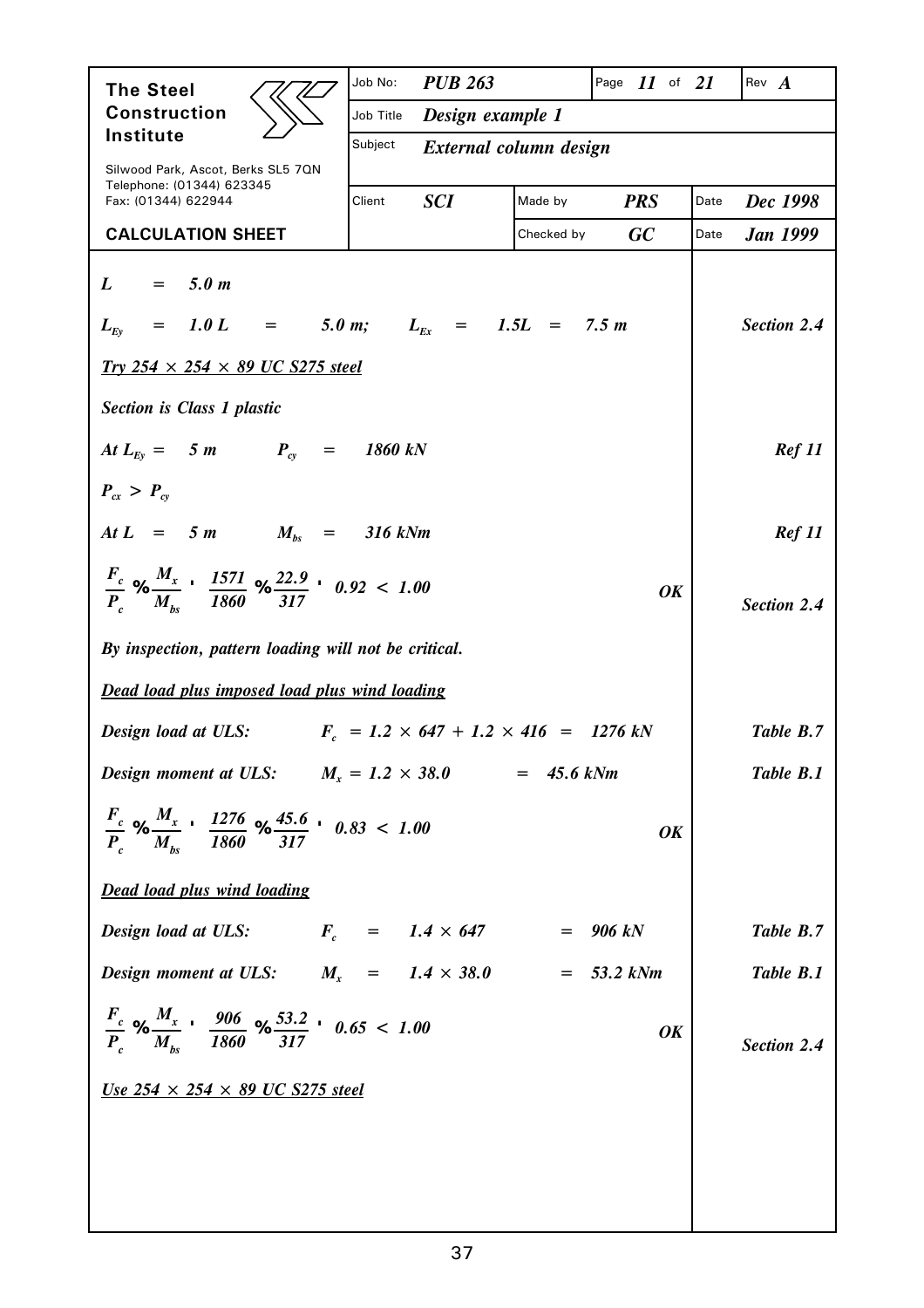| <b>The Steel</b>                                                                                  | <b>PUB 263</b><br>Job No:                         |                        | Page $11$ of $21$     |      | Rev $\boldsymbol{A}$ |
|---------------------------------------------------------------------------------------------------|---------------------------------------------------|------------------------|-----------------------|------|----------------------|
| <b>Construction</b>                                                                               | Job Title<br>Design example 1                     |                        |                       |      |                      |
| Institute                                                                                         | Subject                                           | External column design |                       |      |                      |
| Silwood Park, Ascot, Berks SL5 7QN<br>Telephone: (01344) 623345                                   |                                                   |                        |                       | Date |                      |
| Fax: (01344) 622944                                                                               | <b>SCI</b><br>Client                              |                        | <b>PRS</b><br>Made by |      | Dec 1998             |
| <b>CALCULATION SHEET</b>                                                                          |                                                   | Checked by             | <b>GC</b>             | Date | <b>Jan 1999</b>      |
| $= 5.0 m$<br>$\bm{L}$                                                                             |                                                   |                        |                       |      |                      |
| $=$ 1.0 L<br>$L_{\text{Ev}}$                                                                      | $=$ 5.0 m; $L_{Ex}$ = 1.5L = 7.5 m                |                        |                       |      | <b>Section 2.4</b>   |
| <u>Try 254 <math>\times</math> 254 <math>\times</math> 89 UC S275 steel</u>                       |                                                   |                        |                       |      |                      |
| Section is Class 1 plastic                                                                        |                                                   |                        |                       |      |                      |
| At $L_{E_v} = 5 m$ $P_{cv} = 1860 kN$                                                             |                                                   |                        |                       |      | <b>Ref</b> 11        |
| $P_{cx} > P_{cy}$                                                                                 |                                                   |                        |                       |      |                      |
| At $L = 5 m$ $M_{bs} = 316$ kNm                                                                   |                                                   |                        |                       |      | <b>Ref 11</b>        |
| $\frac{F_c}{P_c}$ % $\frac{M_x}{M_{bs}}$ · $\frac{1571}{1860}$ % $\frac{22.9}{317}$ · 0.92 < 1.00 |                                                   |                        | OK                    |      | <b>Section 2.4</b>   |
| By inspection, pattern loading will not be critical.                                              |                                                   |                        |                       |      |                      |
| <b>Dead load plus imposed load plus wind loading</b>                                              |                                                   |                        |                       |      |                      |
| Design load at ULS:                                                                               | $F_c = 1.2 \times 647 + 1.2 \times 416 = 1276$ kN |                        |                       |      | Table B.7            |
| Design moment at ULS: $M_r = 1.2 \times 38.0 = 45.6$ kNm                                          |                                                   |                        |                       |      | Table B.1            |
| $\frac{F_c}{P_c}$ % $\frac{M_x}{M_{bs}}$ · $\frac{1276}{1860}$ % $\frac{45.6}{317}$ · 0.83 < 1.00 |                                                   |                        | OK                    |      |                      |
| <b>Dead load plus wind loading</b>                                                                |                                                   |                        |                       |      |                      |
| Design load at ULS:                                                                               | $F_c = 1.4 \times 647 = 906 kN$                   |                        |                       |      | Table B.7            |
| Design moment at ULS: $M_x = 1.4 \times 38.0 = 53.2$ kNm                                          |                                                   |                        |                       |      | Table B.1            |
| $\frac{F_c}{P_c}$ % $\frac{M_x}{M_{bs}}$ ' $\frac{906}{1860}$ % $\frac{53.2}{317}$ ' 0.65 < 1.00  |                                                   |                        | OK                    |      | Section 2.4          |
| <u>Use 254 <math>\times</math> 254 <math>\times</math> 89 UC S275 steel</u>                       |                                                   |                        |                       |      |                      |
|                                                                                                   |                                                   |                        |                       |      |                      |
|                                                                                                   |                                                   |                        |                       |      |                      |
|                                                                                                   |                                                   |                        |                       |      |                      |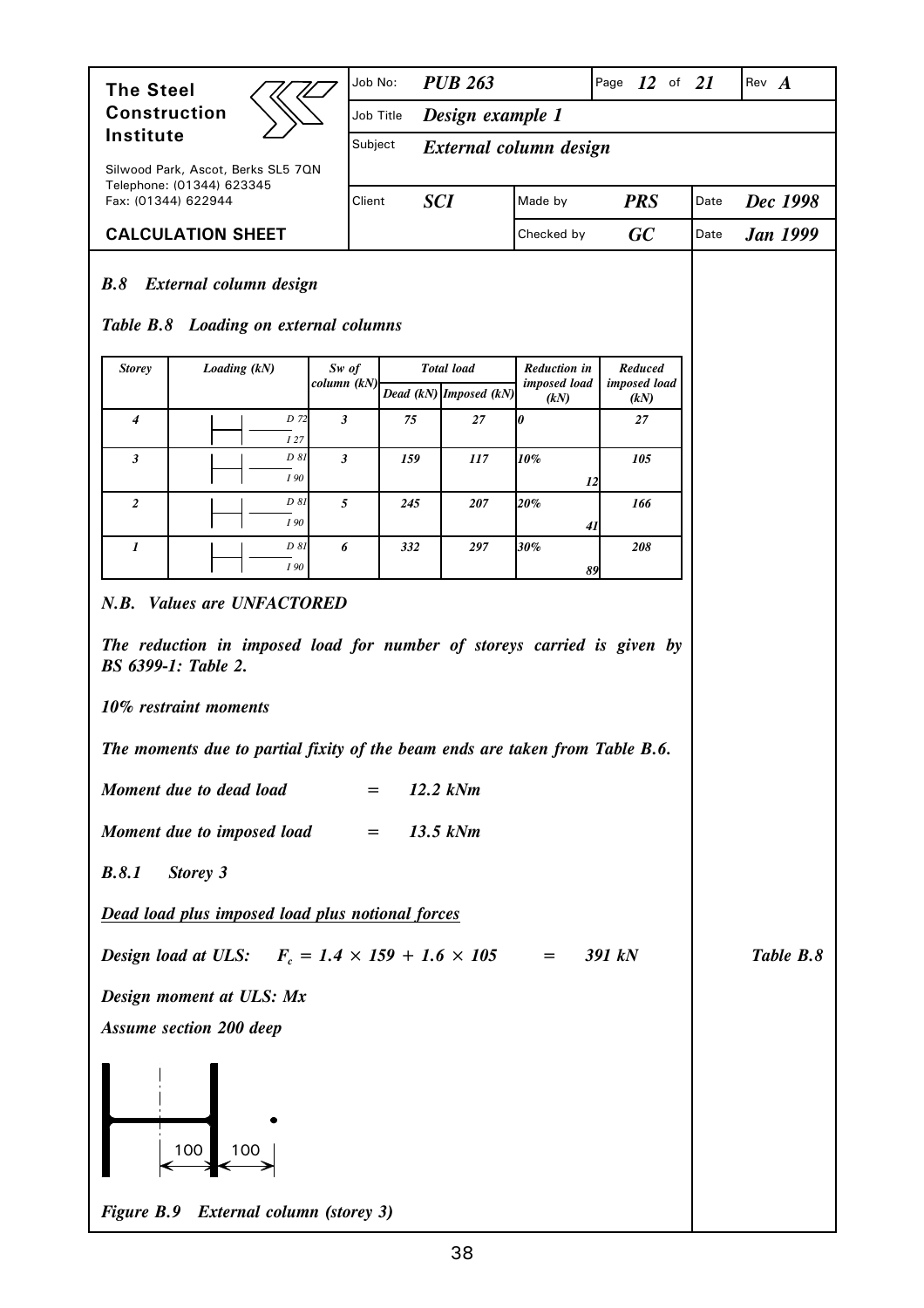| <b>The Steel</b>          |                                                                                                |                | Job No:    | <b>PUB 263</b>         |                        | Page $12$ of $21$    |      | Rev $\boldsymbol{A}$ |
|---------------------------|------------------------------------------------------------------------------------------------|----------------|------------|------------------------|------------------------|----------------------|------|----------------------|
| <b>Construction</b>       |                                                                                                |                | Job Title  | Design example 1       |                        |                      |      |                      |
| Institute                 |                                                                                                |                | Subject    |                        | External column design |                      |      |                      |
|                           | Silwood Park, Ascot, Berks SL5 7QN<br>Telephone: (01344) 623345                                |                |            |                        |                        |                      |      |                      |
|                           | Fax: (01344) 622944                                                                            | Client         | <b>SCI</b> |                        | Made by                | <b>PRS</b>           | Date | Dec 1998             |
|                           | <b>CALCULATION SHEET</b>                                                                       |                |            |                        | Checked by             | GC                   | Date | <b>Jan 1999</b>      |
| $\bm{B.8}$                | External column design                                                                         |                |            |                        |                        |                      |      |                      |
|                           | Table B.8 Loading on external columns                                                          |                |            |                        |                        |                      |      |                      |
| <b>Storey</b>             | Loading (kN)                                                                                   | Sw of          |            | <b>Total</b> load      | <b>Reduction</b> in    | Reduced              |      |                      |
|                           |                                                                                                | column (kN)    |            | Dead (kN) Imposed (kN) | imposed load<br>(kN)   | imposed load<br>(kN) |      |                      |
| $\boldsymbol{4}$          | D 72                                                                                           | $\mathbf{3}$   | 75         | 27                     | 0                      | 27                   |      |                      |
| 3                         | <i>I</i> 27<br>D 81                                                                            | $\mathbf{3}$   | 159        | 117                    | 10%                    | 105                  |      |                      |
|                           | I 90                                                                                           |                |            |                        | 12                     |                      |      |                      |
| $\overline{2}$            | D 81<br>I 90                                                                                   | $\mathfrak{s}$ | 245        | 207                    | 20%<br>41              | 166                  |      |                      |
| $\boldsymbol{\mathit{1}}$ | D 81                                                                                           | 6              | 332        | 297                    | 30%                    | 208                  |      |                      |
|                           | I 90                                                                                           |                |            |                        | 89                     |                      |      |                      |
|                           | N.B. Values are UNFACTORED                                                                     |                |            |                        |                        |                      |      |                      |
|                           | The reduction in imposed load for number of storeys carried is given by<br>BS 6399-1: Table 2. |                |            |                        |                        |                      |      |                      |
|                           | 10% restraint moments                                                                          |                |            |                        |                        |                      |      |                      |
|                           | The moments due to partial fixity of the beam ends are taken from Table B.6.                   |                |            |                        |                        |                      |      |                      |
|                           | Moment due to dead load                                                                        |                | $=$        | 12.2 kNm               |                        |                      |      |                      |
|                           | Moment due to imposed load                                                                     |                | =          | 13.5 kNm               |                        |                      |      |                      |
| B.8.1                     | <b>Storey 3</b>                                                                                |                |            |                        |                        |                      |      |                      |
|                           | <b>Dead load plus imposed load plus notional forces</b>                                        |                |            |                        |                        |                      |      |                      |
|                           | Design load at ULS: $F_c = 1.4 \times 159 + 1.6 \times 105$                                    |                |            |                        | $=$                    | 391 kN               |      | Table B.8            |
|                           | Design moment at ULS: Mx                                                                       |                |            |                        |                        |                      |      |                      |
|                           | <b>Assume section 200 deep</b>                                                                 |                |            |                        |                        |                      |      |                      |
|                           | 100<br>100<br>Figure B.9 External column (storey 3)                                            |                |            |                        |                        |                      |      |                      |
|                           |                                                                                                |                |            |                        |                        |                      |      |                      |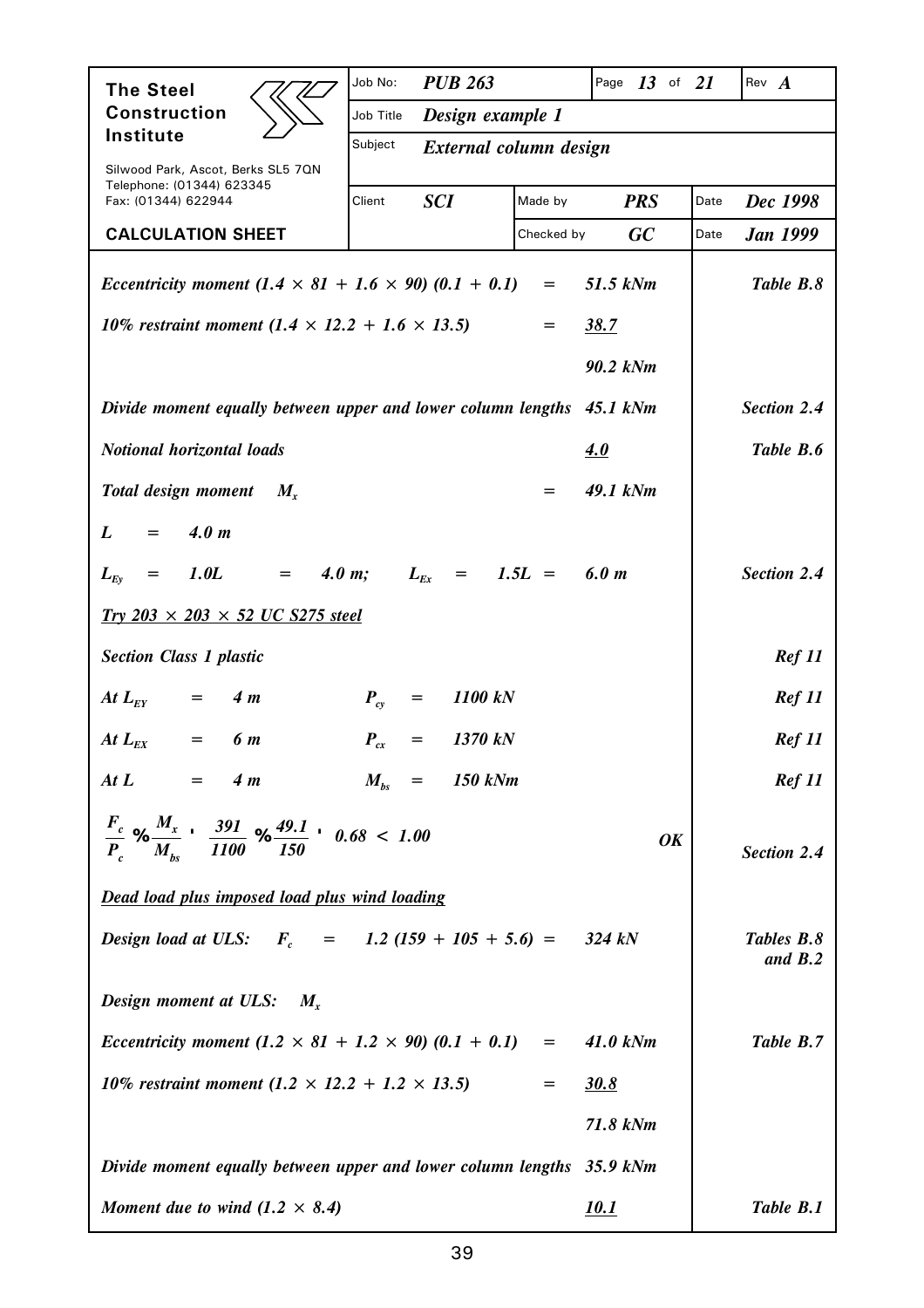| <b>The Steel</b>                                                                                 | Job No:    | <b>PUB 263</b>               |            | Page 13 of 21 |      | Rev $\boldsymbol{A}$    |  |  |  |
|--------------------------------------------------------------------------------------------------|------------|------------------------------|------------|---------------|------|-------------------------|--|--|--|
| <b>Construction</b>                                                                              | Job Title  | Design example 1             |            |               |      |                         |  |  |  |
| Institute                                                                                        | Subject    | External column design       |            |               |      |                         |  |  |  |
| Silwood Park, Ascot, Berks SL5 7QN<br>Telephone: (01344) 623345<br>Fax: (01344) 622944           | Client     | <b>SCI</b>                   | Made by    | <b>PRS</b>    | Date | Dec 1998                |  |  |  |
| <b>CALCULATION SHEET</b>                                                                         |            |                              | Checked by | GC            | Date | <b>Jan 1999</b>         |  |  |  |
|                                                                                                  |            |                              |            |               |      |                         |  |  |  |
| <i>Eccentricity moment</i> $(1.4 \times 81 + 1.6 \times 90) (0.1 + 0.1)$                         |            |                              | $=$        | 51.5 kNm      |      | Table B.8               |  |  |  |
| 10% restraint moment $(1.4 \times 12.2 + 1.6 \times 13.5)$                                       |            |                              | $=$        | 38.7          |      |                         |  |  |  |
|                                                                                                  |            |                              |            | 90.2 kNm      |      |                         |  |  |  |
| Divide moment equally between upper and lower column lengths 45.1 kNm                            |            |                              |            |               |      | Section 2.4             |  |  |  |
| <b>Notional horizontal loads</b>                                                                 |            |                              |            | 4.0           |      | Table B.6               |  |  |  |
| Total design moment<br>$M_{r}$                                                                   |            |                              | $=$        | 49.1 kNm      |      |                         |  |  |  |
| 4.0 <sub>m</sub><br>L<br>$=$                                                                     |            |                              |            |               |      |                         |  |  |  |
| 1.0L<br>$L_{\text{Ev}}$<br>$=$                                                                   |            | $=$ 4.0 m; $L_{Ex}$ = 1.5L = |            | 6.0 m         |      | <b>Section 2.4</b>      |  |  |  |
| $Try 203 \times 203 \times 52 UC$ S275 steel                                                     |            |                              |            |               |      |                         |  |  |  |
| <b>Section Class 1 plastic</b>                                                                   |            |                              |            |               |      | <b>Ref 11</b>           |  |  |  |
| At $L_{\rm{FY}}$<br>4 <sub>m</sub><br>$=$                                                        | $P_{cy}$   | 1100 kN<br>$=$               |            |               |      | <b>Ref 11</b>           |  |  |  |
| At $L_{\scriptscriptstyle EX}$<br>6 m<br>$=$                                                     | $P_{cx}$   | 1370 kN<br>$=$               |            |               |      | <b>Ref</b> 11           |  |  |  |
| At L<br>4m<br>$=$                                                                                | $M_{hs}$ = | 150 kNm                      |            |               |      | <b>Ref 11</b>           |  |  |  |
| $\frac{F_c}{P_c}$ % $\frac{M_x}{M_{bs}}$ · $\frac{391}{1100}$ % $\frac{49.1}{150}$ · 0.68 < 1.00 |            |                              |            | OK            |      |                         |  |  |  |
|                                                                                                  |            |                              |            |               |      | Section 2.4             |  |  |  |
| <b>Dead load plus imposed load plus wind loading</b>                                             |            |                              |            |               |      |                         |  |  |  |
| Design load at ULS: $F_c = 1.2 (159 + 105 + 5.6) = 324 kN$                                       |            |                              |            |               |      | Tables B.8<br>and $B.2$ |  |  |  |
|                                                                                                  |            |                              |            |               |      |                         |  |  |  |
| Design moment at ULS: $M_r$                                                                      |            |                              |            |               |      |                         |  |  |  |
| <i>Eccentricity moment</i> $(1.2 \times 81 + 1.2 \times 90) (0.1 + 0.1) =$                       |            |                              |            | 41.0 kNm      |      | Table B.7               |  |  |  |
| 10% restraint moment $(1.2 \times 12.2 + 1.2 \times 13.5)$                                       |            |                              | $=$        | 30.8          |      |                         |  |  |  |
|                                                                                                  |            |                              |            | 71.8 kNm      |      |                         |  |  |  |
| Divide moment equally between upper and lower column lengths 35.9 kNm                            |            |                              |            |               |      |                         |  |  |  |
| Moment due to wind $(1.2 \times 8.4)$                                                            |            |                              |            | <u>10.1</u>   |      | Table B.1               |  |  |  |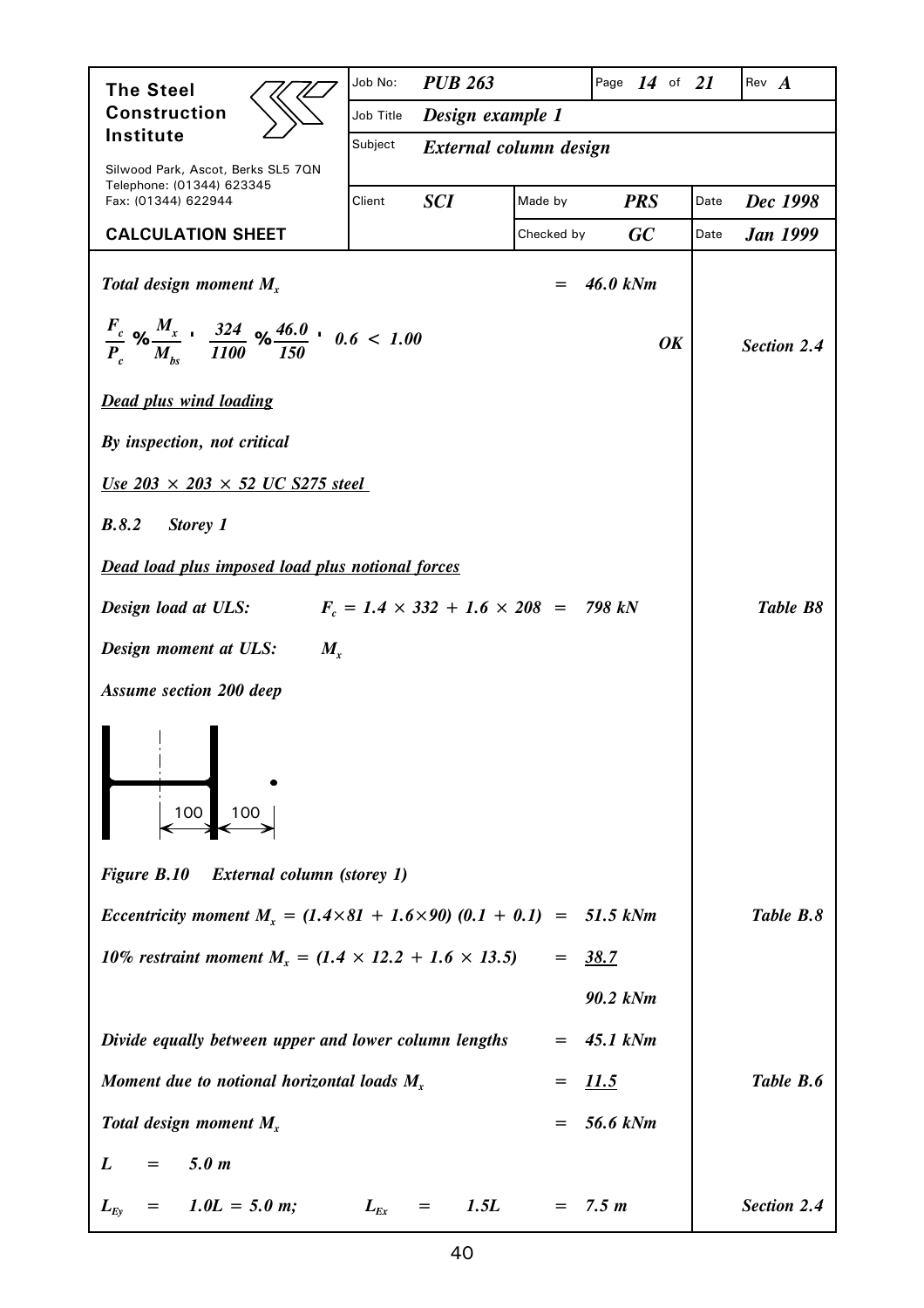| <b>The Steel</b>                                                                                                             | Job No:                     | <b>PUB 263</b>                                   |            | Page $14$ of $21$ |      | Rev $\boldsymbol{A}$ |  |  |  |
|------------------------------------------------------------------------------------------------------------------------------|-----------------------------|--------------------------------------------------|------------|-------------------|------|----------------------|--|--|--|
| <b>Construction</b>                                                                                                          | Job Title                   | Design example 1                                 |            |                   |      |                      |  |  |  |
| Institute                                                                                                                    | Subject                     | External column design                           |            |                   |      |                      |  |  |  |
| Silwood Park, Ascot, Berks SL5 7QN<br>Telephone: (01344) 623345<br>Fax: (01344) 622944                                       | Client                      | <b>SCI</b>                                       | Made by    | <b>PRS</b>        | Date | Dec 1998             |  |  |  |
| <b>CALCULATION SHEET</b>                                                                                                     |                             |                                                  | Checked by | $\bm{G} \bm{C}$   | Date | <b>Jan 1999</b>      |  |  |  |
| Total design moment $M_x$<br>$\frac{F_c}{P_c}$ % $\frac{M_x}{M_{bs}}$ · $\frac{324}{1100}$ % $\frac{46.0}{150}$ · 0.6 < 1.00 |                             |                                                  |            | 46.0 kNm<br>OK    |      | <b>Section 2.4</b>   |  |  |  |
| <b>Dead plus wind loading</b>                                                                                                |                             |                                                  |            |                   |      |                      |  |  |  |
| By inspection, not critical                                                                                                  |                             |                                                  |            |                   |      |                      |  |  |  |
| Use $203 \times 203 \times 52$ UC S275 steel                                                                                 |                             |                                                  |            |                   |      |                      |  |  |  |
| B.8.2<br><b>Storey 1</b>                                                                                                     |                             |                                                  |            |                   |      |                      |  |  |  |
| <b>Dead load plus imposed load plus notional forces</b>                                                                      |                             |                                                  |            |                   |      |                      |  |  |  |
| Design load at ULS:                                                                                                          |                             | $F_c = 1.4 \times 332 + 1.6 \times 208 = 798 kN$ |            |                   |      | Table B8             |  |  |  |
| Design moment at ULS:<br>$M_{\rm r}$                                                                                         |                             |                                                  |            |                   |      |                      |  |  |  |
| <b>Assume section 200 deep</b>                                                                                               |                             |                                                  |            |                   |      |                      |  |  |  |
| 100<br>100                                                                                                                   |                             |                                                  |            |                   |      |                      |  |  |  |
| Figure B.10<br><b>External column (storey 1)</b>                                                                             |                             |                                                  |            |                   |      |                      |  |  |  |
| <i>Eccentricity moment</i> $M_x = (1.4 \times 81 + 1.6 \times 90) (0.1 + 0.1) = 51.5$ kNm                                    |                             |                                                  |            |                   |      | Table B.8            |  |  |  |
| 10% restraint moment $M_x = (1.4 \times 12.2 + 1.6 \times 13.5)$                                                             |                             |                                                  | $=$        | <u>38.7</u>       |      |                      |  |  |  |
|                                                                                                                              |                             |                                                  |            | 90.2 kNm          |      |                      |  |  |  |
| Divide equally between upper and lower column lengths                                                                        |                             |                                                  | $=$        | 45.1 kNm          |      |                      |  |  |  |
| Moment due to notional horizontal loads $M_{x}$                                                                              |                             |                                                  | =          | 11.5              |      | Table B.6            |  |  |  |
| Total design moment $M_x$                                                                                                    |                             |                                                  | $=$        | 56.6 kNm          |      |                      |  |  |  |
| 5.0 <sub>m</sub><br>L<br>$=$                                                                                                 |                             |                                                  |            |                   |      |                      |  |  |  |
| $=$ 1.0L = 5.0 m;<br>$L_{Ev}$                                                                                                | $L_{\scriptscriptstyle Ex}$ | 1.5L<br>$=$                                      |            | 7.5 m             |      | <b>Section 2.4</b>   |  |  |  |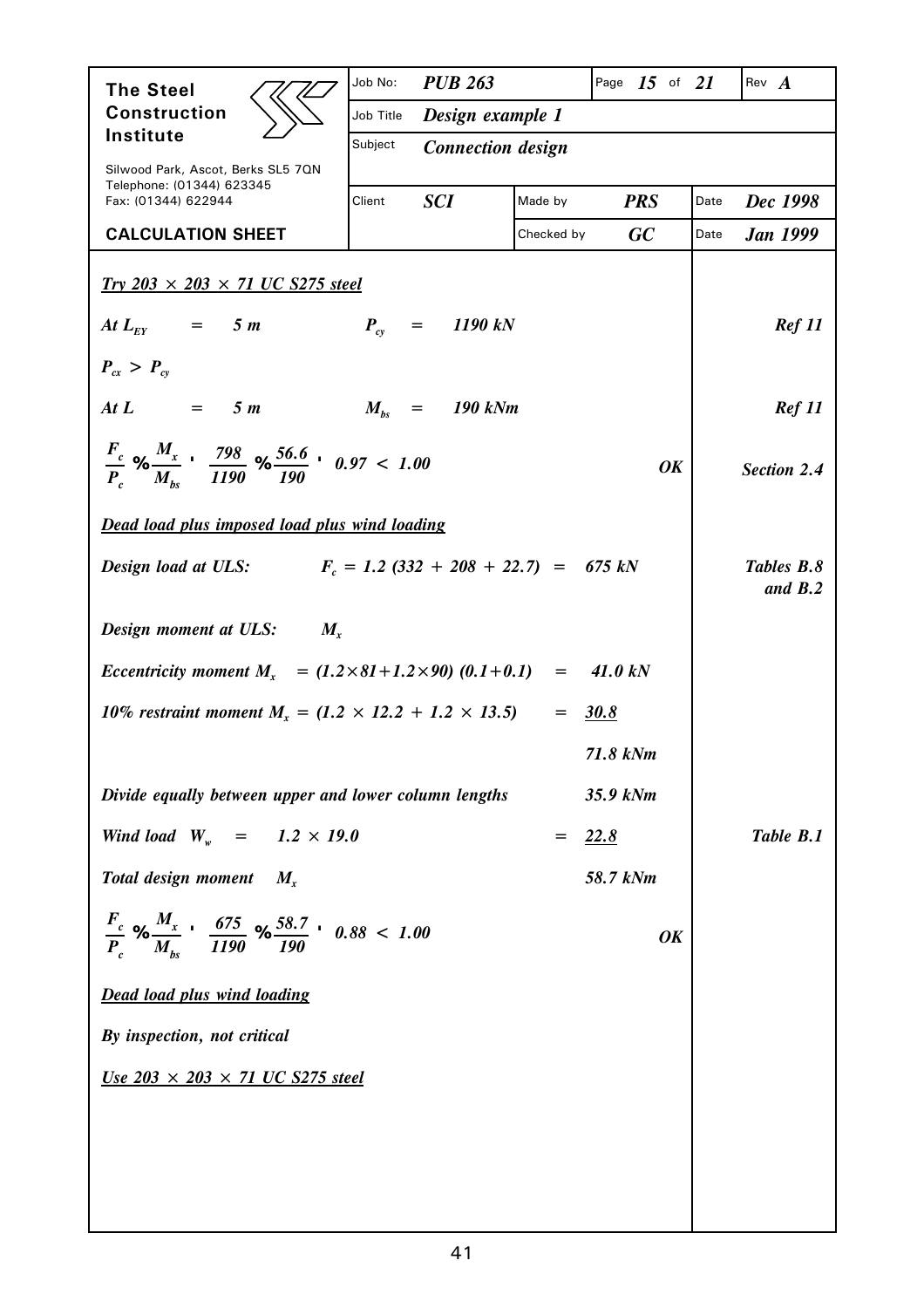| <b>The Steel</b>                                                                                 | <b>PUB 263</b><br>Job No: |                          | Page 15 of 21 |      | Rev $\boldsymbol{A}$    |  |  |  |  |
|--------------------------------------------------------------------------------------------------|---------------------------|--------------------------|---------------|------|-------------------------|--|--|--|--|
| Construction                                                                                     | Job Title                 | Design example 1         |               |      |                         |  |  |  |  |
| Institute                                                                                        | Subject                   | <b>Connection</b> design |               |      |                         |  |  |  |  |
| Silwood Park, Ascot, Berks SL5 7QN<br>Telephone: (01344) 623345<br>Fax: (01344) 622944           | <b>SCI</b><br>Client      | Made by                  | <b>PRS</b>    | Date | Dec 1998                |  |  |  |  |
| <b>CALCULATION SHEET</b>                                                                         |                           | Checked by               | GC            | Date | <b>Jan 1999</b>         |  |  |  |  |
| $Try 203 \times 203 \times 71$ UC S275 steel                                                     |                           |                          |               |      |                         |  |  |  |  |
| At $L_{EY}$ = 5 m                                                                                | $P_{cy} = 1190 kN$        |                          |               |      | <b>Ref</b> 11           |  |  |  |  |
| $P_{cx} > P_{cy}$                                                                                |                           |                          |               |      |                         |  |  |  |  |
| At L<br>$= 5 m$                                                                                  | $M_{bs}$ = 190 kNm        |                          |               |      | <b>Ref</b> 11           |  |  |  |  |
| $\frac{F_c}{P_c}$ % $\frac{M_x}{M_{bs}}$ · $\frac{798}{1190}$ % $\frac{56.6}{190}$ · 0.97 < 1.00 |                           |                          | OK            |      | <b>Section 2.4</b>      |  |  |  |  |
| Dead load plus imposed load plus wind loading                                                    |                           |                          |               |      |                         |  |  |  |  |
| Design load at ULS: $F_c = 1.2 (332 + 208 + 22.7) = 675 kN$                                      |                           |                          |               |      | Tables B.8<br>and $B.2$ |  |  |  |  |
| Design moment at ULS: $M_r$                                                                      |                           |                          |               |      |                         |  |  |  |  |
| <i>Eccentricity moment</i> $M_x = (1.2 \times 81 + 1.2 \times 90) (0.1 + 0.1) = 41.0 kN$         |                           |                          |               |      |                         |  |  |  |  |
| 10% restraint moment $M_{\rm r} = (1.2 \times 12.2 + 1.2 \times 13.5)$                           |                           | $= 30.8$                 |               |      |                         |  |  |  |  |
|                                                                                                  |                           |                          | 71.8 kNm      |      |                         |  |  |  |  |
| Divide equally between upper and lower column lengths                                            |                           |                          | 35.9 kNm      |      |                         |  |  |  |  |
| Wind load $W_w = 1.2 \times 19.0$                                                                |                           | $=$                      | 22.8          |      | Table B.1               |  |  |  |  |
| Total design moment $M_r$                                                                        |                           |                          | 58.7 kNm      |      |                         |  |  |  |  |
| $\frac{F_c}{P_c}$ % $\frac{M_x}{M_{bs}}$ · $\frac{675}{1190}$ % $\frac{58.7}{190}$ · 0.88 < 1.00 |                           |                          | OK            |      |                         |  |  |  |  |
| <b>Dead load plus wind loading</b>                                                               |                           |                          |               |      |                         |  |  |  |  |
| By inspection, not critical                                                                      |                           |                          |               |      |                         |  |  |  |  |
| <u>Use 203 <math>\times</math> 203 <math>\times</math> 71 UC S275 steel</u>                      |                           |                          |               |      |                         |  |  |  |  |
|                                                                                                  |                           |                          |               |      |                         |  |  |  |  |
|                                                                                                  |                           |                          |               |      |                         |  |  |  |  |
|                                                                                                  |                           |                          |               |      |                         |  |  |  |  |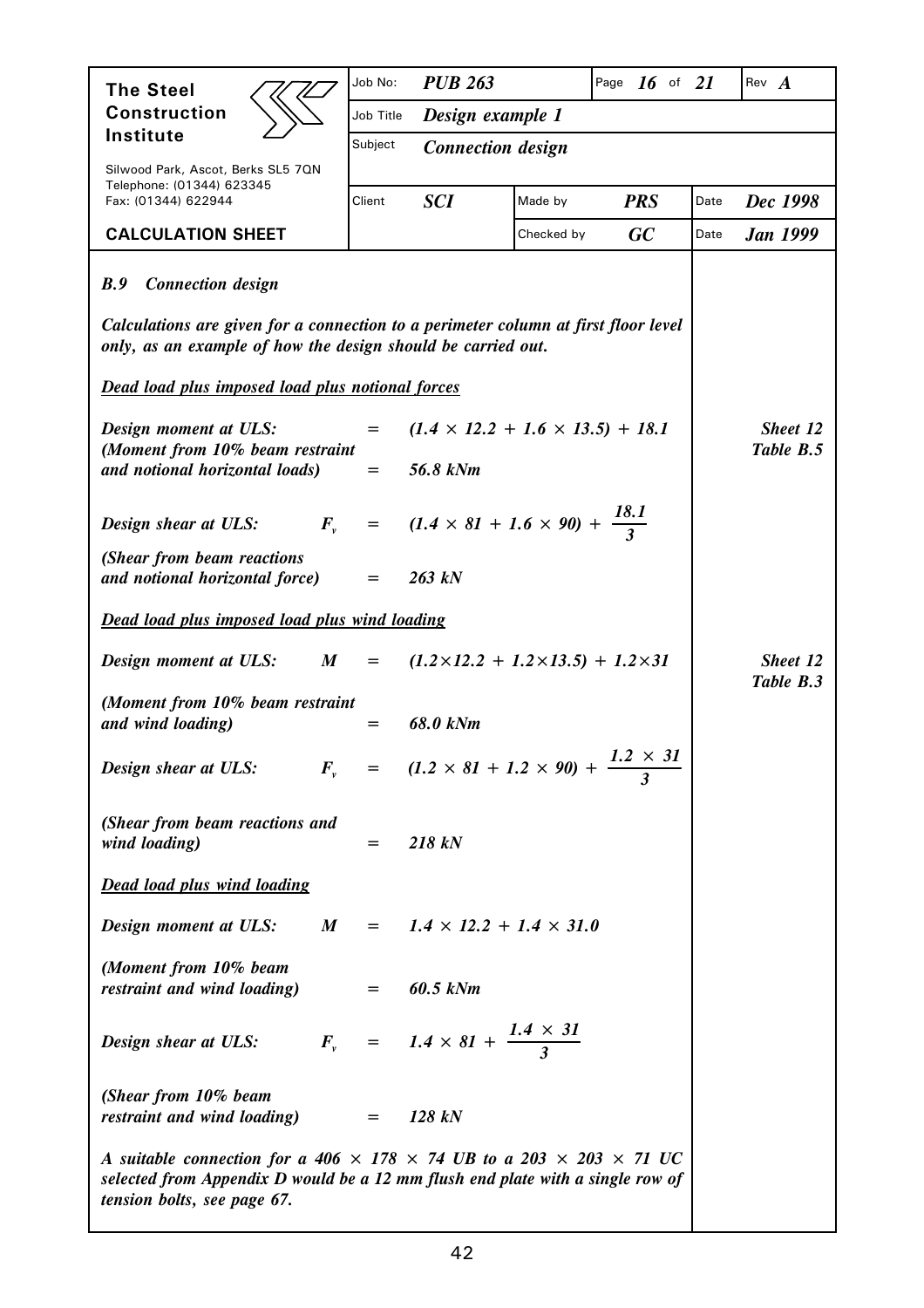| <b>The Steel</b>                                                                                                                                                                                                  | Job No:   | <b>PUB 263</b>                                             |            | Page $16$ of $21$ |      | Rev $\boldsymbol{A}$         |
|-------------------------------------------------------------------------------------------------------------------------------------------------------------------------------------------------------------------|-----------|------------------------------------------------------------|------------|-------------------|------|------------------------------|
| <b>Construction</b>                                                                                                                                                                                               | Job Title | Design example 1                                           |            |                   |      |                              |
| Institute                                                                                                                                                                                                         | Subject   | <b>Connection</b> design                                   |            |                   |      |                              |
| Silwood Park, Ascot, Berks SL5 7QN<br>Telephone: (01344) 623345                                                                                                                                                   |           |                                                            |            |                   |      |                              |
| Fax: (01344) 622944                                                                                                                                                                                               | Client    | <b>SCI</b>                                                 | Made by    | <b>PRS</b>        | Date | Dec 1998                     |
| <b>CALCULATION SHEET</b>                                                                                                                                                                                          |           |                                                            | Checked by | GC                | Date | <b>Jan 1999</b>              |
| <b>Connection design</b><br>B.9<br>Calculations are given for a connection to a perimeter column at first floor level                                                                                             |           |                                                            |            |                   |      |                              |
| only, as an example of how the design should be carried out.                                                                                                                                                      |           |                                                            |            |                   |      |                              |
| Dead load plus imposed load plus notional forces                                                                                                                                                                  |           |                                                            |            |                   |      |                              |
| Design moment at ULS:<br>(Moment from 10% beam restraint                                                                                                                                                          | $=$       | $(1.4 \times 12.2 + 1.6 \times 13.5) + 18.1$               |            |                   |      | Sheet 12<br>Table B.5        |
| and notional horizontal loads)                                                                                                                                                                                    | $=$       | 56.8 kNm                                                   |            |                   |      |                              |
| Design shear at ULS:                                                                                                                                                                                              |           | $F_v$ = $(1.4 \times 81 + 1.6 \times 90) + \frac{18.1}{3}$ |            |                   |      |                              |
| (Shear from beam reactions<br>and notional horizontal force)                                                                                                                                                      | $=$       | 263 kN                                                     |            |                   |      |                              |
| <b>Dead load plus imposed load plus wind loading</b>                                                                                                                                                              |           |                                                            |            |                   |      |                              |
| $\boldsymbol{M}$<br>Design moment at ULS:                                                                                                                                                                         | $=$       | $(1.2 \times 12.2 + 1.2 \times 13.5) + 1.2 \times 31$      |            |                   |      | <b>Sheet 12</b><br>Table B.3 |
| (Moment from 10% beam restraint<br>and wind loading)                                                                                                                                                              | $=$       | 68.0 kNm                                                   |            |                   |      |                              |
| Design shear at ULS:<br>$\boldsymbol{F}_{\nu}$                                                                                                                                                                    |           | $=$ $(1.2 \times 81 + 1.2 \times 90) +$ —                  |            | $1.2 \times 31$   |      |                              |
| (Shear from beam reactions and<br>wind loading)                                                                                                                                                                   | $=$       | 218 kN                                                     |            |                   |      |                              |
| <b>Dead load plus wind loading</b>                                                                                                                                                                                |           |                                                            |            |                   |      |                              |
| Design moment at ULS:<br>$\boldsymbol{M}$                                                                                                                                                                         | $=$ $-$   | $1.4 \times 12.2 + 1.4 \times 31.0$                        |            |                   |      |                              |
| (Moment from 10% beam<br>restraint and wind loading)                                                                                                                                                              | $=$       | 60.5 kNm                                                   |            |                   |      |                              |
| Design shear at ULS: $F_v = 1.4 \times 81 + \frac{1.4 \times 31}{3}$                                                                                                                                              |           |                                                            |            |                   |      |                              |
| (Shear from 10% beam<br>restraint and wind loading)                                                                                                                                                               | $=$       | 128 kN                                                     |            |                   |      |                              |
| A suitable connection for a 406 $\times$ 178 $\times$ 74 UB to a 203 $\times$ 203 $\times$ 71 UC<br>selected from Appendix D would be a 12 mm flush end plate with a single row of<br>tension bolts, see page 67. |           |                                                            |            |                   |      |                              |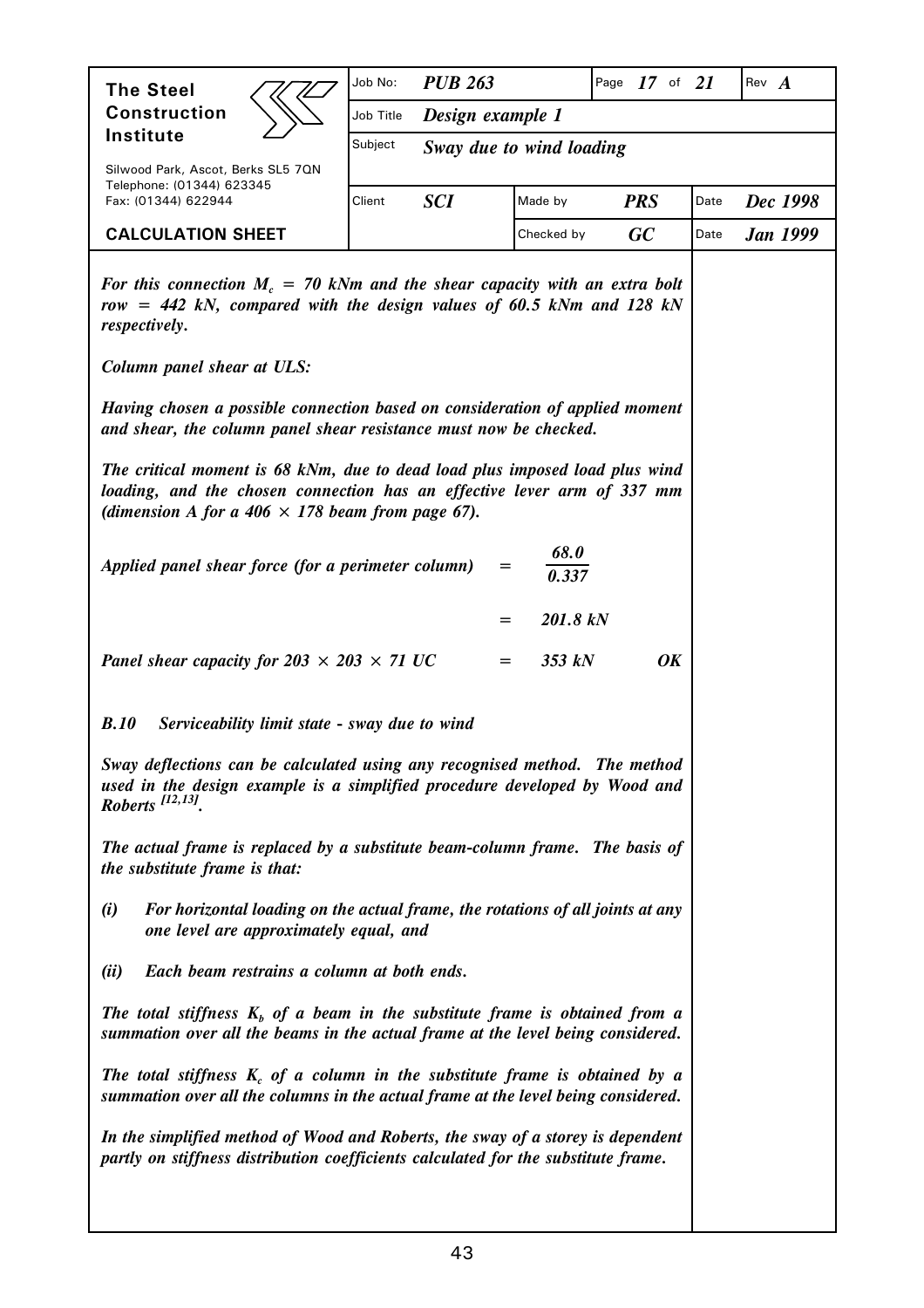| <b>The Steel</b>                                                                                                                                                                                                  | Job No:   | <b>PUB 263</b>           |               | Page 17 of 21 |            |    |      | Rev $\boldsymbol{A}$ |                 |  |
|-------------------------------------------------------------------------------------------------------------------------------------------------------------------------------------------------------------------|-----------|--------------------------|---------------|---------------|------------|----|------|----------------------|-----------------|--|
| <b>Construction</b>                                                                                                                                                                                               | Job Title | Design example 1         |               |               |            |    |      |                      |                 |  |
| Institute                                                                                                                                                                                                         | Subject   | Sway due to wind loading |               |               |            |    |      |                      |                 |  |
| Silwood Park, Ascot, Berks SL5 7QN<br>Telephone: (01344) 623345                                                                                                                                                   |           |                          |               |               |            |    |      |                      |                 |  |
| Fax: (01344) 622944                                                                                                                                                                                               | Client    | <b>SCI</b>               | Made by       |               | <b>PRS</b> |    | Date |                      | Dec 1998        |  |
| <b>CALCULATION SHEET</b>                                                                                                                                                                                          |           |                          | Checked by    |               | GC         |    | Date |                      | <b>Jan 1999</b> |  |
| For this connection $M_c = 70$ kNm and the shear capacity with an extra bolt<br>$row = 442$ kN, compared with the design values of 60.5 kNm and 128 kN<br>respectively.                                           |           |                          |               |               |            |    |      |                      |                 |  |
| Column panel shear at ULS:                                                                                                                                                                                        |           |                          |               |               |            |    |      |                      |                 |  |
| Having chosen a possible connection based on consideration of applied moment<br>and shear, the column panel shear resistance must now be checked.                                                                 |           |                          |               |               |            |    |      |                      |                 |  |
| The critical moment is 68 kNm, due to dead load plus imposed load plus wind<br>loading, and the chosen connection has an effective lever arm of 337 mm<br>(dimension A for a 406 $\times$ 178 beam from page 67). |           |                          |               |               |            |    |      |                      |                 |  |
| Applied panel shear force (for a perimeter column)                                                                                                                                                                |           |                          | 68.0<br>0.337 |               |            |    |      |                      |                 |  |
|                                                                                                                                                                                                                   |           | $=$                      | 201.8 kN      |               |            |    |      |                      |                 |  |
| Panel shear capacity for $203 \times 203 \times 71$ UC                                                                                                                                                            |           | $=$                      | 353 kN        |               |            | OK |      |                      |                 |  |
| <b>B.10</b><br>Serviceability limit state - sway due to wind                                                                                                                                                      |           |                          |               |               |            |    |      |                      |                 |  |
| Sway deflections can be calculated using any recognised method. The method<br>used in the design example is a simplified procedure developed by Wood and<br>Roberts <sup>[12,13]</sup> .                          |           |                          |               |               |            |    |      |                      |                 |  |
| The actual frame is replaced by a substitute beam-column frame. The basis of<br>the substitute frame is that:                                                                                                     |           |                          |               |               |            |    |      |                      |                 |  |
| For horizontal loading on the actual frame, the rotations of all joints at any<br>(i)<br>one level are approximately equal, and                                                                                   |           |                          |               |               |            |    |      |                      |                 |  |
| Each beam restrains a column at both ends.<br>(ii)                                                                                                                                                                |           |                          |               |               |            |    |      |                      |                 |  |
| The total stiffness $K_b$ of a beam in the substitute frame is obtained from a<br>summation over all the beams in the actual frame at the level being considered.                                                 |           |                          |               |               |            |    |      |                      |                 |  |
| The total stiffness $K_c$ of a column in the substitute frame is obtained by a<br>summation over all the columns in the actual frame at the level being considered.                                               |           |                          |               |               |            |    |      |                      |                 |  |
| In the simplified method of Wood and Roberts, the sway of a storey is dependent<br>partly on stiffness distribution coefficients calculated for the substitute frame.                                             |           |                          |               |               |            |    |      |                      |                 |  |
|                                                                                                                                                                                                                   |           |                          |               |               |            |    |      |                      |                 |  |

 $\overline{\phantom{a}}$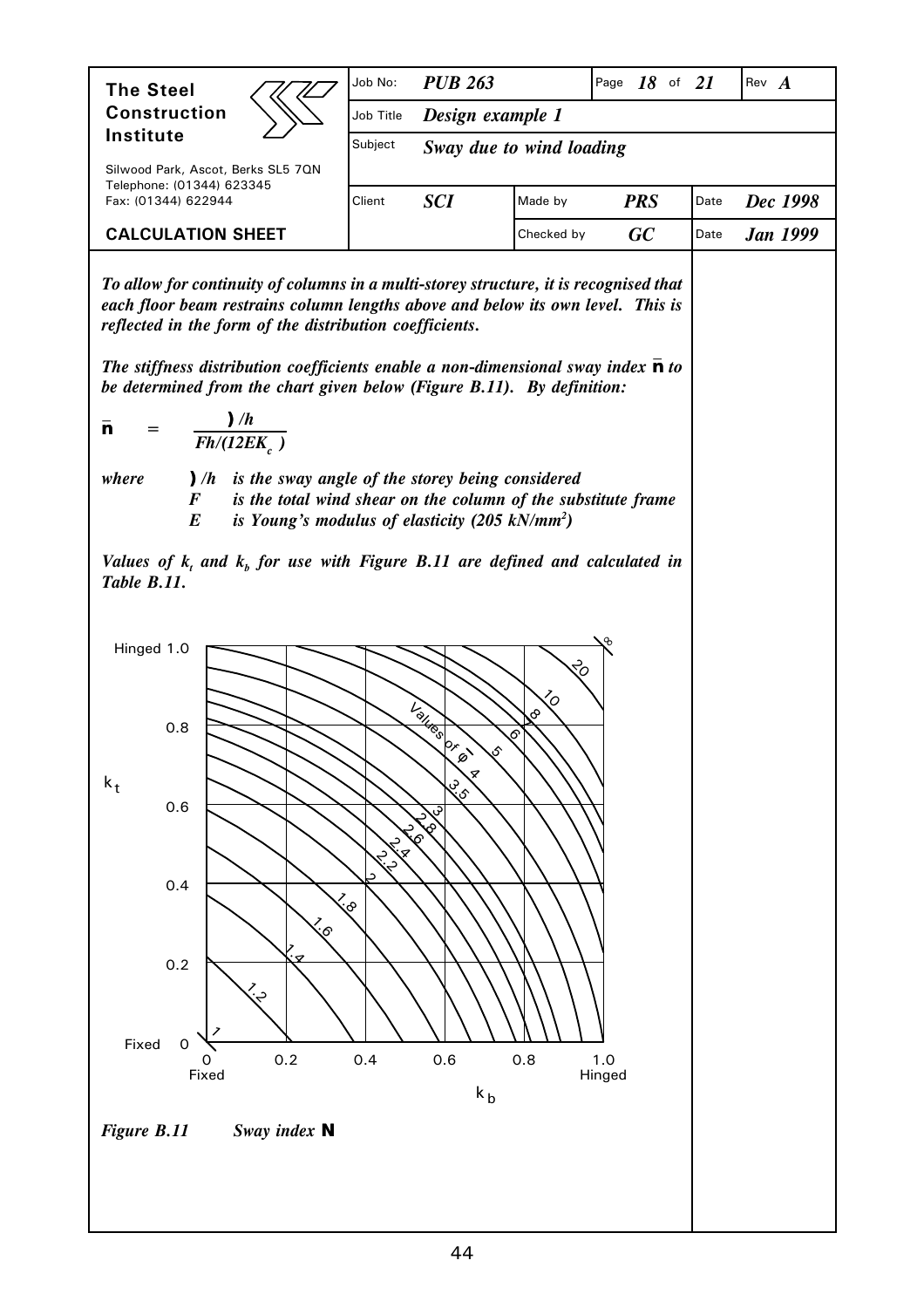| <b>The Steel</b>                                                                                                                                                                                                                    | Job No:       | <b>PUB 263</b>                |            |        | Page 18 of 21 |      | Rev $\boldsymbol{A}$ |
|-------------------------------------------------------------------------------------------------------------------------------------------------------------------------------------------------------------------------------------|---------------|-------------------------------|------------|--------|---------------|------|----------------------|
| <b>Construction</b>                                                                                                                                                                                                                 | Job Title     | Design example 1              |            |        |               |      |                      |
| Institute                                                                                                                                                                                                                           | Subject       | Sway due to wind loading      |            |        |               |      |                      |
| Silwood Park, Ascot, Berks SL5 7QN<br>Telephone: (01344) 623345                                                                                                                                                                     |               |                               |            |        |               |      |                      |
| Fax: (01344) 622944                                                                                                                                                                                                                 | Client        | <b>SCI</b>                    | Made by    |        | <b>PRS</b>    | Date | Dec 1998             |
| <b>CALCULATION SHEET</b>                                                                                                                                                                                                            |               |                               | Checked by |        | GC            | Date | <b>Jan 1999</b>      |
| To allow for continuity of columns in a multi-storey structure, it is recognised that<br>each floor beam restrains column lengths above and below its own level. This is<br>reflected in the form of the distribution coefficients. |               |                               |            |        |               |      |                      |
| The stiffness distribution coefficients enable a non-dimensional sway index $\bar{\mathbf{n}}$ to<br>be determined from the chart given below (Figure B.11). By definition:                                                         |               |                               |            |        |               |      |                      |
| $\frac{f/h}{Fh/(12EK_c)}$<br>$\bar{\bf{n}}$                                                                                                                                                                                         |               |                               |            |        |               |      |                      |
| where<br>$\int$ /h is the sway angle of the storey being considered<br>$\bm{F}$<br>is the total wind shear on the column of the substitute frame<br>is Young's modulus of elasticity (205 kN/mm <sup>2</sup> )<br>E                 |               |                               |            |        |               |      |                      |
| Values of $k_t$ and $k_b$ for use with Figure B.11 are defined and calculated in<br>Table B.11.                                                                                                                                     |               |                               |            |        |               |      |                      |
|                                                                                                                                                                                                                                     |               |                               |            |        |               |      |                      |
| Hinged 1.0                                                                                                                                                                                                                          |               |                               |            |        |               |      |                      |
|                                                                                                                                                                                                                                     |               |                               | ?о         |        |               |      |                      |
| 0.8                                                                                                                                                                                                                                 |               |                               | ᡐ          |        |               |      |                      |
|                                                                                                                                                                                                                                     |               | Values or a<br>৻১             |            |        |               |      |                      |
| $k_t$                                                                                                                                                                                                                               |               | Ջ<br>$\hat{e}^{\hat{\omega}}$ |            |        |               |      |                      |
| 0.6                                                                                                                                                                                                                                 |               |                               |            |        |               |      |                      |
|                                                                                                                                                                                                                                     | X.            |                               |            |        |               |      |                      |
| 0.4                                                                                                                                                                                                                                 | $\frac{3}{2}$ |                               |            |        |               |      |                      |
| .<br>(၉                                                                                                                                                                                                                             |               |                               |            |        |               |      |                      |
| 0.2                                                                                                                                                                                                                                 |               |                               |            |        |               |      |                      |
| $\frac{1}{\sqrt{2}}$                                                                                                                                                                                                                |               |                               |            |        |               |      |                      |
|                                                                                                                                                                                                                                     |               |                               |            |        |               |      |                      |
| Fixed<br>$\mathbf 0$<br>0.2<br>0                                                                                                                                                                                                    | 0.4           | 0.6                           | 0.8        | $1.0$  |               |      |                      |
| Fixed                                                                                                                                                                                                                               |               | $k_b$                         |            | Hinged |               |      |                      |
| Figure B.11<br>Sway index N                                                                                                                                                                                                         |               |                               |            |        |               |      |                      |
|                                                                                                                                                                                                                                     |               |                               |            |        |               |      |                      |
|                                                                                                                                                                                                                                     |               |                               |            |        |               |      |                      |
|                                                                                                                                                                                                                                     |               |                               |            |        |               |      |                      |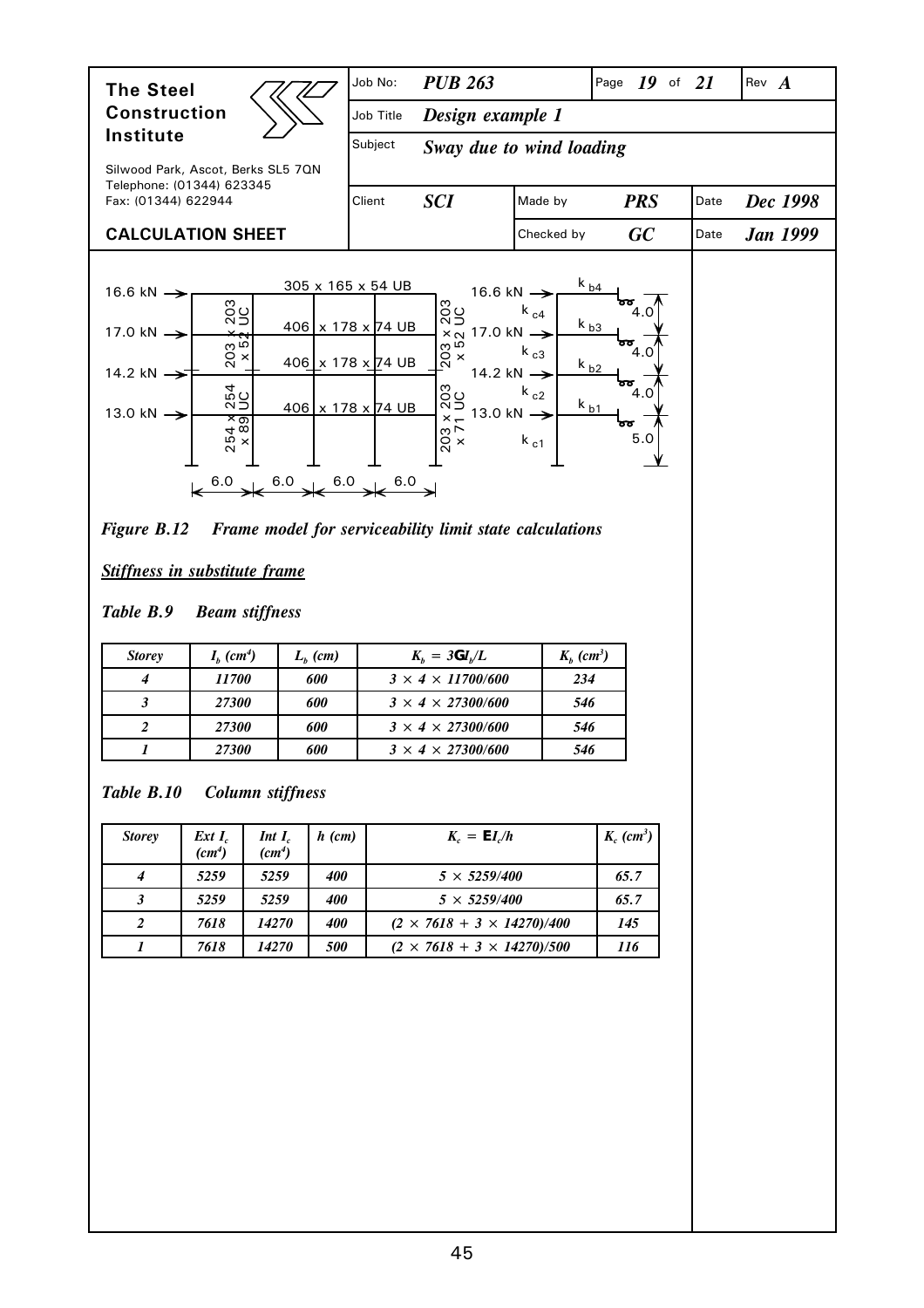| <b>Construction</b><br>Design example 1<br>Job Title<br>Institute<br>Subject<br>Sway due to wind loading<br>Silwood Park, Ascot, Berks SL5 7QN<br>Telephone: (01344) 623345<br><b>SCI</b><br>Fax: (01344) 622944<br><b>PRS</b><br>Dec 1998<br>Client<br>Made by<br>Date<br><b>CALCULATION SHEET</b><br>GC<br><b>Jan 1999</b><br>Checked by<br>Date<br>$k_{b4}$<br>305 x 165 x 54 UB<br>16.6 kN $\rightarrow$<br>16.6 kN $\rightarrow$<br>203<br>UC<br>203<br>UC<br>$\rm k$ $_{\rm c4}$<br>$k_{b3}$<br>406 x 178 x 74 UB<br>$\times$ $\sim$ 17.0 kN $\rightarrow$<br>17.0 kN $\rightarrow$<br>$\frac{203}{x}$<br>$203$<br>$\times 5$<br>$k_{c3}$<br>$406 \times 178 \times 74 \text{ UB}$<br>$k_{b2}$<br>14.2 kN $\rightarrow$<br>14.2 kN $\rightarrow$<br>254<br>UC<br>203<br>UC<br>$k_{c2}$<br>$k_{b1}$<br>406 x 178 x 74 UB<br>13.0 kN $\rightarrow$<br>13.0 kN $\rightarrow$<br>$203 \times x$<br>×ত<br>$254$<br>$\times 8$<br>5.0<br>$k_{c1}$<br>$6.0 \times 6.0 \times 6.0 \times 6.0$<br>Figure B.12<br>Frame model for serviceability limit state calculations<br><b>Stiffness in substitute frame</b><br>Table B.9 Beam stiffness<br>$I_b$ (cm <sup>4</sup> )<br>$K_b = 3GI_b/L$<br>$K_b$ (cm <sup>3</sup> )<br><b>Storey</b><br>$L_b$ (cm)<br>$\boldsymbol{4}$<br>11700<br>600<br>$3 \times 4 \times 11700/600$<br>234<br>$\mathfrak{z}$<br>27300<br>600<br>$3 \times 4 \times 27300/600$<br>546<br>$\boldsymbol{2}$<br>27300<br>600<br>$3 \times 4 \times 27300/600$<br>546<br>$\boldsymbol{l}$<br>27300<br>600<br>$3 \times 4 \times 27300/600$<br>546<br>Table B.10<br><b>Column stiffness</b><br>$K_c$ (cm <sup>3</sup> )<br><b>Storey</b><br>$Ext I_c$<br>Int $I_c$<br>$h$ (cm)<br>$K_c = EI_c/h$<br>(cm <sup>4</sup> )<br>(cm <sup>4</sup> )<br>5259<br>5259<br>$5 \times 5259/400$<br>65.7<br>400<br>4<br>3<br>5259<br>$5 \times 5259/400$<br>65.7<br>5259<br>400<br>$\boldsymbol{2}$<br>7618<br>14270<br>400<br>$(2 \times 7618 + 3 \times 14270)/400$<br>145<br>1<br>7618<br>14270<br>500<br>$(2 \times 7618 + 3 \times 14270)/500$<br>116 | <b>The Steel</b> |  | Job No: | <b>PUB 263</b> |  | Page 19 of 21 | Rev $\boldsymbol{A}$ |  |
|--------------------------------------------------------------------------------------------------------------------------------------------------------------------------------------------------------------------------------------------------------------------------------------------------------------------------------------------------------------------------------------------------------------------------------------------------------------------------------------------------------------------------------------------------------------------------------------------------------------------------------------------------------------------------------------------------------------------------------------------------------------------------------------------------------------------------------------------------------------------------------------------------------------------------------------------------------------------------------------------------------------------------------------------------------------------------------------------------------------------------------------------------------------------------------------------------------------------------------------------------------------------------------------------------------------------------------------------------------------------------------------------------------------------------------------------------------------------------------------------------------------------------------------------------------------------------------------------------------------------------------------------------------------------------------------------------------------------------------------------------------------------------------------------------------------------------------------------------------------------------------------------------------------------------------------------------------------------------------------------------------------------------------------------------------------|------------------|--|---------|----------------|--|---------------|----------------------|--|
|                                                                                                                                                                                                                                                                                                                                                                                                                                                                                                                                                                                                                                                                                                                                                                                                                                                                                                                                                                                                                                                                                                                                                                                                                                                                                                                                                                                                                                                                                                                                                                                                                                                                                                                                                                                                                                                                                                                                                                                                                                                              |                  |  |         |                |  |               |                      |  |
|                                                                                                                                                                                                                                                                                                                                                                                                                                                                                                                                                                                                                                                                                                                                                                                                                                                                                                                                                                                                                                                                                                                                                                                                                                                                                                                                                                                                                                                                                                                                                                                                                                                                                                                                                                                                                                                                                                                                                                                                                                                              |                  |  |         |                |  |               |                      |  |
|                                                                                                                                                                                                                                                                                                                                                                                                                                                                                                                                                                                                                                                                                                                                                                                                                                                                                                                                                                                                                                                                                                                                                                                                                                                                                                                                                                                                                                                                                                                                                                                                                                                                                                                                                                                                                                                                                                                                                                                                                                                              |                  |  |         |                |  |               |                      |  |
|                                                                                                                                                                                                                                                                                                                                                                                                                                                                                                                                                                                                                                                                                                                                                                                                                                                                                                                                                                                                                                                                                                                                                                                                                                                                                                                                                                                                                                                                                                                                                                                                                                                                                                                                                                                                                                                                                                                                                                                                                                                              |                  |  |         |                |  |               |                      |  |
|                                                                                                                                                                                                                                                                                                                                                                                                                                                                                                                                                                                                                                                                                                                                                                                                                                                                                                                                                                                                                                                                                                                                                                                                                                                                                                                                                                                                                                                                                                                                                                                                                                                                                                                                                                                                                                                                                                                                                                                                                                                              |                  |  |         |                |  |               |                      |  |
|                                                                                                                                                                                                                                                                                                                                                                                                                                                                                                                                                                                                                                                                                                                                                                                                                                                                                                                                                                                                                                                                                                                                                                                                                                                                                                                                                                                                                                                                                                                                                                                                                                                                                                                                                                                                                                                                                                                                                                                                                                                              |                  |  |         |                |  |               |                      |  |
|                                                                                                                                                                                                                                                                                                                                                                                                                                                                                                                                                                                                                                                                                                                                                                                                                                                                                                                                                                                                                                                                                                                                                                                                                                                                                                                                                                                                                                                                                                                                                                                                                                                                                                                                                                                                                                                                                                                                                                                                                                                              |                  |  |         |                |  |               |                      |  |
|                                                                                                                                                                                                                                                                                                                                                                                                                                                                                                                                                                                                                                                                                                                                                                                                                                                                                                                                                                                                                                                                                                                                                                                                                                                                                                                                                                                                                                                                                                                                                                                                                                                                                                                                                                                                                                                                                                                                                                                                                                                              |                  |  |         |                |  |               |                      |  |
|                                                                                                                                                                                                                                                                                                                                                                                                                                                                                                                                                                                                                                                                                                                                                                                                                                                                                                                                                                                                                                                                                                                                                                                                                                                                                                                                                                                                                                                                                                                                                                                                                                                                                                                                                                                                                                                                                                                                                                                                                                                              |                  |  |         |                |  |               |                      |  |
|                                                                                                                                                                                                                                                                                                                                                                                                                                                                                                                                                                                                                                                                                                                                                                                                                                                                                                                                                                                                                                                                                                                                                                                                                                                                                                                                                                                                                                                                                                                                                                                                                                                                                                                                                                                                                                                                                                                                                                                                                                                              |                  |  |         |                |  |               |                      |  |
|                                                                                                                                                                                                                                                                                                                                                                                                                                                                                                                                                                                                                                                                                                                                                                                                                                                                                                                                                                                                                                                                                                                                                                                                                                                                                                                                                                                                                                                                                                                                                                                                                                                                                                                                                                                                                                                                                                                                                                                                                                                              |                  |  |         |                |  |               |                      |  |
|                                                                                                                                                                                                                                                                                                                                                                                                                                                                                                                                                                                                                                                                                                                                                                                                                                                                                                                                                                                                                                                                                                                                                                                                                                                                                                                                                                                                                                                                                                                                                                                                                                                                                                                                                                                                                                                                                                                                                                                                                                                              |                  |  |         |                |  |               |                      |  |
|                                                                                                                                                                                                                                                                                                                                                                                                                                                                                                                                                                                                                                                                                                                                                                                                                                                                                                                                                                                                                                                                                                                                                                                                                                                                                                                                                                                                                                                                                                                                                                                                                                                                                                                                                                                                                                                                                                                                                                                                                                                              |                  |  |         |                |  |               |                      |  |
|                                                                                                                                                                                                                                                                                                                                                                                                                                                                                                                                                                                                                                                                                                                                                                                                                                                                                                                                                                                                                                                                                                                                                                                                                                                                                                                                                                                                                                                                                                                                                                                                                                                                                                                                                                                                                                                                                                                                                                                                                                                              |                  |  |         |                |  |               |                      |  |
|                                                                                                                                                                                                                                                                                                                                                                                                                                                                                                                                                                                                                                                                                                                                                                                                                                                                                                                                                                                                                                                                                                                                                                                                                                                                                                                                                                                                                                                                                                                                                                                                                                                                                                                                                                                                                                                                                                                                                                                                                                                              |                  |  |         |                |  |               |                      |  |
|                                                                                                                                                                                                                                                                                                                                                                                                                                                                                                                                                                                                                                                                                                                                                                                                                                                                                                                                                                                                                                                                                                                                                                                                                                                                                                                                                                                                                                                                                                                                                                                                                                                                                                                                                                                                                                                                                                                                                                                                                                                              |                  |  |         |                |  |               |                      |  |
|                                                                                                                                                                                                                                                                                                                                                                                                                                                                                                                                                                                                                                                                                                                                                                                                                                                                                                                                                                                                                                                                                                                                                                                                                                                                                                                                                                                                                                                                                                                                                                                                                                                                                                                                                                                                                                                                                                                                                                                                                                                              |                  |  |         |                |  |               |                      |  |
|                                                                                                                                                                                                                                                                                                                                                                                                                                                                                                                                                                                                                                                                                                                                                                                                                                                                                                                                                                                                                                                                                                                                                                                                                                                                                                                                                                                                                                                                                                                                                                                                                                                                                                                                                                                                                                                                                                                                                                                                                                                              |                  |  |         |                |  |               |                      |  |
|                                                                                                                                                                                                                                                                                                                                                                                                                                                                                                                                                                                                                                                                                                                                                                                                                                                                                                                                                                                                                                                                                                                                                                                                                                                                                                                                                                                                                                                                                                                                                                                                                                                                                                                                                                                                                                                                                                                                                                                                                                                              |                  |  |         |                |  |               |                      |  |
|                                                                                                                                                                                                                                                                                                                                                                                                                                                                                                                                                                                                                                                                                                                                                                                                                                                                                                                                                                                                                                                                                                                                                                                                                                                                                                                                                                                                                                                                                                                                                                                                                                                                                                                                                                                                                                                                                                                                                                                                                                                              |                  |  |         |                |  |               |                      |  |
|                                                                                                                                                                                                                                                                                                                                                                                                                                                                                                                                                                                                                                                                                                                                                                                                                                                                                                                                                                                                                                                                                                                                                                                                                                                                                                                                                                                                                                                                                                                                                                                                                                                                                                                                                                                                                                                                                                                                                                                                                                                              |                  |  |         |                |  |               |                      |  |
|                                                                                                                                                                                                                                                                                                                                                                                                                                                                                                                                                                                                                                                                                                                                                                                                                                                                                                                                                                                                                                                                                                                                                                                                                                                                                                                                                                                                                                                                                                                                                                                                                                                                                                                                                                                                                                                                                                                                                                                                                                                              |                  |  |         |                |  |               |                      |  |
|                                                                                                                                                                                                                                                                                                                                                                                                                                                                                                                                                                                                                                                                                                                                                                                                                                                                                                                                                                                                                                                                                                                                                                                                                                                                                                                                                                                                                                                                                                                                                                                                                                                                                                                                                                                                                                                                                                                                                                                                                                                              |                  |  |         |                |  |               |                      |  |
|                                                                                                                                                                                                                                                                                                                                                                                                                                                                                                                                                                                                                                                                                                                                                                                                                                                                                                                                                                                                                                                                                                                                                                                                                                                                                                                                                                                                                                                                                                                                                                                                                                                                                                                                                                                                                                                                                                                                                                                                                                                              |                  |  |         |                |  |               |                      |  |
|                                                                                                                                                                                                                                                                                                                                                                                                                                                                                                                                                                                                                                                                                                                                                                                                                                                                                                                                                                                                                                                                                                                                                                                                                                                                                                                                                                                                                                                                                                                                                                                                                                                                                                                                                                                                                                                                                                                                                                                                                                                              |                  |  |         |                |  |               |                      |  |
|                                                                                                                                                                                                                                                                                                                                                                                                                                                                                                                                                                                                                                                                                                                                                                                                                                                                                                                                                                                                                                                                                                                                                                                                                                                                                                                                                                                                                                                                                                                                                                                                                                                                                                                                                                                                                                                                                                                                                                                                                                                              |                  |  |         |                |  |               |                      |  |
|                                                                                                                                                                                                                                                                                                                                                                                                                                                                                                                                                                                                                                                                                                                                                                                                                                                                                                                                                                                                                                                                                                                                                                                                                                                                                                                                                                                                                                                                                                                                                                                                                                                                                                                                                                                                                                                                                                                                                                                                                                                              |                  |  |         |                |  |               |                      |  |
|                                                                                                                                                                                                                                                                                                                                                                                                                                                                                                                                                                                                                                                                                                                                                                                                                                                                                                                                                                                                                                                                                                                                                                                                                                                                                                                                                                                                                                                                                                                                                                                                                                                                                                                                                                                                                                                                                                                                                                                                                                                              |                  |  |         |                |  |               |                      |  |
|                                                                                                                                                                                                                                                                                                                                                                                                                                                                                                                                                                                                                                                                                                                                                                                                                                                                                                                                                                                                                                                                                                                                                                                                                                                                                                                                                                                                                                                                                                                                                                                                                                                                                                                                                                                                                                                                                                                                                                                                                                                              |                  |  |         |                |  |               |                      |  |
|                                                                                                                                                                                                                                                                                                                                                                                                                                                                                                                                                                                                                                                                                                                                                                                                                                                                                                                                                                                                                                                                                                                                                                                                                                                                                                                                                                                                                                                                                                                                                                                                                                                                                                                                                                                                                                                                                                                                                                                                                                                              |                  |  |         |                |  |               |                      |  |
|                                                                                                                                                                                                                                                                                                                                                                                                                                                                                                                                                                                                                                                                                                                                                                                                                                                                                                                                                                                                                                                                                                                                                                                                                                                                                                                                                                                                                                                                                                                                                                                                                                                                                                                                                                                                                                                                                                                                                                                                                                                              |                  |  |         |                |  |               |                      |  |
|                                                                                                                                                                                                                                                                                                                                                                                                                                                                                                                                                                                                                                                                                                                                                                                                                                                                                                                                                                                                                                                                                                                                                                                                                                                                                                                                                                                                                                                                                                                                                                                                                                                                                                                                                                                                                                                                                                                                                                                                                                                              |                  |  |         |                |  |               |                      |  |
|                                                                                                                                                                                                                                                                                                                                                                                                                                                                                                                                                                                                                                                                                                                                                                                                                                                                                                                                                                                                                                                                                                                                                                                                                                                                                                                                                                                                                                                                                                                                                                                                                                                                                                                                                                                                                                                                                                                                                                                                                                                              |                  |  |         |                |  |               |                      |  |
|                                                                                                                                                                                                                                                                                                                                                                                                                                                                                                                                                                                                                                                                                                                                                                                                                                                                                                                                                                                                                                                                                                                                                                                                                                                                                                                                                                                                                                                                                                                                                                                                                                                                                                                                                                                                                                                                                                                                                                                                                                                              |                  |  |         |                |  |               |                      |  |
|                                                                                                                                                                                                                                                                                                                                                                                                                                                                                                                                                                                                                                                                                                                                                                                                                                                                                                                                                                                                                                                                                                                                                                                                                                                                                                                                                                                                                                                                                                                                                                                                                                                                                                                                                                                                                                                                                                                                                                                                                                                              |                  |  |         |                |  |               |                      |  |
|                                                                                                                                                                                                                                                                                                                                                                                                                                                                                                                                                                                                                                                                                                                                                                                                                                                                                                                                                                                                                                                                                                                                                                                                                                                                                                                                                                                                                                                                                                                                                                                                                                                                                                                                                                                                                                                                                                                                                                                                                                                              |                  |  |         |                |  |               |                      |  |
|                                                                                                                                                                                                                                                                                                                                                                                                                                                                                                                                                                                                                                                                                                                                                                                                                                                                                                                                                                                                                                                                                                                                                                                                                                                                                                                                                                                                                                                                                                                                                                                                                                                                                                                                                                                                                                                                                                                                                                                                                                                              |                  |  |         |                |  |               |                      |  |
|                                                                                                                                                                                                                                                                                                                                                                                                                                                                                                                                                                                                                                                                                                                                                                                                                                                                                                                                                                                                                                                                                                                                                                                                                                                                                                                                                                                                                                                                                                                                                                                                                                                                                                                                                                                                                                                                                                                                                                                                                                                              |                  |  |         |                |  |               |                      |  |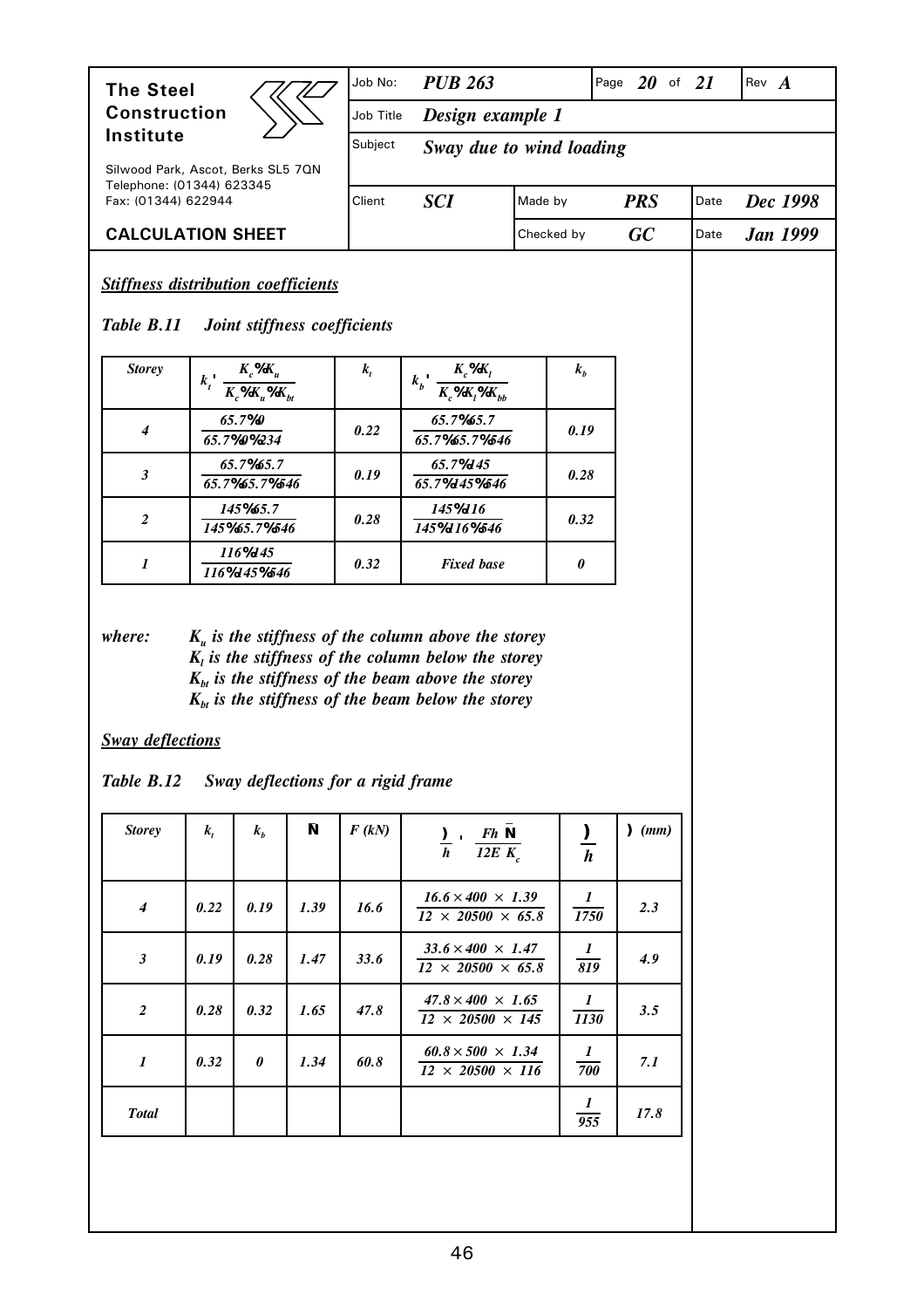| <b>The Steel</b>                                                |         |                                                                          |                              | Job No:                            | <b>PUB 263</b>                                                                                                                                                            |            |                                       | Page $20$ of $21$ |      | Rev $\boldsymbol{A}$ |                 |  |
|-----------------------------------------------------------------|---------|--------------------------------------------------------------------------|------------------------------|------------------------------------|---------------------------------------------------------------------------------------------------------------------------------------------------------------------------|------------|---------------------------------------|-------------------|------|----------------------|-----------------|--|
| <b>Construction</b>                                             |         |                                                                          |                              | Job Title                          | Design example 1                                                                                                                                                          |            |                                       |                   |      |                      |                 |  |
| Institute                                                       |         |                                                                          |                              | Subject                            | Sway due to wind loading                                                                                                                                                  |            |                                       |                   |      |                      |                 |  |
| Silwood Park, Ascot, Berks SL5 7QN<br>Telephone: (01344) 623345 |         |                                                                          |                              |                                    |                                                                                                                                                                           |            |                                       |                   |      |                      |                 |  |
| Fax: (01344) 622944                                             |         |                                                                          |                              | Client                             | <b>SCI</b>                                                                                                                                                                | Made by    |                                       | <b>PRS</b>        | Date |                      | Dec 1998        |  |
| <b>CALCULATION SHEET</b>                                        |         |                                                                          |                              |                                    |                                                                                                                                                                           | Checked by |                                       | GC                | Date |                      | <b>Jan 1999</b> |  |
| <b>Stiffness distribution coefficients</b>                      |         |                                                                          |                              |                                    |                                                                                                                                                                           |            |                                       |                   |      |                      |                 |  |
| Table B.11                                                      |         |                                                                          | Joint stiffness coefficients |                                    |                                                                                                                                                                           |            |                                       |                   |      |                      |                 |  |
| <b>Storey</b>                                                   |         | $k_t \cdot \frac{K_c \mathcal{K}_u}{K_c \mathcal{K}_u \mathcal{K}_{bt}}$ |                              | $k_{t}$                            | $k_b \cdot \frac{K_c \mathcal{K} K_l}{K_c \mathcal{K} K_l \mathcal{K} K_{bb}}$                                                                                            | $k_b$      |                                       |                   |      |                      |                 |  |
| 4                                                               |         | 65.7%0<br>65.7%0%234                                                     |                              | 0.22                               | 65.7%65.7<br>65.7%65.7%546                                                                                                                                                | 0.19       |                                       |                   |      |                      |                 |  |
| $\boldsymbol{\beta}$                                            |         | 65.7%65.7<br>65.7%65.7%546                                               |                              | 0.19                               | 65.7%145<br>65.7%145%546                                                                                                                                                  | 0.28       |                                       |                   |      |                      |                 |  |
| $\boldsymbol{2}$                                                |         | 145%65.7<br>145 % 65.7 % 546                                             |                              | 0.28                               | 145 % 116<br>145%116%546                                                                                                                                                  | 0.32       |                                       |                   |      |                      |                 |  |
| 1                                                               |         | 116%145<br>116%145%546                                                   |                              | 0.32                               | <b>Fixed base</b>                                                                                                                                                         | 0          |                                       |                   |      |                      |                 |  |
| <b>Sway deflections</b><br>Table B.12                           |         |                                                                          |                              | Sway deflections for a rigid frame | $K_i$ is the stiffness of the column below the storey<br>$K_{bt}$ is the stiffness of the beam above the storey<br>$K_{bt}$ is the stiffness of the beam below the storey |            |                                       |                   |      |                      |                 |  |
| <b>Storey</b>                                                   | $k_{t}$ | $k_b$                                                                    | Ñ                            | F(kN)                              | $\frac{\sum_{h} f_{h}}{h}$ + $\frac{Fh}{12E K_c}$                                                                                                                         |            | $\frac{2}{h}$                         | (mm)              |      |                      |                 |  |
| $\boldsymbol{4}$                                                | 0.22    | 0.19                                                                     | 1.39                         | 16.6                               | $16.6 \times 400 \times 1.39$<br>$\overline{12 \times 20500 \times 65.8}$                                                                                                 |            | $\boldsymbol{I}$<br>$\overline{1750}$ | 2.3               |      |                      |                 |  |
| $\mathfrak{z}$                                                  | 0.19    | 0.28                                                                     | 1.47                         | 33.6                               | $33.6 \times 400 \times 1.47$<br>$12 \times 20500 \times 65.8$                                                                                                            |            | $\boldsymbol{l}$<br>$\overline{819}$  | 4.9               |      |                      |                 |  |
| $\overline{2}$                                                  | 0.28    | 0.32                                                                     | 1.65                         | 47.8                               | $47.8 \times 400 \times 1.65$<br>$12 \times 20500 \times 145$                                                                                                             |            | $\boldsymbol{l}$<br>$\overline{1130}$ | 3.5               |      |                      |                 |  |
| $\boldsymbol{l}$                                                | 0.32    | $\pmb{\theta}$                                                           | 1.34                         | 60.8                               | $60.8 \times 500 \times 1.34$<br>$12 \times 20500 \times 116$                                                                                                             |            | $\boldsymbol{l}$<br>$\overline{700}$  | 7.1               |      |                      |                 |  |
| <b>Total</b>                                                    |         |                                                                          |                              |                                    |                                                                                                                                                                           |            | $\mathbf{I}$<br>$\overline{955}$      | 17.8              |      |                      |                 |  |
|                                                                 |         |                                                                          |                              |                                    |                                                                                                                                                                           |            |                                       |                   |      |                      |                 |  |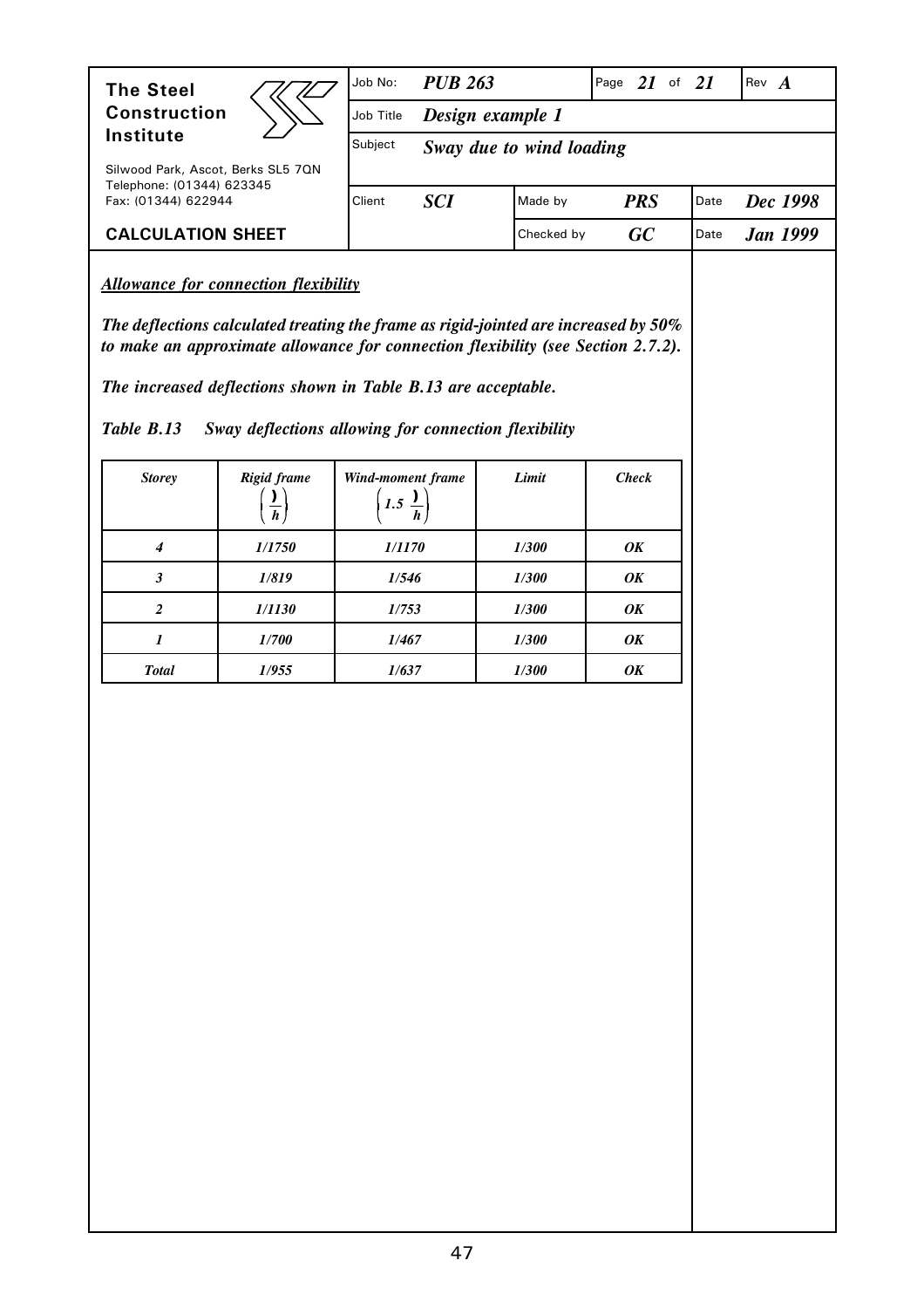| <b>The Steel</b>                                                |                                                                                                                                                                         | <b>PUB 263</b><br>Page 21 of 21<br>Job No:               |                          |            |  |              |  |      | Rev $\boldsymbol{A}$ |                 |
|-----------------------------------------------------------------|-------------------------------------------------------------------------------------------------------------------------------------------------------------------------|----------------------------------------------------------|--------------------------|------------|--|--------------|--|------|----------------------|-----------------|
| <b>Construction</b>                                             |                                                                                                                                                                         | Job Title                                                | Design example 1         |            |  |              |  |      |                      |                 |
| Institute                                                       |                                                                                                                                                                         | Subject                                                  | Sway due to wind loading |            |  |              |  |      |                      |                 |
| Silwood Park, Ascot, Berks SL5 7QN<br>Telephone: (01344) 623345 |                                                                                                                                                                         |                                                          |                          |            |  |              |  |      |                      |                 |
| Fax: (01344) 622944                                             |                                                                                                                                                                         | Client                                                   | <b>SCI</b>               | Made by    |  | <b>PRS</b>   |  | Date |                      | Dec 1998        |
| <b>CALCULATION SHEET</b>                                        |                                                                                                                                                                         |                                                          |                          | Checked by |  | GC           |  | Date |                      | <b>Jan 1999</b> |
|                                                                 | <b>Allowance for connection flexibility</b>                                                                                                                             |                                                          |                          |            |  |              |  |      |                      |                 |
|                                                                 | The deflections calculated treating the frame as rigid-jointed are increased by 50%<br>to make an approximate allowance for connection flexibility (see Section 2.7.2). |                                                          |                          |            |  |              |  |      |                      |                 |
|                                                                 | The increased deflections shown in Table B.13 are acceptable.                                                                                                           |                                                          |                          |            |  |              |  |      |                      |                 |
| Table B.13                                                      | Sway deflections allowing for connection flexibility                                                                                                                    |                                                          |                          |            |  |              |  |      |                      |                 |
| <b>Storey</b>                                                   | <b>Rigid frame</b><br>$\frac{2}{h}$                                                                                                                                     | Wind-moment frame<br>$\left[1.5\frac{\lambda}{h}\right]$ |                          | Limit      |  | <b>Check</b> |  |      |                      |                 |
| $\boldsymbol{4}$                                                | 1/1750                                                                                                                                                                  | 1/1170                                                   |                          | 1/300      |  | OK           |  |      |                      |                 |
| $\boldsymbol{\beta}$                                            | 1/819                                                                                                                                                                   | 1/546                                                    |                          | 1/300      |  | OK           |  |      |                      |                 |
| $\overline{2}$                                                  | 1/1130                                                                                                                                                                  | 1/753                                                    |                          | 1/300      |  | OK           |  |      |                      |                 |
| $\boldsymbol{l}$                                                | 1/700                                                                                                                                                                   | 1/467                                                    |                          | 1/300      |  | OK           |  |      |                      |                 |
| <b>Total</b>                                                    | 1/955                                                                                                                                                                   | 1/637                                                    |                          | 1/300      |  | OK           |  |      |                      |                 |
|                                                                 |                                                                                                                                                                         |                                                          |                          |            |  |              |  |      |                      |                 |
|                                                                 |                                                                                                                                                                         |                                                          |                          |            |  |              |  |      |                      |                 |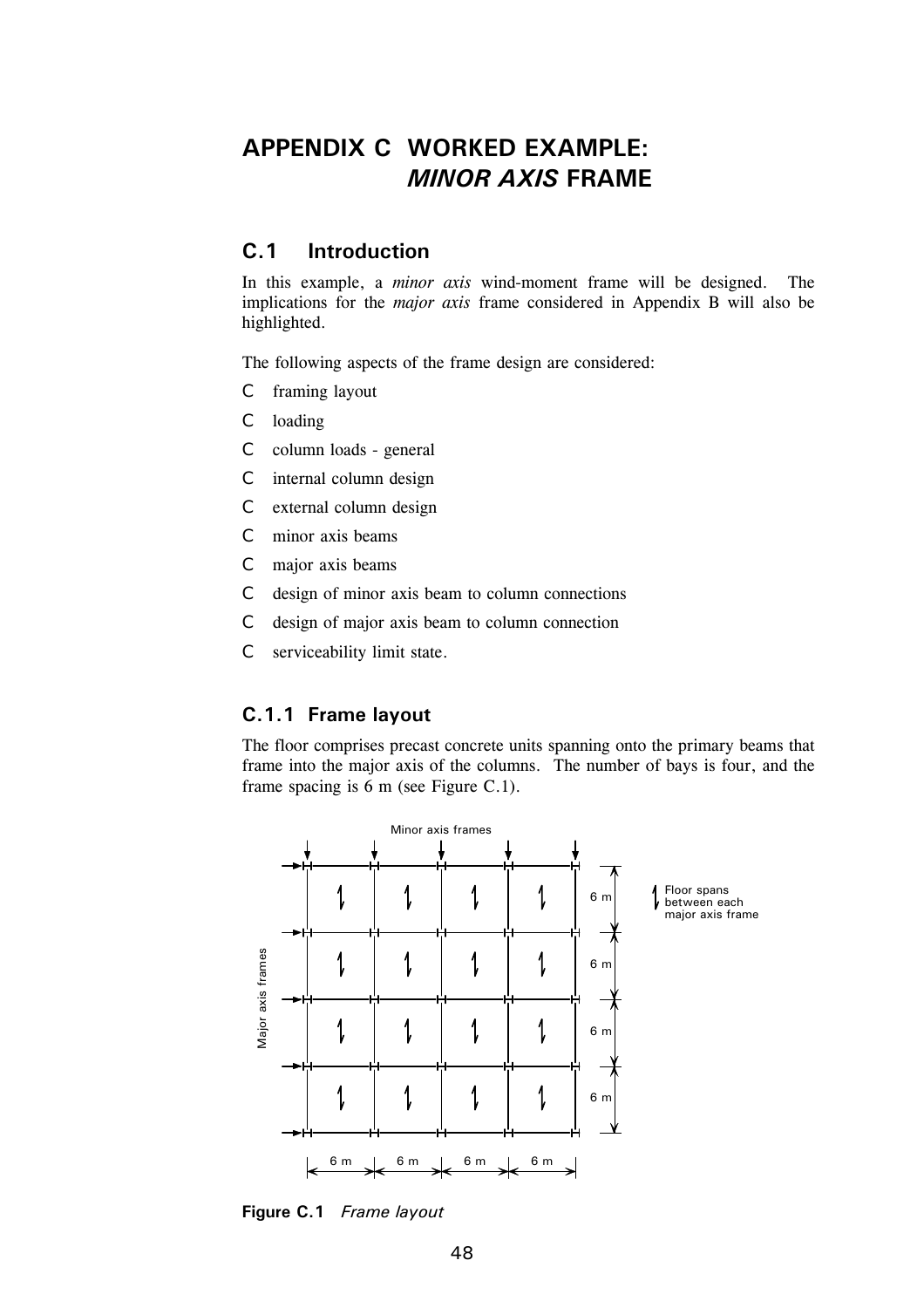# **APPENDIX C WORKED EXAMPLE:**  *MINOR AXIS* **FRAME**

# **C.1 Introduction**

In this example, a *minor axis* wind-moment frame will be designed. The implications for the *major axis* frame considered in Appendix B will also be highlighted.

The following aspects of the frame design are considered:

- C framing layout
- C loading
- C column loads general
- C internal column design
- C external column design
- C minor axis beams
- C major axis beams
- C design of minor axis beam to column connections
- C design of major axis beam to column connection
- C serviceability limit state.

### **C.1.1 Frame layout**

The floor comprises precast concrete units spanning onto the primary beams that frame into the major axis of the columns. The number of bays is four, and the frame spacing is 6 m (see Figure C.1).



**Figure C.1** *Frame layout*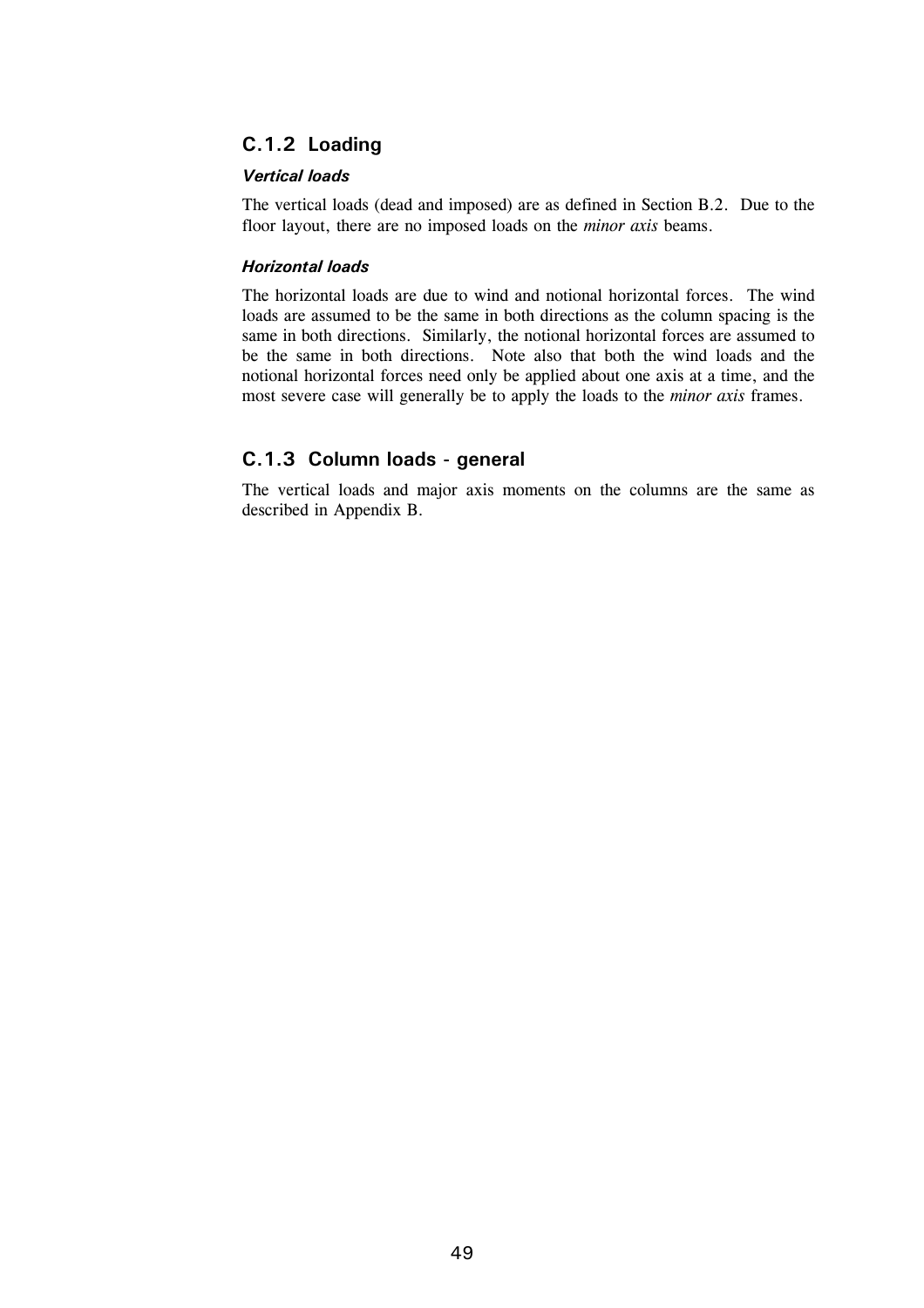## **C.1.2 Loading**

#### *Vertical loads*

The vertical loads (dead and imposed) are as defined in Section B.2. Due to the floor layout, there are no imposed loads on the *minor axis* beams.

#### *Horizontal loads*

The horizontal loads are due to wind and notional horizontal forces. The wind loads are assumed to be the same in both directions as the column spacing is the same in both directions. Similarly, the notional horizontal forces are assumed to be the same in both directions. Note also that both the wind loads and the notional horizontal forces need only be applied about one axis at a time, and the most severe case will generally be to apply the loads to the *minor axis* frames.

### **C.1.3 Column loads - general**

The vertical loads and major axis moments on the columns are the same as described in Appendix B.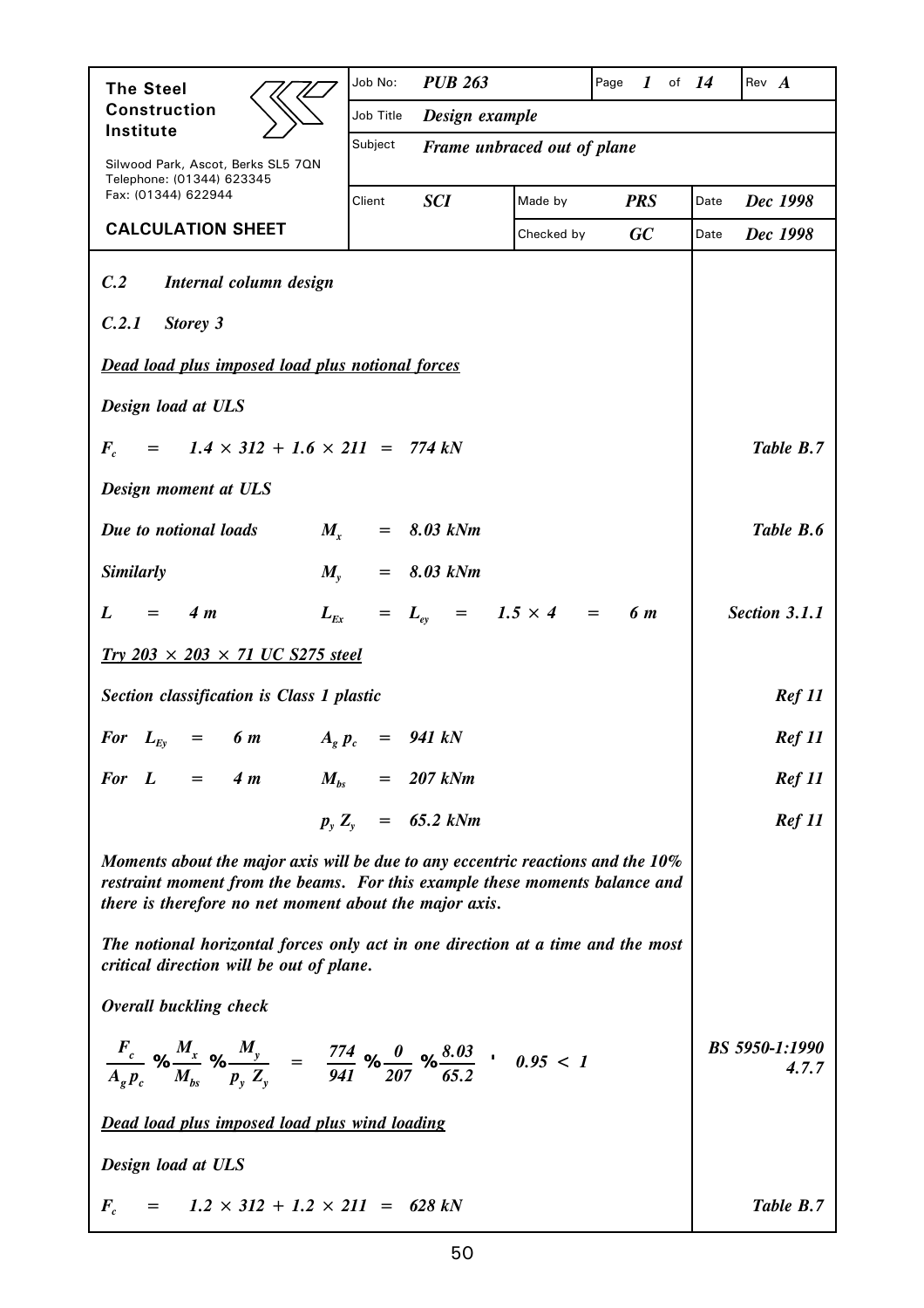| <b>The Steel</b>                                                                                                                                                                                                            | Job No:                      | <b>PUB 263</b>              |            | Page                    | $1$ of $14$ |      | Rev $\boldsymbol{A}$    |
|-----------------------------------------------------------------------------------------------------------------------------------------------------------------------------------------------------------------------------|------------------------------|-----------------------------|------------|-------------------------|-------------|------|-------------------------|
| <b>Construction</b><br>Institute                                                                                                                                                                                            | Job Title                    | Design example              |            |                         |             |      |                         |
| Silwood Park, Ascot, Berks SL5 7QN                                                                                                                                                                                          | Subject                      | Frame unbraced out of plane |            |                         |             |      |                         |
| Telephone: (01344) 623345<br>Fax: (01344) 622944                                                                                                                                                                            |                              |                             |            |                         |             |      |                         |
| <b>CALCULATION SHEET</b>                                                                                                                                                                                                    | Client                       | <b>SCI</b>                  | Made by    | <b>PRS</b><br><b>GC</b> |             | Date | Dec 1998<br>Dec 1998    |
|                                                                                                                                                                                                                             |                              |                             | Checked by |                         |             | Date |                         |
| C.2<br>Internal column design                                                                                                                                                                                               |                              |                             |            |                         |             |      |                         |
| C.2.1<br><b>Storey 3</b>                                                                                                                                                                                                    |                              |                             |            |                         |             |      |                         |
| <b>Dead load plus imposed load plus notional forces</b>                                                                                                                                                                     |                              |                             |            |                         |             |      |                         |
| Design load at ULS                                                                                                                                                                                                          |                              |                             |            |                         |             |      |                         |
| $=$ 1.4 $\times$ 312 + 1.6 $\times$ 211 = 774 kN<br>$\bm{F}_c$                                                                                                                                                              |                              |                             |            |                         |             |      | Table B.7               |
| Design moment at ULS                                                                                                                                                                                                        |                              |                             |            |                         |             |      |                         |
| Due to notional loads                                                                                                                                                                                                       | $M_{\rm r}$                  | $= 8.03$ kNm                |            |                         |             |      | Table B.6               |
| <b>Similarly</b>                                                                                                                                                                                                            | $M_{\rm v}$                  | $= 8.03$ kNm                |            |                         |             |      |                         |
| 4 <sub>m</sub><br>L<br>$=$                                                                                                                                                                                                  | $L_{\!\scriptscriptstyle E}$ | $= L_{ev} = 1.5 \times 4 =$ |            | 6 m                     |             |      | Section 3.1.1           |
| $Try 203 \times 203 \times 71$ UC S275 steel                                                                                                                                                                                |                              |                             |            |                         |             |      |                         |
| Section classification is Class 1 plastic                                                                                                                                                                                   |                              |                             |            |                         |             |      | <b>Ref 11</b>           |
| For $L_{Ev}$<br>$=$ 6 m                                                                                                                                                                                                     | $A_g p_c$                    | $= 941 kN$                  |            |                         |             |      | <b>Ref</b> 11           |
| $=$ 4 m<br>$M_{bs}$ = 207 kNm<br>For L                                                                                                                                                                                      |                              |                             |            |                         |             |      | <b>Ref</b> 11           |
|                                                                                                                                                                                                                             |                              | $p_v Z_v = 65.2$ kNm        |            |                         |             |      | <b>Ref</b> 11           |
| Moments about the major axis will be due to any eccentric reactions and the $10\%$<br>restraint moment from the beams. For this example these moments balance and<br>there is therefore no net moment about the major axis. |                              |                             |            |                         |             |      |                         |
| The notional horizontal forces only act in one direction at a time and the most<br>critical direction will be out of plane.                                                                                                 |                              |                             |            |                         |             |      |                         |
| Overall buckling check                                                                                                                                                                                                      |                              |                             |            |                         |             |      |                         |
| $\frac{F_c}{A_g p_c}$ % $\frac{M_x}{M_{bs}}$ % $\frac{M_y}{p_y Z_y}$ = $\frac{774}{941}$ % $\frac{0}{207}$ % $\frac{8.03}{65.2}$ ' 0.95 < 1                                                                                 |                              |                             |            |                         |             |      | BS 5950-1:1990<br>4.7.7 |
| <b>Dead load plus imposed load plus wind loading</b>                                                                                                                                                                        |                              |                             |            |                         |             |      |                         |
| Design load at ULS                                                                                                                                                                                                          |                              |                             |            |                         |             |      |                         |
| $1.2 \times 312 + 1.2 \times 211 = 628$ kN<br>$\bm{F}_c$<br>$=$ $-$                                                                                                                                                         |                              |                             |            |                         |             |      | Table B.7               |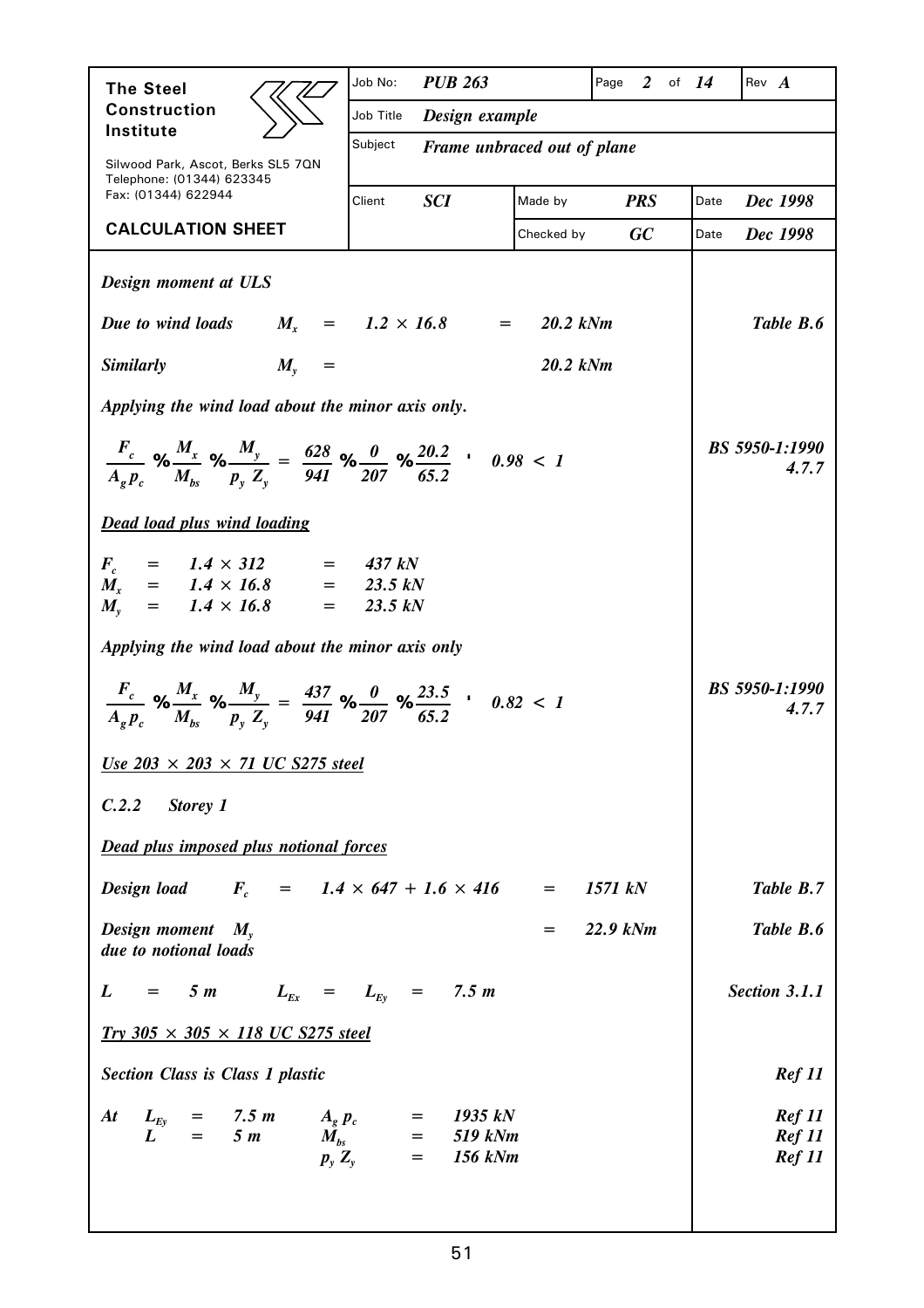| <b>The Steel</b>                                                                                                                          | <b>PUB 263</b><br>Job No:                   | 2 of $14$<br>Page           | Rev $\boldsymbol{A}$           |
|-------------------------------------------------------------------------------------------------------------------------------------------|---------------------------------------------|-----------------------------|--------------------------------|
| <b>Construction</b><br>Institute                                                                                                          | Job Title<br>Design example                 |                             |                                |
|                                                                                                                                           | Subject                                     | Frame unbraced out of plane |                                |
| Silwood Park, Ascot, Berks SL5 7QN<br>Telephone: (01344) 623345<br>Fax: (01344) 622944                                                    |                                             |                             |                                |
|                                                                                                                                           | <b>SCI</b><br>Client                        | <b>PRS</b><br>Made by       | Dec 1998<br>Date               |
| <b>CALCULATION SHEET</b>                                                                                                                  |                                             | <b>GC</b><br>Checked by     | Dec 1998<br>Date               |
| Design moment at ULS                                                                                                                      |                                             |                             |                                |
| Due to wind loads $M_r = 1.2 \times 16.8 = 20.2$ kNm                                                                                      |                                             |                             | Table B.6                      |
| $M_{\rm v}$ =<br><b>Similarly</b>                                                                                                         |                                             | 20.2 kNm                    |                                |
| Applying the wind load about the minor axis only.                                                                                         |                                             |                             |                                |
| $\frac{F_c}{A_e p_c}$ % $\frac{M_x}{M_{bs}}$ % $\frac{M_y}{p_v Z_v} = \frac{628}{941}$ % $\frac{0}{207}$ % $\frac{20.2}{65.2}$ ' 0.98 < 1 |                                             |                             | BS 5950-1:1990<br>4.7.7        |
| <b>Dead load plus wind loading</b>                                                                                                        |                                             |                             |                                |
| $F_c$ = $1.4 \times 312$ = $437 kN$<br>$M_x$ = $1.4 \times 16.8$ = $23.5 kN$<br>$M_y$ = $1.4 \times 16.8$ = $23.5 kN$                     |                                             |                             |                                |
| Applying the wind load about the minor axis only                                                                                          |                                             |                             |                                |
| $\frac{F_c}{A_p p_c}$ % $\frac{M_x}{M_{bs}}$ % $\frac{M_y}{p_v Z_v} = \frac{437}{941}$ % $\frac{0}{207}$ % $\frac{23.5}{65.2}$ ' 0.82 < 1 |                                             |                             | BS 5950-1:1990<br>4.7.7        |
| Use $203 \times 203 \times 71$ UC S275 steel                                                                                              |                                             |                             |                                |
| C.2.2<br><b>Storey 1</b>                                                                                                                  |                                             |                             |                                |
| <b>Dead plus imposed plus notional forces</b>                                                                                             |                                             |                             |                                |
| $\bm{F}_c$<br>Design load                                                                                                                 | $=$ 1.4 $\times$ 647 + 1.6 $\times$ 416     | 1571 kN<br>$=$              | Table B.7                      |
| Design moment $M_{\nu}$<br>due to notional loads                                                                                          |                                             | 22.9 kNm<br>$=$             | Table B.6                      |
| 5 <sub>m</sub><br>L<br>$=$                                                                                                                | $L_{Ex}$ = $L_{Ey}$ = 7.5 m                 |                             | Section 3.1.1                  |
| $Try\,305\times305\times118\,UC\,S275\,steel$                                                                                             |                                             |                             |                                |
| <b>Section Class is Class 1 plastic</b>                                                                                                   |                                             |                             | <b>Ref 11</b>                  |
| $= 7.5 m$<br>At<br>$\boldsymbol{L_{Ey}}$                                                                                                  | 1935 kN<br>$\frac{A_g}{M_{h_8}} p_c$<br>$=$ |                             | <b>Ref 11</b>                  |
| 5 <sub>m</sub><br>$M_{_{bs}}$<br>L<br>$=$<br>$p_y Z_y$                                                                                    | 519 kNm<br>$=$ $-$<br>156 kNm<br>$=$        |                             | <b>Ref 11</b><br><b>Ref 11</b> |
|                                                                                                                                           |                                             |                             |                                |
|                                                                                                                                           |                                             |                             |                                |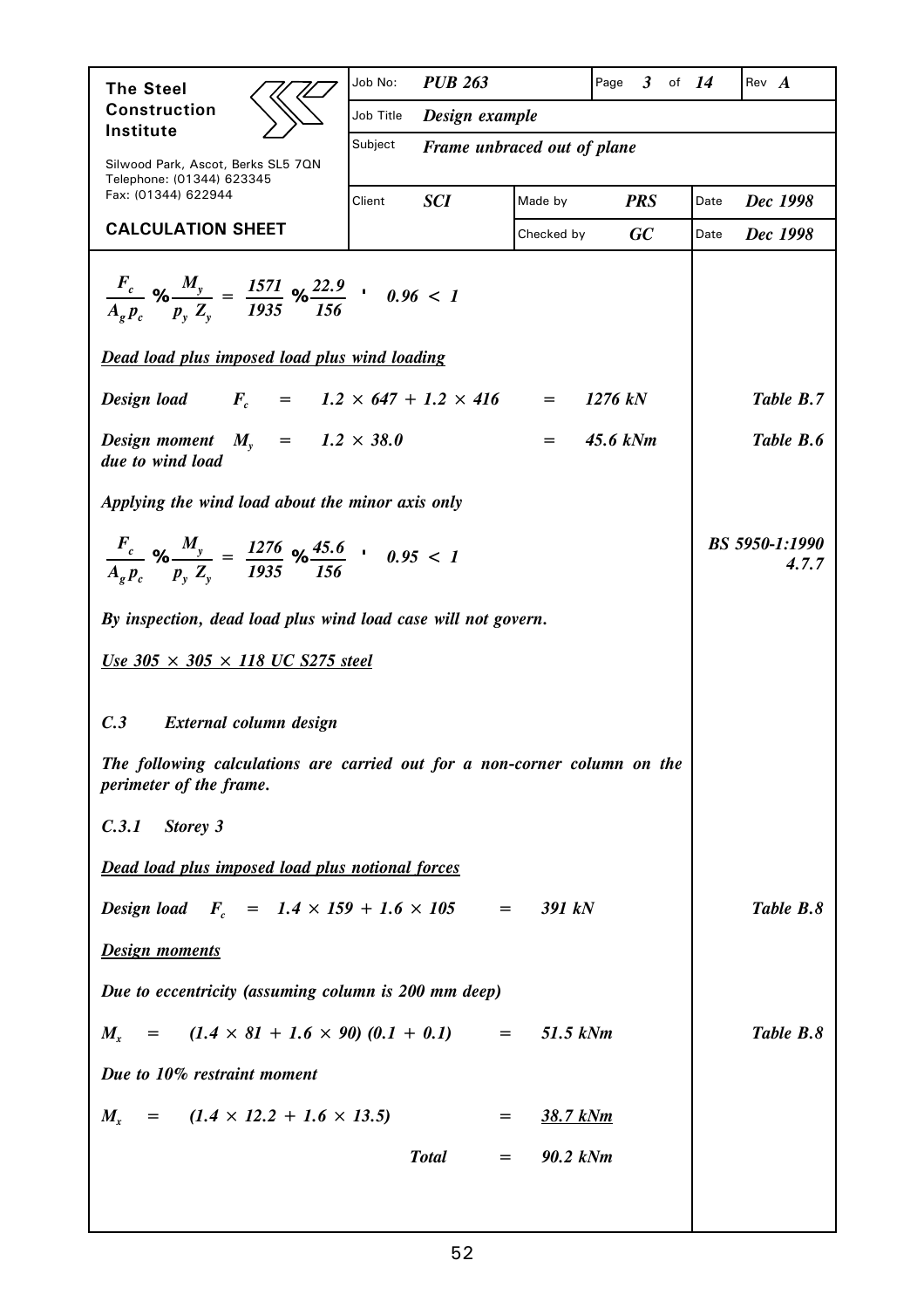| <b>The Steel</b>                                                                                     | Job No:   | <b>PUB 263</b>              |            | Page     | $3$ of $14$ |      | Rev $\boldsymbol{A}$    |
|------------------------------------------------------------------------------------------------------|-----------|-----------------------------|------------|----------|-------------|------|-------------------------|
| <b>Construction</b><br>Institute                                                                     | Job Title | Design example              |            |          |             |      |                         |
| Silwood Park, Ascot, Berks SL5 7QN                                                                   | Subject   | Frame unbraced out of plane |            |          |             |      |                         |
| Telephone: (01344) 623345<br>Fax: (01344) 622944                                                     |           |                             |            |          |             |      |                         |
| <b>CALCULATION SHEET</b>                                                                             | Client    | <b>SCI</b>                  | Made by    |          | <b>PRS</b>  | Date | Dec 1998                |
|                                                                                                      |           |                             | Checked by |          | <b>GC</b>   | Date | Dec 1998                |
| $\frac{F_c}{A_s p_c}$ % $\frac{M_y}{p_y Z_y} = \frac{1571}{1935}$ % $\frac{22.9}{156}$ ' 0.96 < 1    |           |                             |            |          |             |      |                         |
| <b>Dead load plus imposed load plus wind loading</b>                                                 |           |                             |            |          |             |      |                         |
| $F_c$ = 1.2 × 647 + 1.2 × 416 =<br>Design load                                                       |           |                             |            | 1276 kN  |             |      | Table B.7               |
| Design moment $M_v = 1.2 \times 38.0$<br>due to wind load                                            |           |                             | $=$        | 45.6 kNm |             |      | Table B.6               |
| Applying the wind load about the minor axis only                                                     |           |                             |            |          |             |      |                         |
| $\frac{F_c}{A_g p_c}$ % $\frac{M_y}{p_y Z_y} = \frac{1276}{1935}$ % $\frac{45.6}{156}$ ' 0.95 < 1    |           |                             |            |          |             |      | BS 5950-1:1990<br>4.7.7 |
| By inspection, dead load plus wind load case will not govern.                                        |           |                             |            |          |             |      |                         |
| Use $305 \times 305 \times 118$ UC S275 steel                                                        |           |                             |            |          |             |      |                         |
| C.3<br>External column design                                                                        |           |                             |            |          |             |      |                         |
| The following calculations are carried out for a non-corner column on the<br>perimeter of the frame. |           |                             |            |          |             |      |                         |
| <b>Storey 3</b><br>C.3.1                                                                             |           |                             |            |          |             |      |                         |
| <b>Dead load plus imposed load plus notional forces</b>                                              |           |                             |            |          |             |      |                         |
| <i>Design load</i> $F_c = 1.4 \times 159 + 1.6 \times 105 = 391 kN$                                  |           |                             |            |          |             |      | Table B.8               |
| <b>Design moments</b>                                                                                |           |                             |            |          |             |      |                         |
| Due to eccentricity (assuming column is 200 mm deep)                                                 |           |                             |            |          |             |      |                         |
| $=$ $(1.4 \times 81 + 1.6 \times 90) (0.1 + 0.1)$<br>$M_{\rm r}$                                     |           | $=$                         | 51.5 kNm   |          |             |      | Table B.8               |
| Due to 10% restraint moment                                                                          |           |                             |            |          |             |      |                         |
| $=$ $(1.4 \times 12.2 + 1.6 \times 13.5)$<br>$M_{r}$                                                 |           | $=$                         | 38.7 kNm   |          |             |      |                         |
|                                                                                                      |           | <b>Total</b><br>$=$         | 90.2 kNm   |          |             |      |                         |
|                                                                                                      |           |                             |            |          |             |      |                         |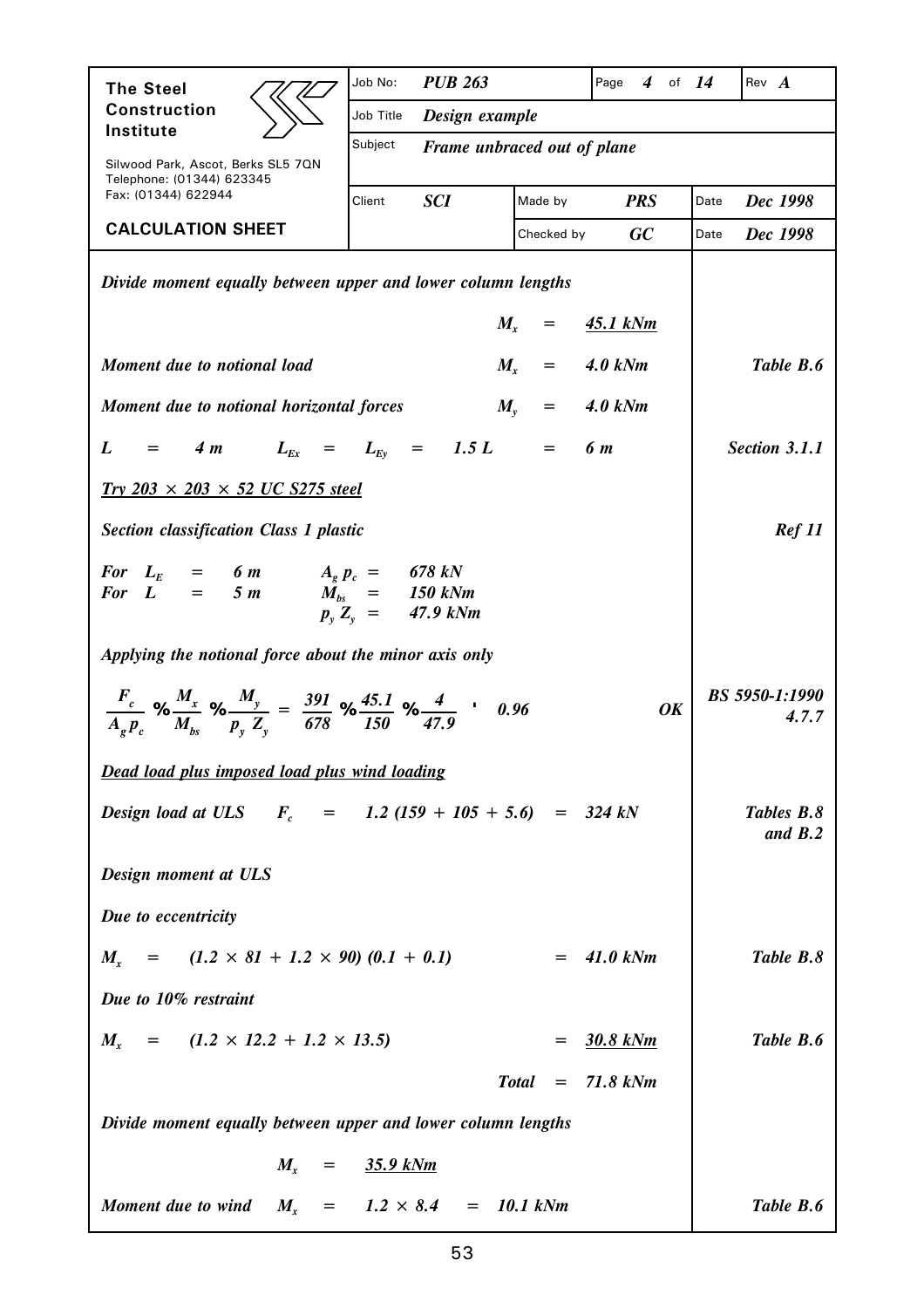| <b>The Steel</b>                                                                                                                      | <b>PUB 263</b><br>Job No:   |                             | 4 of $14$<br>Page  | Rev $\boldsymbol{A}$    |
|---------------------------------------------------------------------------------------------------------------------------------------|-----------------------------|-----------------------------|--------------------|-------------------------|
| <b>Construction</b>                                                                                                                   | Job Title<br>Design example |                             |                    |                         |
| Institute                                                                                                                             | Subject                     | Frame unbraced out of plane |                    |                         |
| Silwood Park, Ascot, Berks SL5 7QN<br>Telephone: (01344) 623345                                                                       |                             |                             |                    |                         |
| Fax: (01344) 622944<br><b>CALCULATION SHEET</b>                                                                                       | <b>SCI</b><br>Client        | Made by                     | <b>PRS</b>         | Dec 1998<br>Date        |
|                                                                                                                                       |                             | Checked by                  | GC                 | Dec 1998<br>Date        |
| Divide moment equally between upper and lower column lengths                                                                          |                             |                             |                    |                         |
|                                                                                                                                       |                             | $M_{\rm r}$                 | $= 45.1 \; kNm$    |                         |
| Moment due to notional load                                                                                                           |                             | $M_r$ = 4.0 kNm             |                    | Table B.6               |
| Moment due to notional horizontal forces                                                                                              |                             | $M_{v}$ = 4.0 kNm           |                    |                         |
| $=$ 4 m $L_{Ex}$ = $L_{Ey}$ = 1.5 L = 6 m<br>$\bm{L}$                                                                                 |                             |                             |                    | Section 3.1.1           |
| $Try 203 \times 203 \times 52 UC$ S275 steel                                                                                          |                             |                             |                    |                         |
| <b>Section classification Class 1 plastic</b>                                                                                         |                             |                             |                    | <b>Ref</b> 11           |
| For $L_E$ = 6 m<br>For $L = 5$ m<br>$M_{bs}$ = 150 kNm<br>$p_y Z_y$ = 47.9 kNm                                                        |                             |                             |                    |                         |
| Applying the notional force about the minor axis only                                                                                 |                             |                             |                    |                         |
| $\frac{F_c}{A_e p_c}$ % $\frac{M_x}{M_{bs}}$ % $\frac{M_y}{p_v Z_v} = \frac{391}{678}$ % $\frac{45.1}{150}$ % $\frac{4}{47.9}$ ' 0.96 |                             |                             | OK                 | BS 5950-1:1990<br>4.7.7 |
| Dead load plus imposed load plus wind loading                                                                                         |                             |                             |                    |                         |
| Design load at ULS $F_c = 1.2 (159 + 105 + 5.6) = 324 kN$                                                                             |                             |                             |                    | Tables B.8<br>and $B.2$ |
| Design moment at ULS                                                                                                                  |                             |                             |                    |                         |
| Due to eccentricity                                                                                                                   |                             |                             |                    |                         |
| $M_r$ = $(1.2 \times 81 + 1.2 \times 90) (0.1 + 0.1)$                                                                                 |                             |                             | $=$ 41.0 kNm       | Table B.8               |
| Due to 10% restraint                                                                                                                  |                             |                             |                    |                         |
| $M_r$ = $(1.2 \times 12.2 + 1.2 \times 13.5)$                                                                                         |                             | $=$                         | 30.8 kNm           | Table B.6               |
|                                                                                                                                       |                             |                             | $Total = 71.8$ kNm |                         |
| Divide moment equally between upper and lower column lengths                                                                          |                             |                             |                    |                         |
| $M_{\rm r}$                                                                                                                           | $=$ 35.9 kNm                |                             |                    |                         |
| Moment due to wind $M_r = 1.2 \times 8.4 = 10.1$ kNm                                                                                  |                             |                             |                    | Table B.6               |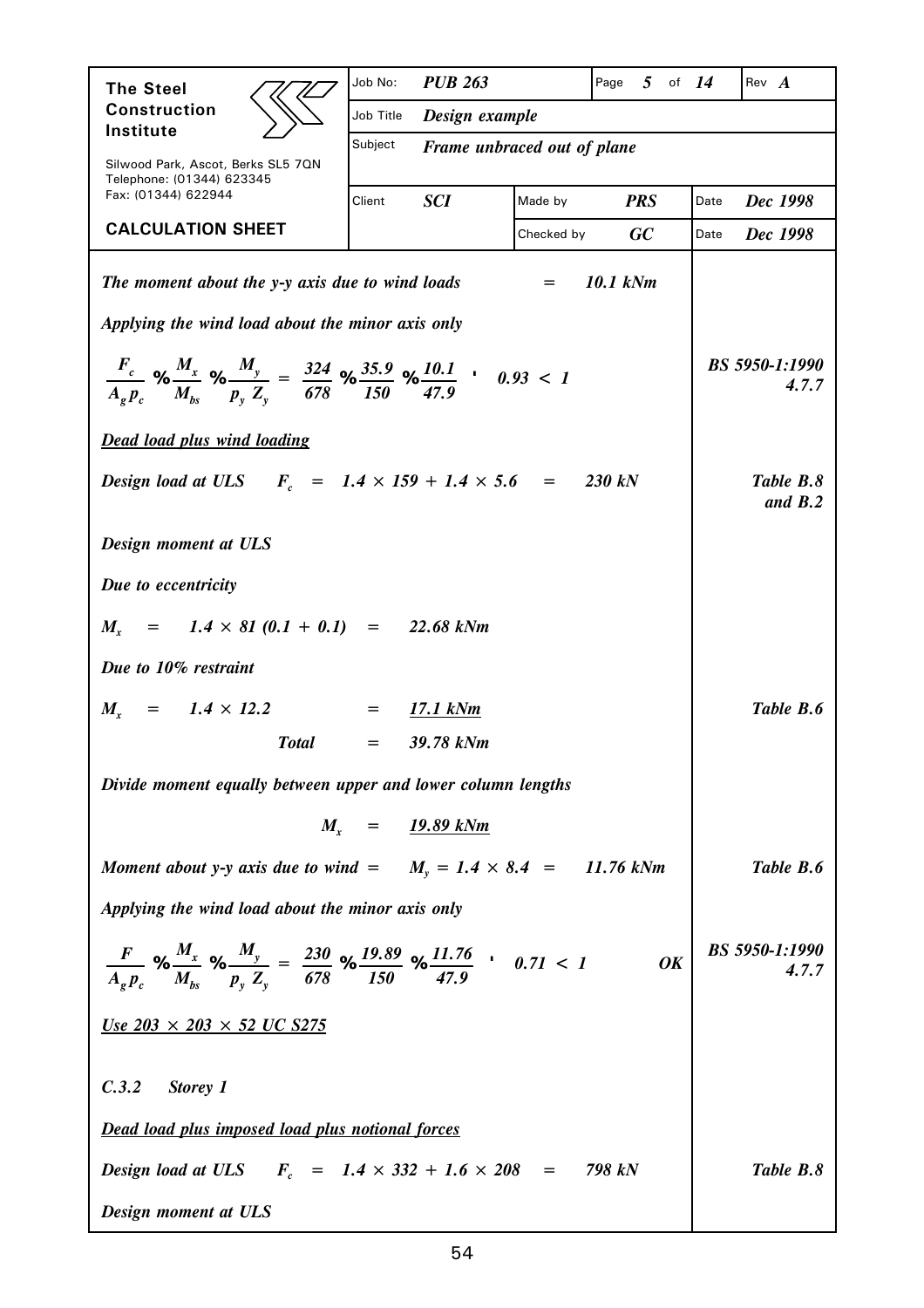| <b>The Steel</b>                                                                                                                             | Job No:   | <b>PUB 263</b>              |            | Page       | $5$ of $14$ |      | $Rev \, A$              |
|----------------------------------------------------------------------------------------------------------------------------------------------|-----------|-----------------------------|------------|------------|-------------|------|-------------------------|
| <b>Construction</b>                                                                                                                          | Job Title | Design example              |            |            |             |      |                         |
| Institute                                                                                                                                    | Subject   | Frame unbraced out of plane |            |            |             |      |                         |
| Silwood Park, Ascot, Berks SL5 7QN<br>Telephone: (01344) 623345                                                                              |           |                             |            |            |             |      |                         |
| Fax: (01344) 622944                                                                                                                          | Client    | <b>SCI</b>                  | Made by    | <b>PRS</b> |             | Date | Dec 1998                |
| <b>CALCULATION SHEET</b>                                                                                                                     |           |                             | Checked by | GC         |             | Date | Dec 1998                |
| The moment about the y-y axis due to wind loads                                                                                              |           |                             | $=$        | 10.1 kNm   |             |      |                         |
| Applying the wind load about the minor axis only                                                                                             |           |                             |            |            |             |      |                         |
| $\frac{F_c}{A_g p_c}$ % $\frac{M_x}{M_{bs}}$ % $\frac{M_y}{p_y Z_y} = \frac{324}{678}$ % $\frac{35.9}{150}$ % $\frac{10.1}{47.9}$ ' 0.93 < 1 |           |                             |            |            |             |      | BS 5950-1:1990<br>4.7.7 |
| <b>Dead load plus wind loading</b>                                                                                                           |           |                             |            |            |             |      |                         |
| Design load at ULS $F_c = 1.4 \times 159 + 1.4 \times 5.6 = 230$ kN                                                                          |           |                             |            |            |             |      | Table B.8<br>and $B.2$  |
| Design moment at ULS                                                                                                                         |           |                             |            |            |             |      |                         |
| Due to eccentricity                                                                                                                          |           |                             |            |            |             |      |                         |
| $M_r$ = 1.4 × 81 (0.1 + 0.1) = 22.68 kNm                                                                                                     |           |                             |            |            |             |      |                         |
| Due to 10% restraint                                                                                                                         |           |                             |            |            |             |      |                         |
| $M_r = 1.4 \times 12.2$                                                                                                                      | $=$ $-$   | <u>17.1 kNm</u>             |            |            |             |      | Table B.6               |
| <b>Total</b>                                                                                                                                 |           | $=$ 39.78 kNm               |            |            |             |      |                         |
| Divide moment equally between upper and lower column lengths                                                                                 |           |                             |            |            |             |      |                         |
|                                                                                                                                              |           | $M_x = 19.89 \text{ kNm}$   |            |            |             |      |                         |
| Moment about y-y axis due to wind = $M_y = 1.4 \times 8.4 = 11.76$ kNm                                                                       |           |                             |            |            |             |      | Table B.6               |
| Applying the wind load about the minor axis only                                                                                             |           |                             |            |            |             |      |                         |
| $\frac{F}{A_e p_c}$ % $\frac{M_x}{M_{bs}}$ % $\frac{M_y}{p_y Z_y} = \frac{230}{678}$ % $\frac{19.89}{150}$ % $\frac{11.76}{47.9}$ ' 0.71 < 1 |           |                             |            |            | OK          |      | BS 5950-1:1990<br>4.7.7 |
| <u>Use 203 <math>\times</math> 203 <math>\times</math> 52 UC S275</u>                                                                        |           |                             |            |            |             |      |                         |
| C.3.2<br><b>Storey 1</b>                                                                                                                     |           |                             |            |            |             |      |                         |
| <b>Dead load plus imposed load plus notional forces</b>                                                                                      |           |                             |            |            |             |      |                         |
| Design load at ULS $F_c = 1.4 \times 332 + 1.6 \times 208 = 798$ kN                                                                          |           |                             |            |            |             |      | Table B.8               |
| Design moment at ULS                                                                                                                         |           |                             |            |            |             |      |                         |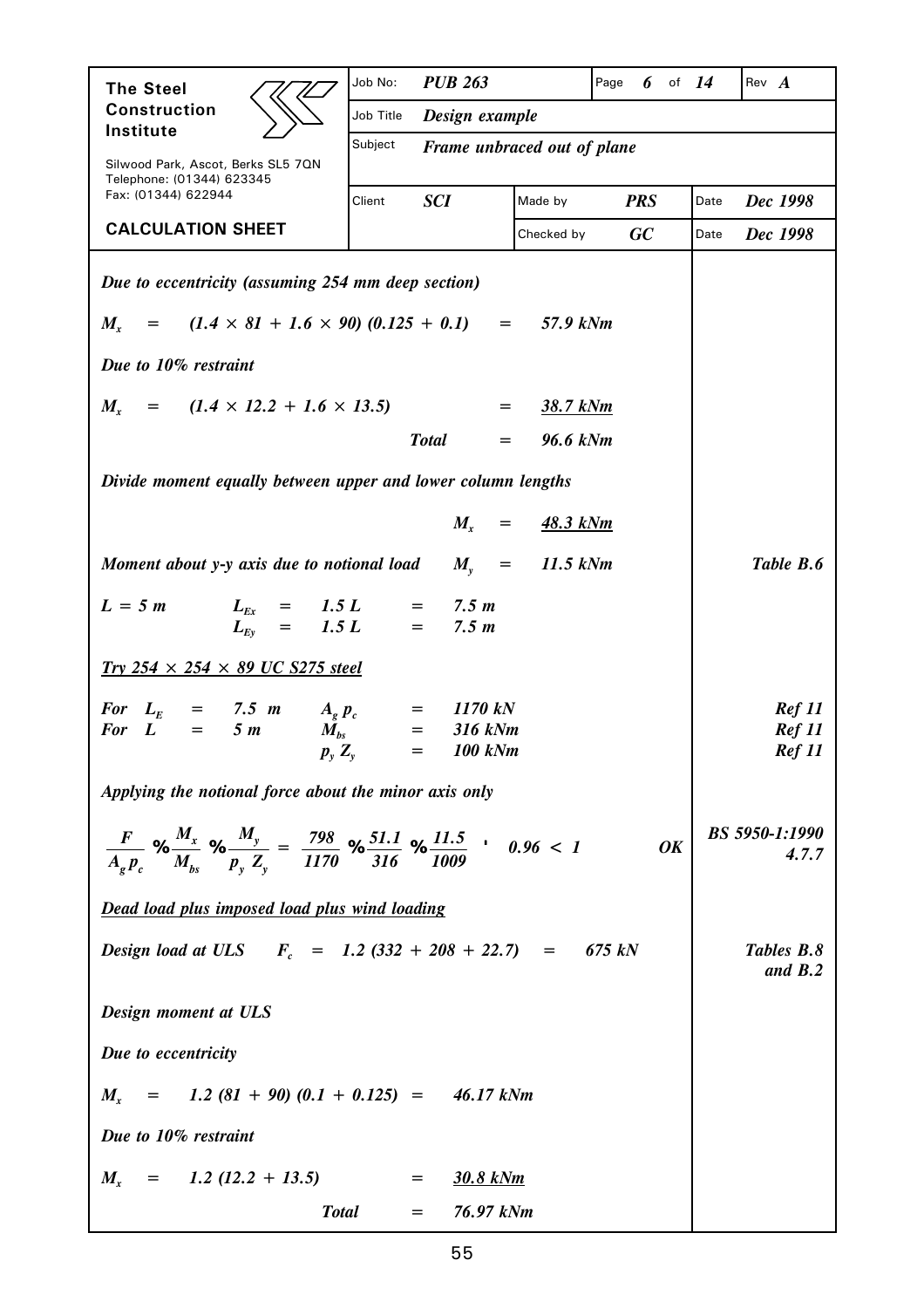| <b>The Steel</b>                                                                                                                  | Job No:                            | <b>PUB 263</b> |                           |                             | Page |            | $6$ of $14$ | Rev $\boldsymbol{A}$           |
|-----------------------------------------------------------------------------------------------------------------------------------|------------------------------------|----------------|---------------------------|-----------------------------|------|------------|-------------|--------------------------------|
| <b>Construction</b><br>Institute                                                                                                  | Job Title                          | Design example |                           |                             |      |            |             |                                |
| Silwood Park, Ascot, Berks SL5 7QN                                                                                                | Subject                            |                |                           | Frame unbraced out of plane |      |            |             |                                |
| Telephone: (01344) 623345<br>Fax: (01344) 622944                                                                                  |                                    |                |                           |                             |      |            |             |                                |
| <b>CALCULATION SHEET</b>                                                                                                          | Client                             | <b>SCI</b>     |                           | Made by                     |      | <b>PRS</b> | Date        | Dec 1998                       |
|                                                                                                                                   |                                    |                |                           | Checked by                  |      | GC         | Date        | Dec 1998                       |
| Due to eccentricity (assuming 254 mm deep section)                                                                                |                                    |                |                           |                             |      |            |             |                                |
| $=$ $(1.4 \times 81 + 1.6 \times 90) (0.125 + 0.1) = 57.9$ kNm<br>$M_{\rm r}$                                                     |                                    |                |                           |                             |      |            |             |                                |
| Due to 10% restraint                                                                                                              |                                    |                |                           |                             |      |            |             |                                |
| $M_{\rm r}$<br>$(1.4 \times 12.2 + 1.6 \times 13.5)$<br>$=$                                                                       |                                    |                | $=$                       | 38.7 kNm                    |      |            |             |                                |
|                                                                                                                                   |                                    | <b>Total</b>   |                           | 96.6 kNm<br>$=$ $-$         |      |            |             |                                |
| Divide moment equally between upper and lower column lengths                                                                      |                                    |                |                           |                             |      |            |             |                                |
|                                                                                                                                   |                                    | $M_{x}$        |                           | 48.3 kNm<br>$=$ $\qquad$    |      |            |             |                                |
| Moment about y-y axis due to notional load                                                                                        |                                    | $M_{\rm v}$    |                           | 11.5 kNm<br>$=$ $-$         |      |            |             | Table B.6                      |
| $L = 5 m$<br>$L_{Ex}$ = 1.5 L = 7.5 m<br>$\boldsymbol{L}_{\!\scriptscriptstyle E}$ v<br>$=$ 1.5 L                                 |                                    | $= 7.5 m$      |                           |                             |      |            |             |                                |
| $Try 254 \times 254 \times 89$ UC S275 steel                                                                                      |                                    |                |                           |                             |      |            |             |                                |
| For $L_E$ = 7.5 m<br>$A_g p_c$                                                                                                    |                                    | $=$ 1170 kN    |                           |                             |      |            |             | <b>Ref</b> 11                  |
| <b>For</b><br>$\bm{L}$<br>$=$<br>5 <sub>m</sub><br>$p_{y} Z_{y}$                                                                  | $M_{bs}$                           | $=$<br>$=$     | 316 kNm<br><b>100 kNm</b> |                             |      |            |             | <b>Ref 11</b><br><b>Ref 11</b> |
| Applying the notional force about the minor axis only                                                                             |                                    |                |                           |                             |      |            |             |                                |
| $rac{F}{A_g p_c}$ % $rac{M_x}{M_{bs}}$ % $rac{M_y}{p_y Z_y}$ = $rac{798}{1170}$ % $rac{51.1}{316}$ % $rac{11.5}{1009}$ ' 0.96 < 1 |                                    |                |                           |                             |      | OK         |             | BS 5950-1:1990<br>4.7.7        |
| <b>Dead load plus imposed load plus wind loading</b>                                                                              |                                    |                |                           |                             |      |            |             |                                |
| Design load at ULS $F_c = 1.2 (332 + 208 + 22.7) = 675 kN$                                                                        |                                    |                |                           |                             |      |            |             | Tables B.8<br>and $B.2$        |
| Design moment at ULS                                                                                                              |                                    |                |                           |                             |      |            |             |                                |
| Due to eccentricity                                                                                                               |                                    |                |                           |                             |      |            |             |                                |
| $M_r$ = 1.2 (81 + 90) (0.1 + 0.125) = 46.17 kNm                                                                                   |                                    |                |                           |                             |      |            |             |                                |
| Due to 10% restraint                                                                                                              |                                    |                |                           |                             |      |            |             |                                |
| $=$ 1.2 (12.2 + 13.5)<br>$M_{\rm r}$                                                                                              | $\sim$ $\sim$ $\sim$ $\sim$ $\sim$ |                | 30.8 kNm                  |                             |      |            |             |                                |
| <b>Total</b>                                                                                                                      |                                    | 76.97 kNm      |                           |                             |      |            |             |                                |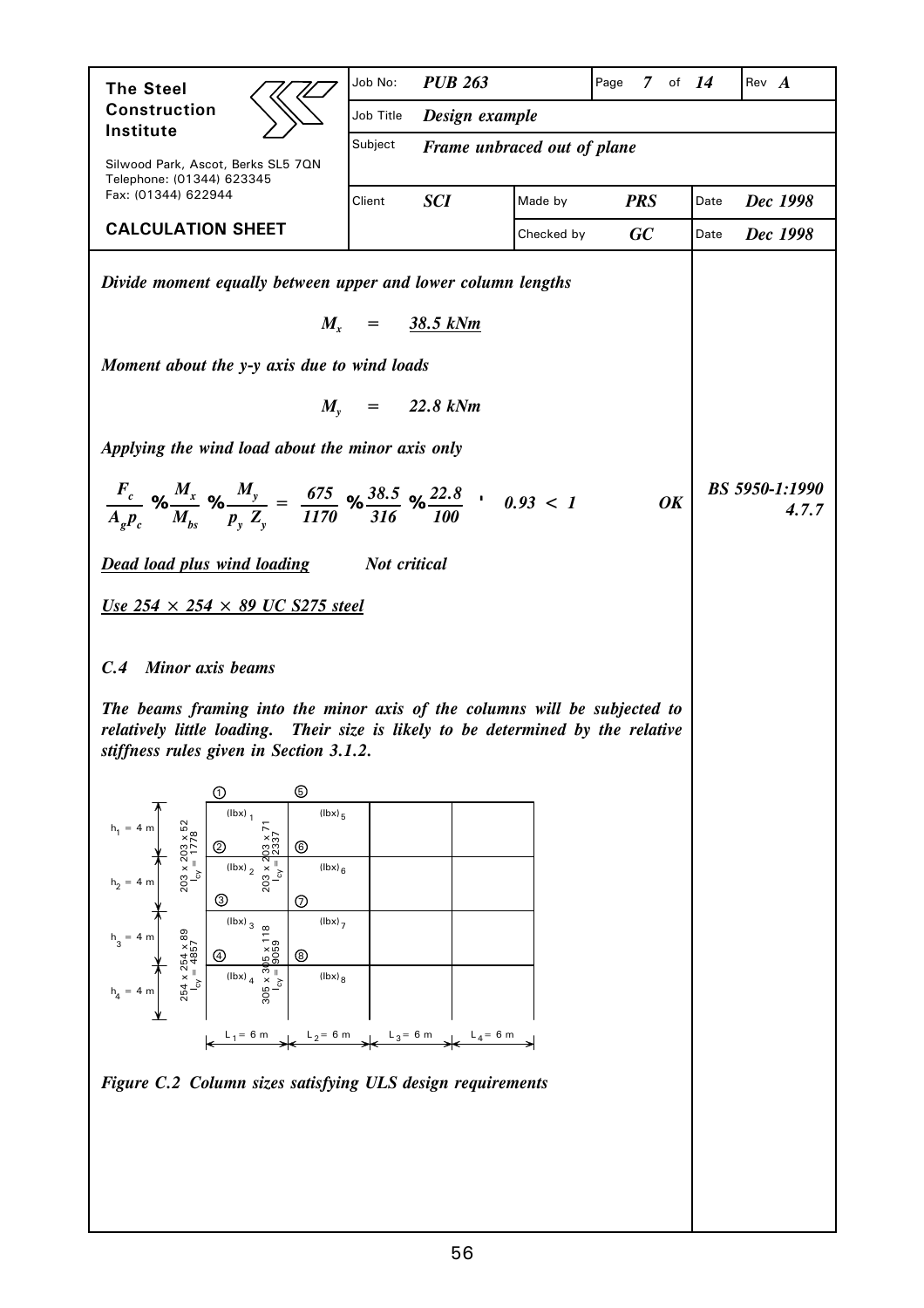| <b>The Steel</b>                                                                                                                                                                                                                                                                                                                                                                                                                                                                                                                                                                                                                                                                                                                                                                                                                                                                                                                                                                                                                                                                                                                                                                                                                                                                                                                                                                                   | Job No:   | <b>PUB 263</b>                                                      |            | Page | 7 <sup>7</sup> | of $14$ | Rev $A$        |       |
|----------------------------------------------------------------------------------------------------------------------------------------------------------------------------------------------------------------------------------------------------------------------------------------------------------------------------------------------------------------------------------------------------------------------------------------------------------------------------------------------------------------------------------------------------------------------------------------------------------------------------------------------------------------------------------------------------------------------------------------------------------------------------------------------------------------------------------------------------------------------------------------------------------------------------------------------------------------------------------------------------------------------------------------------------------------------------------------------------------------------------------------------------------------------------------------------------------------------------------------------------------------------------------------------------------------------------------------------------------------------------------------------------|-----------|---------------------------------------------------------------------|------------|------|----------------|---------|----------------|-------|
| <b>Construction</b>                                                                                                                                                                                                                                                                                                                                                                                                                                                                                                                                                                                                                                                                                                                                                                                                                                                                                                                                                                                                                                                                                                                                                                                                                                                                                                                                                                                | Job Title | Design example                                                      |            |      |                |         |                |       |
| Institute                                                                                                                                                                                                                                                                                                                                                                                                                                                                                                                                                                                                                                                                                                                                                                                                                                                                                                                                                                                                                                                                                                                                                                                                                                                                                                                                                                                          | Subject   | Frame unbraced out of plane                                         |            |      |                |         |                |       |
| Silwood Park, Ascot, Berks SL5 7QN<br>Telephone: (01344) 623345                                                                                                                                                                                                                                                                                                                                                                                                                                                                                                                                                                                                                                                                                                                                                                                                                                                                                                                                                                                                                                                                                                                                                                                                                                                                                                                                    |           |                                                                     |            |      |                |         |                |       |
|                                                                                                                                                                                                                                                                                                                                                                                                                                                                                                                                                                                                                                                                                                                                                                                                                                                                                                                                                                                                                                                                                                                                                                                                                                                                                                                                                                                                    | Client    | <b>SCI</b>                                                          | Made by    |      | <b>PRS</b>     | Date    | Dec 1998       |       |
| <b>CALCULATION SHEET</b>                                                                                                                                                                                                                                                                                                                                                                                                                                                                                                                                                                                                                                                                                                                                                                                                                                                                                                                                                                                                                                                                                                                                                                                                                                                                                                                                                                           |           |                                                                     | Checked by |      | <b>GC</b>      | Date    | Dec 1998       |       |
| Fax: (01344) 622944<br>Divide moment equally between upper and lower column lengths<br>Moment about the y-y axis due to wind loads<br>Applying the wind load about the minor axis only<br>$\frac{F_c}{A_g p_c}$ % $\frac{M_x}{M_{bs}}$ % $\frac{M_y}{p_y Z_y} = \frac{675}{1170}$ % $\frac{38.5}{316}$ % $\frac{22.8}{100}$ ' 0.93 < 1<br><b>Dead load plus wind loading Not critical</b><br><u>Use 254 <math>\times</math> 254 <math>\times</math> 89 UC S275 steel</u><br>C.4 Minor axis beams<br>The beams framing into the minor axis of the columns will be subjected to<br>relatively little loading. Their size is likely to be determined by the relative<br>stiffness rules given in Section 3.1.2.<br>⑤<br>⊕<br>(Ibx)<br>$(lbx)$ <sub>5</sub><br>$203 \times 203 \times 52$<br>$I_{cy} = 1778$<br>$h_1 = 4 m$<br>$203 \times 203 \times 7$<br>$1 = 2337$<br>➁<br>6<br>$(lbx)$ <sub>2</sub><br>$(\mathsf{lbx})_6$<br>Ø<br>$(lbx)$ <sub>7</sub><br>(lbx) $_{\rm 3}$<br>$\begin{array}{c c}\n\hline\n(1) & 1 & 1 \\ (2) & 1 & 1 \\ (3) & 1 & 1 \\ (4) & 1 & 1 \\ (5) & 1 & 1 \\ (6) & 1 & 1 \\ (7) & 1 & 1 \\ (8) & 1 & 1 \\ (9) & 1 & 1 \\ (10) & 1 & 1 \\ (11) & 1 & 1 \\ (12) & 1 & 1 \\ (13) & 1 & 1 \\ (14) & 1 & 1 \\ (15) & 1 & 1 \\ (16) & 1 & 1 \\ (17) & 1 & 1 \\ (18) & 1 & 1 \\ (19) & 1 & 1 \\ (10) & $<br>$254 \times 254 \times 89$<br>$I_{cy} = 4857$<br>$(\mathsf{lbx})_8$ |           | $M_r = \frac{38.5 \text{ kNm}}{2000 \text{ k}}$<br>$M_v$ = 22.8 kNm |            |      | OK             |         | BS 5950-1:1990 | 4.7.7 |
|                                                                                                                                                                                                                                                                                                                                                                                                                                                                                                                                                                                                                                                                                                                                                                                                                                                                                                                                                                                                                                                                                                                                                                                                                                                                                                                                                                                                    |           |                                                                     |            |      |                |         |                |       |
| $\leftarrow$ $L_1 = 6 \text{ m}$ $L_2 = 6 \text{ m}$ $L_3 = 6 \text{ m}$ $L_4 = 6 \text{ m}$                                                                                                                                                                                                                                                                                                                                                                                                                                                                                                                                                                                                                                                                                                                                                                                                                                                                                                                                                                                                                                                                                                                                                                                                                                                                                                       |           |                                                                     |            |      |                |         |                |       |
| Figure C.2 Column sizes satisfying ULS design requirements                                                                                                                                                                                                                                                                                                                                                                                                                                                                                                                                                                                                                                                                                                                                                                                                                                                                                                                                                                                                                                                                                                                                                                                                                                                                                                                                         |           |                                                                     |            |      |                |         |                |       |
|                                                                                                                                                                                                                                                                                                                                                                                                                                                                                                                                                                                                                                                                                                                                                                                                                                                                                                                                                                                                                                                                                                                                                                                                                                                                                                                                                                                                    |           |                                                                     |            |      |                |         |                |       |
|                                                                                                                                                                                                                                                                                                                                                                                                                                                                                                                                                                                                                                                                                                                                                                                                                                                                                                                                                                                                                                                                                                                                                                                                                                                                                                                                                                                                    |           |                                                                     |            |      |                |         |                |       |
|                                                                                                                                                                                                                                                                                                                                                                                                                                                                                                                                                                                                                                                                                                                                                                                                                                                                                                                                                                                                                                                                                                                                                                                                                                                                                                                                                                                                    |           |                                                                     |            |      |                |         |                |       |
|                                                                                                                                                                                                                                                                                                                                                                                                                                                                                                                                                                                                                                                                                                                                                                                                                                                                                                                                                                                                                                                                                                                                                                                                                                                                                                                                                                                                    |           |                                                                     |            |      |                |         |                |       |
|                                                                                                                                                                                                                                                                                                                                                                                                                                                                                                                                                                                                                                                                                                                                                                                                                                                                                                                                                                                                                                                                                                                                                                                                                                                                                                                                                                                                    |           |                                                                     |            |      |                |         |                |       |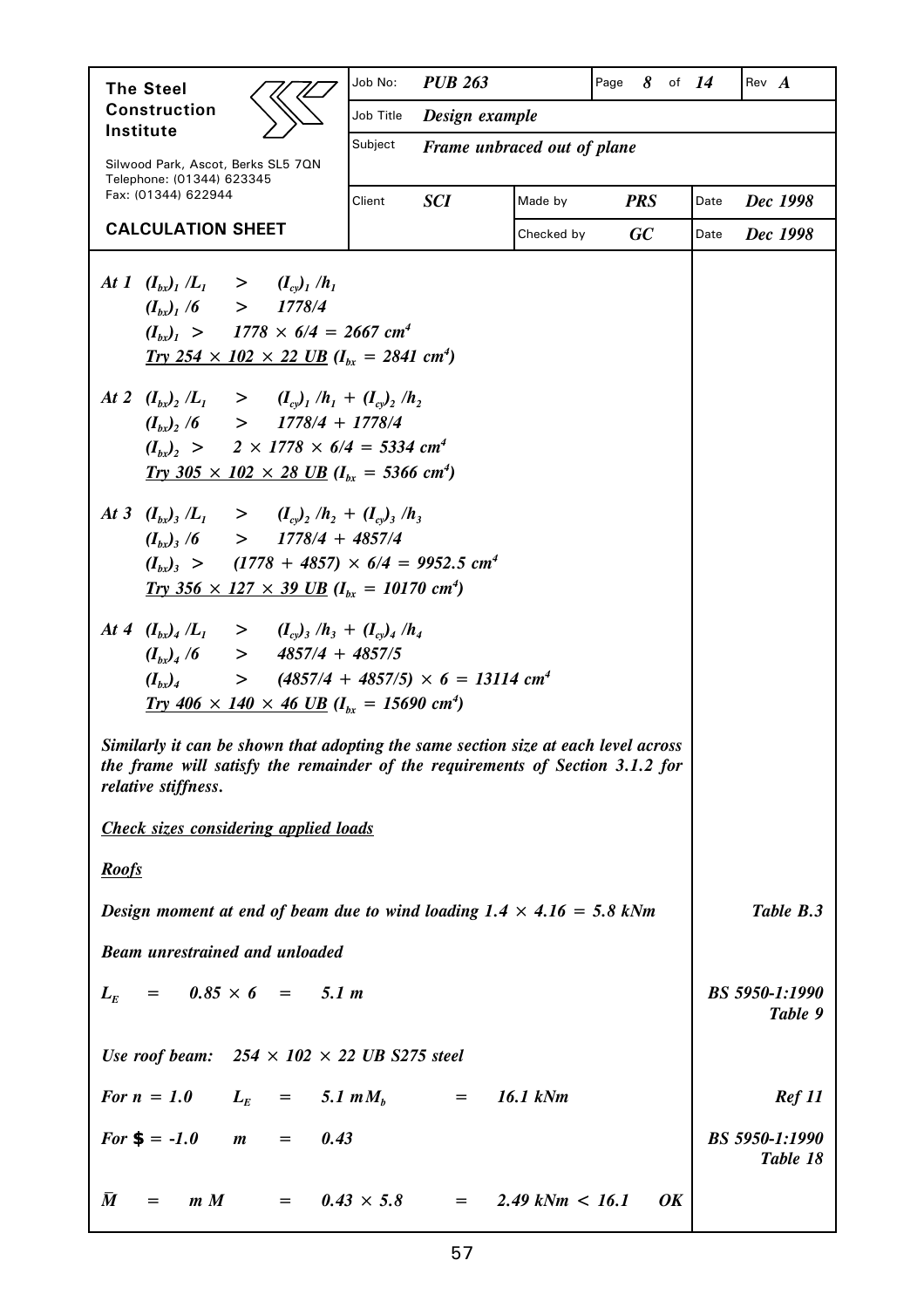| <b>The Steel</b>                                                                                                                                                                                                                                                                                                                                         | Job No:   | <b>PUB 263</b>              |                     | Page $8$ of $14$ |            |      | Rev $\boldsymbol{A}$       |
|----------------------------------------------------------------------------------------------------------------------------------------------------------------------------------------------------------------------------------------------------------------------------------------------------------------------------------------------------------|-----------|-----------------------------|---------------------|------------------|------------|------|----------------------------|
| <b>Construction</b>                                                                                                                                                                                                                                                                                                                                      | Job Title | Design example              |                     |                  |            |      |                            |
| Institute                                                                                                                                                                                                                                                                                                                                                | Subject   | Frame unbraced out of plane |                     |                  |            |      |                            |
| Silwood Park, Ascot, Berks SL5 7QN<br>Telephone: (01344) 623345                                                                                                                                                                                                                                                                                          |           |                             |                     |                  |            |      |                            |
| Fax: (01344) 622944                                                                                                                                                                                                                                                                                                                                      | Client    | <b>SCI</b>                  | Made by             |                  | <b>PRS</b> | Date | Dec 1998                   |
| <b>CALCULATION SHEET</b>                                                                                                                                                                                                                                                                                                                                 |           |                             | Checked by          |                  | GC         | Date | Dec 1998                   |
| At 1 $(I_{bx})_1 / I_1$ > $(I_{cy})_1 / h_1$<br>$(I_{bx})_1/6$ > 1778/4<br>$(I_{bx})_1$ > 1778 × 6/4 = 2667 cm <sup>4</sup><br><u>Try 254 <math>\times</math> 102 <math>\times</math> 22 UB</u> (I <sub>bx</sub> = 2841 cm <sup>4</sup> )<br>At 2 $(I_{bx})_2 / I_1$ > $(I_{cy})_1 / h_1 + (I_{cy})_2 / h_2$<br>$(I_{\text{hv}})$ , /6 > 1778/4 + 1778/4 |           |                             |                     |                  |            |      |                            |
| $(I_{bx})_2$ > 2 × 1778 × 6/4 = 5334 cm <sup>4</sup>                                                                                                                                                                                                                                                                                                     |           |                             |                     |                  |            |      |                            |
| <u>Try 305 <math>\times</math> 102 <math>\times</math> 28 UB</u> (I <sub>bx</sub> = 5366 cm <sup>4</sup> )                                                                                                                                                                                                                                               |           |                             |                     |                  |            |      |                            |
| At 3 $(I_{bx})_3 / I_1$ > $(I_{cy})_2 / h_2 + (I_{cy})_3 / h_3$<br>$(I_{bx})_3/6$ > 1778/4 + 4857/4<br>$(I_{hr})_3$ > $(1778 + 4857) \times 6/4 = 9952.5$ cm <sup>4</sup><br><u>Try 356 <math>\times</math> 127 <math>\times</math> 39 UB</u> (I <sub>bx</sub> = 10170 cm <sup>4</sup> )                                                                 |           |                             |                     |                  |            |      |                            |
| At 4 $(I_{bx})_4 / I_1$ > $(I_{cy})_3 / h_3 + (I_{cy})_4 / h_4$<br>$(I_{bx})_4/6$ > $4857/4 + 4857/5$<br>$(I_{hr})_4$ > $(4857/4 + 4857/5) \times 6 = 13114$ cm <sup>4</sup><br><u>Try 406 <math>\times</math> 140 <math>\times</math> 46 UB</u> (I <sub>bx</sub> = 15690 cm <sup>4</sup> )                                                              |           |                             |                     |                  |            |      |                            |
| Similarly it can be shown that adopting the same section size at each level across<br>the frame will satisfy the remainder of the requirements of Section 3.1.2 for<br>relative stiffness.                                                                                                                                                               |           |                             |                     |                  |            |      |                            |
| <b>Check sizes considering applied loads</b>                                                                                                                                                                                                                                                                                                             |           |                             |                     |                  |            |      |                            |
| <b>Roofs</b>                                                                                                                                                                                                                                                                                                                                             |           |                             |                     |                  |            |      |                            |
| Design moment at end of beam due to wind loading $1.4 \times 4.16 = 5.8$ kNm                                                                                                                                                                                                                                                                             |           |                             |                     |                  |            |      | Table B.3                  |
| <b>Beam unrestrained and unloaded</b>                                                                                                                                                                                                                                                                                                                    |           |                             |                     |                  |            |      |                            |
| $= 0.85 \times 6 = 5.1 \, m$<br>$L_{E}$                                                                                                                                                                                                                                                                                                                  |           |                             |                     |                  |            |      | BS 5950-1:1990<br>Table 9  |
| Use roof beam: $254 \times 102 \times 22$ UB S275 steel                                                                                                                                                                                                                                                                                                  |           |                             |                     |                  |            |      |                            |
| For $n = 1.0$<br>$=$ 5.1 mM <sub>b</sub><br>$L_{E}$                                                                                                                                                                                                                                                                                                      |           | $=$                         | 16.1 kNm            |                  |            |      | <b>Ref 11</b>              |
| For $\$ = -1.0$<br>0.43<br>m<br>$=$                                                                                                                                                                                                                                                                                                                      |           |                             |                     |                  |            |      | BS 5950-1:1990<br>Table 18 |
| $\bar{\pmb{M}}$<br>m M<br>$= 0.43 \times 5.8$<br>$=$                                                                                                                                                                                                                                                                                                     |           |                             | $=$ 2.49 kNm < 16.1 |                  | OK         |      |                            |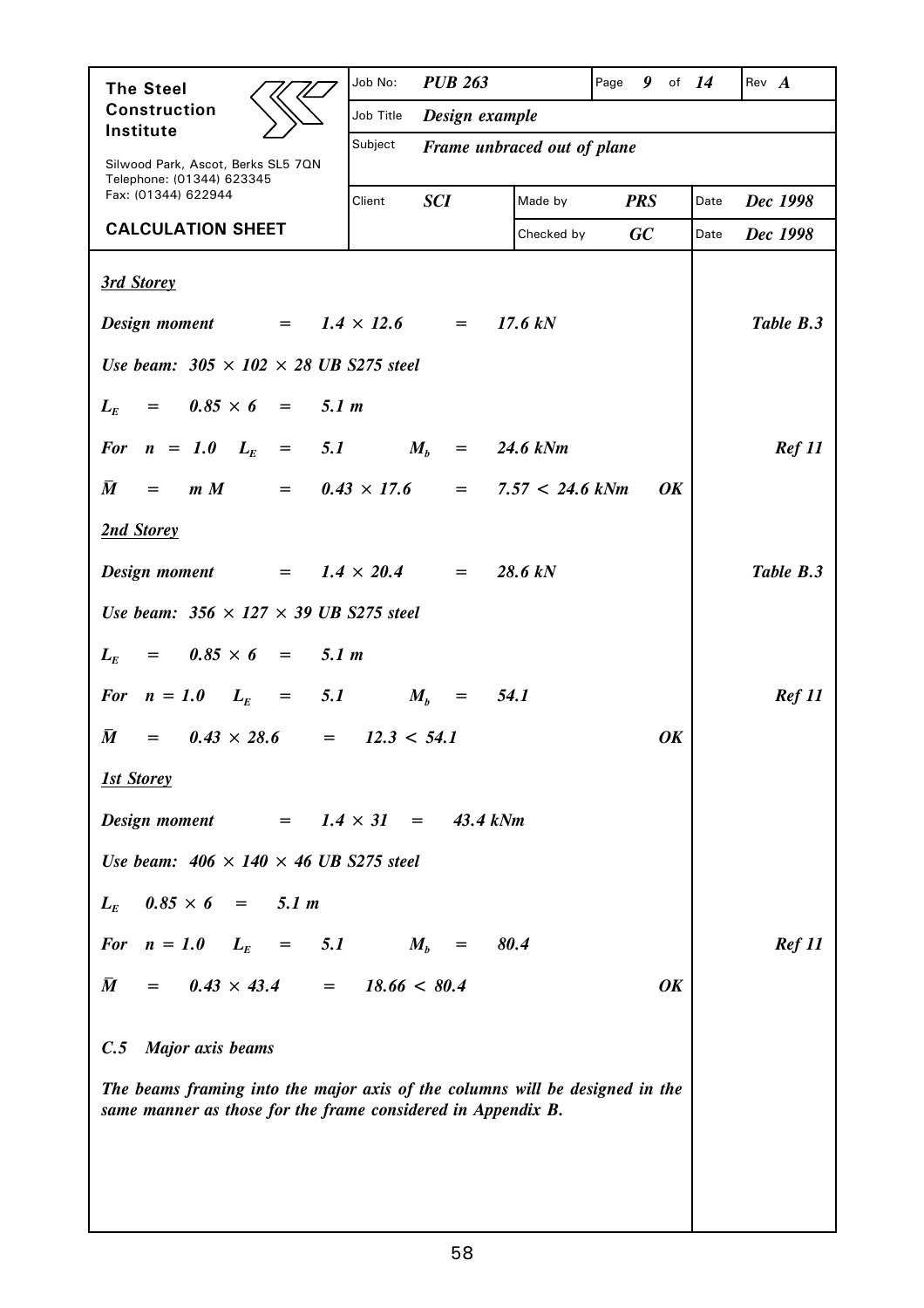| <b>The Steel</b>                                                                                               | <b>PUB 263</b><br>Job No:                    | 9 of $14$<br>Page | Rev $\boldsymbol{A}$     |  |  |  |  |  |  |  |
|----------------------------------------------------------------------------------------------------------------|----------------------------------------------|-------------------|--------------------------|--|--|--|--|--|--|--|
| <b>Construction</b><br>Institute                                                                               | Job Title<br>Design example                  |                   |                          |  |  |  |  |  |  |  |
| Silwood Park, Ascot, Berks SL5 7QN                                                                             | Subject<br>Frame unbraced out of plane       |                   |                          |  |  |  |  |  |  |  |
| Telephone: (01344) 623345<br>Fax: (01344) 622944                                                               | <b>SCI</b><br>Client                         |                   | Dec 1998                 |  |  |  |  |  |  |  |
| <b>CALCULATION SHEET</b>                                                                                       | Made by                                      | <b>PRS</b><br>GC  | Date<br>Dec 1998<br>Date |  |  |  |  |  |  |  |
|                                                                                                                | Checked by                                   |                   |                          |  |  |  |  |  |  |  |
| <b>3rd Storey</b>                                                                                              |                                              |                   |                          |  |  |  |  |  |  |  |
| Design moment $= 1.4 \times 12.6 =$                                                                            | 17.6 kN                                      |                   | Table B.3                |  |  |  |  |  |  |  |
| Use beam: $305 \times 102 \times 28$ UB S275 steel                                                             |                                              |                   |                          |  |  |  |  |  |  |  |
| $= 0.85 \times 6 = 5.1 \, m$<br>$L_{E}$                                                                        |                                              |                   |                          |  |  |  |  |  |  |  |
| For $n = 1.0$ $L_E = 5.1$ $M_b$                                                                                | $= 24.6$ kNm                                 |                   | <b>Ref</b> 11            |  |  |  |  |  |  |  |
| $\bm{\bar{M}}$<br>m M<br>$=$                                                                                   | $=$ 0.43 $\times$ 17.6 $=$ 7.57 $<$ 24.6 kNm | OK                |                          |  |  |  |  |  |  |  |
| 2nd Storey                                                                                                     |                                              |                   |                          |  |  |  |  |  |  |  |
| Design moment                                                                                                  | $=$ 1.4 $\times$ 20.4 $=$<br>28.6 kN         |                   | Table B.3                |  |  |  |  |  |  |  |
| Use beam: $356 \times 127 \times 39$ UB S275 steel                                                             |                                              |                   |                          |  |  |  |  |  |  |  |
| $= 0.85 \times 6 = 5.1 \, m$<br>$L_{E}$                                                                        |                                              |                   |                          |  |  |  |  |  |  |  |
| For $n = 1.0$ $L_F$ = 5.1                                                                                      | $M_h$<br>54.1<br>$=$                         |                   | <b>Ref</b> 11            |  |  |  |  |  |  |  |
| $\boldsymbol{\bar{M}}$<br>$0.43 \times 28.6 = 12.3 \times 54.1$<br>$=$                                         |                                              | OK                |                          |  |  |  |  |  |  |  |
| <b>1st Storey</b>                                                                                              |                                              |                   |                          |  |  |  |  |  |  |  |
| Design moment                                                                                                  | $= 1.4 \times 31 = 43.4$ kNm                 |                   |                          |  |  |  |  |  |  |  |
| Use beam: $406 \times 140 \times 46$ UB S275 steel                                                             |                                              |                   |                          |  |  |  |  |  |  |  |
| $0.85 \times 6 = 5.1 \, m$<br>$L_{\scriptscriptstyle{E}}$                                                      |                                              |                   |                          |  |  |  |  |  |  |  |
| For $n = 1.0$ $L_F = 5.1$ $M_h =$                                                                              | 80.4                                         |                   | <b>Ref</b> 11            |  |  |  |  |  |  |  |
| $0.43 \times 43.4 = 18.66 \times 80.4$<br>$\bm{\bar{M}}$<br>$=$                                                |                                              | OK                |                          |  |  |  |  |  |  |  |
| C.5<br><b>Major</b> axis beams<br>The beams framing into the major axis of the columns will be designed in the |                                              |                   |                          |  |  |  |  |  |  |  |
| same manner as those for the frame considered in Appendix B.                                                   |                                              |                   |                          |  |  |  |  |  |  |  |
|                                                                                                                |                                              |                   |                          |  |  |  |  |  |  |  |
|                                                                                                                |                                              |                   |                          |  |  |  |  |  |  |  |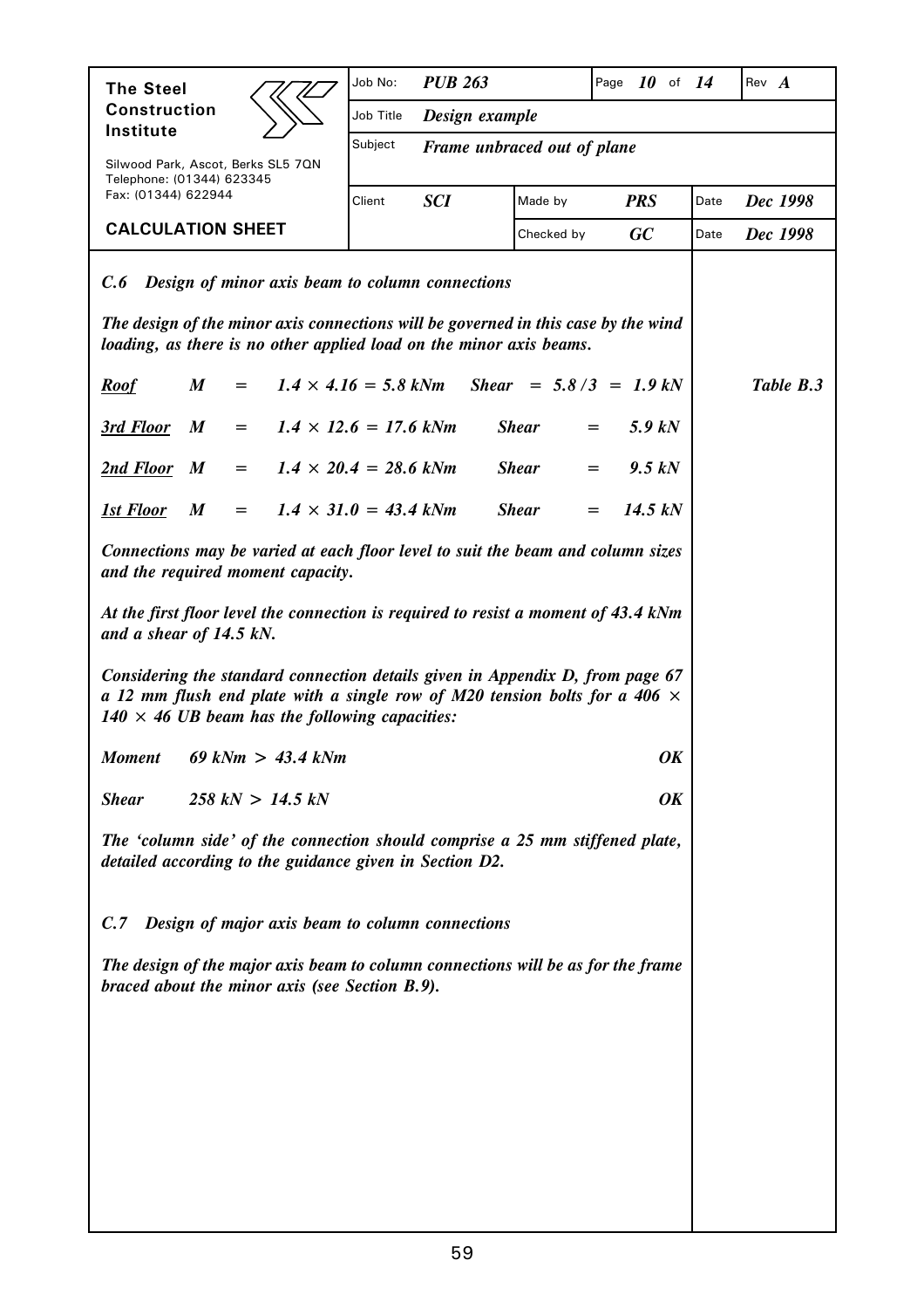| <b>The Steel</b>                                                                                                                                                                                                            | Job No:   | <b>PUB 263</b>              |              | Page $10$ of $14$        |      | Rev $\boldsymbol{A}$ |
|-----------------------------------------------------------------------------------------------------------------------------------------------------------------------------------------------------------------------------|-----------|-----------------------------|--------------|--------------------------|------|----------------------|
| <b>Construction</b><br>Institute                                                                                                                                                                                            | Job Title | Design example              |              |                          |      |                      |
| Silwood Park, Ascot, Berks SL5 7QN                                                                                                                                                                                          | Subject   | Frame unbraced out of plane |              |                          |      |                      |
| Telephone: (01344) 623345<br>Fax: (01344) 622944                                                                                                                                                                            |           |                             |              |                          |      |                      |
| <b>CALCULATION SHEET</b>                                                                                                                                                                                                    | Client    | <b>SCI</b>                  | Made by      | <b>PRS</b>               | Date | Dec 1998             |
|                                                                                                                                                                                                                             |           |                             | Checked by   | GC                       | Date | Dec 1998             |
| C.6<br>Design of minor axis beam to column connections                                                                                                                                                                      |           |                             |              |                          |      |                      |
| The design of the minor axis connections will be governed in this case by the wind<br>loading, as there is no other applied load on the minor axis beams.                                                                   |           |                             |              |                          |      |                      |
| $1.4 \times 4.16 = 5.8$ kNm<br>$\boldsymbol{M}$<br><b>Roof</b><br>$=$                                                                                                                                                       |           |                             |              | Shear = $5.8/3 = 1.9 kN$ |      | Table B.3            |
| 3rd Floor<br>M<br>$1.4 \times 12.6 = 17.6$ kNm<br>$=$                                                                                                                                                                       |           |                             | <b>Shear</b> | 5.9 kN<br>=              |      |                      |
| $1.4 \times 20.4 = 28.6$ kNm<br>2nd Floor<br>$\boldsymbol{M}$<br>$=$                                                                                                                                                        |           |                             | <b>Shear</b> | 9.5 kN<br>$=$            |      |                      |
| $1.4 \times 31.0 = 43.4$ kNm<br><b>1st Floor</b><br>$\boldsymbol{M}$<br>$=$                                                                                                                                                 |           |                             | <b>Shear</b> | 14.5 kN<br>$=$           |      |                      |
| Connections may be varied at each floor level to suit the beam and column sizes<br>and the required moment capacity.                                                                                                        |           |                             |              |                          |      |                      |
| At the first floor level the connection is required to resist a moment of 43.4 kNm<br>and a shear of 14.5 kN.                                                                                                               |           |                             |              |                          |      |                      |
| Considering the standard connection details given in Appendix D, from page 67<br>a 12 mm flush end plate with a single row of M20 tension bolts for a 406 $\times$<br>$140 \times 46$ UB beam has the following capacities: |           |                             |              |                          |      |                      |
| 69 kNm $> 43.4$ kNm<br><b>Moment</b>                                                                                                                                                                                        |           |                             |              | OK                       |      |                      |
| 258 kN > 14.5 kN<br><b>Shear</b>                                                                                                                                                                                            |           |                             |              | OK                       |      |                      |
| The 'column side' of the connection should comprise a 25 mm stiffened plate,<br>detailed according to the guidance given in Section D2.                                                                                     |           |                             |              |                          |      |                      |
| Design of major axis beam to column connections<br>C.7                                                                                                                                                                      |           |                             |              |                          |      |                      |
| The design of the major axis beam to column connections will be as for the frame<br>braced about the minor axis (see Section B.9).                                                                                          |           |                             |              |                          |      |                      |
|                                                                                                                                                                                                                             |           |                             |              |                          |      |                      |
|                                                                                                                                                                                                                             |           |                             |              |                          |      |                      |
|                                                                                                                                                                                                                             |           |                             |              |                          |      |                      |
|                                                                                                                                                                                                                             |           |                             |              |                          |      |                      |
|                                                                                                                                                                                                                             |           |                             |              |                          |      |                      |
|                                                                                                                                                                                                                             |           |                             |              |                          |      |                      |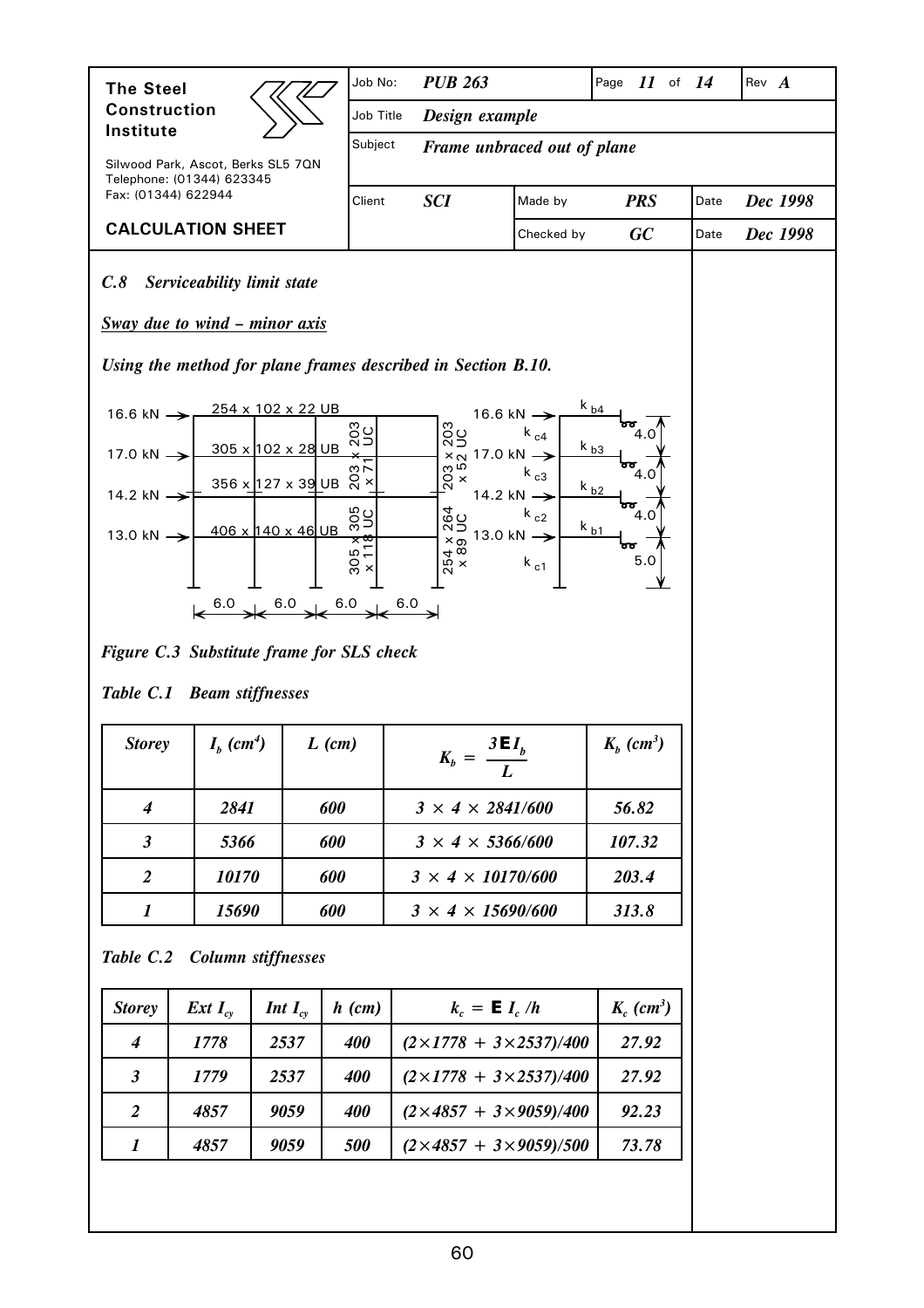| <b>The Steel</b>                 |                                                                 |                                                | Job No:          | <b>PUB 263</b>                                               |                                        | Page 11 of 14            |      | Rev $\boldsymbol{A}$ |          |
|----------------------------------|-----------------------------------------------------------------|------------------------------------------------|------------------|--------------------------------------------------------------|----------------------------------------|--------------------------|------|----------------------|----------|
| <b>Construction</b><br>Institute |                                                                 |                                                | Job Title        | Design example                                               |                                        |                          |      |                      |          |
|                                  |                                                                 |                                                | Subject          | Frame unbraced out of plane                                  |                                        |                          |      |                      |          |
| Fax: (01344) 622944              | Silwood Park, Ascot, Berks SL5 7QN<br>Telephone: (01344) 623345 |                                                |                  |                                                              |                                        |                          |      |                      |          |
|                                  | <b>CALCULATION SHEET</b>                                        |                                                | Client           | <b>SCI</b>                                                   | Made by                                | <b>PRS</b>               | Date |                      | Dec 1998 |
|                                  |                                                                 |                                                |                  |                                                              | Checked by                             | <b>GC</b>                | Date |                      | Dec 1998 |
| C.8                              | Serviceability limit state                                      |                                                |                  |                                                              |                                        |                          |      |                      |          |
|                                  | <b>Sway due to wind – minor axis</b>                            |                                                |                  |                                                              |                                        |                          |      |                      |          |
|                                  |                                                                 |                                                |                  | Using the method for plane frames described in Section B.10. |                                        |                          |      |                      |          |
|                                  |                                                                 | 254 x 102 x 22 UB                              |                  |                                                              |                                        | $k_{b4}$                 |      |                      |          |
| 16.6 kN $\rightarrow$            |                                                                 |                                                | $\frac{203}{10}$ | 16.6 kN -<br>203<br>UC                                       | $k_{c4}$                               |                          |      |                      |          |
| 17.0 kN $\rightarrow$            |                                                                 | 305 x 102 x 28 UB                              | $\frac{1}{2}$    | $\times$ $\sim$ 17.0 kN $\rightarrow$<br>က က                 | $k_{c3}$                               | $k_{b2}$<br>4.0          |      |                      |          |
| 14.2 kN $\rightarrow$            |                                                                 | $356 \times 127 \times 39$ UB $\approx \times$ |                  | $\overline{Q}$ $\times$                                      | 14.2 kN $\rightarrow$                  | $k_{b2}$                 |      |                      |          |
| 13.0 kN $\rightarrow$            |                                                                 | <u>406 x 140 x 46 UB</u>                       | 305              | 264<br>0 C<br>$x_0$ 13.0 kN $\rightarrow$                    | $k_{c2}$                               | 4.0<br>$k_{b1}$          |      |                      |          |
|                                  |                                                                 |                                                | $\frac{305}{x}$  | $254$<br>$\times 8$                                          | $k_{c1}$                               | 5.0                      |      |                      |          |
|                                  |                                                                 |                                                |                  |                                                              |                                        |                          |      |                      |          |
|                                  |                                                                 | $6.0 \times 6.0 \times 6.0 \times 6.0$         |                  |                                                              |                                        |                          |      |                      |          |
|                                  | Figure C.3 Substitute frame for SLS check                       |                                                |                  |                                                              |                                        |                          |      |                      |          |
|                                  | Table C.1 Beam stiffnesses                                      |                                                |                  |                                                              |                                        |                          |      |                      |          |
|                                  |                                                                 |                                                |                  |                                                              |                                        |                          |      |                      |          |
| <b>Storey</b>                    | $I_b$ (cm <sup>4</sup> )                                        |                                                | $L$ (cm)         | $3EI_b$<br>$K_b =$<br>L                                      |                                        | $K_b$ (cm <sup>3</sup> ) |      |                      |          |
| $\boldsymbol{4}$                 | 2841                                                            |                                                | 600              | $3 \times 4 \times 2841/600$                                 |                                        | 56.82                    |      |                      |          |
| $\boldsymbol{\beta}$             | 5366                                                            |                                                | 600              | $3 \times 4 \times 5366/600$                                 |                                        | 107.32                   |      |                      |          |
| $\overline{2}$                   | 10170                                                           |                                                | 600              |                                                              | 203.4<br>$3 \times 4 \times 10170/600$ |                          |      |                      |          |
| $\boldsymbol{l}$                 | 15690                                                           |                                                | 600              | $3 \times 4 \times 15690/600$                                |                                        | 313.8                    |      |                      |          |
| Table C.2                        |                                                                 | <b>Column stiffnesses</b>                      |                  |                                                              |                                        |                          |      |                      |          |
|                                  |                                                                 |                                                |                  |                                                              |                                        |                          |      |                      |          |
| <b>Storey</b>                    | $\int Ext I_{cv}$                                               | <b>Int</b> $I_{cy}$                            | $h$ (cm)         | $k_c = E I_c / h$                                            |                                        | $K_c$ (cm <sup>3</sup> ) |      |                      |          |
| $\boldsymbol{4}$                 | 1778                                                            | 2537                                           | 400              | $(2\times1778 + 3\times2537)/400$                            |                                        | 27.92                    |      |                      |          |
| $\mathfrak{z}$                   | 1779                                                            | 2537                                           | 400              | $(2\times1778 + 3\times2537)/400$                            |                                        | 27.92                    |      |                      |          |
| $\boldsymbol{2}$                 | 4857                                                            | 9059                                           | 400              | $(2\times 4857 + 3\times 9059)/400$                          |                                        | 92.23                    |      |                      |          |
| $\boldsymbol{l}$                 | 4857                                                            | 9059                                           | 500              | $(2\times 4857 + 3\times 9059)/500$                          |                                        | 73.78                    |      |                      |          |
|                                  |                                                                 |                                                |                  |                                                              |                                        |                          |      |                      |          |
|                                  |                                                                 |                                                |                  |                                                              |                                        |                          |      |                      |          |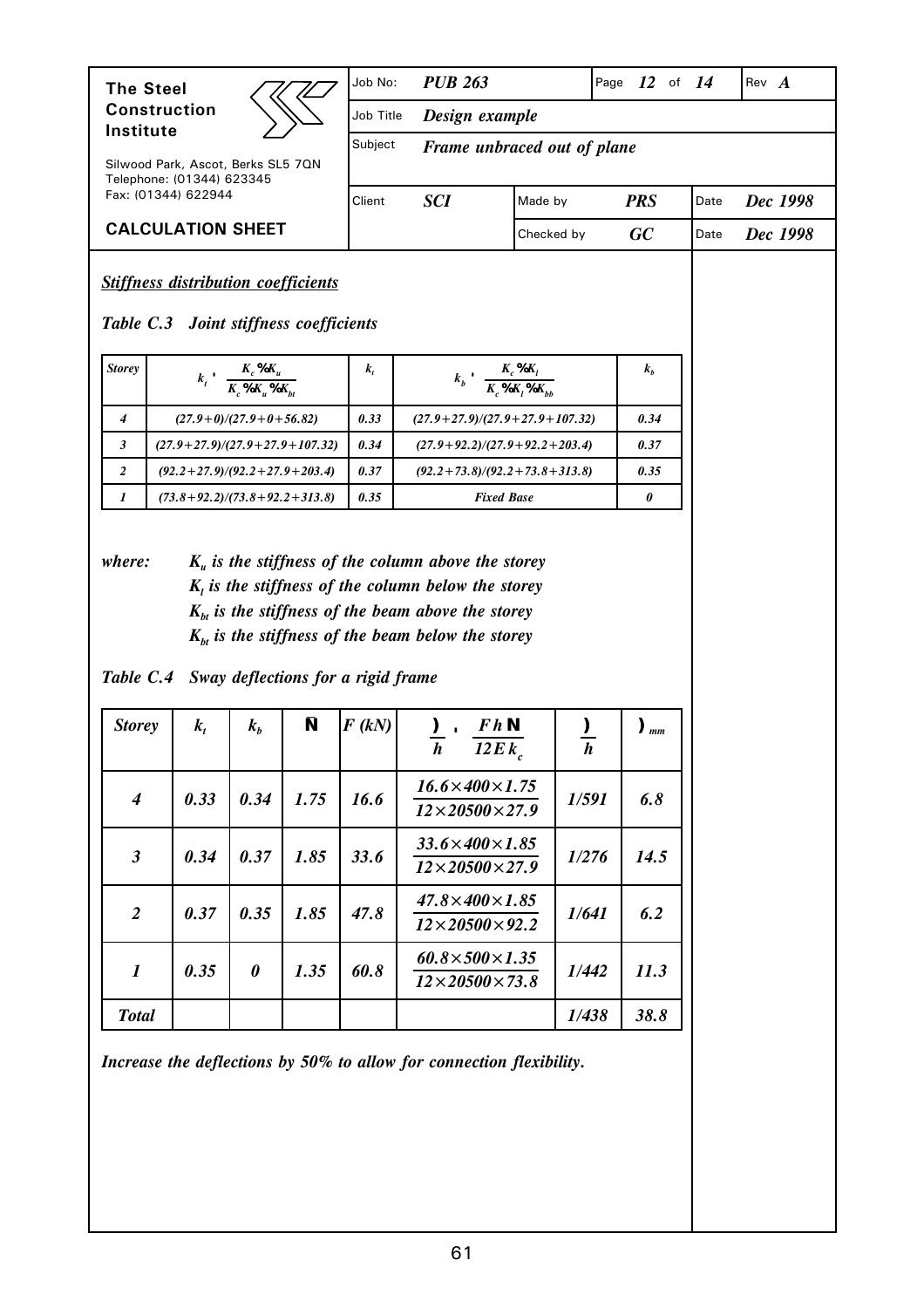| <b>The Steel</b>                                                |                                       |                                              |                                  | Job No:   | <b>PUB 263</b>                                                       |               | Page 12 of 14 |             |  |      | Rev A |          |
|-----------------------------------------------------------------|---------------------------------------|----------------------------------------------|----------------------------------|-----------|----------------------------------------------------------------------|---------------|---------------|-------------|--|------|-------|----------|
| <b>Construction</b>                                             |                                       |                                              |                                  | Job Title | Design example                                                       |               |               |             |  |      |       |          |
| Institute                                                       |                                       |                                              |                                  | Subject   | Frame unbraced out of plane                                          |               |               |             |  |      |       |          |
| Silwood Park, Ascot, Berks SL5 7QN<br>Telephone: (01344) 623345 |                                       |                                              |                                  |           |                                                                      |               |               |             |  |      |       |          |
| Fax: (01344) 622944                                             |                                       |                                              |                                  | Client    | <b>SCI</b>                                                           | Made by       |               | <b>PRS</b>  |  | Date |       | Dec 1998 |
| <b>CALCULATION SHEET</b>                                        |                                       |                                              |                                  |           |                                                                      | Checked by    |               | <b>GC</b>   |  | Date |       | Dec 1998 |
| <b>Stiffness distribution coefficients</b>                      |                                       |                                              |                                  |           |                                                                      |               |               |             |  |      |       |          |
| Table C.3 Joint stiffness coefficients                          |                                       |                                              |                                  |           |                                                                      |               |               |             |  |      |       |          |
| <b>Storey</b>                                                   |                                       | $k_t$ ' $\frac{K_c K_u}{K_c K_u K_u K_{bt}}$ |                                  | $k_{t}$   | $k_b$ $K_c$ $\frac{K_c$ $\frac{K_i}{K_i}$ $K_i$                      |               |               | $k_b$       |  |      |       |          |
| $\boldsymbol{4}$                                                |                                       | $(27.9+0)/(27.9+0+56.82)$                    |                                  | 0.33      | $(27.9+27.9)/(27.9+27.9+107.32)$                                     |               |               | 0.34        |  |      |       |          |
| 3                                                               |                                       |                                              | $(27.9+27.9)/(27.9+27.9+107.32)$ | 0.34      | $(27.9+92.2)/(27.9+92.2+203.4)$                                      |               |               | 0.37        |  |      |       |          |
| 2                                                               | $(92.2+27.9)/(92.2+27.9+203.4)$       |                                              |                                  | 0.37      | $(92.2+73.8)/(92.2+73.8+313.8)$                                      |               |               | 0.35        |  |      |       |          |
| 1                                                               | $(73.8 + 92.2)/(73.8 + 92.2 + 313.8)$ |                                              |                                  | 0.35      | <b>Fixed Base</b>                                                    |               |               | 0           |  |      |       |          |
| Table C.4 Sway deflections for a rigid frame                    |                                       |                                              |                                  |           | $K_{bt}$ is the stiffness of the beam below the storey               |               |               |             |  |      |       |          |
| <b>Storey</b>                                                   | $k_{t}$                               | $k_{h}$                                      | Ñ                                | F(kN)     | $\frac{\sum_{h}$ $\sum_{h}$ $\frac{FhN}{12Ek_{a}}$                   | $\frac{1}{h}$ |               | $\sum_{mm}$ |  |      |       |          |
| $\boldsymbol{4}$                                                | 0.33                                  | 0.34                                         | 1.75                             | 16.6      | $16.6 \times 400 \times 1.75$<br>$12 \times 20500 \times 27.9$       | 1/591         |               | 6.8         |  |      |       |          |
| $\boldsymbol{\beta}$                                            | 0.34                                  | 0.37                                         | 1.85                             | 33.6      | $33.6 \times 400 \times 1.85$<br>$12\times20500\times27.9$           | 1/276         |               | 14.5        |  |      |       |          |
| $\overline{2}$                                                  | 0.37                                  | 0.35                                         | 1.85                             | 47.8      | $47.8\times400\times1.85$<br>$12\times20500\times92.2$               | 1/641         |               | 6.2         |  |      |       |          |
| $\boldsymbol{I}$                                                | 0.35                                  | $\boldsymbol{\theta}$                        | 1.35                             | 60.8      | $60.8\times500\times1.35$<br>1/442<br>$12\times20500\times73.8$      |               | 11.3          |             |  |      |       |          |
| <b>Total</b>                                                    |                                       |                                              |                                  |           |                                                                      | 1/438         |               | 38.8        |  |      |       |          |
|                                                                 |                                       |                                              |                                  |           | Increase the deflections by 50% to allow for connection flexibility. |               |               |             |  |      |       |          |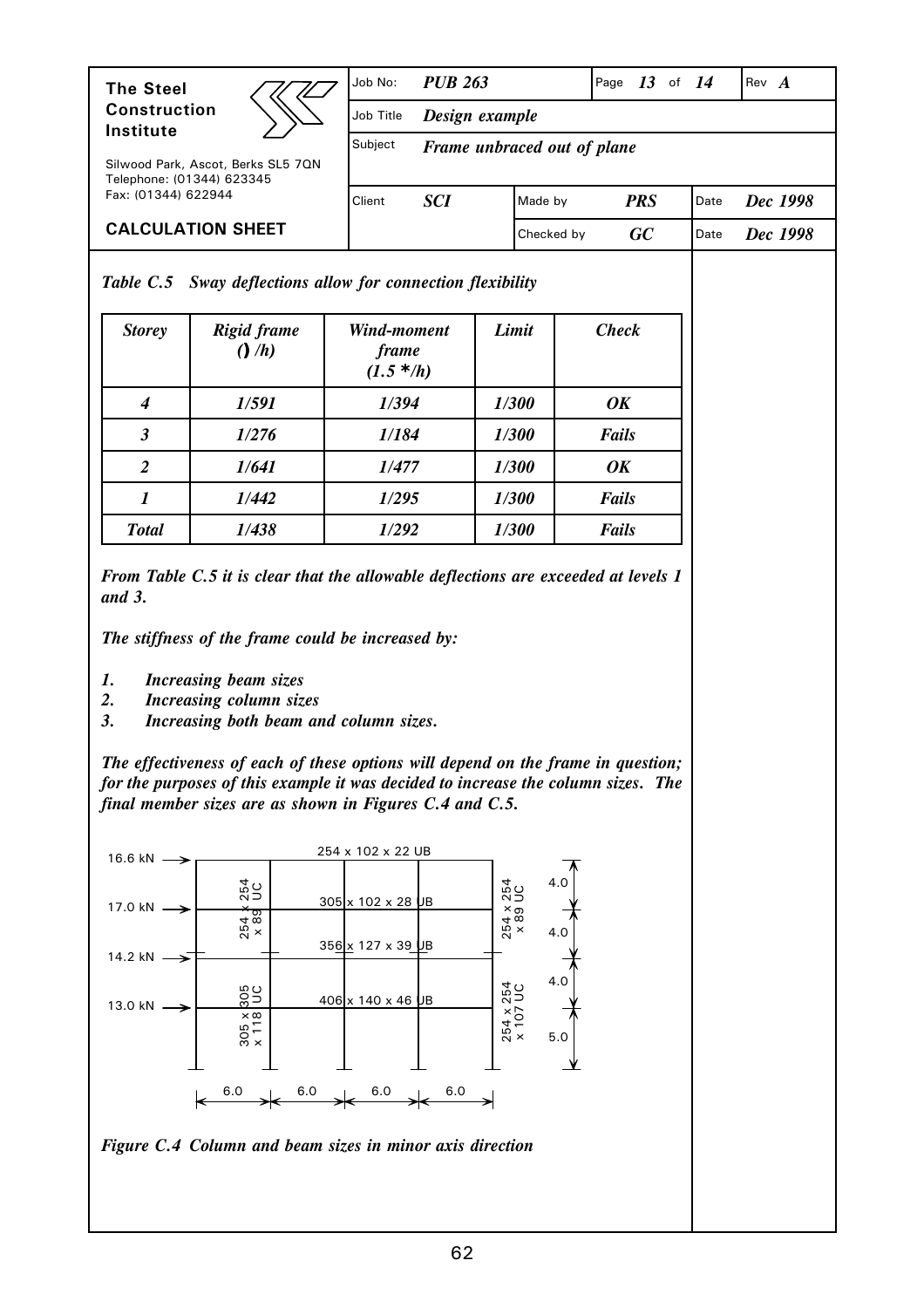| <b>The Steel</b>            |                                                                                                                                                               | <b>PUB 263</b><br>Job No:                                                                                                                                             |                                             | Page 13 of 14 |      | Rev $A$  |  |  |  |  |
|-----------------------------|---------------------------------------------------------------------------------------------------------------------------------------------------------------|-----------------------------------------------------------------------------------------------------------------------------------------------------------------------|---------------------------------------------|---------------|------|----------|--|--|--|--|
| <b>Construction</b>         |                                                                                                                                                               | Job Title                                                                                                                                                             | Design example                              |               |      |          |  |  |  |  |
| Institute                   |                                                                                                                                                               | Subject                                                                                                                                                               | Frame unbraced out of plane                 |               |      |          |  |  |  |  |
| Telephone: (01344) 623345   | Silwood Park, Ascot, Berks SL5 7QN                                                                                                                            |                                                                                                                                                                       |                                             |               |      |          |  |  |  |  |
| Fax: (01344) 622944         |                                                                                                                                                               | <b>SCI</b><br>Client                                                                                                                                                  | Made by                                     | <b>PRS</b>    | Date | Dec 1998 |  |  |  |  |
|                             | <b>CALCULATION SHEET</b>                                                                                                                                      |                                                                                                                                                                       | Checked by                                  | <b>GC</b>     | Date | Dec 1998 |  |  |  |  |
| Table C.5                   |                                                                                                                                                               | Sway deflections allow for connection flexibility                                                                                                                     |                                             |               |      |          |  |  |  |  |
| <b>Storey</b>               | <b>Rigid frame</b><br>(2/h)                                                                                                                                   | <b>Wind-moment</b><br>frame<br>$(1.5 \star/h)$                                                                                                                        | Limit                                       | <b>Check</b>  |      |          |  |  |  |  |
| $\overline{\boldsymbol{4}}$ | 1/591                                                                                                                                                         | 1/394                                                                                                                                                                 | 1/300                                       | OK            |      |          |  |  |  |  |
| $\boldsymbol{\beta}$        | 1/276                                                                                                                                                         | 1/184                                                                                                                                                                 | 1/300                                       | Fails         |      |          |  |  |  |  |
| $\overline{2}$              | 1/641                                                                                                                                                         | 1/477                                                                                                                                                                 | 1/300                                       | OK            |      |          |  |  |  |  |
| $\boldsymbol{l}$            | 1/442                                                                                                                                                         | 1/295                                                                                                                                                                 | 1/300                                       | Fails         |      |          |  |  |  |  |
| <b>Total</b>                | 1/438                                                                                                                                                         | 1/292                                                                                                                                                                 | 1/300                                       | Fails         |      |          |  |  |  |  |
| 1.<br>2.<br>3.              | The stiffness of the frame could be increased by:<br><b>Increasing beam sizes</b><br><b>Increasing column sizes</b><br>Increasing both beam and column sizes. | The effectiveness of each of these options will depend on the frame in question;<br>for the purposes of this example it was decided to increase the column sizes. The |                                             |               |      |          |  |  |  |  |
|                             |                                                                                                                                                               | final member sizes are as shown in Figures C.4 and C.5.                                                                                                               |                                             |               |      |          |  |  |  |  |
| 16.6 kN $-$                 |                                                                                                                                                               | 254 x 102 x 22 UB                                                                                                                                                     |                                             |               |      |          |  |  |  |  |
|                             | 254<br>JC                                                                                                                                                     | 305 x 102 x 28 UB                                                                                                                                                     | 254<br>JC                                   |               |      |          |  |  |  |  |
| 17.0 kN .                   | $254 \times 89$                                                                                                                                               |                                                                                                                                                                       | $254 \times$<br>4.0                         |               |      |          |  |  |  |  |
| 14.2 kN $\rightarrow$       |                                                                                                                                                               | 356 x 127 x 39 UB                                                                                                                                                     |                                             |               |      |          |  |  |  |  |
| 13.0 kN -                   | <b>305</b><br>$\times \infty$<br>$305$<br>$\times 11$                                                                                                         | $406 \times 140 \times 46 \text{ }\mu\text{B}$                                                                                                                        | 4.0<br>254<br>UC<br>254 x 2<br>x 107<br>5.0 |               |      |          |  |  |  |  |
|                             | 6.0<br>6.0                                                                                                                                                    | 6.0<br>6.0                                                                                                                                                            |                                             |               |      |          |  |  |  |  |
|                             |                                                                                                                                                               | Figure C.4 Column and beam sizes in minor axis direction                                                                                                              |                                             |               |      |          |  |  |  |  |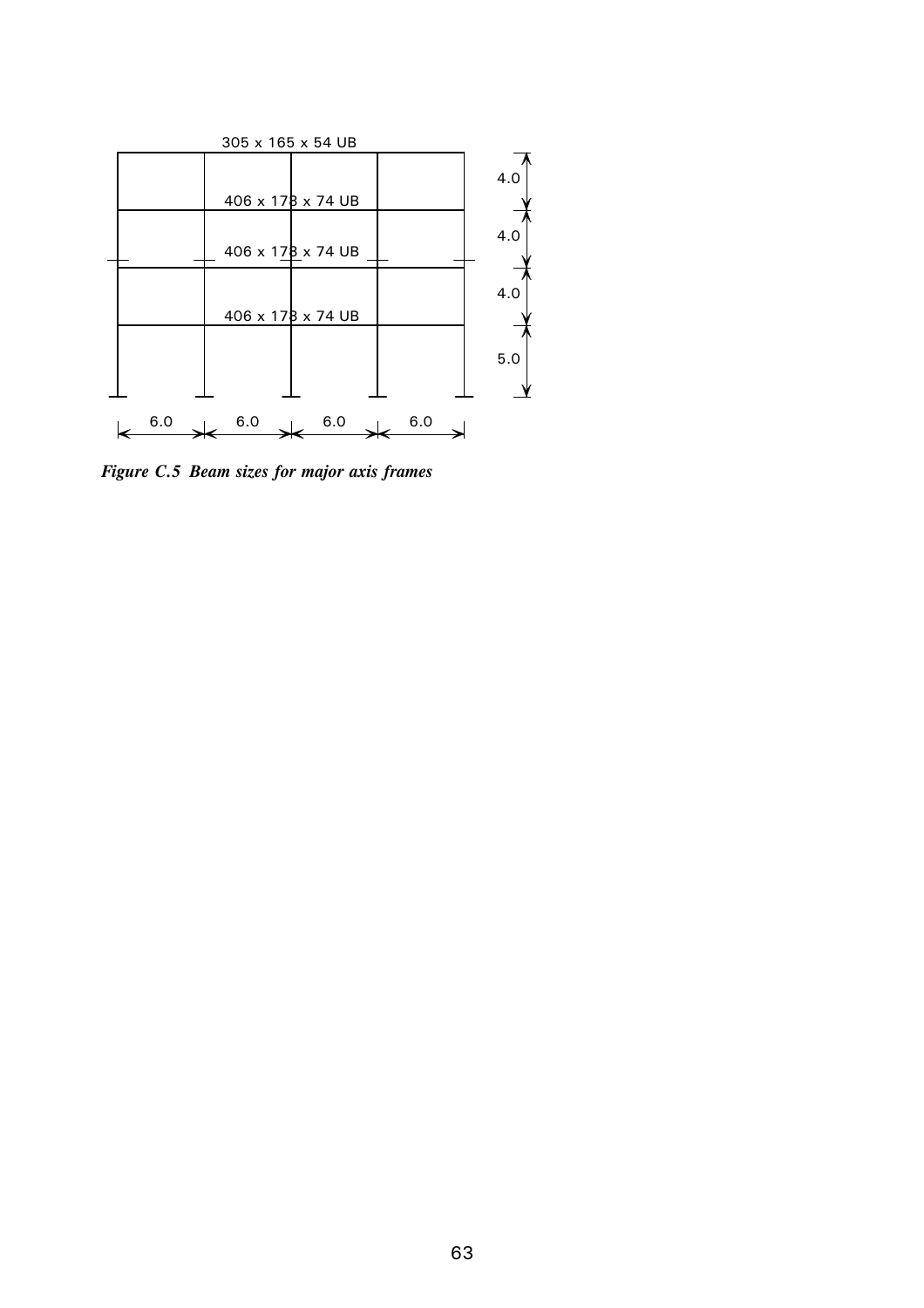

*Figure C.5 Beam sizes for major axis frames*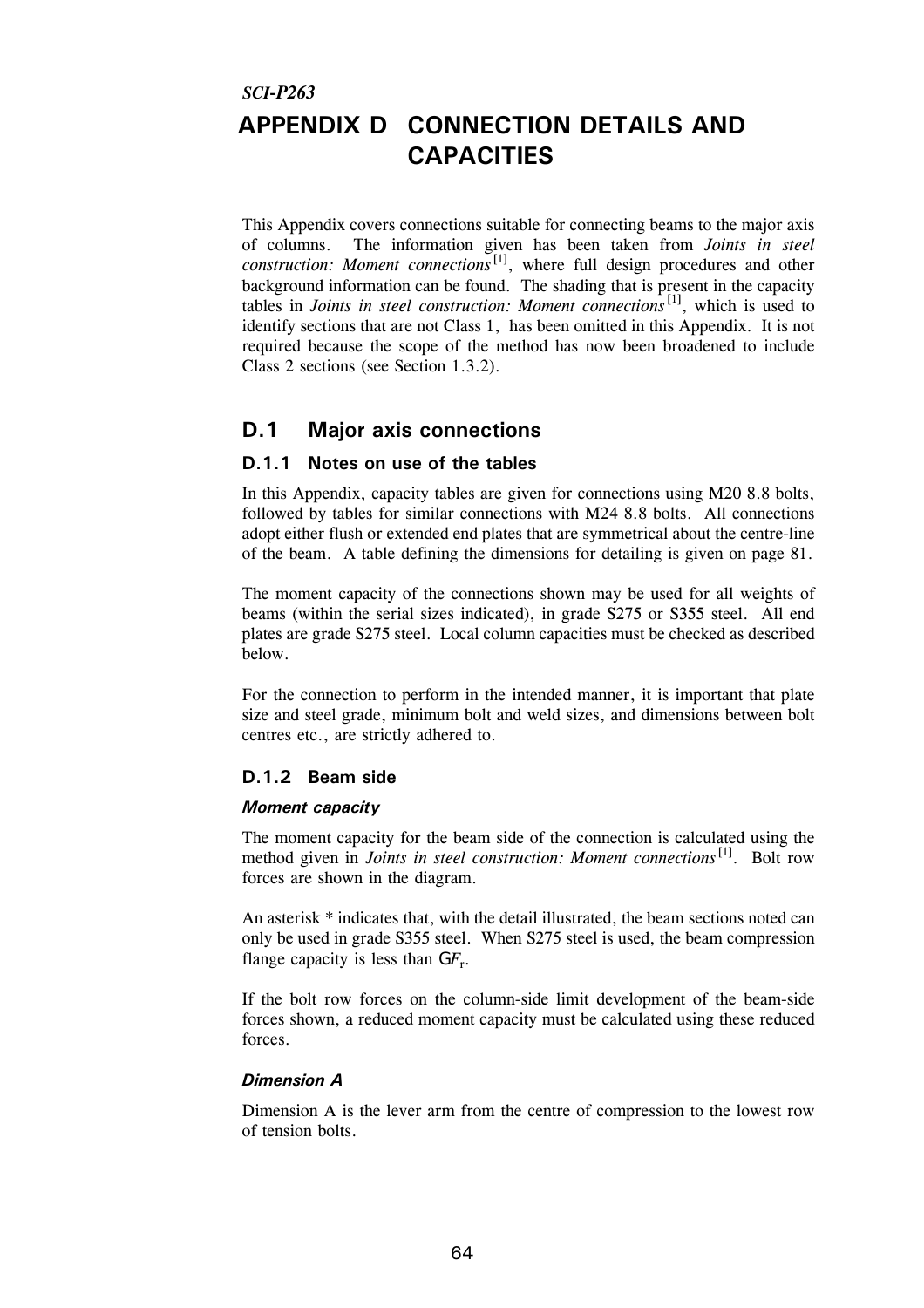# **APPENDIX D CONNECTION DETAILS AND CAPACITIES**

This Appendix covers connections suitable for connecting beams to the major axis of columns. The information given has been taken from *Joints in steel construction: Moment connections*[1] , where full design procedures and other background information can be found. The shading that is present in the capacity tables in *Joints in steel construction: Moment connections*[1] , which is used to identify sections that are not Class 1, has been omitted in this Appendix. It is not required because the scope of the method has now been broadened to include Class 2 sections (see Section 1.3.2).

## **D.1 Major axis connections**

### **D.1.1 Notes on use of the tables**

In this Appendix, capacity tables are given for connections using M20 8.8 bolts, followed by tables for similar connections with M24 8.8 bolts. All connections adopt either flush or extended end plates that are symmetrical about the centre-line of the beam. A table defining the dimensions for detailing is given on page 81.

The moment capacity of the connections shown may be used for all weights of beams (within the serial sizes indicated), in grade S275 or S355 steel. All end plates are grade S275 steel. Local column capacities must be checked as described below.

For the connection to perform in the intended manner, it is important that plate size and steel grade, minimum bolt and weld sizes, and dimensions between bolt centres etc., are strictly adhered to.

### **D.1.2 Beam side**

### *Moment capacity*

The moment capacity for the beam side of the connection is calculated using the method given in *Joints in steel construction: Moment connections*[1] . Bolt row forces are shown in the diagram.

An asterisk \* indicates that, with the detail illustrated, the beam sections noted can only be used in grade S355 steel. When S275 steel is used, the beam compression flange capacity is less than *GF*<sup>r</sup> .

If the bolt row forces on the column-side limit development of the beam-side forces shown, a reduced moment capacity must be calculated using these reduced forces.

### *Dimension A*

Dimension A is the lever arm from the centre of compression to the lowest row of tension bolts.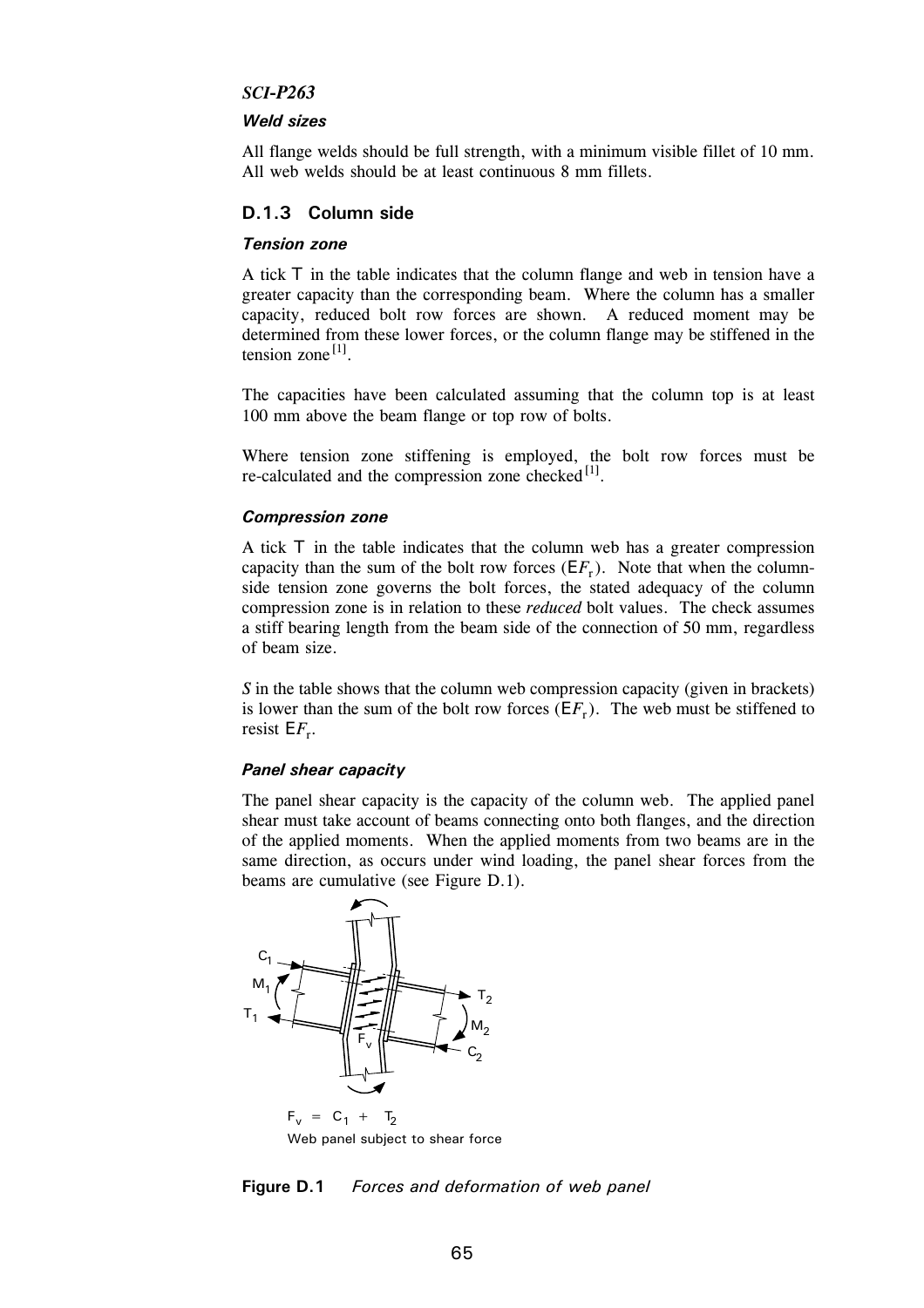## *SCI-P263*

### *Weld sizes*

All flange welds should be full strength, with a minimum visible fillet of 10 mm. All web welds should be at least continuous 8 mm fillets.

## **D.1.3 Column side**

#### *Tension zone*

A tick T in the table indicates that the column flange and web in tension have a greater capacity than the corresponding beam. Where the column has a smaller capacity, reduced bolt row forces are shown. A reduced moment may be determined from these lower forces, or the column flange may be stiffened in the tension zone $^{[1]}$ .

The capacities have been calculated assuming that the column top is at least 100 mm above the beam flange or top row of bolts.

Where tension zone stiffening is employed, the bolt row forces must be re-calculated and the compression zone checked  $^{[1]}$ .

### *Compression zone*

A tick T in the table indicates that the column web has a greater compression capacity than the sum of the bolt row forces  $(EF_r)$ . Note that when the columnside tension zone governs the bolt forces, the stated adequacy of the column compression zone is in relation to these *reduced* bolt values. The check assumes a stiff bearing length from the beam side of the connection of 50 mm, regardless of beam size.

*S* in the table shows that the column web compression capacity (given in brackets) is lower than the sum of the bolt row forces  $(EF_r)$ . The web must be stiffened to resist *EF*<sup>r</sup> .

#### *Panel shear capacity*

The panel shear capacity is the capacity of the column web. The applied panel shear must take account of beams connecting onto both flanges, and the direction of the applied moments. When the applied moments from two beams are in the same direction, as occurs under wind loading, the panel shear forces from the beams are cumulative (see Figure D.1).



Web panel subject to shear force

### **Figure D.1** *Forces and deformation of web panel*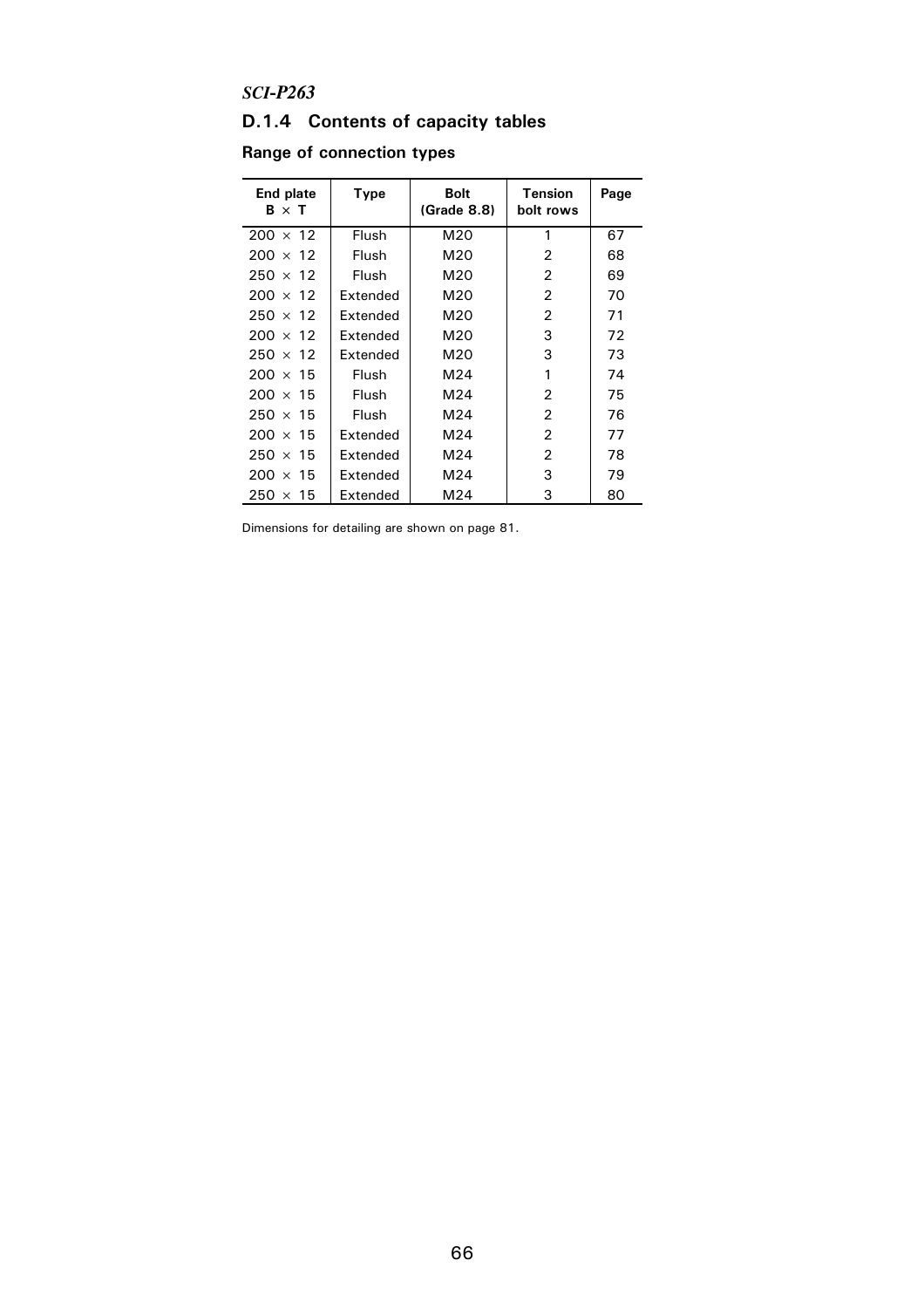*SCI-P263*

## **D.1.4 Contents of capacity tables**

# **Range of connection types**

| End plate<br>BхT | Type     | <b>Bolt</b><br>(Grade 8.8) | <b>Tension</b><br>bolt rows | Page |
|------------------|----------|----------------------------|-----------------------------|------|
| $200 \times 12$  | Flush    | M20                        | 1                           | 67   |
| $200 \times 12$  | Flush    | M20                        | 2                           | 68   |
| $250 \times 12$  | Flush    | M20                        | $\overline{2}$              | 69   |
| $200 \times 12$  | Extended | M20                        | 2                           | 70   |
| $250 \times 12$  | Extended | M20                        | 2                           | 71   |
| $200 \times 12$  | Extended | M20                        | 3                           | 72   |
| $250 \times 12$  | Extended | M20                        | 3                           | 73   |
| $200 \times 15$  | Flush    | M24                        | 1                           | 74   |
| $200 \times 15$  | Flush    | M24                        | 2                           | 75   |
| $250 \times 15$  | Flush    | M24                        | $\overline{2}$              | 76   |
| $200 \times 15$  | Extended | M24                        | 2                           | 77   |
| $250 \times 15$  | Extended | M24                        | $\overline{2}$              | 78   |
| $200 \times 15$  | Extended | M24                        | 3                           | 79   |
| $250 \times 15$  | Extended | M24                        | 3                           | 80   |

Dimensions for detailing are shown on page 81.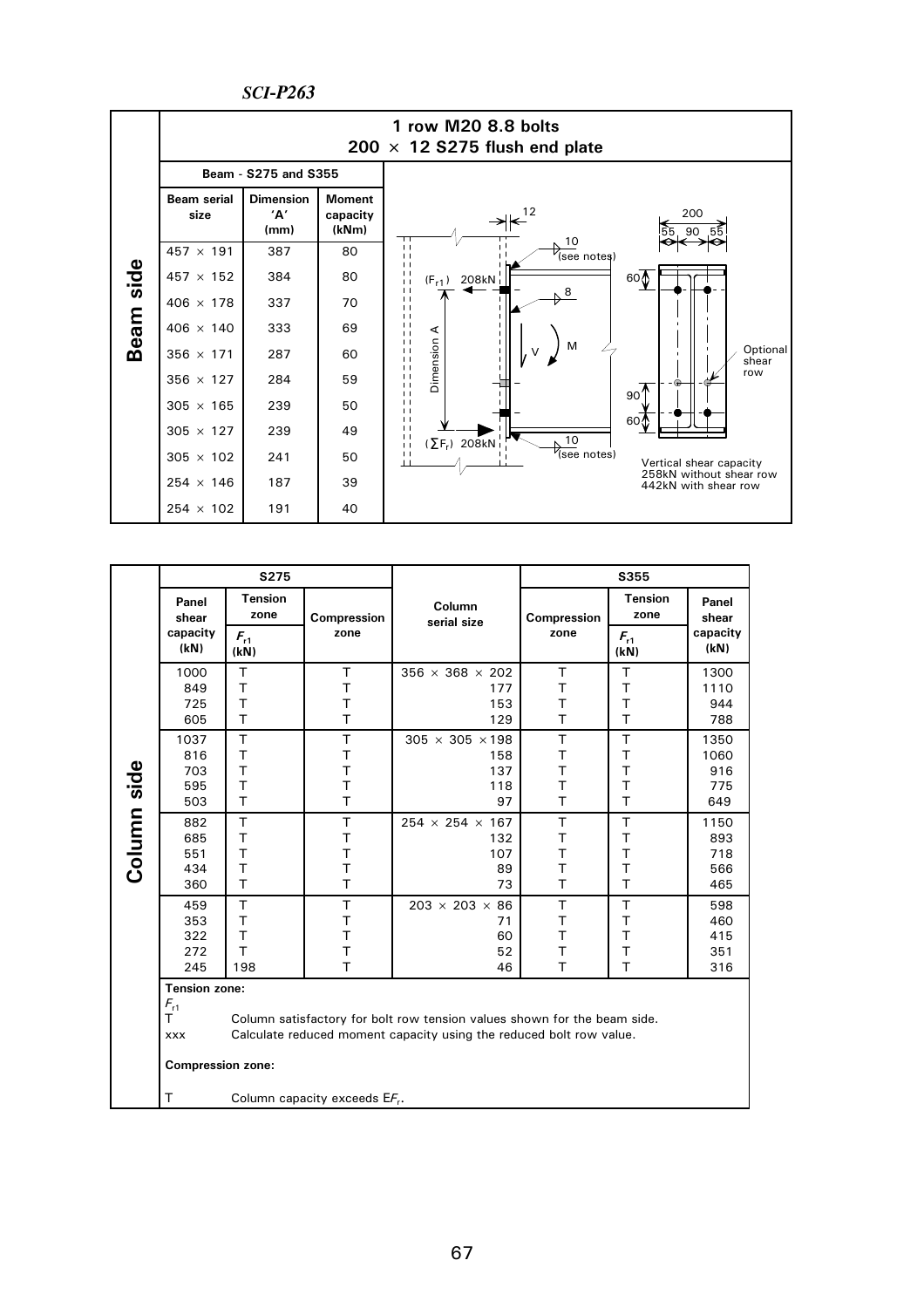*SCI-P263*



|             |                                    | <b>S275</b>                                |                             |                                                                          | S355                |                                            |                                    |  |  |
|-------------|------------------------------------|--------------------------------------------|-----------------------------|--------------------------------------------------------------------------|---------------------|--------------------------------------------|------------------------------------|--|--|
|             | Panel<br>shear<br>capacity<br>(kN) | <b>Tension</b><br>zone<br>$F_{r1}$<br>(kN) | Compression<br>zone         | Column<br>serial size                                                    | Compression<br>zone | <b>Tension</b><br>zone<br>$F_{r1}$<br>(kN) | Panel<br>shear<br>capacity<br>(kN) |  |  |
|             | 1000                               | т                                          | т                           | $356 \times 368 \times 202$                                              | T                   | T                                          | 1300                               |  |  |
|             | 849                                | т                                          | т                           | 177                                                                      | т                   | T                                          | 1110                               |  |  |
|             | 725                                | т                                          | т                           | 153                                                                      | т                   | T                                          | 944                                |  |  |
|             | 605                                | т                                          | T                           | 129                                                                      | т                   | т                                          | 788                                |  |  |
|             | 1037                               | T                                          | T                           | $305 \times 305 \times 198$                                              | T.                  | T                                          | 1350                               |  |  |
|             | 816                                | T                                          | T                           | 158                                                                      | т                   | T                                          | 1060                               |  |  |
|             | 703                                | T                                          | T                           | 137                                                                      | T                   | T                                          | 916                                |  |  |
|             | 595                                | T                                          | т                           | 118                                                                      | T                   | T                                          | 775                                |  |  |
|             | 503                                | T                                          | T                           | 97                                                                       | T                   | T                                          | 649                                |  |  |
| Column side | 882                                | T                                          | T                           | $254 \times 254 \times 167$                                              | T                   | T                                          | 1150                               |  |  |
|             | 685                                | T                                          | T                           | 132                                                                      | т                   | T                                          | 893                                |  |  |
|             | 551                                | T                                          | T                           | 107                                                                      | т                   | T                                          | 718                                |  |  |
|             | 434                                | т                                          | T                           | 89                                                                       | т                   | T                                          | 566                                |  |  |
|             | 360                                | T                                          | T                           | 73                                                                       | т                   | T                                          | 465                                |  |  |
|             | 459                                | T                                          | T                           | $203 \times 203 \times 86$                                               | T.                  | T                                          | 598                                |  |  |
|             | 353                                | T                                          | T                           | 71                                                                       | T                   | T                                          | 460                                |  |  |
|             | 322                                | T                                          | T                           | 60                                                                       | T                   | T                                          | 415                                |  |  |
|             | 272                                | T                                          | T                           | 52                                                                       | т                   | T                                          | 351                                |  |  |
|             | 245                                | 198                                        | т                           | 46                                                                       | т                   | т                                          | 316                                |  |  |
|             | Tension zone:                      |                                            |                             |                                                                          |                     |                                            |                                    |  |  |
|             | $F_{r1}$                           |                                            |                             |                                                                          |                     |                                            |                                    |  |  |
|             | T.                                 |                                            |                             | Column satisfactory for bolt row tension values shown for the beam side. |                     |                                            |                                    |  |  |
|             | <b>XXX</b>                         |                                            |                             | Calculate reduced moment capacity using the reduced bolt row value.      |                     |                                            |                                    |  |  |
|             | <b>Compression zone:</b>           |                                            |                             |                                                                          |                     |                                            |                                    |  |  |
|             | т                                  |                                            | Column capacity exceeds EF. |                                                                          |                     |                                            |                                    |  |  |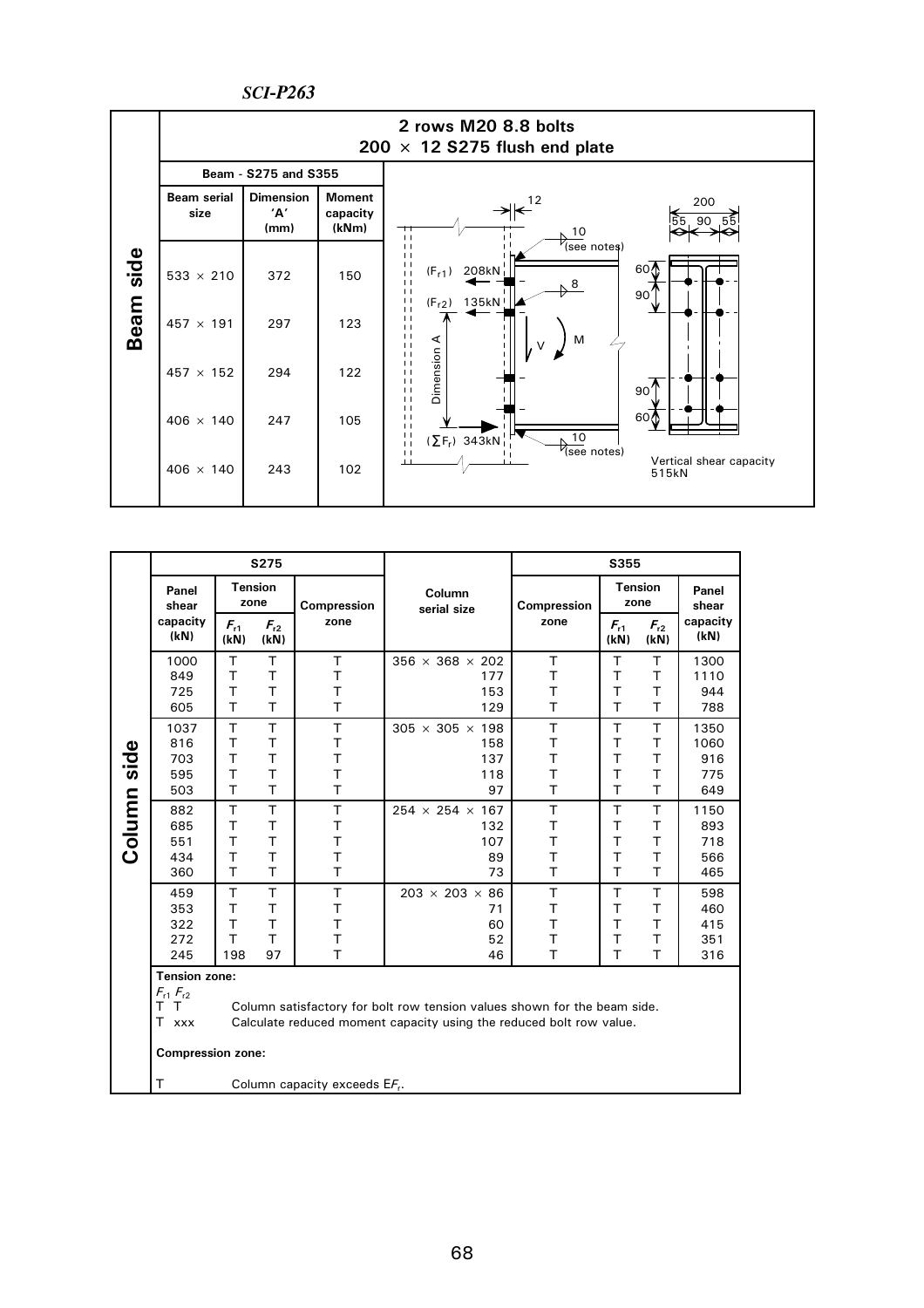*SCI-P263*



|             |                                                                                                                                                                                                                                |                                                     | <b>S275</b>                                                  |                                                       |                                                                                                                                                  |                                                       | S355                                                  |                                                               |                                                                                |  |
|-------------|--------------------------------------------------------------------------------------------------------------------------------------------------------------------------------------------------------------------------------|-----------------------------------------------------|--------------------------------------------------------------|-------------------------------------------------------|--------------------------------------------------------------------------------------------------------------------------------------------------|-------------------------------------------------------|-------------------------------------------------------|---------------------------------------------------------------|--------------------------------------------------------------------------------|--|
|             | Panel<br>shear                                                                                                                                                                                                                 | <b>Tension</b>                                      | zone                                                         | Compression                                           | Column<br>serial size                                                                                                                            | Compression                                           | zone                                                  | <b>Tension</b>                                                | Panel<br>shear                                                                 |  |
|             | capacity<br>(kN)                                                                                                                                                                                                               | $F_{r1}$<br>(kN)                                    | $F_{r2}$<br>(kN)                                             | zone                                                  |                                                                                                                                                  | zone                                                  | $F_{r1}$<br>(kN)                                      | $F_{r2}$<br>(kN)                                              | capacity<br>(kN)                                                               |  |
| Column side | 1000<br>849<br>725<br>605<br>1037<br>816<br>703<br>595<br>503<br>882<br>685                                                                                                                                                    | T<br>T<br>T<br>T<br>T<br>T<br>т<br>т<br>T<br>T<br>т | T.<br>T.<br>T.<br>т<br>T.<br>T.<br>T<br>T.<br>T.<br>T.<br>T. | T.<br>T<br>T<br>T<br>T.<br>T<br>т<br>T<br>T<br>T<br>T | $356 \times 368 \times 202$<br>177<br>153<br>129<br>$305 \times 305 \times 198$<br>158<br>137<br>118<br>97<br>$254 \times 254 \times 167$<br>132 | T.<br>T<br>T<br>T<br>T.<br>T<br>т<br>T<br>T<br>T<br>т | T<br>т<br>T<br>т<br>T.<br>T<br>т<br>T<br>T<br>T.<br>T | T.<br>T.<br>T.<br>T.<br>T.<br>T.<br>T.<br>T.<br>T.<br>T<br>T. | 1300<br>1110<br>944<br>788<br>1350<br>1060<br>916<br>775<br>649<br>1150<br>893 |  |
|             | 551<br>434<br>360                                                                                                                                                                                                              | т<br>T<br>T                                         | T.<br>т<br>T                                                 | T<br>T<br>T                                           | 107<br>89<br>73                                                                                                                                  | т<br>т<br>T                                           | T<br>T<br>T                                           | T.<br>T<br>T.                                                 | 718<br>566<br>465                                                              |  |
|             | 459<br>353<br>322<br>272<br>245                                                                                                                                                                                                | т<br>т<br>т<br>T<br>198                             | T.<br>т<br>T.<br>T.<br>97                                    | T<br>T<br>т<br>т<br>T                                 | $203 \times 203 \times 86$<br>71<br>60<br>52<br>46                                                                                               | T<br>т<br>т<br>T<br>T                                 | т<br>T<br>т<br>T<br>т                                 | T.<br>T<br>T<br>T.<br>T.                                      | 598<br>460<br>415<br>351<br>316                                                |  |
|             | Tension zone:<br>$F_{r1}F_{r2}$<br>Column satisfactory for bolt row tension values shown for the beam side.<br>T T<br>T xxx<br>Calculate reduced moment capacity using the reduced bolt row value.<br><b>Compression zone:</b> |                                                     |                                                              |                                                       |                                                                                                                                                  |                                                       |                                                       |                                                               |                                                                                |  |
|             | т                                                                                                                                                                                                                              |                                                     |                                                              | Column capacity exceeds EF.                           |                                                                                                                                                  |                                                       |                                                       |                                                               |                                                                                |  |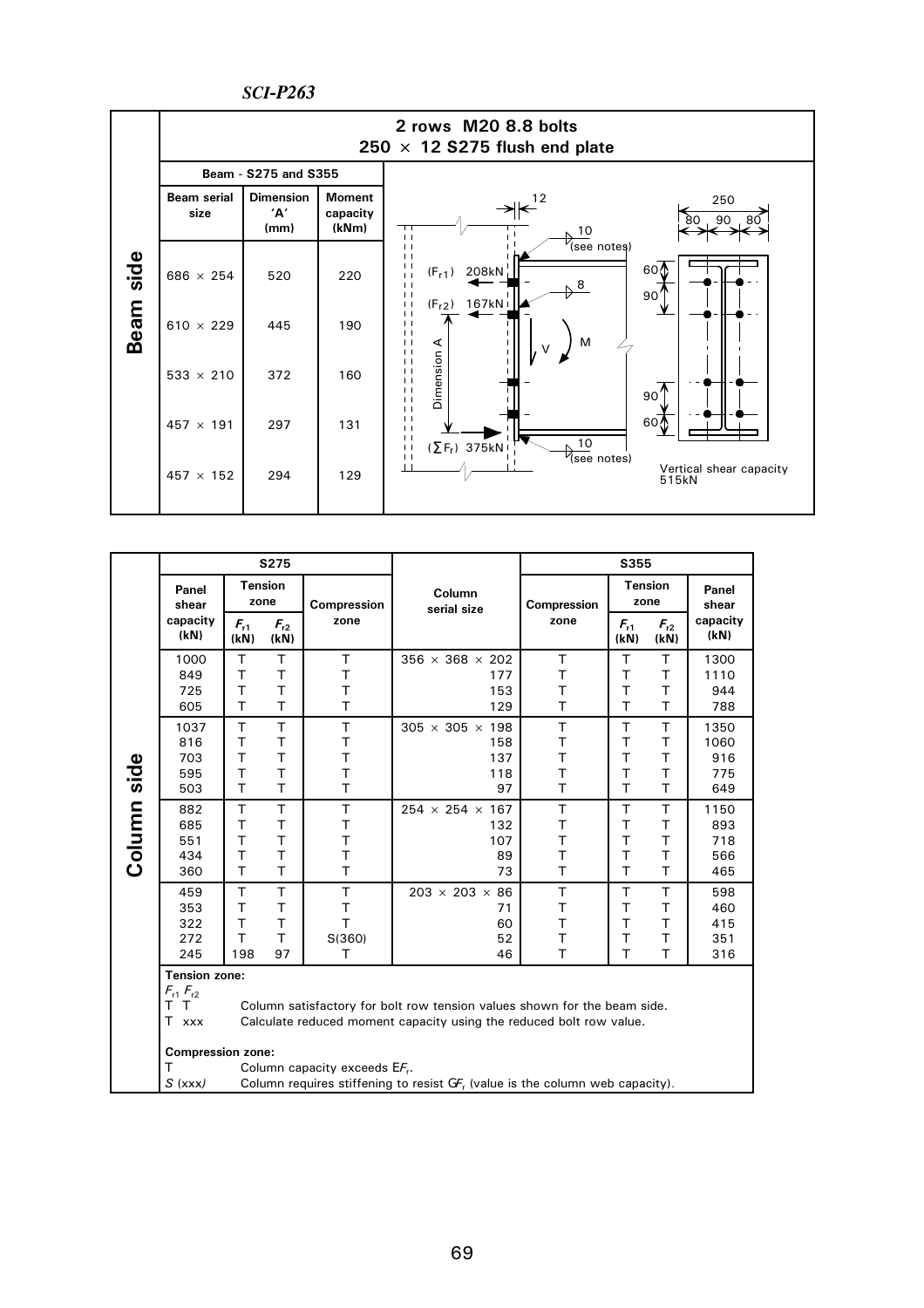*SCI-P263*



|  |                                          |                  | <b>S275</b>                 |                             |                                                                                 |             | S355             |                  |                  |  |
|--|------------------------------------------|------------------|-----------------------------|-----------------------------|---------------------------------------------------------------------------------|-------------|------------------|------------------|------------------|--|
|  | Panel<br>shear                           | zone             | Tension                     | Compression                 | Column<br>serial size                                                           | Compression | zone             | <b>Tension</b>   | Panel<br>shear   |  |
|  | capacity<br>(kN)                         | $F_{r1}$<br>(kN) | $F_{r2}$<br>(kN)            | zone                        |                                                                                 | zone        | $F_{r1}$<br>(kN) | $F_{r2}$<br>(kN) | capacity<br>(kN) |  |
|  | 1000                                     | T                | T                           | T.                          | $356 \times 368 \times 202$                                                     | T.          | T                | т                | 1300             |  |
|  | 849                                      | T                | T                           | т                           | 177                                                                             | т           | T                | T                | 1110             |  |
|  | 725                                      | т                | T                           | т                           | 153                                                                             | т           | T                | T                | 944              |  |
|  | 605                                      | т                | T                           | T.                          | 129                                                                             | т           | T                | T                | 788              |  |
|  | 1037                                     | T                | T                           | T.                          | $305 \times 305 \times 198$                                                     | T           | T                | T                | 1350             |  |
|  | 816                                      | T                | T                           | T                           | 158                                                                             | T           | T                | T                | 1060             |  |
|  | 703                                      | T                | T                           | T.                          | 137                                                                             | T           | T                | т                | 916              |  |
|  | 595                                      | T                | T                           | T                           | 118                                                                             | т           | T                | T                | 775              |  |
|  | Column side<br>503<br>T<br>T<br>T<br>882 | т                | T.                          | 97                          | т                                                                               | T           | т                | 649              |                  |  |
|  |                                          | T                | $254 \times 254 \times 167$ | T                           | T                                                                               | T           | 1150             |                  |                  |  |
|  | 685                                      | T                | T                           | T                           | 132                                                                             | т           | T                | т                | 893              |  |
|  | 551                                      | T                | T                           | т                           | 107                                                                             | T           | T                | T                | 718              |  |
|  | 434                                      | т                | T                           | т                           | 89                                                                              | T           | T                | T                | 566              |  |
|  | 360                                      | T                | T                           | T.                          | 73                                                                              | т           | T                | T                | 465              |  |
|  | 459                                      | T                | T                           | T.                          | $203 \times 203 \times 86$                                                      | T           | T                | T                | 598              |  |
|  | 353                                      | т                | т                           | т                           | 71                                                                              | т           | T                | т                | 460              |  |
|  | 322                                      | T                | T                           | T.                          | 60                                                                              | т           | T                | т                | 415              |  |
|  | 272                                      | т                | т                           | S(360)                      | 52                                                                              | т           | T                | T                | 351              |  |
|  | 245                                      | 198              | 97                          | т                           | 46                                                                              | т           | T                | т                | 316              |  |
|  | Tension zone:                            |                  |                             |                             |                                                                                 |             |                  |                  |                  |  |
|  | $F_{r1}F_{r2}$                           |                  |                             |                             |                                                                                 |             |                  |                  |                  |  |
|  | T T                                      |                  |                             |                             | Column satisfactory for bolt row tension values shown for the beam side.        |             |                  |                  |                  |  |
|  | T xxx                                    |                  |                             |                             | Calculate reduced moment capacity using the reduced bolt row value.             |             |                  |                  |                  |  |
|  |                                          |                  |                             |                             |                                                                                 |             |                  |                  |                  |  |
|  | <b>Compression zone:</b><br>т            |                  |                             | Column capacity exceeds EF. |                                                                                 |             |                  |                  |                  |  |
|  | S(xxx)                                   |                  |                             |                             | Column requires stiffening to resist $GF_r$ (value is the column web capacity). |             |                  |                  |                  |  |
|  |                                          |                  |                             |                             |                                                                                 |             |                  |                  |                  |  |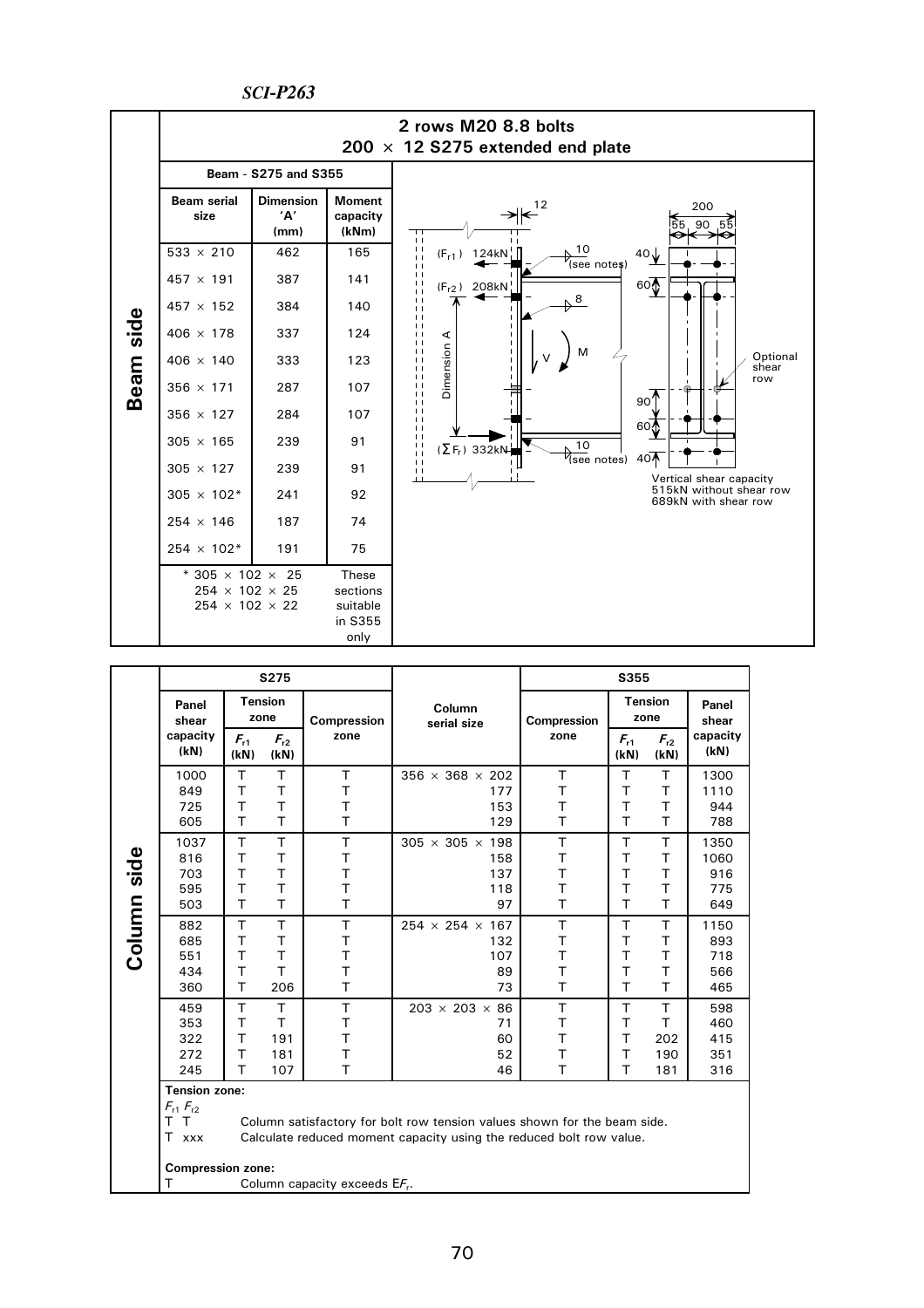*SCI-P263*



|             |                          |                        | <b>S275</b>      |                             |                                                                          | S355        |                  |                        |                  |  |
|-------------|--------------------------|------------------------|------------------|-----------------------------|--------------------------------------------------------------------------|-------------|------------------|------------------------|------------------|--|
|             | Panel<br>shear           | <b>Tension</b><br>zone |                  | Compression                 | Column<br>serial size                                                    | Compression |                  | <b>Tension</b><br>zone | Panel<br>shear   |  |
|             | capacity<br>(kN)         | $F_{r1}$<br>(kN)       | $F_{r2}$<br>(kN) | zone                        |                                                                          | zone        | $F_{r1}$<br>(kN) | $F_{r2}$<br>(kN)       | capacity<br>(kN) |  |
|             | 1000                     | T                      | т                | T                           | $356 \times 368 \times 202$                                              | T           | т                | т                      | 1300             |  |
|             | 849                      | T                      | T                | T.                          | 177                                                                      | T           | T                | т                      | 1110             |  |
|             | 725                      | т                      | т                | т                           | 153                                                                      | т           | T                | т                      | 944              |  |
|             | 605                      | T                      | T                | T.                          | 129                                                                      | T.          | T                | T                      | 788              |  |
|             | 1037                     | T                      | T                | T.                          | $305 \times 305 \times 198$                                              | T.          | T                | T.                     | 1350             |  |
|             | 816                      | т                      | T                | T                           | 158                                                                      | т           | т                | т                      | 1060             |  |
|             | 703                      | т                      | T                | T.                          | 137                                                                      | т           | т                | т                      | 916              |  |
|             | 595                      | T                      | T                | T.                          | 118                                                                      | T           | T                | T                      | 775              |  |
| Column side | 503                      | T                      | T                | T                           | 97                                                                       | т           | T                | T.                     | 649              |  |
|             | 882                      | T                      | T                | T.                          | $254 \times 254 \times 167$                                              | T.          | T                | T.                     | 1150             |  |
|             | 685                      | т                      | T                | T.                          | 132                                                                      | T           | T                | T                      | 893              |  |
|             | 551                      | T                      | T                | T.                          | 107                                                                      | T.          | T                | T                      | 718              |  |
|             | 434                      | т                      | T                | т                           | 89                                                                       | т           | т                | т                      | 566              |  |
|             | 360                      | T.                     | 206              | T.                          | 73                                                                       | T.          | T                | T.                     | 465              |  |
|             | 459                      | T                      | T                | T.                          | $203 \times 203 \times 86$                                               | T.          | т                | T.                     | 598              |  |
|             | 353                      | T                      | T                | T                           | 71                                                                       | T           | T                | T.                     | 460              |  |
|             | 322                      | т                      | 191              | T.                          | 60                                                                       | T.          | т                | 202                    | 415              |  |
|             | 272                      | т                      | 181              | T.                          | 52                                                                       | T           | т                | 190                    | 351              |  |
|             | 245                      | T                      | 107              | T.                          | 46                                                                       | T.          | T                | 181                    | 316              |  |
|             | Tension zone:            |                        |                  |                             |                                                                          |             |                  |                        |                  |  |
|             | $F_{r1}F_{r2}$           |                        |                  |                             |                                                                          |             |                  |                        |                  |  |
|             | тт                       |                        |                  |                             | Column satisfactory for bolt row tension values shown for the beam side. |             |                  |                        |                  |  |
|             | T xxx                    |                        |                  |                             | Calculate reduced moment capacity using the reduced bolt row value.      |             |                  |                        |                  |  |
|             | <b>Compression zone:</b> |                        |                  |                             |                                                                          |             |                  |                        |                  |  |
|             | т                        |                        |                  | Column capacity exceeds EF. |                                                                          |             |                  |                        |                  |  |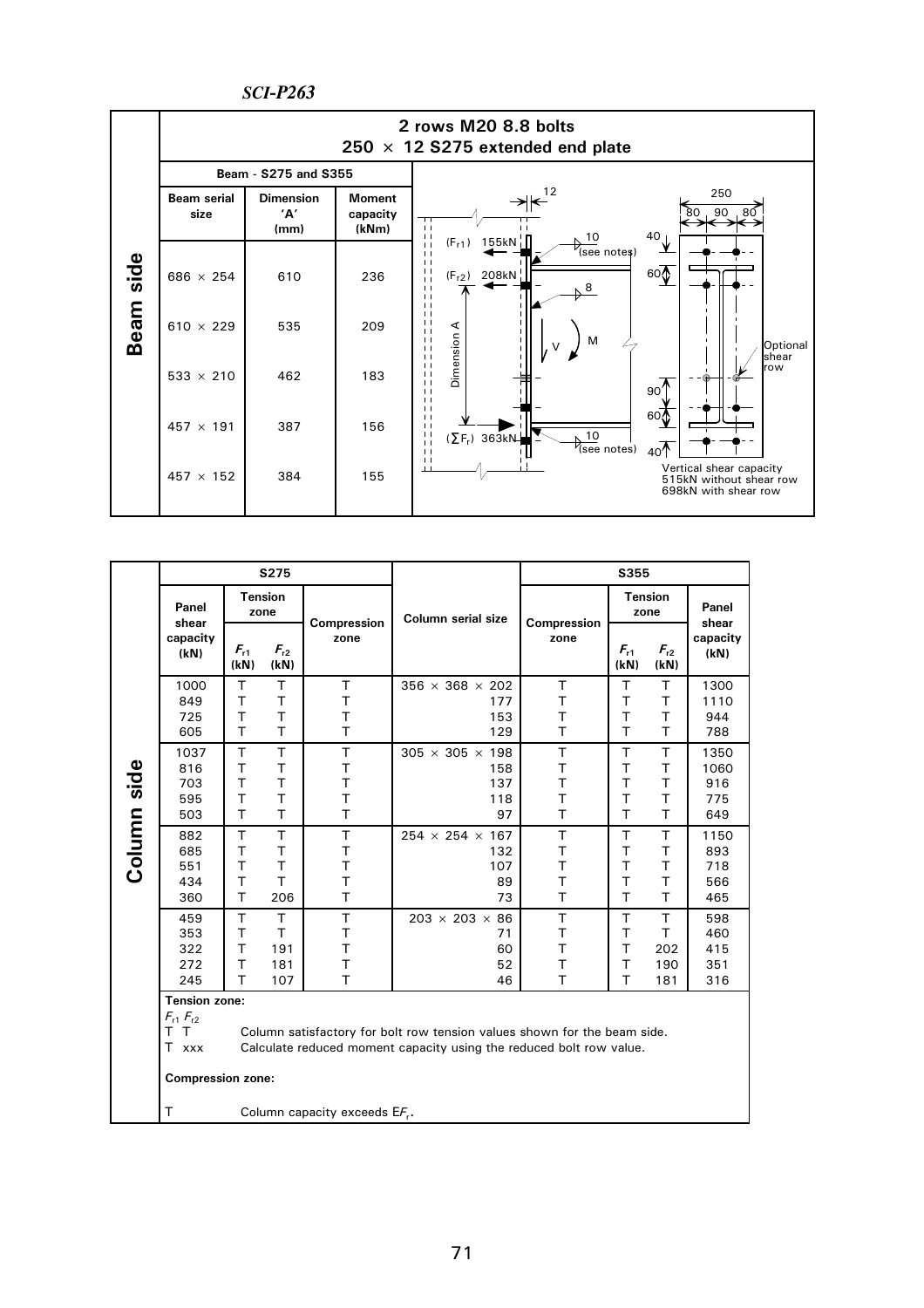*SCI-P263*



|                              |                                                                          | <b>S275</b>            |             |                                                                     |             | <b>S355</b>      |                        |                  |  |  |
|------------------------------|--------------------------------------------------------------------------|------------------------|-------------|---------------------------------------------------------------------|-------------|------------------|------------------------|------------------|--|--|
| Panel<br>shear               |                                                                          | <b>Tension</b><br>zone | Compression | <b>Column serial size</b>                                           | Compression |                  | <b>Tension</b><br>zone | Panel<br>shear   |  |  |
| capacity<br>(kN)             | $F_{r1}$<br>(kN)                                                         | $F_{r2}$<br>(kN)       | zone        |                                                                     | zone        | $F_{r1}$<br>(kN) | $F_{r2}$<br>(kN)       | capacity<br>(kN) |  |  |
| 1000                         | T                                                                        | т                      | T           | $356 \times 368 \times 202$                                         | T           | T                | T                      | 1300             |  |  |
| 849                          | т                                                                        | т                      | T           | 177                                                                 | т           | T                | T                      | 1110             |  |  |
| 725                          | T                                                                        | т                      | T           | 153                                                                 | т           | T                | т                      | 944              |  |  |
| 605                          | T                                                                        | т                      | T           | 129                                                                 | T           | T                | T.                     | 788              |  |  |
| 1037                         | T                                                                        | T                      | T           | $305 \times 305 \times 198$                                         | T.          | т                | т                      | 1350             |  |  |
| 816                          | т                                                                        | T                      | T           | 158                                                                 | T           | т                | T                      | 1060             |  |  |
| 703                          | т                                                                        | T                      | T           | 137                                                                 | т           | т                | T                      | 916              |  |  |
| 595                          | T                                                                        | T                      | T           | 118                                                                 | T           | т                | т                      | 775              |  |  |
| Column side<br>T<br>т<br>503 |                                                                          | T                      | 97          | T.                                                                  | T.          | T.               | 649                    |                  |  |  |
| 882                          | T                                                                        | T                      | T           | $254 \times 254 \times 167$                                         | T           | т                | T                      | 1150             |  |  |
| 685                          | T                                                                        | T                      | т           | 132                                                                 | T           | т                | T                      | 893              |  |  |
| 551                          | T                                                                        | T                      | T           | 107                                                                 | T.          | T                | T.                     | 718              |  |  |
| 434                          | T                                                                        | T                      | T           | 89                                                                  | T.          | T                | T.<br>T.               | 566              |  |  |
| 360                          | т                                                                        | 206                    | T           | 73                                                                  | T.          | т                |                        | 465              |  |  |
| 459                          | T                                                                        | T.                     | T           | $203 \times 203 \times 86$                                          | T.          | T                | T.                     | 598              |  |  |
| 353                          | T                                                                        | T.                     | T           | 71                                                                  | T           | T                | T.                     | 460              |  |  |
| 322                          | T                                                                        | 191                    | T           | 60                                                                  | T.          | т                | 202                    | 415              |  |  |
| 272                          | T<br>T                                                                   | 181                    | T<br>T      | 52<br>46                                                            | T<br>T      | т<br>T           | 190                    | 351              |  |  |
| 245                          |                                                                          | 107                    |             |                                                                     |             |                  | 181                    | 316              |  |  |
| Tension zone:                |                                                                          |                        |             |                                                                     |             |                  |                        |                  |  |  |
| $F_{r1}F_{r2}$<br>T<br>T.    | Column satisfactory for bolt row tension values shown for the beam side. |                        |             |                                                                     |             |                  |                        |                  |  |  |
| T xxx                        |                                                                          |                        |             |                                                                     |             |                  |                        |                  |  |  |
|                              |                                                                          |                        |             | Calculate reduced moment capacity using the reduced bolt row value. |             |                  |                        |                  |  |  |
| <b>Compression zone:</b>     |                                                                          |                        |             |                                                                     |             |                  |                        |                  |  |  |
| T                            | Column capacity exceeds EF                                               |                        |             |                                                                     |             |                  |                        |                  |  |  |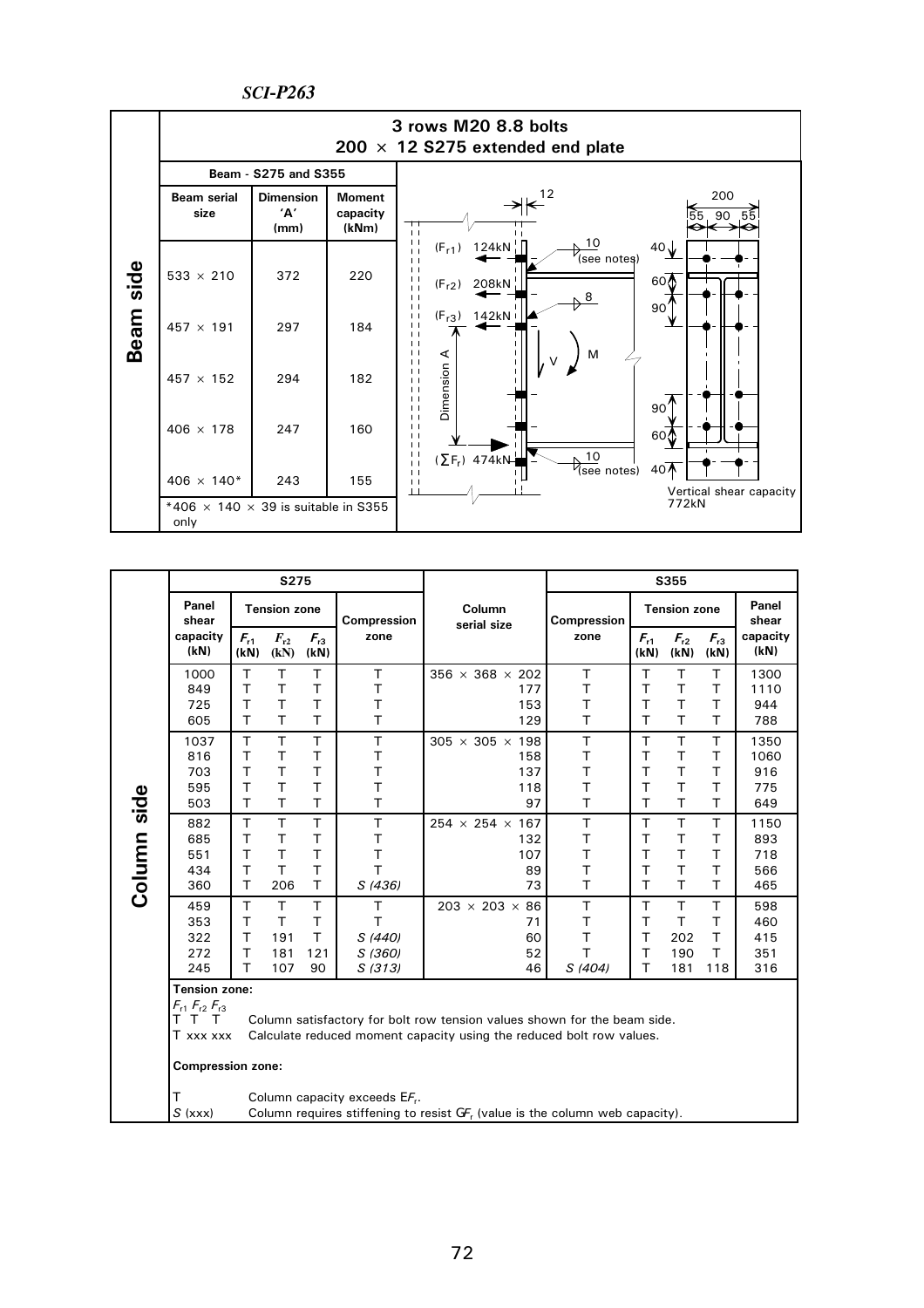*SCI-P263*



|             |                          |                  | S275                |                  |                             |                                                                                |             |                  | S355                |                  |                  |
|-------------|--------------------------|------------------|---------------------|------------------|-----------------------------|--------------------------------------------------------------------------------|-------------|------------------|---------------------|------------------|------------------|
|             | Panel<br>shear           |                  | <b>Tension zone</b> |                  | Compression                 | Column<br>serial size                                                          | Compression |                  | <b>Tension zone</b> |                  | Panel<br>shear   |
|             | capacity<br>(kN)         | $F_{r1}$<br>(kN) | $F_{r2}$<br>(kN)    | $F_{r3}$<br>(kN) | zone                        |                                                                                | zone        | $F_{r1}$<br>(kN) | $F_{r2}$<br>(kN)    | $F_{r3}$<br>(kN) | capacity<br>(kN) |
|             | 1000                     | T                | T                   | T.               | T                           | $356 \times 368 \times 202$                                                    | T           | T                | T                   | T                | 1300             |
|             | 849                      | T                | T                   | T                | т                           | 177                                                                            | T           | T                | Τ                   | Т                | 1110             |
|             | 725                      | T                | T                   | T.               | T                           | 153                                                                            | T           | $\mathsf{T}$     | T                   | T                | 944              |
|             | 605                      | T                | T                   | T.               | T                           | 129                                                                            | T           | T                | T                   | т                | 788              |
|             | 1037                     | T.               | T.                  | T.               | T                           | $305 \times 305 \times 198$                                                    | T           | T                | T.                  | T                | 1350             |
|             | 816                      | T                | T                   | T                | T                           | 158                                                                            | T           | T                | T                   | T                | 1060             |
|             | 703                      | T                | T                   | T                | т                           | 137                                                                            | T           | T                | T                   | Т                | 916              |
|             | 595                      | т                | T                   | Τ                | т                           | 118                                                                            | т           | T                | т                   | Т                | 775              |
| Column side | 503                      | T                | т                   | T                | T                           | 97                                                                             | T           | T                | T                   | т                | 649              |
|             | 882                      | T                | T.                  | T.               | T                           | $254 \times 254 \times 167$                                                    | T           | T                | T                   | т                | 1150             |
|             | 685                      | T                | T                   | T                | T                           | 132                                                                            | T           | т                | т                   | Т                | 893              |
|             | 551                      | T                | T                   | T.               | T                           | 107                                                                            | T           | $\mathsf{T}$     | T                   | T                | 718              |
|             | 434                      | T                | T.                  | T                | T                           | 89                                                                             | T           | T                | T                   | T                | 566              |
|             | 360                      | T                | 206                 | T                | S (436)                     | 73                                                                             | T           | T                | T.                  | T                | 465              |
|             | 459                      | T                | T                   | T.               | T                           | $203 \times 203 \times 86$                                                     | T           | T                | T                   | T                | 598              |
|             | 353                      | T                | T.                  | T.               | T                           | 71                                                                             | т           | T                | T.                  | Т                | 460              |
|             | 322                      | T                | 191                 | T                | S (440)                     | 60                                                                             | T           | T                | 202                 | T                | 415              |
|             | 272                      | T<br>T           | 181                 | 121              | S(360)                      | 52                                                                             | T           | $\mathsf{T}$     | 190                 | T.               | 351              |
|             | 245                      |                  | 107                 | 90               | S(313)                      | 46                                                                             | S (404)     | $\mathsf{T}$     | 181                 | 118              | 316              |
|             | Tension zone:            |                  |                     |                  |                             |                                                                                |             |                  |                     |                  |                  |
|             | $F_{r1}F_{r2}F_{r3}$     |                  |                     |                  |                             |                                                                                |             |                  |                     |                  |                  |
|             | ттт                      |                  |                     |                  |                             | Column satisfactory for bolt row tension values shown for the beam side.       |             |                  |                     |                  |                  |
|             | $T$ xxx xxx              |                  |                     |                  |                             | Calculate reduced moment capacity using the reduced bolt row values.           |             |                  |                     |                  |                  |
|             | <b>Compression zone:</b> |                  |                     |                  |                             |                                                                                |             |                  |                     |                  |                  |
|             | т                        |                  |                     |                  | Column capacity exceeds EF. |                                                                                |             |                  |                     |                  |                  |
|             | S (xxx)                  |                  |                     |                  |                             | Column requires stiffening to resist $GFr$ (value is the column web capacity). |             |                  |                     |                  |                  |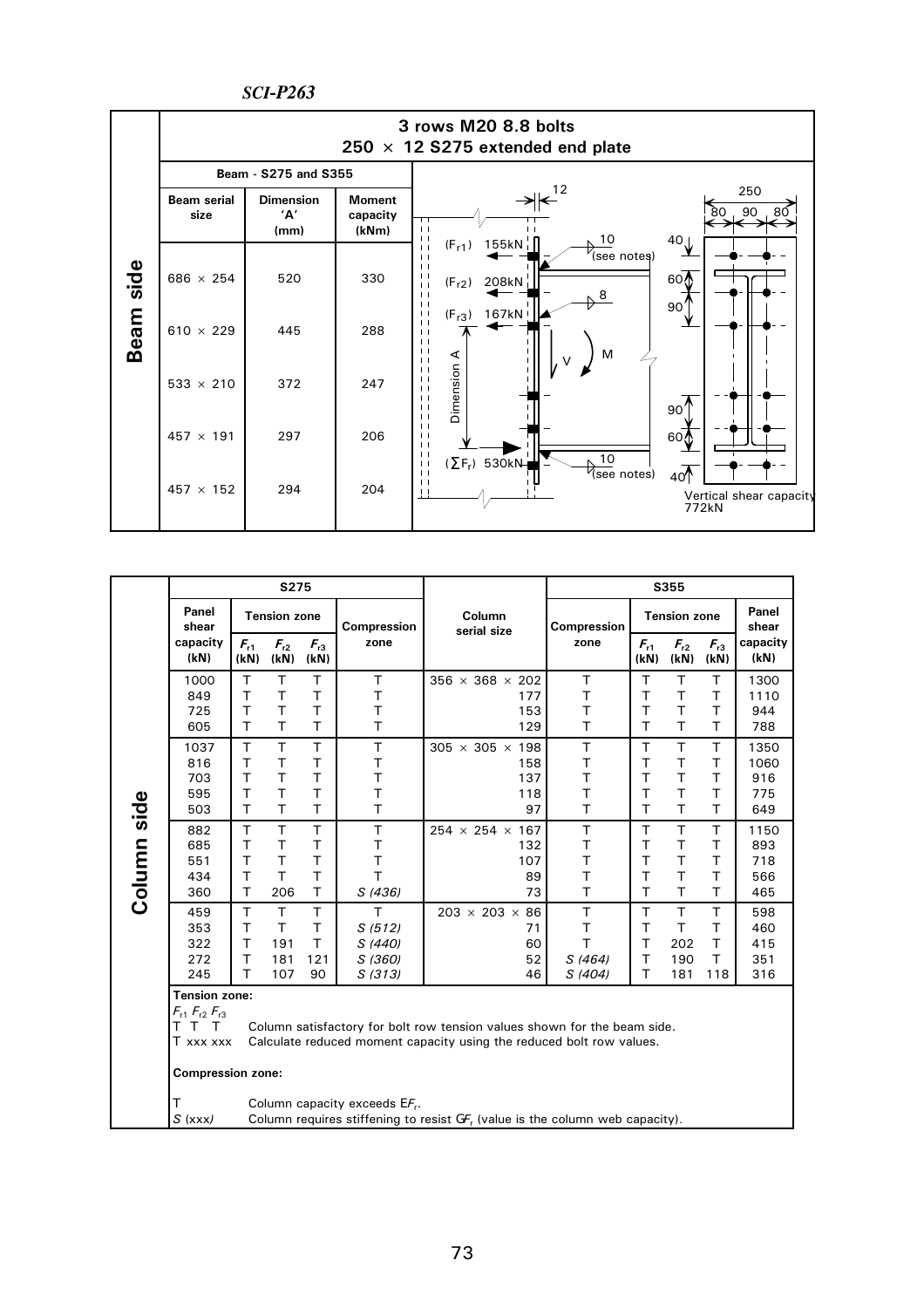*SCI-P263*

|      |                            |                                 |                                    | 3 rows M20 8.8 bolts<br>$250 \times 12$ S275 extended end plate                                                                                                                                                                               |
|------|----------------------------|---------------------------------|------------------------------------|-----------------------------------------------------------------------------------------------------------------------------------------------------------------------------------------------------------------------------------------------|
|      |                            | Beam - S275 and S355            |                                    |                                                                                                                                                                                                                                               |
|      | <b>Beam serial</b><br>size | <b>Dimension</b><br>'А'<br>(mm) | <b>Moment</b><br>capacity<br>(kNm) | 12<br>250<br>80, 90<br>, 80<br>$\perp$<br>$\perp$<br>10                                                                                                                                                                                       |
| side | $686 \times 254$           | 520                             | 330                                | $40\sqrt{ }$<br>155kN<br>(F <sub>r1</sub> )<br>$\perp$<br>(see notes)<br>$\perp$<br>$\perp$<br>60 <sub>0</sub><br>$\vert \vert$<br>208kN<br>(F <sub>r2</sub> )<br>$\perp$<br>$\perp$<br>$\searrow$ <sup>8</sup><br>90 <sup>1</sup><br>$\perp$ |
| Beam | $610 \times 229$           | 445                             | 288                                | 167kN!<br>(F <sub>r3</sub> )<br>$\perp$<br>$\perp$<br>$\perp$<br>$\perp$<br>$\perp$                                                                                                                                                           |
|      | $533 \times 210$           | 372                             | 247                                | M<br>Dimension A<br>$\perp$<br>$\vee$<br>$\perp$<br>$\perp$<br>$\perp$<br>$\perp$<br>$90^{\circ}$<br>$\perp$                                                                                                                                  |
|      | $457 \times 191$           | 297                             | 206                                | $\perp$<br>$\perp$<br>60 <sub>0</sub><br>$\perp$<br>$\vert \vert$<br>$\perp$<br>10<br>$(\Sigma F_r)$ 530kN<br>$\vert \vert$                                                                                                                   |
|      | $457 \times 152$           | 294                             | 204                                | 40 <sup>1</sup><br>$\sqrt{\text{see}}$ notes)<br>$\blacksquare$<br>$\perp$<br>Vertical shear capacity<br>772kN                                                                                                                                |

|             |                          |                  | <b>S275</b>         |                  |                             |                                                                                 |             |                  | <b>S355</b>         |                  |                  |
|-------------|--------------------------|------------------|---------------------|------------------|-----------------------------|---------------------------------------------------------------------------------|-------------|------------------|---------------------|------------------|------------------|
|             | Panel<br>shear           |                  | <b>Tension zone</b> |                  | Compression                 | Column<br>serial size                                                           | Compression |                  | <b>Tension zone</b> |                  | Panel<br>shear   |
|             | capacity<br>(kN)         | $F_{r1}$<br>(kN) | $F_{r2}$<br>(kN)    | $F_{r3}$<br>(kN) | zone                        |                                                                                 | zone        | $F_{r1}$<br>(kN) | $F_{r2}$<br>(kN)    | $F_{r3}$<br>(kN) | capacity<br>(kN) |
|             | 1000                     | T.               | T                   | T                | т                           | $356 \times 368 \times 202$                                                     | T           | T                | T                   | т                | 1300             |
|             | 849                      | T                | T                   | T                | T                           | 177                                                                             | T           | T                | T                   | T                | 1110             |
|             | 725                      | т                | T                   | T                | T                           | 153                                                                             | T           | T                | T                   | T                | 944              |
|             | 605                      | T.               | T                   | T.               | T                           | 129                                                                             | T           | T                | T                   | T                | 788              |
|             | 1037                     | T.               | T.                  | T                | T                           | $305 \times 305 \times 198$                                                     | $\mathsf T$ | T                | T                   | T.               | 1350             |
|             | 816                      | T                | T                   | T                | T                           | 158                                                                             | Τ           | T                | т                   | T                | 1060             |
|             | 703                      | T                | T                   | $\mathsf T$      | T                           | 137                                                                             | T           | T                | T                   | T                | 916              |
|             | 595                      | T                | $\mathsf T$         | $\mathsf T$      | T                           | 118                                                                             | T           | T                | T                   | T                | 775              |
|             | 503                      | T.               | $\mathsf T$         | T                | T                           | 97                                                                              | T           | T                | T                   | T                | 649              |
| Column side | 882                      | T.               | T.                  | $\mathsf T$      | T.                          | $254 \times 254 \times 167$                                                     | T           | $\mathsf{T}$     | T                   | T                | 1150             |
|             | 685                      | T                | $\mathsf T$         | $\mathsf T$      | T                           | 132                                                                             | Τ           | т                | Τ                   | Т                | 893              |
|             | 551                      | T                | $\mathsf T$         | $\mathsf T$      | т                           | 107                                                                             | $\mathsf T$ | T                | T                   | Т                | 718              |
|             | 434                      | т                | T                   | $\mathsf T$      | T                           | 89                                                                              | Τ           | т                | T                   | т                | 566              |
|             | 360                      | т                | 206                 | T                | S (436)                     | 73                                                                              | T           | T                | T                   | т                | 465              |
|             | 459                      | T                | T                   | T                | T                           | $203 \times 203 \times 86$                                                      | T           | T                | T                   | T                | 598              |
|             | 353                      | т                | T.                  | T                | S(512)                      | 71                                                                              | т           | т                | T                   | т                | 460              |
|             | 322                      | T                | 191                 | T                | S (440)                     | 60                                                                              | T           | T                | 202                 | т                | 415              |
|             | 272                      | T                | 181                 | 121              | S (360)                     | 52                                                                              | S(464)      | T                | 190                 | т                | 351              |
|             | 245                      | T                | 107                 | 90               | S(313)                      | 46                                                                              | S (404)     | T                | 181                 | 118              | 316              |
|             | Tension zone:            |                  |                     |                  |                             |                                                                                 |             |                  |                     |                  |                  |
|             | $F_{r1}F_{r2}F_{r3}$     |                  |                     |                  |                             |                                                                                 |             |                  |                     |                  |                  |
|             | TTT                      |                  |                     |                  |                             | Column satisfactory for bolt row tension values shown for the beam side.        |             |                  |                     |                  |                  |
|             | T xxx xxx                |                  |                     |                  |                             | Calculate reduced moment capacity using the reduced bolt row values.            |             |                  |                     |                  |                  |
|             | <b>Compression zone:</b> |                  |                     |                  |                             |                                                                                 |             |                  |                     |                  |                  |
|             | т                        |                  |                     |                  | Column capacity exceeds EF. |                                                                                 |             |                  |                     |                  |                  |
|             | S (xxx)                  |                  |                     |                  |                             | Column requires stiffening to resist $GF_r$ (value is the column web capacity). |             |                  |                     |                  |                  |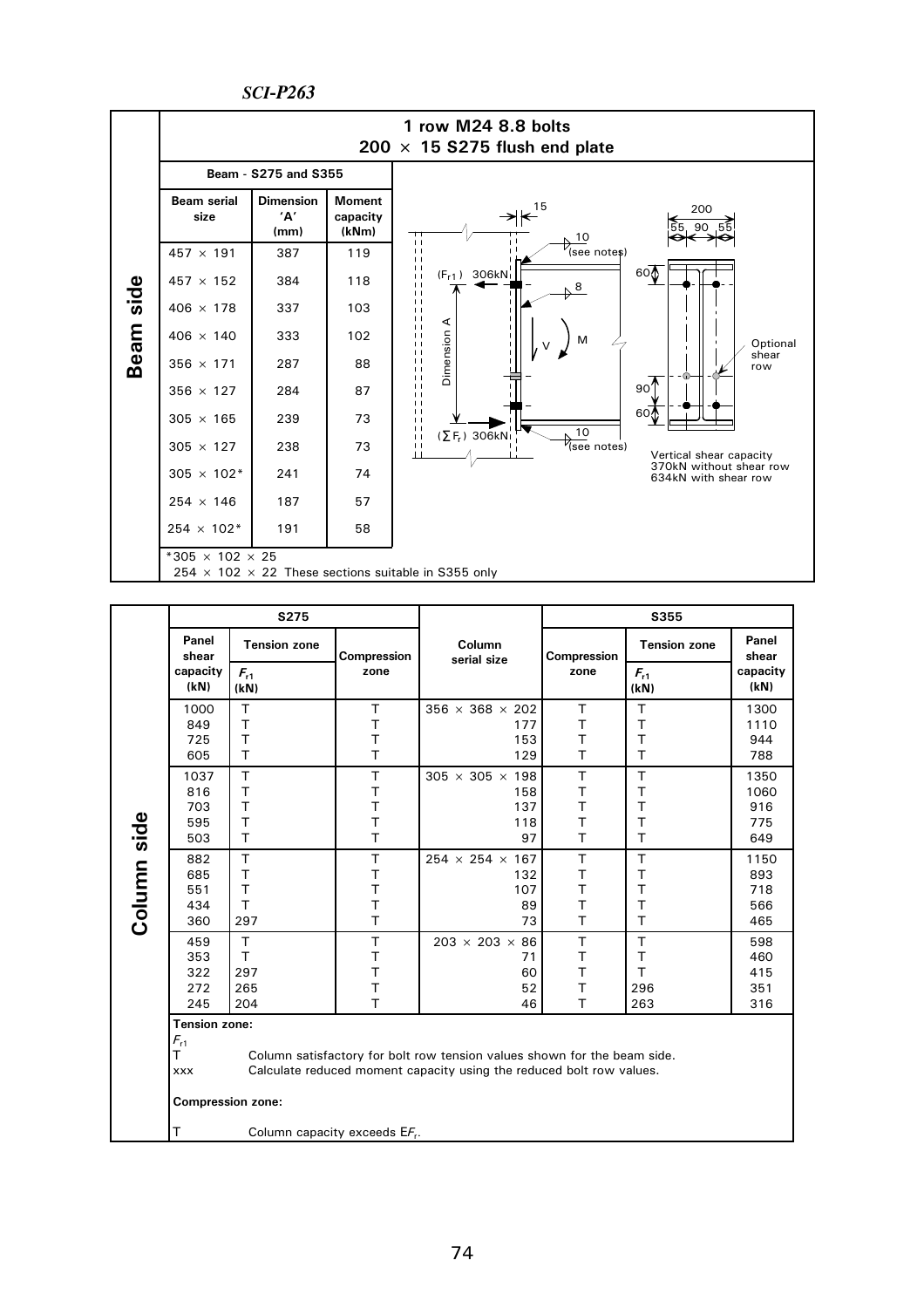*SCI-P263*



|             |                                                                                                                                     | <b>S275</b>                                                                                                                                                                                                                 |                                                                                                 |                                                                                                                                                                                                                           | S355                                                                                                                |                                                                                                 |                                                                                                                                        |  |  |  |  |  |
|-------------|-------------------------------------------------------------------------------------------------------------------------------------|-----------------------------------------------------------------------------------------------------------------------------------------------------------------------------------------------------------------------------|-------------------------------------------------------------------------------------------------|---------------------------------------------------------------------------------------------------------------------------------------------------------------------------------------------------------------------------|---------------------------------------------------------------------------------------------------------------------|-------------------------------------------------------------------------------------------------|----------------------------------------------------------------------------------------------------------------------------------------|--|--|--|--|--|
|             | Panel<br>shear                                                                                                                      | <b>Tension zone</b>                                                                                                                                                                                                         | Compression                                                                                     | Column<br>serial size                                                                                                                                                                                                     | Compression                                                                                                         | <b>Tension zone</b>                                                                             | Panel<br>shear                                                                                                                         |  |  |  |  |  |
|             | capacity<br>(kN)                                                                                                                    | $F_{r1}$<br>(kN)                                                                                                                                                                                                            | zone                                                                                            |                                                                                                                                                                                                                           | zone                                                                                                                | $F_{r1}$<br>(kN)                                                                                | capacity<br>(kN)                                                                                                                       |  |  |  |  |  |
| Column side | 1000<br>849<br>725<br>605<br>1037<br>816<br>703<br>595<br>503<br>882<br>685<br>551<br>434<br>360<br>459<br>353<br>322<br>272<br>245 | T<br>T<br>T<br>T<br>T<br>T<br>T<br>T<br>T<br>T<br>T<br>T<br>T<br>297<br>T<br>T<br>297<br>265<br>204                                                                                                                         | T.<br>T<br>T<br>T.<br>T.<br>T<br>T<br>T<br>T.<br>T<br>T<br>T<br>T<br>T<br>T<br>T<br>T<br>T<br>T | $356 \times 368 \times 202$<br>177<br>153<br>129<br>$305 \times 305 \times 198$<br>158<br>137<br>118<br>97<br>$254 \times 254 \times 167$<br>132<br>107<br>89<br>73<br>$203 \times 203 \times 86$<br>71<br>60<br>52<br>46 | T.<br>T.<br>T.<br>T.<br>T.<br>T.<br>T<br>T<br>T.<br>T.<br>$\mathsf T$<br>T.<br>T<br>T.<br>T.<br>T.<br>T.<br>T<br>T. | T<br>T<br>T<br>T<br>T<br>T<br>т<br>T<br>T<br>T<br>T<br>T<br>T<br>T<br>T<br>T<br>T<br>296<br>263 | 1300<br>1110<br>944<br>788<br>1350<br>1060<br>916<br>775<br>649<br>1150<br>893<br>718<br>566<br>465<br>598<br>460<br>415<br>351<br>316 |  |  |  |  |  |
|             | $F_{r1}$<br>T.<br><b>XXX</b><br>т                                                                                                   | Tension zone:<br>Column satisfactory for bolt row tension values shown for the beam side.<br>Calculate reduced moment capacity using the reduced bolt row values.<br><b>Compression zone:</b><br>Column capacity exceeds EF |                                                                                                 |                                                                                                                                                                                                                           |                                                                                                                     |                                                                                                 |                                                                                                                                        |  |  |  |  |  |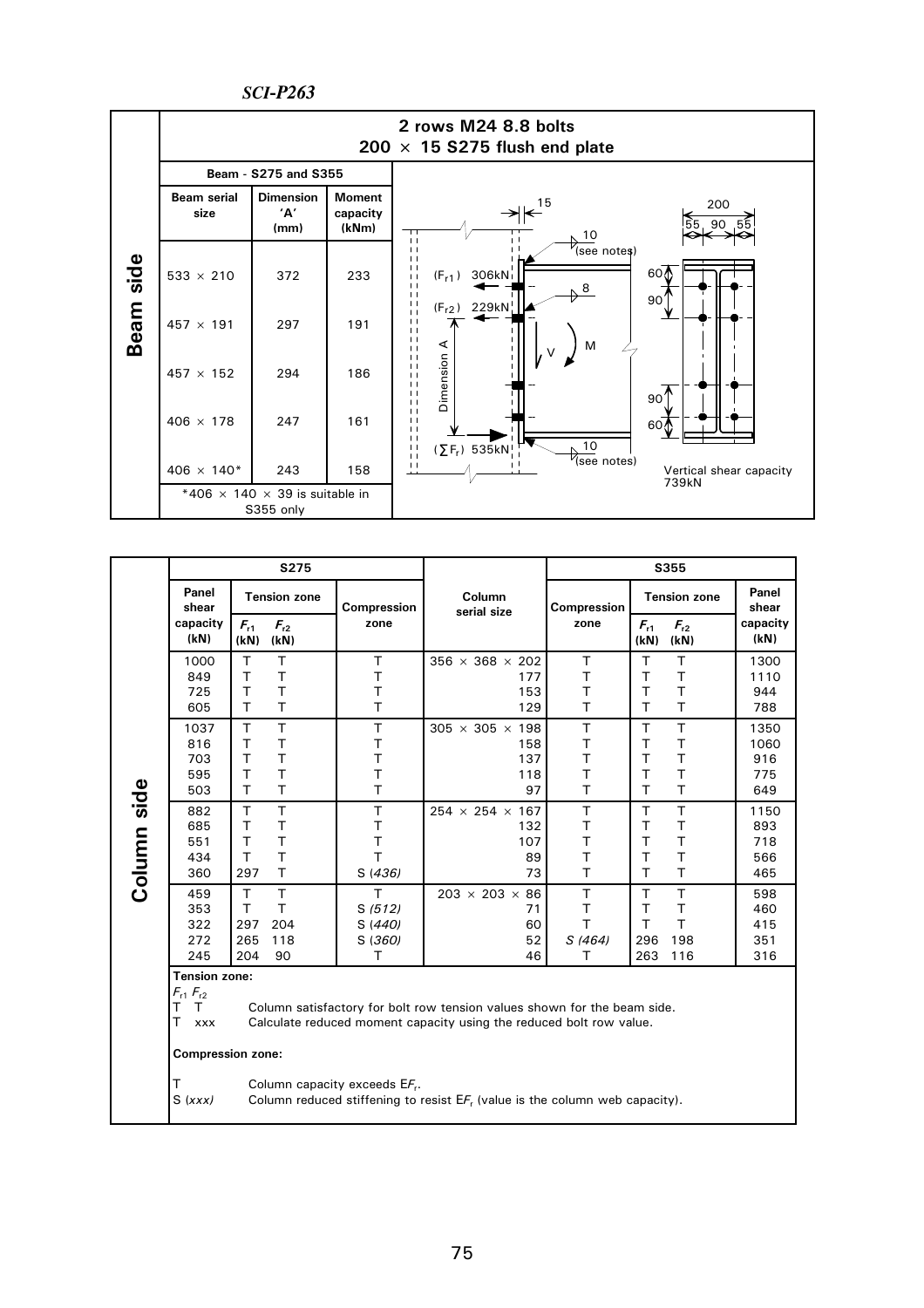*SCI-P263*



| Panel<br><b>Tension zone</b>                                                                                                                                                                                                                                                                                                                                                                                                                                                                                                                                                                                                                                                                                                                                                                                                                                                               | Column                                                                                                                                                                                                                    |                                                                                                   |                                                                                                                                                                                                              |                                                                                                                                        |
|--------------------------------------------------------------------------------------------------------------------------------------------------------------------------------------------------------------------------------------------------------------------------------------------------------------------------------------------------------------------------------------------------------------------------------------------------------------------------------------------------------------------------------------------------------------------------------------------------------------------------------------------------------------------------------------------------------------------------------------------------------------------------------------------------------------------------------------------------------------------------------------------|---------------------------------------------------------------------------------------------------------------------------------------------------------------------------------------------------------------------------|---------------------------------------------------------------------------------------------------|--------------------------------------------------------------------------------------------------------------------------------------------------------------------------------------------------------------|----------------------------------------------------------------------------------------------------------------------------------------|
| shear<br>Compression                                                                                                                                                                                                                                                                                                                                                                                                                                                                                                                                                                                                                                                                                                                                                                                                                                                                       | serial size                                                                                                                                                                                                               | Compression                                                                                       | <b>Tension zone</b>                                                                                                                                                                                          | Panel<br>shear                                                                                                                         |
| capacity<br>zone<br>$F_{r2}$<br>$F_{r1}$<br>(kN)<br>(kN)<br>(kN)                                                                                                                                                                                                                                                                                                                                                                                                                                                                                                                                                                                                                                                                                                                                                                                                                           |                                                                                                                                                                                                                           | zone                                                                                              | $F_{r1}$<br>$F_{r2}$<br>(kN)<br>(kN)                                                                                                                                                                         | capacity<br>(kN)                                                                                                                       |
| $\mathsf T$<br>T.<br>T.<br>1000<br>T.<br>T<br>T<br>849<br>T<br>T<br>т<br>725<br>T.<br>T<br>605<br>T<br>T.<br>T<br>T<br>1037<br>T<br>T<br>T<br>816<br>T.<br>T.<br>T<br>703<br>T.<br>T.<br>T<br>595<br>Column side<br>T<br>T.<br>T.<br>503<br>T.<br>T<br>T<br>882<br>T<br>т<br>685<br>T<br>T<br>T<br>Т<br>551<br>T.<br>T<br>T<br>434<br>T<br>360<br>297<br>S (436)<br>T<br>T<br>T.<br>459<br>T<br>T<br>S(512)<br>353<br>322<br>297<br>204<br>S (440)<br>265<br>272<br>118<br>S (360)<br>204<br>т<br>245<br>90<br>Tension zone:<br>$F_{r1}F_{r2}$<br>т<br>Column satisfactory for bolt row tension values shown for the beam side.<br>т<br>Calculate reduced moment capacity using the reduced bolt row value.<br>т<br><b>XXX</b><br><b>Compression zone:</b><br>т<br>Column capacity exceeds EF.<br>Column reduced stiffening to resist $EF_r$ (value is the column web capacity).<br>S(xxx) | $356 \times 368 \times 202$<br>177<br>153<br>129<br>$305 \times 305 \times 198$<br>158<br>137<br>118<br>97<br>$254 \times 254 \times 167$<br>132<br>107<br>89<br>73<br>$203 \times 203 \times 86$<br>71<br>60<br>52<br>46 | T.<br>т<br>T<br>T<br>T<br>T<br>T<br>T<br>T<br>T<br>т<br>T<br>т<br>T<br>T<br>T<br>T<br>S(464)<br>т | T<br>T.<br>T.<br>т<br>T<br>т<br>T.<br>T<br>T.<br>T<br>T<br>т<br>T.<br>т<br>T<br>т<br>T<br>T.<br>T.<br>T<br>T<br>т<br>T<br>T<br>T<br>T<br>T<br>T.<br>T<br>T.<br>T<br>т<br>T.<br>T<br>296<br>198<br>263<br>116 | 1300<br>1110<br>944<br>788<br>1350<br>1060<br>916<br>775<br>649<br>1150<br>893<br>718<br>566<br>465<br>598<br>460<br>415<br>351<br>316 |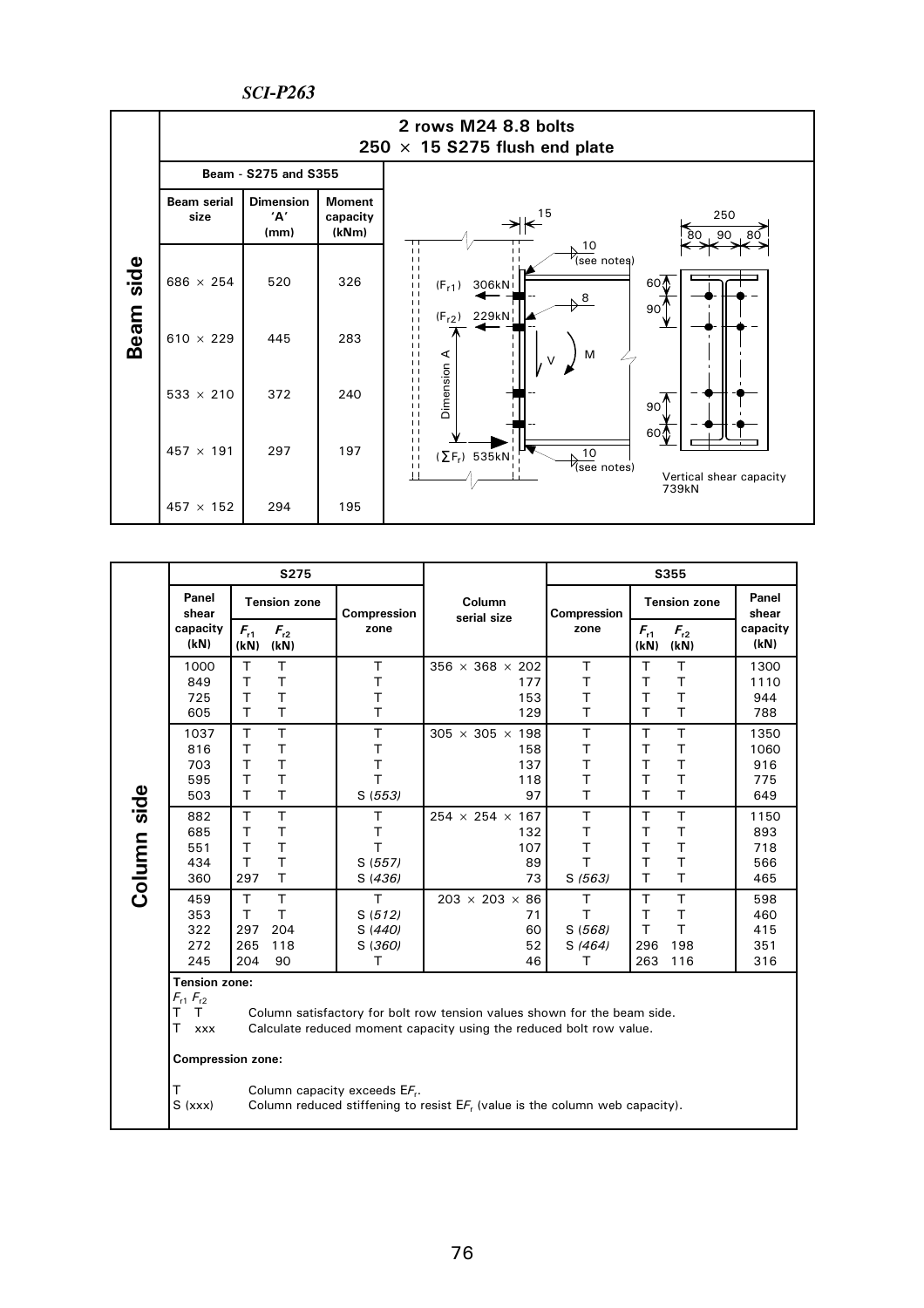*SCI-P263*



|             |                                                                                                                                                                                                                                 |                                                                                                                   | S275                                                                                                                                    |                                                                                                                               |                                                                                                                                                                                                                                                                                                                                                                              |                                                                                                               |                                                                                                 | S355                                                                                                                          |                                                                                                                                        |
|-------------|---------------------------------------------------------------------------------------------------------------------------------------------------------------------------------------------------------------------------------|-------------------------------------------------------------------------------------------------------------------|-----------------------------------------------------------------------------------------------------------------------------------------|-------------------------------------------------------------------------------------------------------------------------------|------------------------------------------------------------------------------------------------------------------------------------------------------------------------------------------------------------------------------------------------------------------------------------------------------------------------------------------------------------------------------|---------------------------------------------------------------------------------------------------------------|-------------------------------------------------------------------------------------------------|-------------------------------------------------------------------------------------------------------------------------------|----------------------------------------------------------------------------------------------------------------------------------------|
|             | Panel<br>shear                                                                                                                                                                                                                  |                                                                                                                   | <b>Tension zone</b>                                                                                                                     | Compression                                                                                                                   | Column<br>serial size                                                                                                                                                                                                                                                                                                                                                        | Compression                                                                                                   |                                                                                                 | <b>Tension zone</b>                                                                                                           | Panel<br>shear                                                                                                                         |
|             | capacity<br>(kN)                                                                                                                                                                                                                | $F_{r1}$<br>(kN)                                                                                                  | $F_{r2}$<br>(kN)                                                                                                                        | zone                                                                                                                          |                                                                                                                                                                                                                                                                                                                                                                              | zone                                                                                                          | $F_{r1}$<br>(kN)                                                                                | $F_{r2}$<br>(kN)                                                                                                              | capacity<br>(kN)                                                                                                                       |
| Column side | 1000<br>849<br>725<br>605<br>1037<br>816<br>703<br>595<br>503<br>882<br>685<br>551<br>434<br>360<br>459<br>353<br>322<br>272<br>245<br>Tension zone:<br>$F_{r1}F_{r2}$<br>T<br>т<br>т<br><b>XXX</b><br><b>Compression zone:</b> | T<br>T<br>T<br>T.<br>T<br>T<br>T<br>T<br>T.<br>$\mathsf T$<br>T.<br>T<br>T.<br>297<br>T<br>T<br>297<br>265<br>204 | T.<br>T<br>T.<br>T.<br>$\mathsf T$<br>T<br>T.<br>T.<br>T.<br>$\mathsf T$<br>T.<br>T.<br>T<br>T<br>$\mathsf T$<br>T.<br>204<br>118<br>90 | т<br>T<br>T<br>T<br>T<br>T<br>T<br>T<br>S(553)<br>T.<br>т<br>T<br>S(557)<br>S (436)<br>T<br>S(512)<br>S (440)<br>S (360)<br>T | $356 \times 368 \times 202$<br>177<br>153<br>129<br>$305 \times 305 \times 198$<br>158<br>137<br>118<br>97<br>$254 \times 254 \times 167$<br>132<br>107<br>89<br>73<br>$203 \times 203 \times 86$<br>71<br>60<br>52<br>46<br>Column satisfactory for bolt row tension values shown for the beam side.<br>Calculate reduced moment capacity using the reduced bolt row value. | т<br>T<br>T<br>T<br>T<br>T<br>T<br>T<br>т<br>T.<br>T<br>T<br>T<br>S(563)<br>T<br>T<br>S (568)<br>S (464)<br>т | T<br>T<br>T<br>T<br>T<br>T<br>T<br>T<br>T<br>T<br>т<br>T<br>T<br>T<br>T<br>T<br>T<br>296<br>263 | T<br>T<br>T<br>T<br>$\mathsf T$<br>T<br>T<br>T<br>T<br>$\mathsf T$<br>T<br>T<br>T<br>T<br>T<br>T<br>$\mathsf T$<br>198<br>116 | 1300<br>1110<br>944<br>788<br>1350<br>1060<br>916<br>775<br>649<br>1150<br>893<br>718<br>566<br>465<br>598<br>460<br>415<br>351<br>316 |
|             | т<br>S(xxx)                                                                                                                                                                                                                     |                                                                                                                   |                                                                                                                                         | Column capacity exceeds EF.                                                                                                   | Column reduced stiffening to resist $E_{r}$ (value is the column web capacity).                                                                                                                                                                                                                                                                                              |                                                                                                               |                                                                                                 |                                                                                                                               |                                                                                                                                        |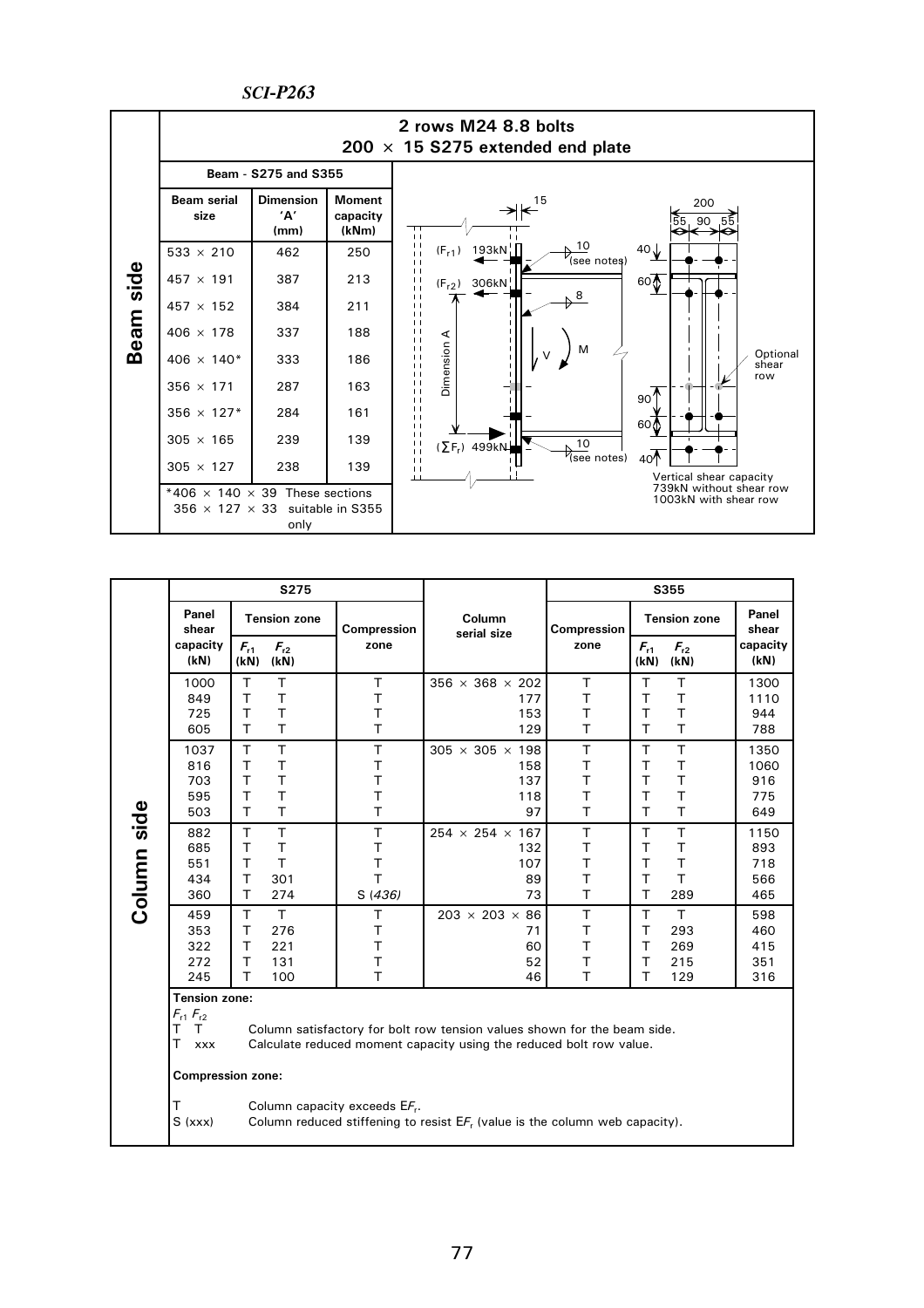*SCI-P263*



|             |                                                                                                                                                                                                                 |                       | S275                                 |                             |                                                        |                       |                        | S355                              | Panel<br>shear<br>capacity<br>(kN)<br>1300 |  |  |  |  |
|-------------|-----------------------------------------------------------------------------------------------------------------------------------------------------------------------------------------------------------------|-----------------------|--------------------------------------|-----------------------------|--------------------------------------------------------|-----------------------|------------------------|-----------------------------------|--------------------------------------------|--|--|--|--|
| Column side | Panel<br>shear                                                                                                                                                                                                  | <b>Tension zone</b>   |                                      | Compression                 | Column<br>serial size                                  | Compression           |                        | <b>Tension zone</b>               |                                            |  |  |  |  |
|             | capacity<br>(kN)                                                                                                                                                                                                | $F_{r1}$<br>(kN)      | $F_{r2}$<br>(kN)                     | zone                        |                                                        | zone                  | $F_{r1}$<br>(kN)       | $F_{r2}$<br>(kN)                  |                                            |  |  |  |  |
|             | 1000<br>849<br>725<br>605                                                                                                                                                                                       | T<br>T<br>T<br>T.     | T<br>T<br>T<br>T                     | т<br>т<br>т<br>T            | $356 \times 368 \times 202$<br>177<br>153<br>129       | T<br>T<br>T<br>T      | T<br>т<br>T<br>T       | T<br>т<br>т<br>т                  | 1110<br>944<br>788                         |  |  |  |  |
|             | 1037<br>816<br>703<br>595<br>503                                                                                                                                                                                | T<br>T<br>T<br>T<br>T | T<br>T<br>T<br>T<br>T                | T<br>T<br>T<br>т<br>T       | $305 \times 305 \times 198$<br>158<br>137<br>118<br>97 | т<br>т<br>T<br>T<br>T | T<br>т<br>т<br>т<br>T  | T<br>T<br>T<br>Τ<br>т             | 1350<br>1060<br>916<br>775<br>649          |  |  |  |  |
|             | 882<br>685<br>551<br>434<br>360                                                                                                                                                                                 | T<br>T<br>T<br>T<br>т | $\mathsf T$<br>T<br>T.<br>301<br>274 | T<br>T<br>т<br>T<br>S (436) | $254 \times 254 \times 167$<br>132<br>107<br>89<br>73  | T<br>T<br>T<br>T<br>т | T<br>T.<br>т<br>т<br>T | $\mathsf T$<br>Т<br>T<br>т<br>289 | 1150<br>893<br>718<br>566<br>465           |  |  |  |  |
|             | 459<br>353<br>322<br>272<br>245                                                                                                                                                                                 | T<br>T<br>T<br>T<br>T | T.<br>276<br>221<br>131<br>100       | т<br>T<br>T<br>T<br>T       | $203 \times 203 \times 86$<br>71<br>60<br>52<br>46     | T<br>T<br>T<br>T<br>T | T.<br>T<br>T<br>T<br>T | T.<br>293<br>269<br>215<br>129    | 598<br>460<br>415<br>351<br>316            |  |  |  |  |
|             | Tension zone:<br>$F_{r1}F_{r2}$<br>т<br>Column satisfactory for bolt row tension values shown for the beam side.<br>т<br>т<br>Calculate reduced moment capacity using the reduced bolt row value.<br><b>XXX</b> |                       |                                      |                             |                                                        |                       |                        |                                   |                                            |  |  |  |  |
|             | <b>Compression zone:</b>                                                                                                                                                                                        |                       |                                      |                             |                                                        |                       |                        |                                   |                                            |  |  |  |  |
|             | т<br>Column capacity exceeds EF.<br>Column reduced stiffening to resist $E_{r}$ (value is the column web capacity).<br>S(xxx)                                                                                   |                       |                                      |                             |                                                        |                       |                        |                                   |                                            |  |  |  |  |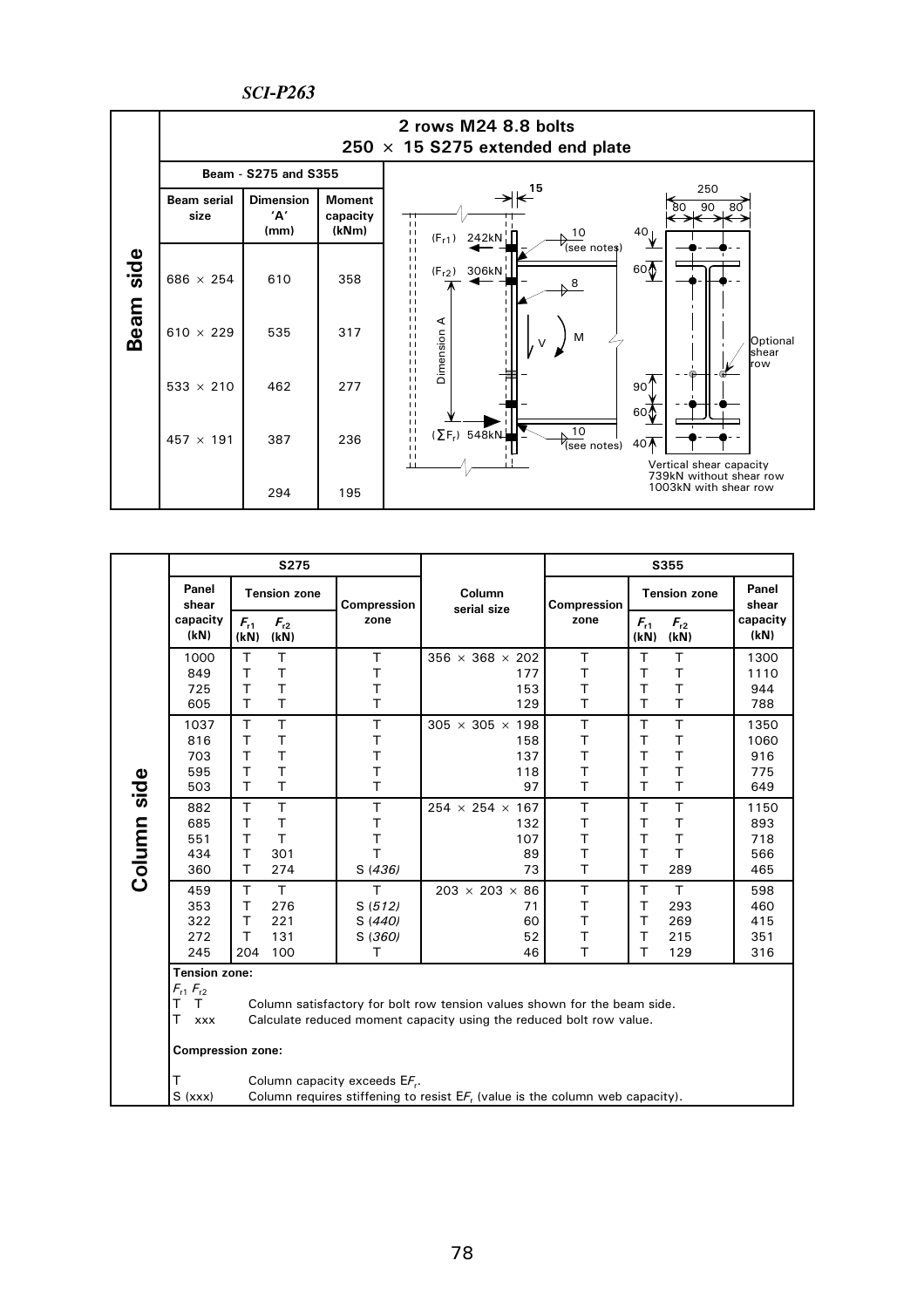*SCI-P263*



|             |                                                                                                                                                                                                                                 |                                                                                                              | <b>S275</b>                                                                                                                                     |                                                                                                                     |                                                                                                                                                                                                                                                                                                                                                                              |                                                                                              |                                                                                               | S355                                                                                                   |                                                                                                                                        |  |
|-------------|---------------------------------------------------------------------------------------------------------------------------------------------------------------------------------------------------------------------------------|--------------------------------------------------------------------------------------------------------------|-------------------------------------------------------------------------------------------------------------------------------------------------|---------------------------------------------------------------------------------------------------------------------|------------------------------------------------------------------------------------------------------------------------------------------------------------------------------------------------------------------------------------------------------------------------------------------------------------------------------------------------------------------------------|----------------------------------------------------------------------------------------------|-----------------------------------------------------------------------------------------------|--------------------------------------------------------------------------------------------------------|----------------------------------------------------------------------------------------------------------------------------------------|--|
|             | Panel<br>shear                                                                                                                                                                                                                  | <b>Tension zone</b>                                                                                          |                                                                                                                                                 | Compression                                                                                                         | Column<br>serial size                                                                                                                                                                                                                                                                                                                                                        | Compression                                                                                  |                                                                                               | <b>Tension zone</b>                                                                                    | Panel<br>shear                                                                                                                         |  |
|             | capacity<br>(kN)                                                                                                                                                                                                                | $F_{r1}$<br>(kN)                                                                                             | $F_{r2}$<br>(kN)                                                                                                                                | zone                                                                                                                |                                                                                                                                                                                                                                                                                                                                                                              | zone                                                                                         | $F_{r1}$<br>(kN)                                                                              | $F_{r2}$<br>(kN)                                                                                       | capacity<br>(kN)                                                                                                                       |  |
| Column side | 1000<br>849<br>725<br>605<br>1037<br>816<br>703<br>595<br>503<br>882<br>685<br>551<br>434<br>360<br>459<br>353<br>322<br>272<br>245<br>Tension zone:<br>$F_{r1}F_{r2}$<br>T<br>т<br>т<br><b>XXX</b><br><b>Compression zone:</b> | T.<br>T.<br>т<br>T.<br>T.<br>T<br>т<br>T<br>T<br>T<br>T<br>T<br>T<br>T<br>$\mathsf{T}$<br>т<br>T<br>T<br>204 | T<br>T<br>$\mathsf T$<br>$\mathsf T$<br>$\mathsf T$<br>$\mathsf T$<br>T<br>T<br>T<br>T<br>T<br>T<br>301<br>274<br>T<br>276<br>221<br>131<br>100 | T.<br>T<br>T<br>T<br>T<br>T<br>T<br>T<br>T<br>T<br>T<br>T<br>T<br>S (436)<br>T<br>S(512)<br>S (440)<br>S (360)<br>т | $356 \times 368 \times 202$<br>177<br>153<br>129<br>$305 \times 305 \times 198$<br>158<br>137<br>118<br>97<br>$254 \times 254 \times 167$<br>132<br>107<br>89<br>73<br>$203 \times 203 \times 86$<br>71<br>60<br>52<br>46<br>Column satisfactory for bolt row tension values shown for the beam side.<br>Calculate reduced moment capacity using the reduced bolt row value. | T.<br>T<br>T<br>T<br>T<br>T<br>T<br>T<br>T<br>T<br>Τ<br>T<br>T<br>T<br>T<br>T<br>T<br>T<br>T | T.<br>T<br>T<br>T<br>T<br>T<br>T<br>T<br>T<br>T.<br>T<br>T<br>T<br>T<br>T<br>T<br>T<br>T<br>T | T.<br>T<br>T<br>T<br>T<br>T<br>T<br>T<br>T<br>T<br>T<br>T<br>T<br>289<br>T<br>293<br>269<br>215<br>129 | 1300<br>1110<br>944<br>788<br>1350<br>1060<br>916<br>775<br>649<br>1150<br>893<br>718<br>566<br>465<br>598<br>460<br>415<br>351<br>316 |  |
|             | T<br>Column capacity exceeds EF.<br>Column requires stiffening to resist $EF_r$ (value is the column web capacity).<br>S(xxx)                                                                                                   |                                                                                                              |                                                                                                                                                 |                                                                                                                     |                                                                                                                                                                                                                                                                                                                                                                              |                                                                                              |                                                                                               |                                                                                                        |                                                                                                                                        |  |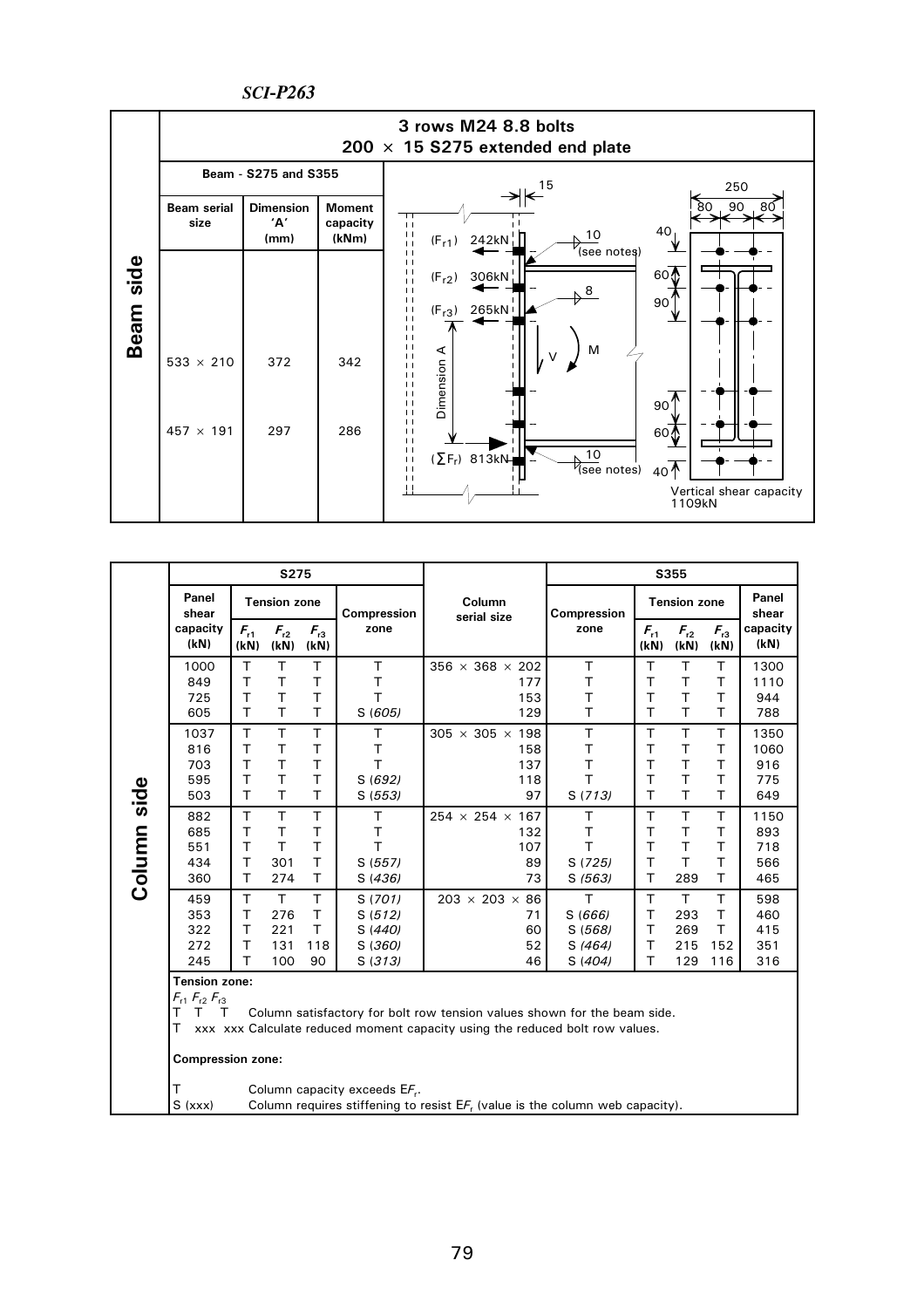*SCI-P263*



|             |                                                                                                                              |                     | S275             |                  |                       |                                                                              | S355                |                  |                  |                  |                  |
|-------------|------------------------------------------------------------------------------------------------------------------------------|---------------------|------------------|------------------|-----------------------|------------------------------------------------------------------------------|---------------------|------------------|------------------|------------------|------------------|
|             | Panel<br>shear                                                                                                               | <b>Tension zone</b> |                  | Compression      | Column<br>serial size | Compression                                                                  | <b>Tension zone</b> |                  |                  | Panel<br>shear   |                  |
|             | capacity<br>(kN)                                                                                                             | $F_{r1}$<br>(kN)    | $F_{r2}$<br>(kN) | $F_{r3}$<br>(kN) | zone                  |                                                                              | zone                | $F_{r1}$<br>(kN) | $F_{r2}$<br>(kN) | $F_{r3}$<br>(kN) | capacity<br>(kN) |
|             | 1000                                                                                                                         | T                   | T                | T.               | T                     | $356 \times 368 \times 202$                                                  | $\mathsf T$         | T                | T                | т                | 1300             |
|             | 849                                                                                                                          | T                   | T                | T.               | T                     | 177                                                                          | T                   | T                | T                | т                | 1110             |
|             | 725                                                                                                                          | T                   | T                | T.               | T                     | 153                                                                          | T                   | T                | T                | т                | 944              |
|             | 605                                                                                                                          | T.                  | T                | T.               | S(605)                | 129                                                                          | T                   | T                | T.               | т                | 788              |
|             | 1037                                                                                                                         | T.                  | T.               | T.               | T                     | $305 \times 305 \times 198$                                                  | T                   | T.               | T                | T                | 1350             |
|             | 816                                                                                                                          | T                   | T                | T.               | т                     | 158                                                                          | T                   | T                | T                | т                | 1060             |
|             | 703                                                                                                                          | T                   | T                | T                | T                     | 137                                                                          | T                   | T                | T                | T                | 916              |
| Column side | 595                                                                                                                          | T                   | T                | T.               | S(692)                | 118                                                                          | T                   | T                | T.               | т                | 775              |
|             | 503                                                                                                                          | T                   | T.               | T.               | S(553)                | 97                                                                           | S(713)              | T                | T.               | т                | 649              |
|             | 882                                                                                                                          | T.                  | T.               | T.               | т                     | $254 \times 254 \times 167$                                                  | T                   | T                | T.               | T                | 1150             |
|             | 685                                                                                                                          | T                   | T                | T.               | T                     | 132                                                                          | T                   | T                | T                | т                | 893              |
|             | 551                                                                                                                          | T                   | T                | T.               | T                     | 107                                                                          | T                   | T                | T.               | т                | 718              |
|             | 434                                                                                                                          | T                   | 301              | Τ                | S(557)                | 89                                                                           | S (725)             | T                | T.               | т                | 566              |
|             | 360                                                                                                                          | т                   | 274              | T                | S (436)               | 73                                                                           | S (563)             | т                | 289              | т                | 465              |
|             | 459                                                                                                                          | T                   | T                | T.               | S (701)               | $203 \times 203 \times 86$                                                   | T                   | T                | T.               | T                | 598              |
|             | 353                                                                                                                          | т                   | 276              | T                | S(512)                | 71                                                                           | S(666)              | T                | 293              | т                | 460              |
|             | 322                                                                                                                          | T                   | 221              | T.               | S (440)               | 60                                                                           | S (568)             | T                | 269              | т                | 415              |
|             | 272                                                                                                                          | T                   | 131              | 118              | S (360)               | 52                                                                           | S (464)             | т                | 215              | 152              | 351              |
|             | 245                                                                                                                          | T                   | 100              | 90               | S(313)                | 46                                                                           | S (404)             | T                | 129              | 116              | 316              |
|             | Tension zone:                                                                                                                |                     |                  |                  |                       |                                                                              |                     |                  |                  |                  |                  |
|             | $F_{r1}F_{r2}F_{r3}$                                                                                                         |                     |                  |                  |                       |                                                                              |                     |                  |                  |                  |                  |
|             | т<br>$\mathsf{T}$<br>т                                                                                                       |                     |                  |                  |                       | Column satisfactory for bolt row tension values shown for the beam side.     |                     |                  |                  |                  |                  |
|             |                                                                                                                              |                     |                  |                  |                       | xxx xxx Calculate reduced moment capacity using the reduced bolt row values. |                     |                  |                  |                  |                  |
|             | <b>Compression zone:</b>                                                                                                     |                     |                  |                  |                       |                                                                              |                     |                  |                  |                  |                  |
|             | T<br>Column capacity exceeds EF<br>Column requires stiffening to resist $EF_r$ (value is the column web capacity).<br>S(xxx) |                     |                  |                  |                       |                                                                              |                     |                  |                  |                  |                  |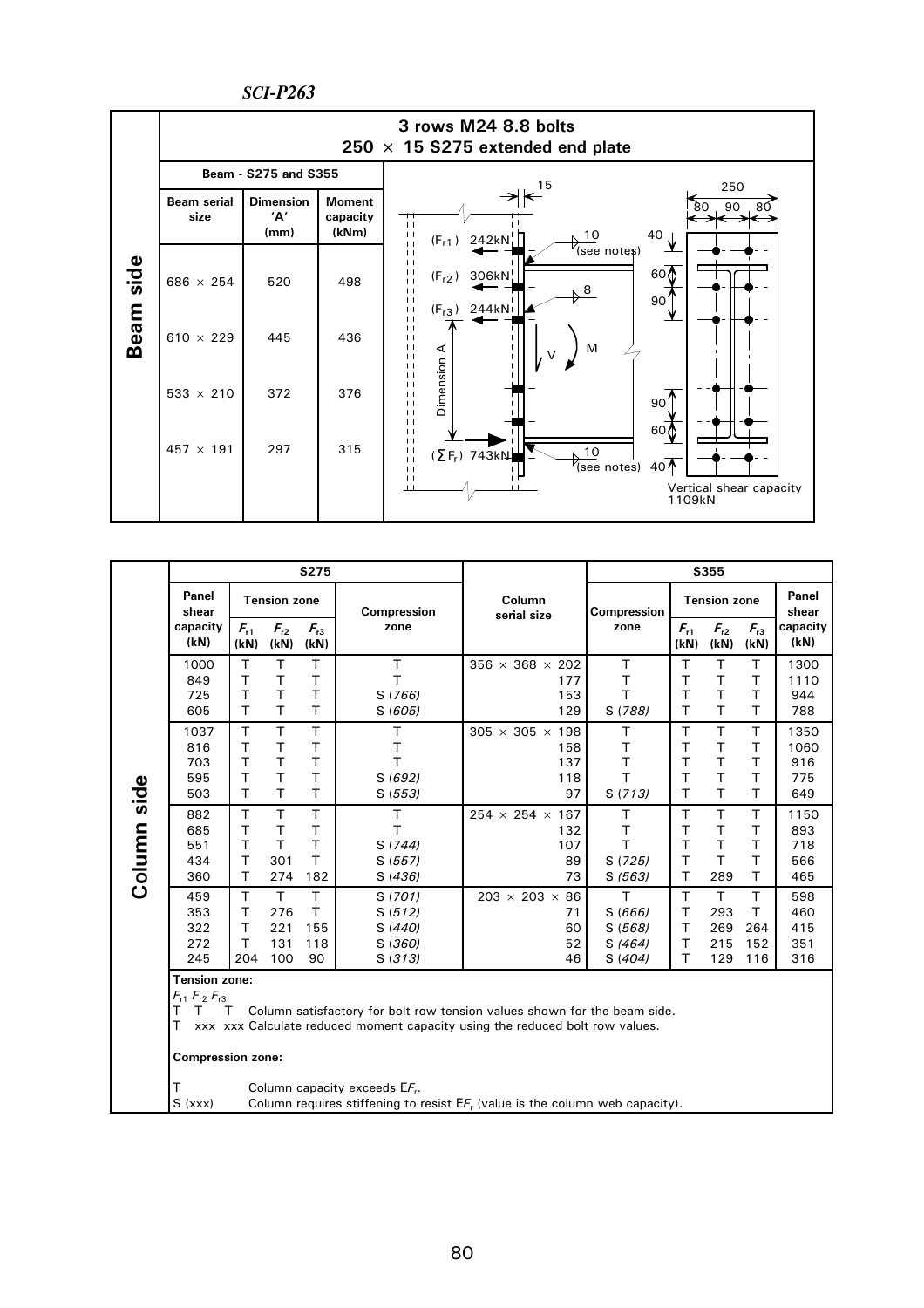*SCI-P263*



|             |                                                                                           |                     |                  | <b>S275</b>      |                             |                             | S355        |                     |                  |                  |                  |
|-------------|-------------------------------------------------------------------------------------------|---------------------|------------------|------------------|-----------------------------|-----------------------------|-------------|---------------------|------------------|------------------|------------------|
|             | Panel<br>shear                                                                            | <b>Tension zone</b> |                  |                  | Compression                 | Column<br>serial size       | Compression | <b>Tension zone</b> |                  |                  | Panel<br>shear   |
|             | capacity<br>(kN)                                                                          | $F_{r1}$<br>(kN)    | $F_{r2}$<br>(kN) | $F_{r3}$<br>(kN) | zone                        |                             | zone        | $F_{r1}$<br>(kN)    | $F_{r2}$<br>(kN) | $F_{r3}$<br>(kN) | capacity<br>(kN) |
|             | 1000                                                                                      | T                   | T                | T                | T                           | $356 \times 368 \times 202$ | $\mathsf T$ | T                   | T                | T                | 1300             |
|             | 849                                                                                       | T                   | T                | T                | T                           | 177                         | T           | T                   | T                | T                | 1110             |
|             | 725                                                                                       | T                   | T                | T                | S (766)                     | 153                         | T           | T                   | T                | T                | 944              |
|             | 605                                                                                       | T                   | T                | T                | S(605)                      | 129                         | S (788)     | T                   | T                | т                | 788              |
|             | 1037                                                                                      | T.                  | T.               | T.               | т                           | $305 \times 305 \times 198$ | т           | T                   | T.               | T.               | 1350             |
|             | 816                                                                                       | т                   | T                | т                | T                           | 158                         | т           | т                   | т                | т                | 1060             |
|             | 703                                                                                       | T                   | T                | т                | T                           | 137                         | T           | т                   | T                | T                | 916              |
|             | 595                                                                                       | т                   | T                | т                | S(692)                      | 118                         | T           | т                   | T                | т                | 775              |
|             | 503                                                                                       | T                   | T                | т                | S(553)                      | 97                          | S(713)      | T                   | T                | T                | 649              |
|             | 882                                                                                       | т                   | T                | т                | т                           | $254 \times 254 \times 167$ | т           | T                   | T                | т                | 1150             |
|             | 685                                                                                       | т                   | T                | т                | $\mathsf{T}$                | 132                         | т           | т                   | т                | т                | 893              |
|             | 551                                                                                       | т                   | T                | т                | S (744)                     | 107                         | T           | т                   | T                | т                | 718              |
|             | 434                                                                                       | т                   | 301              | T.               | S(557)                      | 89                          | S (725)     | т                   | T.               | т                | 566              |
| Column side | 360                                                                                       | т                   | 274              | 182              | S (436)                     | 73                          | S(563)      | т                   | 289              | т                | 465              |
|             | 459                                                                                       | T                   | T                | T.               | S (701)                     | $203 \times 203 \times 86$  | T           | T                   | T.               | T.               | 598              |
|             | 353                                                                                       | т                   | 276              | T                | S(512)                      | 71                          | S(666)      | T                   | 293              | T.               | 460              |
|             | 322                                                                                       | T                   | 221              | 155              | S (440)                     | 60                          | S (568)     | T                   | 269              | 264              | 415              |
|             | 272                                                                                       | т                   | 131              | 118              | S (360)                     | 52                          | S (464)     | т                   | 215              | 152              | 351              |
|             | 245                                                                                       | 204                 | 100              | 90               | S(313)                      | 46                          | S (404)     | т                   | 129              | 116              | 316              |
|             | Tension zone:                                                                             |                     |                  |                  |                             |                             |             |                     |                  |                  |                  |
|             | $F_{r1}F_{r2}F_{r3}$                                                                      |                     |                  |                  |                             |                             |             |                     |                  |                  |                  |
|             | Column satisfactory for bolt row tension values shown for the beam side.<br>т<br>т<br>т   |                     |                  |                  |                             |                             |             |                     |                  |                  |                  |
|             | xxx xxx Calculate reduced moment capacity using the reduced bolt row values.<br>т         |                     |                  |                  |                             |                             |             |                     |                  |                  |                  |
|             | <b>Compression zone:</b>                                                                  |                     |                  |                  |                             |                             |             |                     |                  |                  |                  |
|             | т                                                                                         |                     |                  |                  | Column capacity exceeds EF. |                             |             |                     |                  |                  |                  |
|             | S(xxx)<br>Column requires stiffening to resist $EF$ , (value is the column web capacity). |                     |                  |                  |                             |                             |             |                     |                  |                  |                  |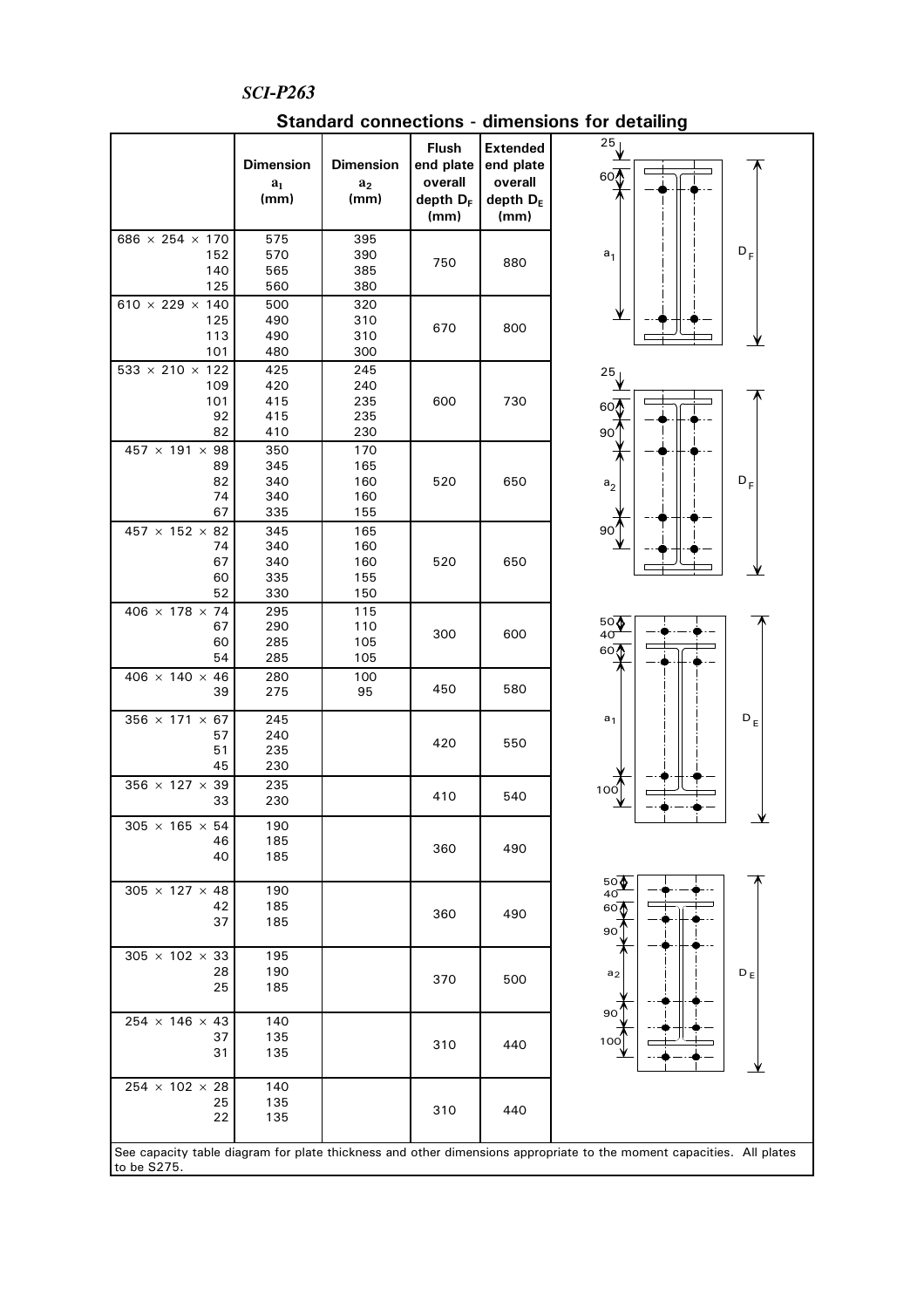*SCI-P263*

## **Standard connections - dimensions for detailing**

|                                                       |                                            | เนเเนนเน บบเแเบบเเบเเง                     |                                                             | นแบบบอเบาจ เบเ นษเนแแพู                                        |                                                                                                                      |  |  |  |  |
|-------------------------------------------------------|--------------------------------------------|--------------------------------------------|-------------------------------------------------------------|----------------------------------------------------------------|----------------------------------------------------------------------------------------------------------------------|--|--|--|--|
|                                                       | <b>Dimension</b><br>a <sub>1</sub><br>(mm) | <b>Dimension</b><br>a <sub>2</sub><br>(mm) | <b>Flush</b><br>end plate<br>overall<br>depth $D_F$<br>(mm) | <b>Extended</b><br>end plate<br>overall<br>depth $D_E$<br>(mm) | $\overline{^{25}}\sqrt{ }$<br>60.                                                                                    |  |  |  |  |
| 686 $\times$ 254 $\times$ 170<br>152<br>140<br>125    | 575<br>570<br>565<br>560                   | 395<br>390<br>385<br>380                   | 750                                                         | 880                                                            | $D_F^{-1}$<br>a <sub>1</sub>                                                                                         |  |  |  |  |
| $610 \times 229 \times 140$<br>125<br>113<br>101      | 500<br>490<br>490<br>480                   | 320<br>310<br>310<br>300                   | 670                                                         | 800                                                            | y                                                                                                                    |  |  |  |  |
| $533 \times 210 \times 122$<br>109<br>101<br>92<br>82 | 425<br>420<br>415<br>415<br>410            | 245<br>240<br>235<br>235<br>230            | 600                                                         | 730                                                            | 25<br>60<br>90                                                                                                       |  |  |  |  |
| $457 \times 191 \times 98$<br>89<br>82<br>74<br>67    | 350<br>345<br>340<br>340<br>335            | 170<br>165<br>160<br>160<br>155            | 520                                                         | 650                                                            | $D_F$<br>$\mathsf{a}_2$                                                                                              |  |  |  |  |
| $457 \times 152 \times 82$<br>74<br>67<br>60<br>52    | 345<br>340<br>340<br>335<br>330            | 165<br>160<br>160<br>155<br>150            | 520                                                         | 650                                                            | 90                                                                                                                   |  |  |  |  |
| $406 \times 178 \times 74$<br>67<br>60<br>54          | 295<br>290<br>285<br>285                   | 115<br>110<br>105<br>105                   | 300                                                         | 600                                                            | 50 $\overline{\Phi}$<br>40 <sup>7</sup><br>60                                                                        |  |  |  |  |
| $406 \times 140 \times 46$<br>39                      | 280<br>275                                 | 100<br>95                                  | 450                                                         | 580                                                            |                                                                                                                      |  |  |  |  |
| $356 \times 171 \times 67$<br>57<br>51<br>45          | 245<br>240<br>235<br>230                   |                                            | 420                                                         | 550                                                            | $D_E$<br>a <sub>1</sub>                                                                                              |  |  |  |  |
| $356 \times 127 \times 39$<br>33                      | 235<br>230                                 |                                            | 410                                                         | 540                                                            | 100                                                                                                                  |  |  |  |  |
| $305 \times 165 \times 54$<br>46<br>40                | 190<br>185<br>185                          |                                            | 360                                                         | 490                                                            |                                                                                                                      |  |  |  |  |
| $305 \times 127 \times 48$<br>42<br>37                | 190<br>185<br>185                          |                                            | 360                                                         | 490                                                            | 500<br>40<br>60 <sub>0</sub><br>90                                                                                   |  |  |  |  |
| $305 \times 102 \times 33$<br>28<br>25                | 195<br>190<br>185                          |                                            | 370                                                         | 500                                                            | $D_E$<br>a <sub>2</sub>                                                                                              |  |  |  |  |
| $254 \times 146 \times 43$<br>37<br>31                | 140<br>135<br>135                          |                                            | 310                                                         | 440                                                            | 90<br>100                                                                                                            |  |  |  |  |
| $254 \times 102 \times 28$<br>25<br>22                | 140<br>135<br>135                          |                                            | 310                                                         | 440                                                            |                                                                                                                      |  |  |  |  |
| to be S275.                                           |                                            |                                            |                                                             |                                                                | See capacity table diagram for plate thickness and other dimensions appropriate to the moment capacities. All plates |  |  |  |  |